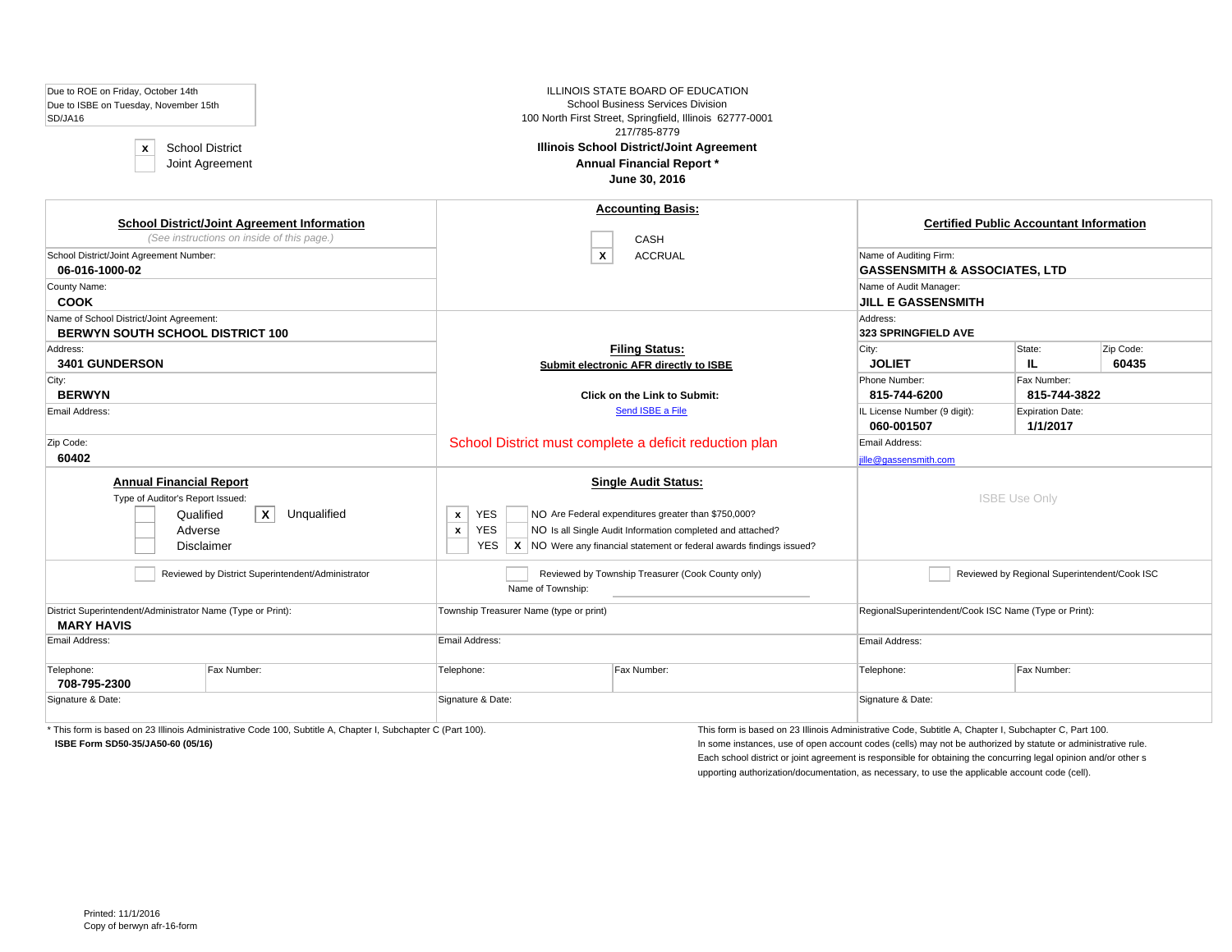| Due to ROE on Friday, October 14th<br>Due to ISBE on Tuesday, November 15th<br>SD/JA16<br><b>School District</b><br>$\mathbf x$<br>Joint Agreement |             |                                                                        | ILLINOIS STATE BOARD OF EDUCATION<br><b>School Business Services Division</b><br>100 North First Street, Springfield, Illinois 62777-0001<br>217/785-8779<br><b>Illinois School District/Joint Agreement</b><br><b>Annual Financial Report *</b><br>June 30, 2016 |                                                                    |                                                |                    |  |
|----------------------------------------------------------------------------------------------------------------------------------------------------|-------------|------------------------------------------------------------------------|-------------------------------------------------------------------------------------------------------------------------------------------------------------------------------------------------------------------------------------------------------------------|--------------------------------------------------------------------|------------------------------------------------|--------------------|--|
| <b>School District/Joint Agreement Information</b><br>(See instructions on inside of this page.)                                                   |             |                                                                        | <b>Accounting Basis:</b><br><b>CASH</b>                                                                                                                                                                                                                           |                                                                    | <b>Certified Public Accountant Information</b> |                    |  |
| School District/Joint Agreement Number:<br>06-016-1000-02                                                                                          |             | $\boldsymbol{x}$                                                       | <b>ACCRUAL</b>                                                                                                                                                                                                                                                    | Name of Auditing Firm:<br><b>GASSENSMITH &amp; ASSOCIATES, LTD</b> |                                                |                    |  |
| County Name:<br><b>COOK</b>                                                                                                                        |             |                                                                        |                                                                                                                                                                                                                                                                   | Name of Audit Manager:<br><b>JILL E GASSENSMITH</b>                |                                                |                    |  |
| Name of School District/Joint Agreement:<br><b>BERWYN SOUTH SCHOOL DISTRICT 100</b>                                                                |             |                                                                        |                                                                                                                                                                                                                                                                   | Address:<br>323 SPRINGFIELD AVE                                    |                                                |                    |  |
| Address:<br>3401 GUNDERSON                                                                                                                         |             |                                                                        | <b>Filing Status:</b><br>Submit electronic AFR directly to ISBE                                                                                                                                                                                                   | City:<br><b>JOLIET</b>                                             | State:<br>IL.                                  | Zip Code:<br>60435 |  |
| City:<br><b>BERWYN</b>                                                                                                                             |             |                                                                        | <b>Click on the Link to Submit:</b>                                                                                                                                                                                                                               | Phone Number:<br>815-744-6200                                      | Fax Number:<br>815-744-3822                    |                    |  |
| Email Address:                                                                                                                                     |             |                                                                        | Send ISBE a File                                                                                                                                                                                                                                                  | IL License Number (9 digit):<br>060-001507                         | <b>Expiration Date:</b><br>1/1/2017            |                    |  |
| Zip Code:<br>60402                                                                                                                                 |             |                                                                        | School District must complete a deficit reduction plan                                                                                                                                                                                                            | Email Address:<br>jille@gassensmith.com                            |                                                |                    |  |
| <b>Annual Financial Report</b><br>Type of Auditor's Report Issued:<br>$\mathbf{x}$<br>Qualified<br>Adverse<br>Disclaimer                           | Unqualified | <b>YES</b><br>$\mathbf{x}$<br><b>YES</b><br>$\mathbf{x}$<br><b>YES</b> | <b>Single Audit Status:</b><br>NO Are Federal expenditures greater than \$750,000?<br>NO Is all Single Audit Information completed and attached?<br>$\mathsf{X}$ NO Were any financial statement or federal awards findings issued?                               |                                                                    | <b>ISBE Use Only</b>                           |                    |  |
| Reviewed by District Superintendent/Administrator                                                                                                  |             | Name of Township:                                                      | Reviewed by Township Treasurer (Cook County only)                                                                                                                                                                                                                 |                                                                    | Reviewed by Regional Superintendent/Cook ISC   |                    |  |
| District Superintendent/Administrator Name (Type or Print):<br><b>MARY HAVIS</b>                                                                   |             | Township Treasurer Name (type or print)                                |                                                                                                                                                                                                                                                                   | RegionalSuperintendent/Cook ISC Name (Type or Print):              |                                                |                    |  |
| Email Address:                                                                                                                                     |             | Email Address:                                                         |                                                                                                                                                                                                                                                                   | Email Address:                                                     |                                                |                    |  |
| Telephone:<br>Fax Number:<br>708-795-2300                                                                                                          |             | Telephone:                                                             | Fax Number:                                                                                                                                                                                                                                                       | Telephone:<br>Fax Number:                                          |                                                |                    |  |
| Signature & Date:                                                                                                                                  |             | Signature & Date:                                                      |                                                                                                                                                                                                                                                                   | Signature & Date:                                                  |                                                |                    |  |

\* This form is based on 23 Illinois Administrative Code 100, Subtitle A, Chapter I, Subchapter C (Part 100). This form is based on 23 Illinois Administrative Code, Subtitle A, Chapter I, Subchapter C, Part 100.

**ISBE Form SD50-35/JA50-60 (05/16)** In some instances, use of open account codes (cells) may not be authorized by statute or administrative rule. Each school district or joint agreement is responsible for obtaining the concurring legal opinion and/or other s upporting authorization/documentation, as necessary, to use the applicable account code (cell).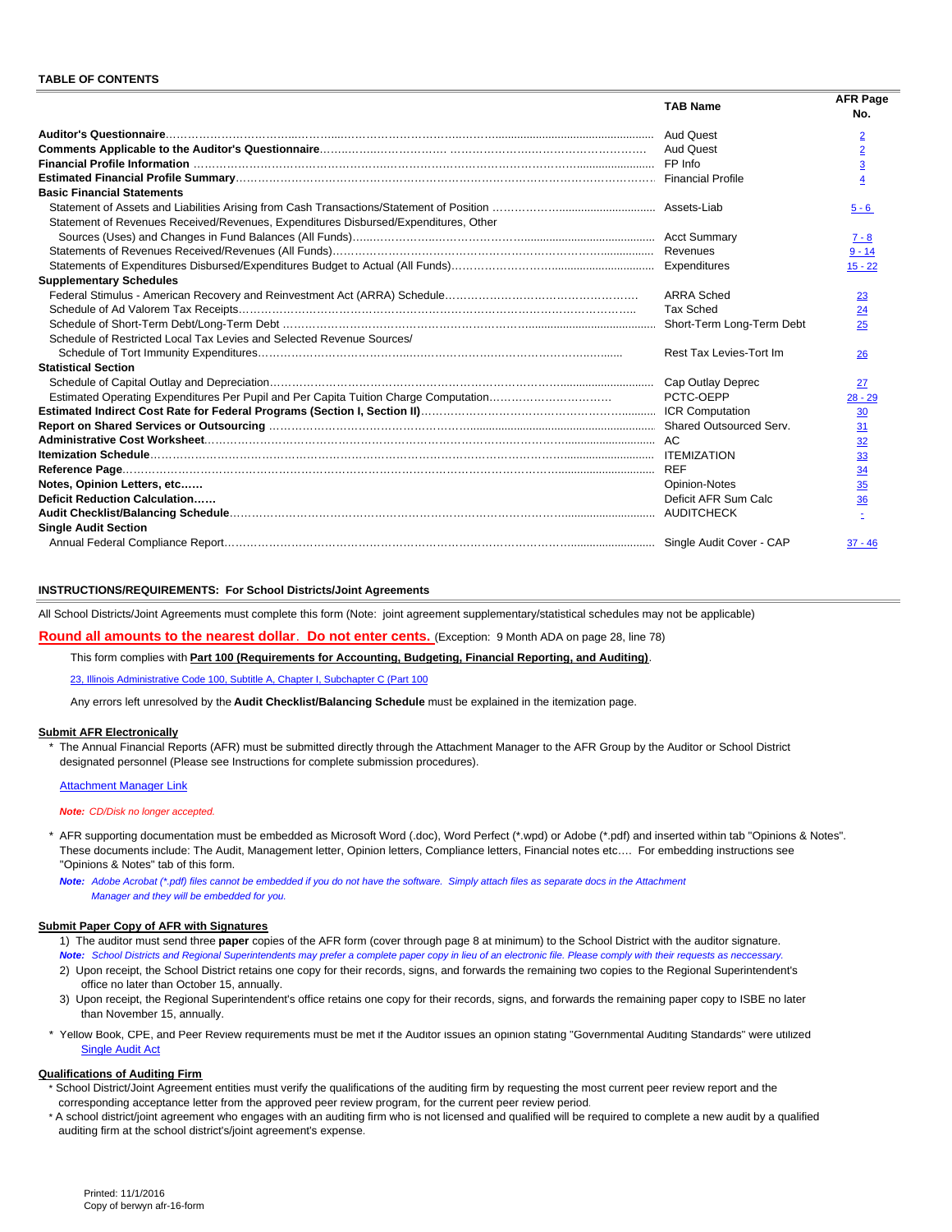|                                                                                     | <b>TAB Name</b>         | <b>AFR Page</b><br>No.                                |
|-------------------------------------------------------------------------------------|-------------------------|-------------------------------------------------------|
|                                                                                     | <b>Aud Quest</b>        | $\overline{2}$                                        |
|                                                                                     |                         | $\overline{2}$                                        |
|                                                                                     |                         | $\overline{3}$                                        |
|                                                                                     |                         | 4                                                     |
| <b>Basic Financial Statements</b>                                                   |                         |                                                       |
|                                                                                     |                         | $5 - 6$                                               |
| Statement of Revenues Received/Revenues, Expenditures Disbursed/Expenditures, Other |                         |                                                       |
|                                                                                     |                         | $7 - 8$                                               |
|                                                                                     |                         | $9 - 14$                                              |
|                                                                                     |                         | $15 - 22$                                             |
| <b>Supplementary Schedules</b>                                                      |                         |                                                       |
|                                                                                     | <b>ARRA Sched</b>       | 23                                                    |
|                                                                                     | <b>Tax Sched</b>        | 24                                                    |
|                                                                                     |                         | 25                                                    |
| Schedule of Restricted Local Tax Levies and Selected Revenue Sources/               |                         |                                                       |
|                                                                                     | Rest Tax Levies-Tort Im | 26                                                    |
| <b>Statistical Section</b>                                                          |                         |                                                       |
|                                                                                     | Cap Outlay Deprec       | 27                                                    |
|                                                                                     | PCTC-OEPP               | $28 - 29$                                             |
|                                                                                     |                         |                                                       |
|                                                                                     |                         | $\frac{30}{31}$<br>$\frac{31}{32}$<br>$\frac{33}{34}$ |
|                                                                                     |                         |                                                       |
|                                                                                     |                         |                                                       |
|                                                                                     | <b>RFF</b>              |                                                       |
| Notes, Opinion Letters, etc                                                         | <b>Opinion-Notes</b>    | $\frac{35}{5}$                                        |
| Deficit Reduction Calculation                                                       | Deficit AFR Sum Calc    | 36                                                    |
|                                                                                     |                         |                                                       |
| <b>Single Audit Section</b>                                                         |                         |                                                       |
|                                                                                     |                         | $37 - 46$                                             |

#### **INSTRUCTIONS/REQUIREMENTS: For School Districts/Joint Agreements**

All School Districts/Joint Agreements must complete this form (Note: joint agreement supplementary/statistical schedules may not be applicable)

**Round all amounts to the nearest dollar**. **Do not enter cents.** (Exception: 9 Month ADA on page 28, line 78)

This form complies with **Part 100 (Requirements for Accounting, Budgeting, Financial Reporting, and Auditing)**.

23, Illinois Administrative Code 100, Subtitle A, Chapter I, Subchapter C (Part 100

Any errors left unresolved by the **Audit Checklist/Balancing Schedule** must be explained in the itemization page.

#### **Submit AFR Electronically**

The Annual Financial Reports (AFR) must be submitted directly through the Attachment Manager to the AFR Group by the Auditor or School District designated personnel (Please see Instructions for complete submission procedures).

#### Attachment Manager Link

#### *Note: CD/Disk no longer accepted.*

\* AFR supporting documentation must be embedded as Microsoft Word (.doc), Word Perfect (\*.wpd) or Adobe (\*.pdf) and inserted within tab "Opinions & Notes". These documents include: The Audit, Management letter, Opinion letters, Compliance letters, Financial notes etc…. For embedding instructions see "Opinions & Notes" tab of this form.

*Note: Adobe Acrobat (\*.pdf) files cannot be embedded if you do not have the software. Simply attach files as separate docs in the Attachment Manager and they will be embedded for you.*

#### **Submit Paper Copy of AFR with Signatures**

1) The auditor must send three **paper** copies of the AFR form (cover through page 8 at minimum) to the School District with the auditor signature. *Note: School Districts and Regional Superintendents may prefer a complete paper copy in lieu of an electronic file. Please comply with their requests as neccessary.*

- 2) Upon receipt, the School District retains one copy for their records, signs, and forwards the remaining two copies to the Regional Superintendent's office no later than October 15, annually.
- 3) Upon receipt, the Regional Superintendent's office retains one copy for their records, signs, and forwards the remaining paper copy to ISBE no later than November 15, annually.
- \* Yellow Book, CPE, and Peer Review requirements must be met if the Auditor issues an opinion stating "Governmental Auditing Standards" were utilized Single Audit Act

#### **Qualifications of Auditing Firm**

- \* School District/Joint Agreement entities must verify the qualifications of the auditing firm by requesting the most current peer review report and the corresponding acceptance letter from the approved peer review program, for the current peer review period.
- \* A school district/joint agreement who engages with an auditing firm who is not licensed and qualified will be required to complete a new audit by a qualified auditing firm at the school district's/joint agreement's expense.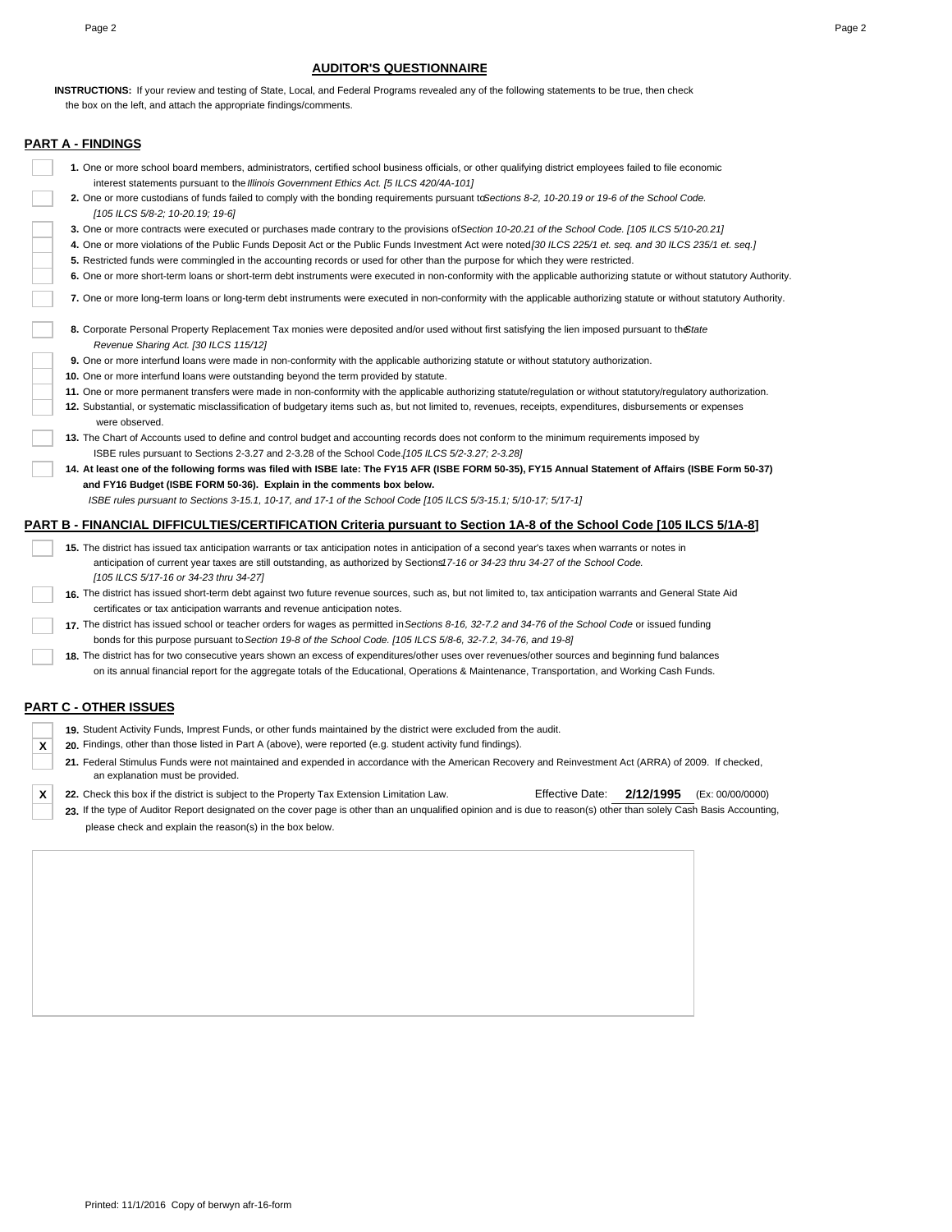#### **AUDITOR'S QUESTIONNAIRE**

 the box on the left, and attach the appropriate findings/comments. **INSTRUCTIONS:** If your review and testing of State, Local, and Federal Programs revealed any of the following statements to be true, then check

#### **PART A - FINDINGS**

- **1.** One or more school board members, administrators, certified school business officials, or other qualifying district employees failed to file economic interest statements pursuant to the *Illinois Government Ethics Act. [5 ILCS 420/4A-101]*
- **2.** One or more custodians of funds failed to comply with the bonding requirements pursuant to *Sections 8-2, 10-20.19 or 19-6 of the School Code. [105 ILCS 5/8-2; 10-20.19; 19-6]*
- **3.** One or more contracts were executed or purchases made contrary to the provisions of *Section 10-20.21 of the School Code. [105 ILCS 5/10-20.21]*
- 4. One or more violations of the Public Funds Deposit Act or the Public Funds Investment Act were noted<sup>[30</sup> ILCS 225/1 et. seq. and 30 ILCS 235/1 et. seq.]
- **5.** Restricted funds were commingled in the accounting records or used for other than the purpose for which they were restricted.
- **6.** One or more short-term loans or short-term debt instruments were executed in non-conformity with the applicable authorizing statute or without statutory Authority.
- **7.** One or more long-term loans or long-term debt instruments were executed in non-conformity with the applicable authorizing statute or without statutory Authority.
- 8. Corporate Personal Property Replacement Tax monies were deposited and/or used without first satisfying the lien imposed pursuant to the *State Revenue Sharing Act. [30 ILCS 115/12]*
- **9.** One or more interfund loans were made in non-conformity with the applicable authorizing statute or without statutory authorization.
- **10.** One or more interfund loans were outstanding beyond the term provided by statute.
- **11.** One or more permanent transfers were made in non-conformity with the applicable authorizing statute/regulation or without statutory/regulatory authorization.
- **12.** Substantial, or systematic misclassification of budgetary items such as, but not limited to, revenues, receipts, expenditures, disbursements or expenses were observed.
- **13.** The Chart of Accounts used to define and control budget and accounting records does not conform to the minimum requirements imposed by ISBE rules pursuant to Sections 2-3.27 and 2-3.28 of the School Code. *[105 ILCS 5/2-3.27; 2-3.28]*
- **14. At least one of the following forms was filed with ISBE late: The FY15 AFR (ISBE FORM 50-35), FY15 Annual Statement of Affairs (ISBE Form 50-37) and FY16 Budget (ISBE FORM 50-36). Explain in the comments box below.**

 *ISBE rules pursuant to Sections 3-15.1, 10-17, and 17-1 of the School Code [105 ILCS 5/3-15.1; 5/10-17; 5/17-1]*

#### **PART B - FINANCIAL DIFFICULTIES/CERTIFICATION Criteria pursuant to Section 1A-8 of the School Code [105 ILCS 5/1A-8]**

- **15.** The district has issued tax anticipation warrants or tax anticipation notes in anticipation of a second year's taxes when warrants or notes in anticipation of current year taxes are still outstanding, as authorized by Sections17-16 or 34-23 thru 34-27 of the School Code. *[105 ILCS 5/17-16 or 34-23 thru 34-27]*
- **16.** The district has issued short-term debt against two future revenue sources, such as, but not limited to, tax anticipation warrants and General State Aid certificates or tax anticipation warrants and revenue anticipation notes.
- **17.** The district has issued school or teacher orders for wages as permitted in *Sections 8-16, 32-7.2 and 34-76 of the School Code* or issued funding bonds for this purpose pursuant to *Section 19-8 of the School Code. [105 ILCS 5/8-6, 32-7.2, 34-76, and 19-8]* 
	- **18.** The district has for two consecutive years shown an excess of expenditures/other uses over revenues/other sources and beginning fund balances on its annual financial report for the aggregate totals of the Educational, Operations & Maintenance, Transportation, and Working Cash Funds.

#### **PART C - OTHER ISSUES**

- **19.** Student Activity Funds, Imprest Funds, or other funds maintained by the district were excluded from the audit.
- **X 20.** Findings, other than those listed in Part A (above), were reported (e.g. student activity fund findings).
	- **21.** Federal Stimulus Funds were not maintained and expended in accordance with the American Recovery and Reinvestment Act (ARRA) of 2009. If checked, an explanation must be provided.
- **X 22.** Check this box if the district is subject to the Property Tax Extension Limitation Law. Effective Date: **2/12/1995** (Ex: 00/00/0000)
	- 23. If the type of Auditor Report designated on the cover page is other than an unqualified opinion and is due to reason(s) other than solely Cash Basis Accounting, please check and explain the reason(s) in the box below.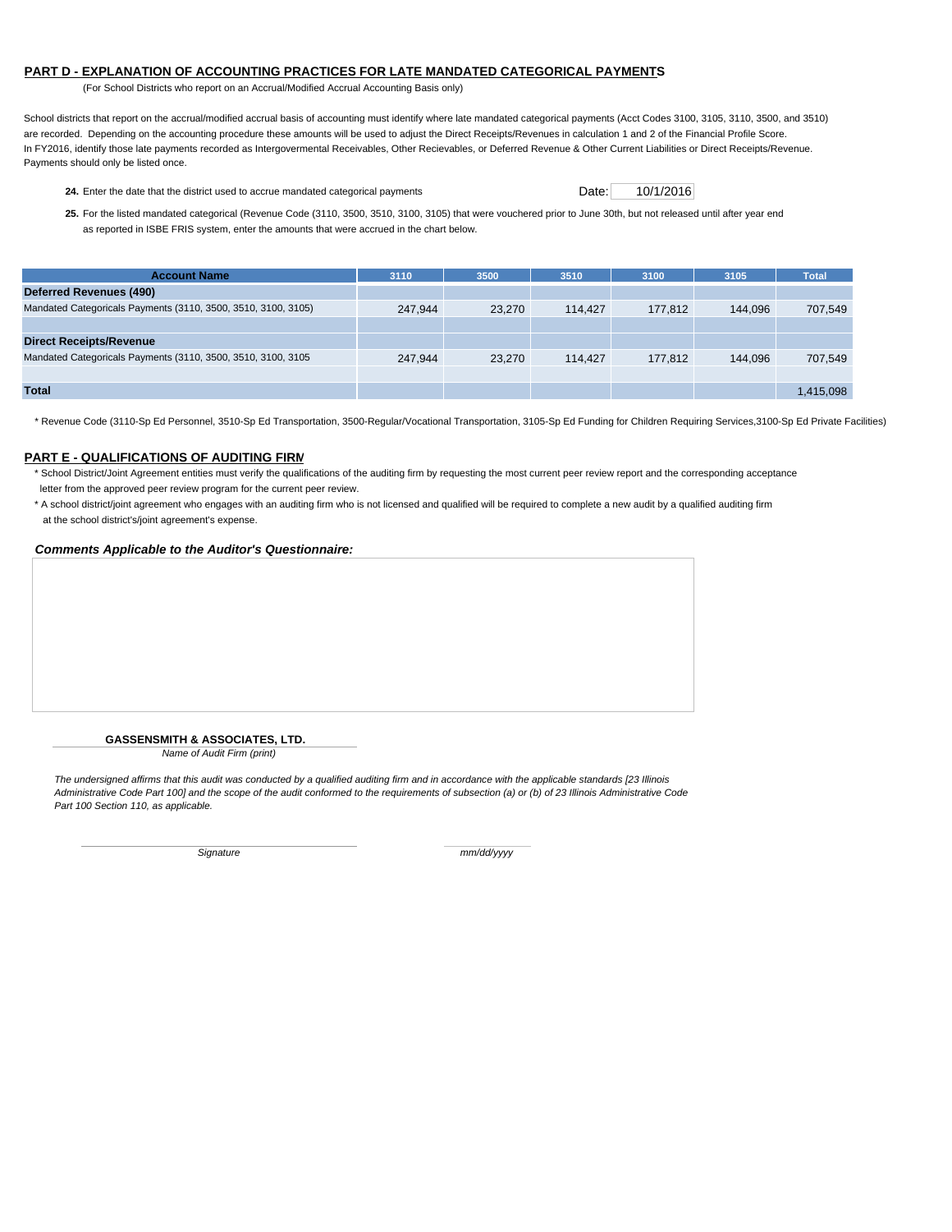#### **PART D - EXPLANATION OF ACCOUNTING PRACTICES FOR LATE MANDATED CATEGORICAL PAYMENTS**

(For School Districts who report on an Accrual/Modified Accrual Accounting Basis only)

School districts that report on the accrual/modified accrual basis of accounting must identify where late mandated categorical payments (Acct Codes 3100, 3105, 3110, 3500, and 3510) are recorded. Depending on the accounting procedure these amounts will be used to adjust the Direct Receipts/Revenues in calculation 1 and 2 of the Financial Profile Score. In FY2016, identify those late payments recorded as Intergovermental Receivables, Other Recievables, or Deferred Revenue & Other Current Liabilities or Direct Receipts/Revenue. Payments should only be listed once.

24. Enter the date that the district used to accrue mandated categorical payments Date: 10/1/2016

**25.** For the listed mandated categorical (Revenue Code (3110, 3500, 3510, 3100, 3105) that were vouchered prior to June 30th, but not released until after year end as reported in ISBE FRIS system, enter the amounts that were accrued in the chart below.

| <b>Account Name</b>                                           | 3110    | 3500   | 3510    | 3100    | 3105    | Total     |
|---------------------------------------------------------------|---------|--------|---------|---------|---------|-----------|
| Deferred Revenues (490)                                       |         |        |         |         |         |           |
| Mandated Categoricals Payments (3110, 3500, 3510, 3100, 3105) | 247.944 | 23.270 | 114.427 | 177.812 | 144.096 | 707.549   |
|                                                               |         |        |         |         |         |           |
| <b>Direct Receipts/Revenue</b>                                |         |        |         |         |         |           |
| Mandated Categoricals Payments (3110, 3500, 3510, 3100, 3105  | 247.944 | 23.270 | 114.427 | 177.812 | 144.096 | 707,549   |
|                                                               |         |        |         |         |         |           |
| <b>Total</b>                                                  |         |        |         |         |         | 1,415,098 |

\* Revenue Code (3110-Sp Ed Personnel, 3510-Sp Ed Transportation, 3500-Regular/Vocational Transportation, 3105-Sp Ed Funding for Children Requiring Services,3100-Sp Ed Private Facilities)

### **PART E - QUALIFICATIONS OF AUDITING FIRM**

\* School District/Joint Agreement entities must verify the qualifications of the auditing firm by requesting the most current peer review report and the corresponding acceptance letter from the approved peer review program for the current peer review.

\* A school district/joint agreement who engages with an auditing firm who is not licensed and qualified will be required to complete a new audit by a qualified auditing firm at the school district's/joint agreement's expense.

#### *Comments Applicable to the Auditor's Questionnaire:*

#### **GASSENSMITH & ASSOCIATES, LTD.**

*Name of Audit Firm (print)*

*The undersigned affirms that this audit was conducted by a qualified auditing firm and in accordance with the applicable standards [23 Illinois Administrative Code Part 100] and the scope of the audit conformed to the requirements of subsection (a) or (b) of 23 Illinois Administrative Code Part 100 Section 110, as applicable.*

*Signature mm/dd/yyyy*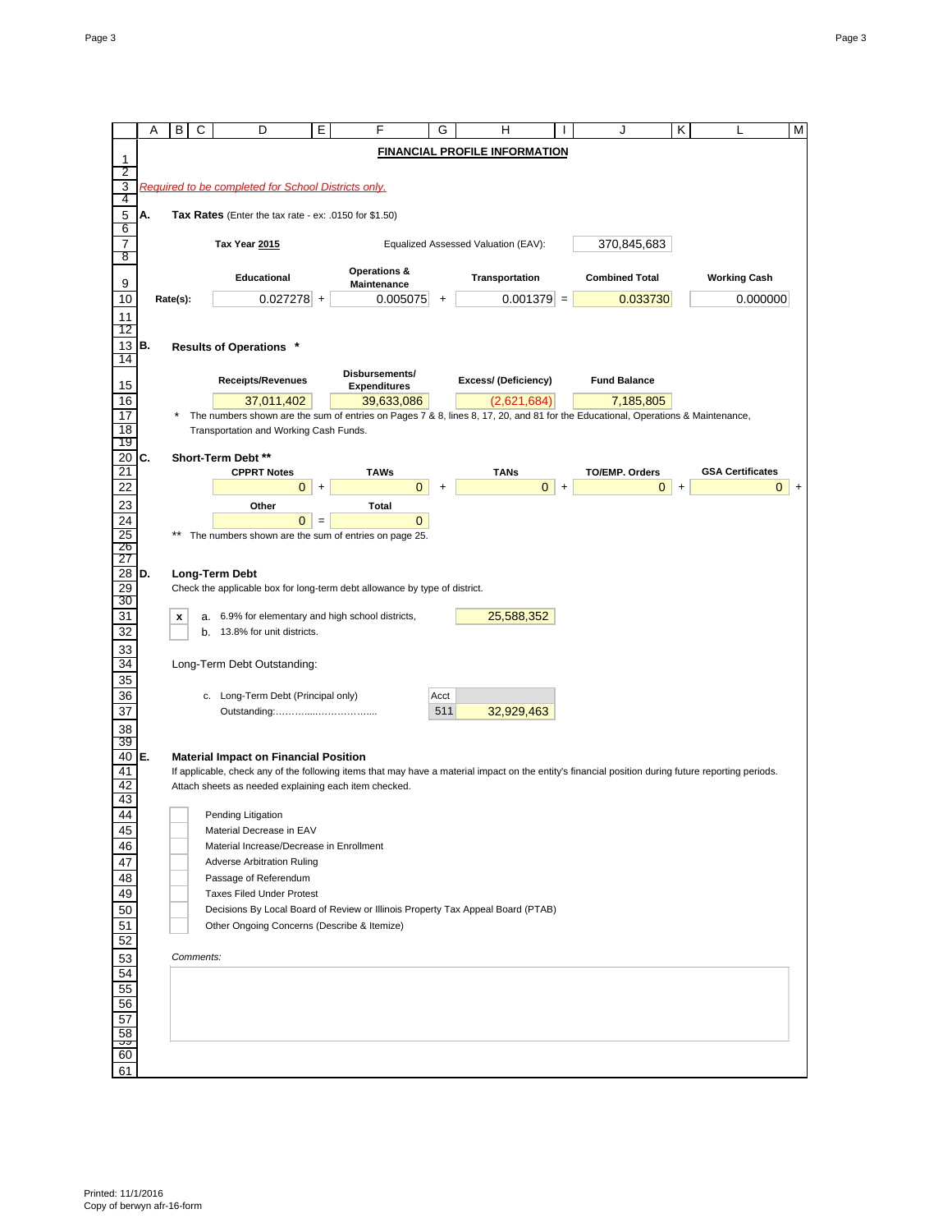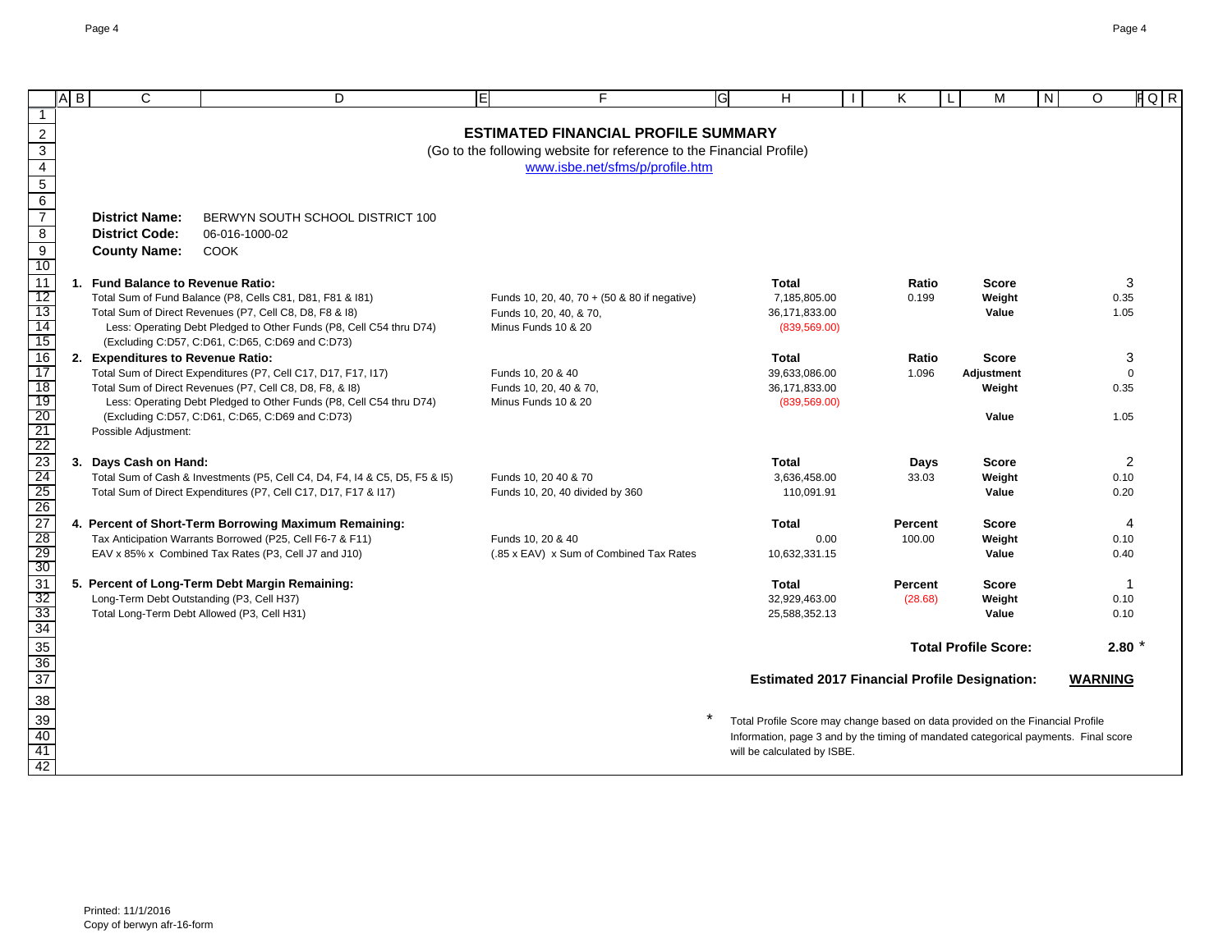|                                                                          | $\overline{A}$ $\overline{B}$ | $\mathsf{C}$                                | D                                                                           | E | F                                                                    | G<br>н                                                                                                                                                                | K              | M                           | N | O              | $FQ$ $R$    |
|--------------------------------------------------------------------------|-------------------------------|---------------------------------------------|-----------------------------------------------------------------------------|---|----------------------------------------------------------------------|-----------------------------------------------------------------------------------------------------------------------------------------------------------------------|----------------|-----------------------------|---|----------------|-------------|
| -1                                                                       |                               |                                             |                                                                             |   |                                                                      |                                                                                                                                                                       |                |                             |   |                |             |
| $\frac{2}{3}$ $\frac{3}{4}$ $\frac{4}{5}$ $\frac{6}{7}$                  |                               |                                             |                                                                             |   | <b>ESTIMATED FINANCIAL PROFILE SUMMARY</b>                           |                                                                                                                                                                       |                |                             |   |                |             |
|                                                                          |                               |                                             |                                                                             |   | (Go to the following website for reference to the Financial Profile) |                                                                                                                                                                       |                |                             |   |                |             |
|                                                                          |                               |                                             |                                                                             |   | www.isbe.net/sfms/p/profile.htm                                      |                                                                                                                                                                       |                |                             |   |                |             |
|                                                                          |                               |                                             |                                                                             |   |                                                                      |                                                                                                                                                                       |                |                             |   |                |             |
|                                                                          |                               | <b>District Name:</b>                       | BERWYN SOUTH SCHOOL DISTRICT 100                                            |   |                                                                      |                                                                                                                                                                       |                |                             |   |                |             |
| $\bf 8$                                                                  |                               | <b>District Code:</b>                       | 06-016-1000-02                                                              |   |                                                                      |                                                                                                                                                                       |                |                             |   |                |             |
| $\overline{9}$                                                           |                               | <b>County Name:</b>                         | <b>COOK</b>                                                                 |   |                                                                      |                                                                                                                                                                       |                |                             |   |                |             |
| 10                                                                       |                               |                                             |                                                                             |   |                                                                      |                                                                                                                                                                       |                |                             |   |                |             |
| 11                                                                       |                               | 1. Fund Balance to Revenue Ratio:           |                                                                             |   |                                                                      | <b>Total</b>                                                                                                                                                          | Ratio          | <b>Score</b>                |   |                | 3           |
| 12                                                                       |                               |                                             | Total Sum of Fund Balance (P8, Cells C81, D81, F81 & 181)                   |   | Funds 10, 20, 40, 70 + (50 & 80 if negative)                         | 7,185,805.00                                                                                                                                                          | 0.199          | Weight                      |   |                | 0.35        |
| 13                                                                       |                               |                                             | Total Sum of Direct Revenues (P7, Cell C8, D8, F8 & 18)                     |   | Funds 10, 20, 40, & 70,                                              | 36,171,833.00                                                                                                                                                         |                | Value                       |   |                | 1.05        |
| 14<br>15                                                                 |                               |                                             | Less: Operating Debt Pledged to Other Funds (P8, Cell C54 thru D74)         |   | Minus Funds 10 & 20                                                  | (839, 569.00)                                                                                                                                                         |                |                             |   |                |             |
| $\overline{16}$                                                          |                               | 2. Expenditures to Revenue Ratio:           | (Excluding C:D57, C:D61, C:D65, C:D69 and C:D73)                            |   |                                                                      | <b>Total</b>                                                                                                                                                          | Ratio          | <b>Score</b>                |   |                | 3           |
| 17                                                                       |                               |                                             | Total Sum of Direct Expenditures (P7, Cell C17, D17, F17, I17)              |   | Funds 10, 20 & 40                                                    | 39,633,086.00                                                                                                                                                         | 1.096          | <b>Adjustment</b>           |   |                | $\Omega$    |
| 18                                                                       |                               |                                             | Total Sum of Direct Revenues (P7, Cell C8, D8, F8, & 18)                    |   | Funds 10, 20, 40 & 70,                                               | 36,171,833.00                                                                                                                                                         |                | Weight                      |   |                | 0.35        |
| 19                                                                       |                               |                                             | Less: Operating Debt Pledged to Other Funds (P8, Cell C54 thru D74)         |   | Minus Funds 10 & 20                                                  | (839, 569.00)                                                                                                                                                         |                |                             |   |                |             |
|                                                                          |                               |                                             | (Excluding C:D57, C:D61, C:D65, C:D69 and C:D73)                            |   |                                                                      |                                                                                                                                                                       |                | Value                       |   |                | 1.05        |
|                                                                          |                               | Possible Adjustment:                        |                                                                             |   |                                                                      |                                                                                                                                                                       |                |                             |   |                |             |
|                                                                          |                               | 3. Days Cash on Hand:                       |                                                                             |   |                                                                      | <b>Total</b>                                                                                                                                                          | Days           | <b>Score</b>                |   |                | 2           |
|                                                                          |                               |                                             | Total Sum of Cash & Investments (P5, Cell C4, D4, F4, I4 & C5, D5, F5 & I5) |   | Funds 10, 20 40 & 70                                                 | 3,636,458.00                                                                                                                                                          | 33.03          | Weight                      |   |                | 0.10        |
|                                                                          |                               |                                             | Total Sum of Direct Expenditures (P7, Cell C17, D17, F17 & I17)             |   | Funds 10, 20, 40 divided by 360                                      | 110,091.91                                                                                                                                                            |                | Value                       |   |                | 0.20        |
|                                                                          |                               |                                             |                                                                             |   |                                                                      |                                                                                                                                                                       |                |                             |   |                |             |
|                                                                          |                               |                                             | 4. Percent of Short-Term Borrowing Maximum Remaining:                       |   |                                                                      | <b>Total</b>                                                                                                                                                          | Percent        | <b>Score</b>                |   |                | 4           |
|                                                                          |                               |                                             | Tax Anticipation Warrants Borrowed (P25, Cell F6-7 & F11)                   |   | Funds 10, 20 & 40                                                    | 0.00                                                                                                                                                                  | 100.00         | Weight                      |   |                | 0.10        |
|                                                                          |                               |                                             | EAV x 85% x Combined Tax Rates (P3, Cell J7 and J10)                        |   | (.85 x EAV) x Sum of Combined Tax Rates                              | 10,632,331.15                                                                                                                                                         |                | Value                       |   |                | 0.40        |
| 20<br>21 22 23 4 25<br>26 27 28 29<br>30 31                              |                               |                                             | 5. Percent of Long-Term Debt Margin Remaining:                              |   |                                                                      | <b>Total</b>                                                                                                                                                          | <b>Percent</b> | <b>Score</b>                |   |                | $\mathbf 1$ |
|                                                                          |                               | Long-Term Debt Outstanding (P3, Cell H37)   |                                                                             |   |                                                                      | 32,929,463.00                                                                                                                                                         | (28.68)        | Weight                      |   |                | 0.10        |
|                                                                          |                               | Total Long-Term Debt Allowed (P3, Cell H31) |                                                                             |   |                                                                      | 25,588,352.13                                                                                                                                                         |                | Value                       |   |                | 0.10        |
|                                                                          |                               |                                             |                                                                             |   |                                                                      |                                                                                                                                                                       |                |                             |   |                |             |
|                                                                          |                               |                                             |                                                                             |   |                                                                      |                                                                                                                                                                       |                | <b>Total Profile Score:</b> |   |                | $2.80*$     |
| $\frac{32}{33}$<br>$\frac{33}{34}$<br>$\frac{35}{36}$<br>$\frac{36}{37}$ |                               |                                             |                                                                             |   |                                                                      | <b>Estimated 2017 Financial Profile Designation:</b>                                                                                                                  |                |                             |   | <b>WARNING</b> |             |
|                                                                          |                               |                                             |                                                                             |   |                                                                      |                                                                                                                                                                       |                |                             |   |                |             |
| $\frac{38}{39}$ $\frac{40}{41}$                                          |                               |                                             |                                                                             |   |                                                                      |                                                                                                                                                                       |                |                             |   |                |             |
|                                                                          |                               |                                             |                                                                             |   |                                                                      | Total Profile Score may change based on data provided on the Financial Profile<br>Information, page 3 and by the timing of mandated categorical payments. Final score |                |                             |   |                |             |
|                                                                          |                               |                                             |                                                                             |   |                                                                      | will be calculated by ISBE.                                                                                                                                           |                |                             |   |                |             |
|                                                                          |                               |                                             |                                                                             |   |                                                                      |                                                                                                                                                                       |                |                             |   |                |             |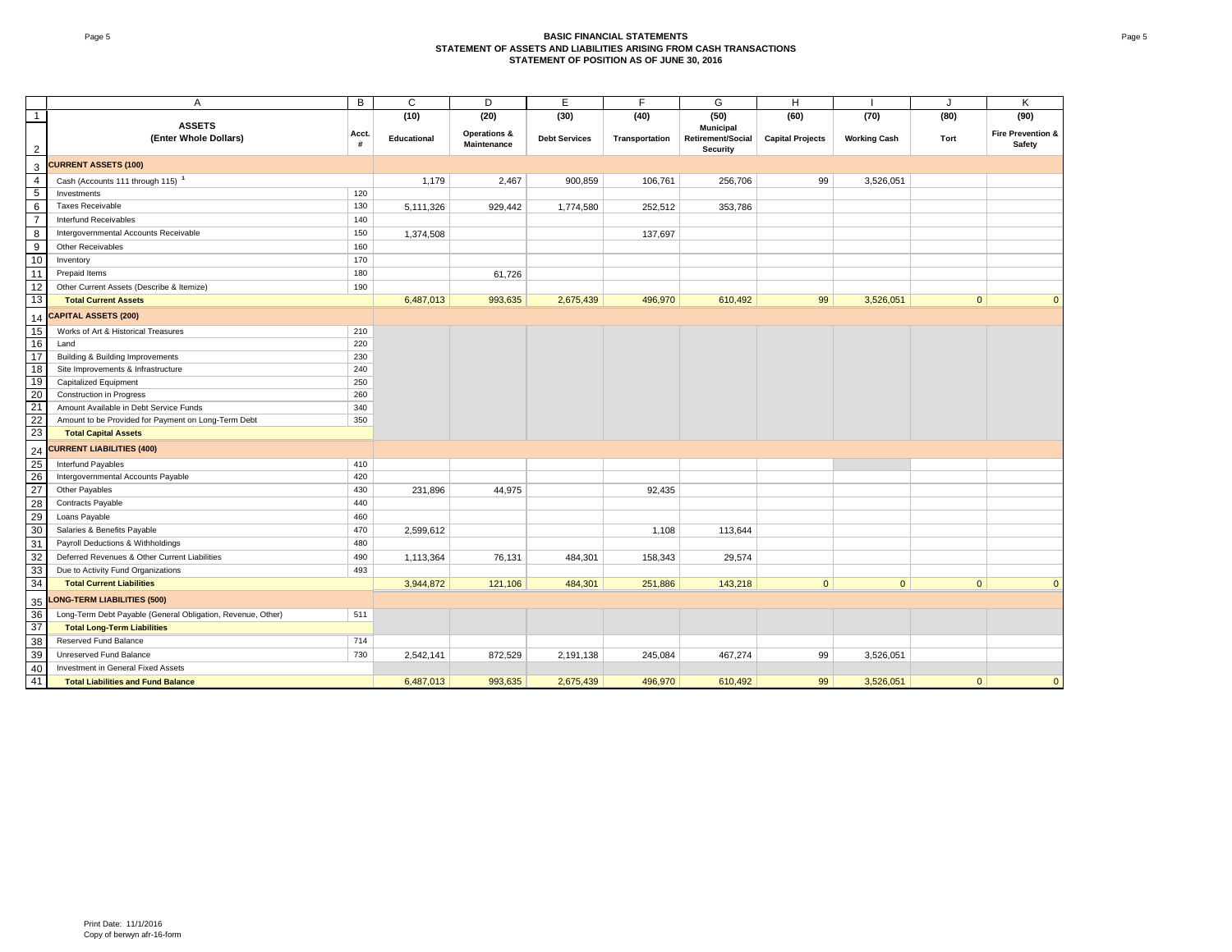#### Page 5 **BASIC FINANCIAL STATEMENTS STATEMENT OF ASSETS AND LIABILITIES ARISING FROM CASH TRANSACTIONSSTATEMENT OF POSITION AS OF JUNE 30, 2016**

|                  | $\overline{A}$                                              | $\overline{B}$ | C           | D                       | E                    | F              | G                                    | H                       |                     | J            | K                 |
|------------------|-------------------------------------------------------------|----------------|-------------|-------------------------|----------------------|----------------|--------------------------------------|-------------------------|---------------------|--------------|-------------------|
| $\mathbf{1}$     |                                                             |                | (10)        | (20)                    | (30)                 | (40)           | (50)                                 | (60)                    | (70)                | (80)         | (90)              |
|                  | <b>ASSETS</b>                                               | Acct.          |             | <b>Operations &amp;</b> |                      |                | Municipal                            |                         |                     |              | Fire Prevention & |
| $\overline{2}$   | (Enter Whole Dollars)                                       | #              | Educational | <b>Maintenance</b>      | <b>Debt Services</b> | Transportation | Retirement/Social<br><b>Security</b> | <b>Capital Projects</b> | <b>Working Cash</b> | Tort         | Safety            |
| 3                | <b>CURRENT ASSETS (100)</b>                                 |                |             |                         |                      |                |                                      |                         |                     |              |                   |
| $\overline{4}$   | Cash (Accounts 111 through 115) <sup>1</sup>                |                | 1,179       | 2,467                   | 900,859              | 106,761        | 256,706                              | 99                      | 3,526,051           |              |                   |
| 5                | Investments                                                 | 120            |             |                         |                      |                |                                      |                         |                     |              |                   |
| 6                | <b>Taxes Receivable</b>                                     | 130            | 5,111,326   | 929,442                 | 1,774,580            | 252,512        | 353,786                              |                         |                     |              |                   |
| $\overline{7}$   | Interfund Receivables                                       | 140            |             |                         |                      |                |                                      |                         |                     |              |                   |
| 8                | Intergovernmental Accounts Receivable                       | 150            | 1,374,508   |                         |                      | 137,697        |                                      |                         |                     |              |                   |
| $\boldsymbol{9}$ | Other Receivables                                           | 160            |             |                         |                      |                |                                      |                         |                     |              |                   |
| 10               | Inventory                                                   | 170            |             |                         |                      |                |                                      |                         |                     |              |                   |
| 11               | Prepaid Items                                               | 180            |             | 61,726                  |                      |                |                                      |                         |                     |              |                   |
| 12               | Other Current Assets (Describe & Itemize)                   | 190            |             |                         |                      |                |                                      |                         |                     |              |                   |
| 13               | <b>Total Current Assets</b>                                 |                | 6,487,013   | 993,635                 | 2,675,439            | 496,970        | 610,492                              | 99                      | 3,526,051           | $\mathbf{0}$ | $\mathbf{0}$      |
| 14               | <b>CAPITAL ASSETS (200)</b>                                 |                |             |                         |                      |                |                                      |                         |                     |              |                   |
| 15               | Works of Art & Historical Treasures                         | 210            |             |                         |                      |                |                                      |                         |                     |              |                   |
| 16               | Land                                                        | 220            |             |                         |                      |                |                                      |                         |                     |              |                   |
| 17               | Building & Building Improvements                            | 230            |             |                         |                      |                |                                      |                         |                     |              |                   |
| 18               | Site Improvements & Infrastructure                          | 240            |             |                         |                      |                |                                      |                         |                     |              |                   |
| 19               | <b>Capitalized Equipment</b>                                | 250            |             |                         |                      |                |                                      |                         |                     |              |                   |
| 20               | Construction in Progress                                    | 260            |             |                         |                      |                |                                      |                         |                     |              |                   |
| 21               | Amount Available in Debt Service Funds                      | 340            |             |                         |                      |                |                                      |                         |                     |              |                   |
| 22               | Amount to be Provided for Payment on Long-Term Debt         | 350            |             |                         |                      |                |                                      |                         |                     |              |                   |
| 23               | <b>Total Capital Assets</b>                                 |                |             |                         |                      |                |                                      |                         |                     |              |                   |
| 24               | <b>CURRENT LIABILITIES (400)</b>                            |                |             |                         |                      |                |                                      |                         |                     |              |                   |
| 25               | <b>Interfund Payables</b>                                   | 410            |             |                         |                      |                |                                      |                         |                     |              |                   |
| 26               | Intergovernmental Accounts Payable                          | 420            |             |                         |                      |                |                                      |                         |                     |              |                   |
| 27               | Other Payables                                              | 430            | 231,896     | 44,975                  |                      | 92.435         |                                      |                         |                     |              |                   |
| $\overline{28}$  | <b>Contracts Payable</b>                                    | 440            |             |                         |                      |                |                                      |                         |                     |              |                   |
| 29               | Loans Payable                                               | 460            |             |                         |                      |                |                                      |                         |                     |              |                   |
| 30               | Salaries & Benefits Payable                                 | 470            | 2,599,612   |                         |                      | 1,108          | 113,644                              |                         |                     |              |                   |
| 31               | Payroll Deductions & Withholdings                           | 480            |             |                         |                      |                |                                      |                         |                     |              |                   |
| 32               | Deferred Revenues & Other Current Liabilities               | 490            | 1,113,364   | 76,131                  | 484,301              | 158,343        | 29,574                               |                         |                     |              |                   |
| 33               | Due to Activity Fund Organizations                          | 493            |             |                         |                      |                |                                      |                         |                     |              |                   |
| 34               | <b>Total Current Liabilities</b>                            |                | 3,944,872   | 121,106                 | 484,301              | 251,886        | 143,218                              | $\overline{0}$          | $\overline{0}$      | $\mathbf{0}$ | $\overline{0}$    |
| 35               | <b>LONG-TERM LIABILITIES (500)</b>                          |                |             |                         |                      |                |                                      |                         |                     |              |                   |
| 36               | Long-Term Debt Payable (General Obligation, Revenue, Other) | 511            |             |                         |                      |                |                                      |                         |                     |              |                   |
| 37               | <b>Total Long-Term Liabilities</b>                          |                |             |                         |                      |                |                                      |                         |                     |              |                   |
| 38               | Reserved Fund Balance                                       | 714            |             |                         |                      |                |                                      |                         |                     |              |                   |
| 39               | Unreserved Fund Balance                                     | 730            | 2,542,141   | 872,529                 | 2,191,138            | 245,084        | 467,274                              | 99                      | 3,526,051           |              |                   |
| 40               | Investment in General Fixed Assets                          |                |             |                         |                      |                |                                      |                         |                     |              |                   |
| 41               | <b>Total Liabilities and Fund Balance</b>                   |                | 6,487,013   | 993,635                 | 2,675,439            | 496,970        | 610,492                              | 99                      | 3,526,051           | $\mathbf{0}$ | $\mathbf{0}$      |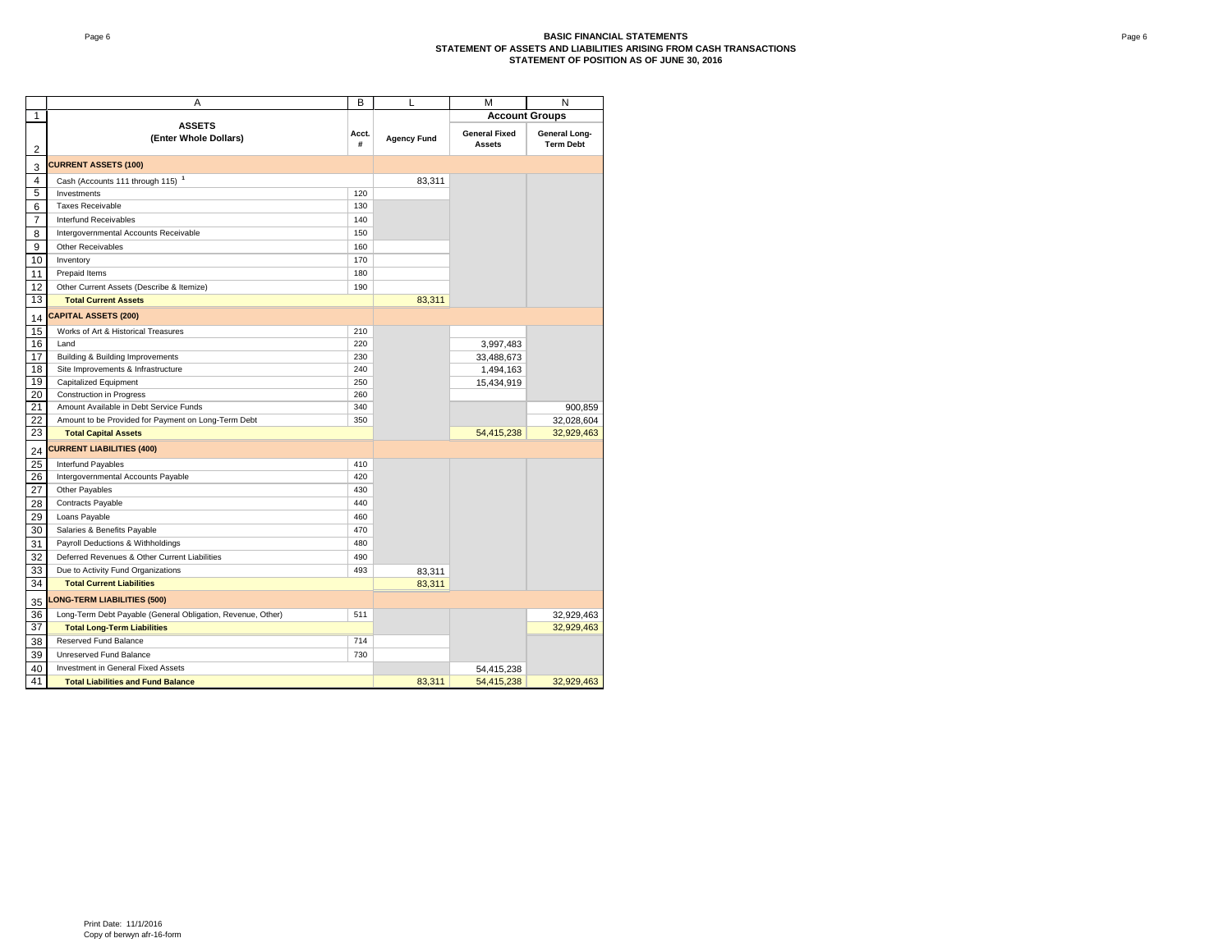|                 | A                                                           | B          | L                  | М                                     | N                                 |
|-----------------|-------------------------------------------------------------|------------|--------------------|---------------------------------------|-----------------------------------|
| 1               |                                                             |            |                    | <b>Account Groups</b>                 |                                   |
| $\overline{2}$  | <b>ASSETS</b><br>(Enter Whole Dollars)                      | Acct.<br># | <b>Agency Fund</b> | <b>General Fixed</b><br><b>Assets</b> | General Long-<br><b>Term Debt</b> |
| 3               | <b>CURRENT ASSETS (100)</b>                                 |            |                    |                                       |                                   |
| 4               | Cash (Accounts 111 through 115) <sup>1</sup>                |            | 83,311             |                                       |                                   |
| 5               | Investments                                                 | 120        |                    |                                       |                                   |
| 6               | <b>Taxes Receivable</b>                                     | 130        |                    |                                       |                                   |
| 7               | Interfund Receivables                                       | 140        |                    |                                       |                                   |
| 8               | Intergovernmental Accounts Receivable                       | 150        |                    |                                       |                                   |
| 9               | <b>Other Receivables</b>                                    | 160        |                    |                                       |                                   |
| 10              | Inventory                                                   | 170        |                    |                                       |                                   |
| 11              | Prepaid Items                                               | 180        |                    |                                       |                                   |
| 12              | Other Current Assets (Describe & Itemize)                   | 190        |                    |                                       |                                   |
| 13              | <b>Total Current Assets</b>                                 |            | 83,311             |                                       |                                   |
| 14              | <b>CAPITAL ASSETS (200)</b>                                 |            |                    |                                       |                                   |
| 15              | Works of Art & Historical Treasures                         | 210        |                    |                                       |                                   |
| 16              | Land                                                        | 220        |                    | 3,997,483                             |                                   |
| 17              | Building & Building Improvements                            | 230        |                    | 33,488,673                            |                                   |
| 18              | Site Improvements & Infrastructure                          | 240        |                    | 1,494,163                             |                                   |
| 19              | Capitalized Equipment                                       | 250        |                    | 15,434,919                            |                                   |
| 20              | Construction in Progress                                    | 260        |                    |                                       |                                   |
| 21              | Amount Available in Debt Service Funds                      | 340        |                    |                                       | 900,859                           |
| 22              | Amount to be Provided for Payment on Long-Term Debt         | 350        |                    |                                       | 32,028,604                        |
| 23              | <b>Total Capital Assets</b>                                 |            |                    | 54,415,238                            | 32,929,463                        |
| 24              | <b>CURRENT LIABILITIES (400)</b>                            |            |                    |                                       |                                   |
| 25              | Interfund Payables                                          | 410        |                    |                                       |                                   |
| 26              | Intergovernmental Accounts Payable                          | 420        |                    |                                       |                                   |
| 27              | Other Payables                                              | 430        |                    |                                       |                                   |
| 28              | Contracts Payable                                           | 440        |                    |                                       |                                   |
| 29              | Loans Payable                                               | 460        |                    |                                       |                                   |
| 30              | Salaries & Benefits Payable                                 | 470        |                    |                                       |                                   |
| 31              | Payroll Deductions & Withholdings                           | 480        |                    |                                       |                                   |
| 32              | Deferred Revenues & Other Current Liabilities               | 490        |                    |                                       |                                   |
| 33              | Due to Activity Fund Organizations                          | 493        | 83,311             |                                       |                                   |
| 34              | <b>Total Current Liabilities</b>                            |            | 83,311             |                                       |                                   |
| 35              | <b>LONG-TERM LIABILITIES (500)</b>                          |            |                    |                                       |                                   |
| 36              | Long-Term Debt Payable (General Obligation, Revenue, Other) | 511        |                    |                                       | 32,929,463                        |
| $\overline{37}$ | <b>Total Long-Term Liabilities</b>                          |            |                    |                                       | 32,929,463                        |
| 38              | Reserved Fund Balance                                       | 714        |                    |                                       |                                   |
| 39              | Unreserved Fund Balance                                     | 730        |                    |                                       |                                   |
| 40              | Investment in General Fixed Assets                          |            |                    | 54,415,238                            |                                   |
| 41              | <b>Total Liabilities and Fund Balance</b>                   |            | 83,311             | 54,415,238                            | 32,929,463                        |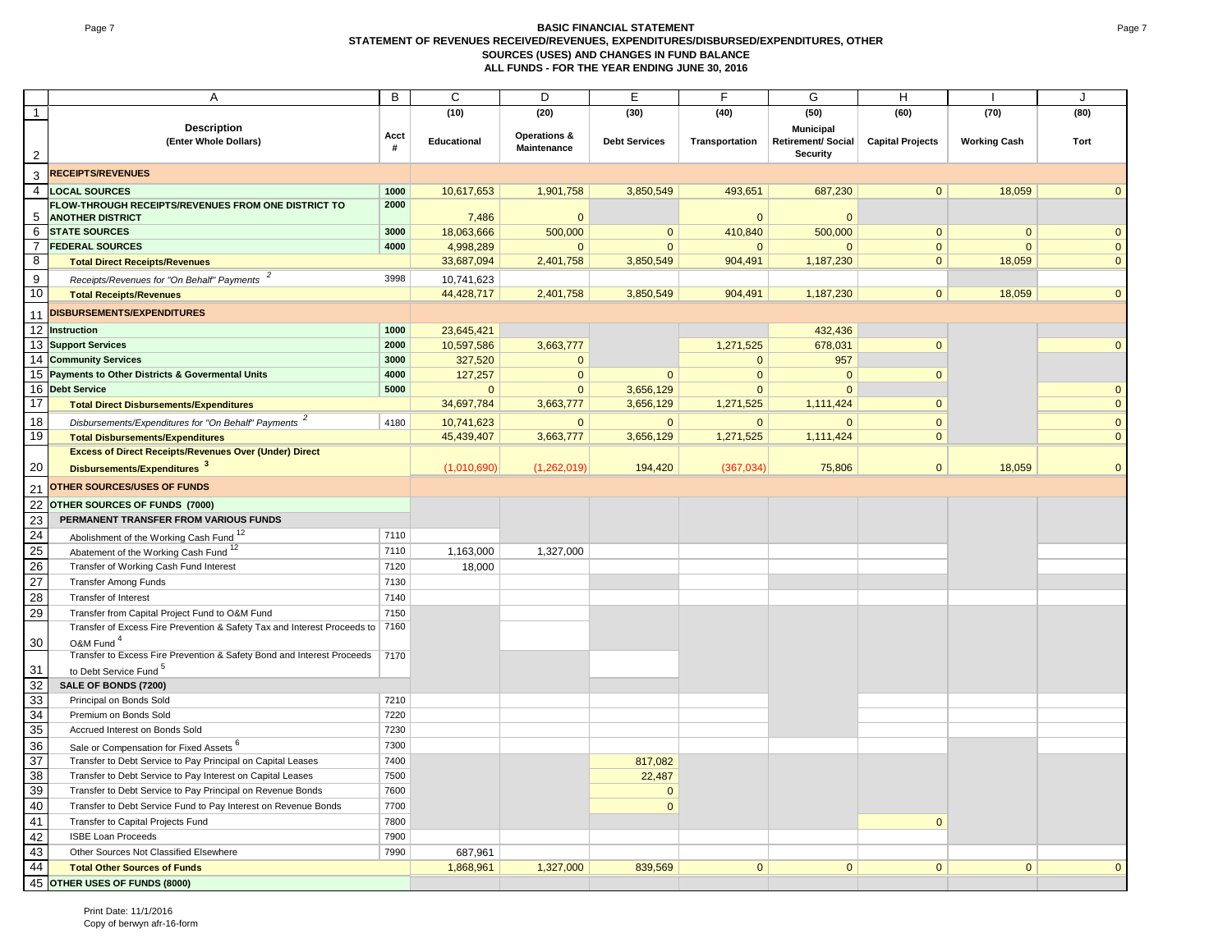#### Page 7 **BASIC FINANCIAL STATEMENT STATEMENT OF REVENUES RECEIVED/REVENUES, EXPENDITURES/DISBURSED/EXPENDITURES, OTHER SOURCES (USES) AND CHANGES IN FUND BALANCE ALL FUNDS - FOR THE YEAR ENDING JUNE 30, 2016**

|                 | A                                                                             | B    | С            | D                       | E                    | F              | G                  | H                       |                     | J            |
|-----------------|-------------------------------------------------------------------------------|------|--------------|-------------------------|----------------------|----------------|--------------------|-------------------------|---------------------|--------------|
| $\mathbf{1}$    |                                                                               |      | (10)         | (20)                    | (30)                 | (40)           | (50)               | (60)                    | (70)                | (80)         |
|                 | <b>Description</b>                                                            | Acct |              | <b>Operations &amp;</b> |                      |                | Municipal          |                         |                     |              |
|                 | (Enter Whole Dollars)                                                         | #    | Educational  | Maintenance             | <b>Debt Services</b> | Transportation | Retirement/ Social | <b>Capital Projects</b> | <b>Working Cash</b> | Tort         |
| $\sqrt{2}$      |                                                                               |      |              |                         |                      |                | Security           |                         |                     |              |
| 3               | <b>RECEIPTS/REVENUES</b>                                                      |      |              |                         |                      |                |                    |                         |                     |              |
| 4               | <b>LOCAL SOURCES</b>                                                          | 1000 | 10,617,653   | 1,901,758               | 3,850,549            | 493,651        | 687,230            | $\mathbf{0}$            | 18,059              |              |
|                 | FLOW-THROUGH RECEIPTS/REVENUES FROM ONE DISTRICT TO                           | 2000 |              |                         |                      |                |                    |                         |                     |              |
| 5               | <b>ANOTHER DISTRICT</b>                                                       |      | 7,486        | $\Omega$                |                      | $\overline{0}$ | $\mathbf{0}$       |                         |                     |              |
| 6               | <b>STATE SOURCES</b>                                                          | 3000 | 18,063,666   | 500,000                 | $\mathbf{0}$         | 410,840        | 500,000            | $\mathbf{0}$            | $\mathbf 0$         | $\Omega$     |
| 7               | <b>FEDERAL SOURCES</b>                                                        | 4000 | 4,998,289    | $\mathbf{0}$            | $\mathbf{0}$         | $\mathbf 0$    | $\mathbf{0}$       | $\mathbf{0}$            | $\mathbf{0}$        | $\mathbf{0}$ |
| 8               | <b>Total Direct Receipts/Revenues</b>                                         |      | 33,687,094   | 2,401,758               | 3,850,549            | 904,491        | 1,187,230          | $\mathbf{0}$            | 18,059              | $\Omega$     |
| 9               | Receipts/Revenues for "On Behalf" Payments                                    | 3998 | 10,741,623   |                         |                      |                |                    |                         |                     |              |
| 10              | <b>Total Receipts/Revenues</b>                                                |      | 44,428,717   | 2,401,758               | 3,850,549            | 904,491        | 1,187,230          | $\mathbf{0}$            | 18,059              | $\Omega$     |
| 11              | DISBURSEMENTS/EXPENDITURES                                                    |      |              |                         |                      |                |                    |                         |                     |              |
| 12              | <b>Instruction</b>                                                            | 1000 | 23,645,421   |                         |                      |                | 432,436            |                         |                     |              |
|                 | 13 Support Services                                                           | 2000 | 10,597,586   | 3,663,777               |                      | 1,271,525      | 678,031            | $\mathbf{0}$            |                     | $\mathbf{0}$ |
|                 | 14 Community Services                                                         | 3000 | 327,520      | $\mathbf{0}$            |                      | $\mathbf{0}$   | 957                |                         |                     |              |
|                 | 15 Payments to Other Districts & Govermental Units                            | 4000 | 127,257      | $\mathbf 0$             | $\Omega$             | $\overline{0}$ | $\mathbf{0}$       | $\mathbf{0}$            |                     |              |
|                 | 16 Debt Service                                                               | 5000 | $\mathbf{0}$ | $\Omega$                | 3,656,129            | $\Omega$       | $\Omega$           |                         |                     | $\mathbf{0}$ |
| 17              | <b>Total Direct Disbursements/Expenditures</b>                                |      | 34,697,784   | 3,663,777               | 3,656,129            | 1,271,525      | 1,111,424          | $\mathbf{0}$            |                     | $\mathbf{0}$ |
|                 |                                                                               |      |              |                         |                      |                |                    |                         |                     |              |
| 18              | Disbursements/Expenditures for "On Behalf" Payments <sup>2</sup>              | 4180 | 10,741,623   | $\Omega$                | $\overline{0}$       | $\overline{0}$ | $\mathbf{0}$       | $\mathbf{0}$            |                     | $\mathbf{0}$ |
| 19              | <b>Total Disbursements/Expenditures</b>                                       |      | 45,439,407   | 3,663,777               | 3,656,129            | 1,271,525      | 1,111,424          | $\mathbf{0}$            |                     | $\mathbf{0}$ |
|                 | <b>Excess of Direct Receipts/Revenues Over (Under) Direct</b>                 |      |              |                         |                      |                |                    |                         |                     |              |
| 20              | Disbursements/Expenditures <sup>3</sup>                                       |      | (1,010,690)  | (1,262,019)             | 194,420              | (367,034)      | 75,806             | $\overline{0}$          | 18,059              | $\mathbf{0}$ |
| 21              | <b>OTHER SOURCES/USES OF FUNDS</b>                                            |      |              |                         |                      |                |                    |                         |                     |              |
| $\overline{22}$ | OTHER SOURCES OF FUNDS (7000)                                                 |      |              |                         |                      |                |                    |                         |                     |              |
| $\overline{23}$ | PERMANENT TRANSFER FROM VARIOUS FUNDS                                         |      |              |                         |                      |                |                    |                         |                     |              |
| 24              | Abolishment of the Working Cash Fund <sup>12</sup>                            | 7110 |              |                         |                      |                |                    |                         |                     |              |
| 25              | Abatement of the Working Cash Fund <sup>12</sup>                              | 7110 | 1,163,000    | 1,327,000               |                      |                |                    |                         |                     |              |
| 26              | Transfer of Working Cash Fund Interest                                        | 7120 | 18,000       |                         |                      |                |                    |                         |                     |              |
| 27              | <b>Transfer Among Funds</b>                                                   | 7130 |              |                         |                      |                |                    |                         |                     |              |
| 28              | Transfer of Interest                                                          | 7140 |              |                         |                      |                |                    |                         |                     |              |
| 29              | Transfer from Capital Project Fund to O&M Fund                                | 7150 |              |                         |                      |                |                    |                         |                     |              |
|                 | Transfer of Excess Fire Prevention & Safety Tax and Interest Proceeds to 7160 |      |              |                         |                      |                |                    |                         |                     |              |
| 30              | O&M Fund <sup>4</sup>                                                         |      |              |                         |                      |                |                    |                         |                     |              |
|                 | Transfer to Excess Fire Prevention & Safety Bond and Interest Proceeds        | 7170 |              |                         |                      |                |                    |                         |                     |              |
| 31              | to Debt Service Fund <sup>5</sup>                                             |      |              |                         |                      |                |                    |                         |                     |              |
| 32              | SALE OF BONDS (7200)                                                          |      |              |                         |                      |                |                    |                         |                     |              |
| 33              | Principal on Bonds Sold                                                       | 7210 |              |                         |                      |                |                    |                         |                     |              |
| 34              | Premium on Bonds Sold                                                         | 7220 |              |                         |                      |                |                    |                         |                     |              |
| 35              | Accrued Interest on Bonds Sold                                                | 7230 |              |                         |                      |                |                    |                         |                     |              |
| 36              | Sale or Compensation for Fixed Assets <sup>6</sup>                            | 7300 |              |                         |                      |                |                    |                         |                     |              |
| 37              | Transfer to Debt Service to Pay Principal on Capital Leases                   | 7400 |              |                         | 817,082              |                |                    |                         |                     |              |
| 38              | Transfer to Debt Service to Pay Interest on Capital Leases                    | 7500 |              |                         | 22,487               |                |                    |                         |                     |              |
| 39              | Transfer to Debt Service to Pay Principal on Revenue Bonds                    | 7600 |              |                         | $\mathbf{0}$         |                |                    |                         |                     |              |
| 40              | Transfer to Debt Service Fund to Pay Interest on Revenue Bonds                | 7700 |              |                         | $\mathbf{0}$         |                |                    |                         |                     |              |
| 41              | Transfer to Capital Projects Fund                                             | 7800 |              |                         |                      |                |                    | $\mathbf{0}$            |                     |              |
| 42              | <b>ISBE Loan Proceeds</b>                                                     | 7900 |              |                         |                      |                |                    |                         |                     |              |
| 43              | Other Sources Not Classified Elsewhere                                        | 7990 | 687,961      |                         |                      |                |                    |                         |                     |              |
| 44              | <b>Total Other Sources of Funds</b>                                           |      | 1,868,961    | 1,327,000               | 839,569              | $\Omega$       | $\Omega$           | $\Omega$                | $\Omega$            |              |
| 45              | OTHER USES OF FUNDS (8000)                                                    |      |              |                         |                      |                |                    |                         |                     |              |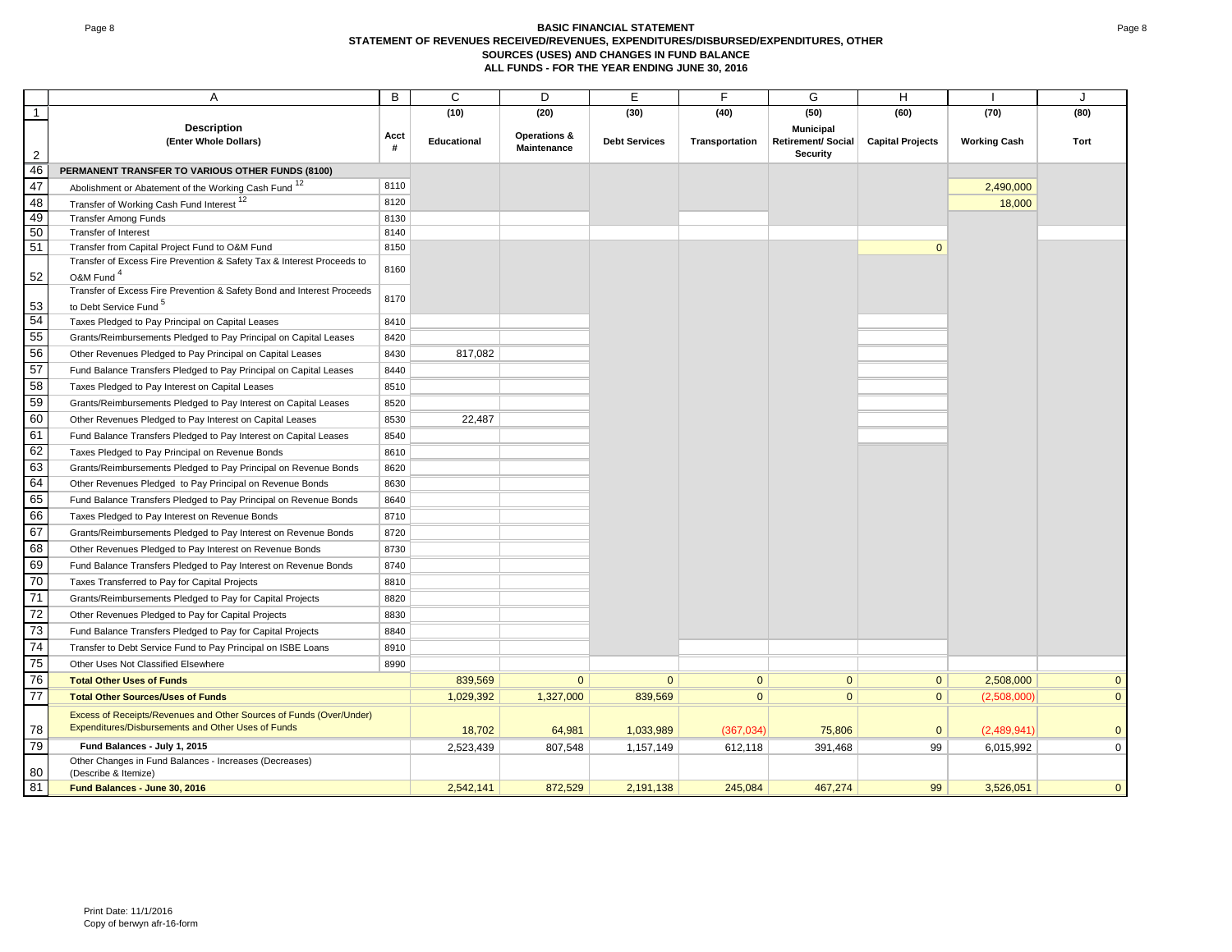#### Page 8 **BASIC FINANCIAL STATEMENT STATEMENT OF REVENUES RECEIVED/REVENUES, EXPENDITURES/DISBURSED/EXPENDITURES, OTHER SOURCES (USES) AND CHANGES IN FUND BALANCE ALL FUNDS - FOR THE YEAR ENDING JUNE 30, 2016**

|                      | A                                                                              | B            | C                  | D                                      | Ε                    | F              | G                                                         | H                       |                     | J                       |
|----------------------|--------------------------------------------------------------------------------|--------------|--------------------|----------------------------------------|----------------------|----------------|-----------------------------------------------------------|-------------------------|---------------------|-------------------------|
| $\mathbf{1}$         |                                                                                |              | (10)               | (20)                                   | (30)                 | (40)           | (50)                                                      | (60)                    | (70)                | (80)                    |
|                      | <b>Description</b><br>(Enter Whole Dollars)                                    | Acct<br>#    | <b>Educational</b> | <b>Operations &amp;</b><br>Maintenance | <b>Debt Services</b> | Transportation | <b>Municipal</b><br><b>Retirement/ Social</b><br>Security | <b>Capital Projects</b> | <b>Working Cash</b> | Tort                    |
| $\overline{2}$<br>46 | PERMANENT TRANSFER TO VARIOUS OTHER FUNDS (8100)                               |              |                    |                                        |                      |                |                                                           |                         |                     |                         |
| 47                   |                                                                                | 8110         |                    |                                        |                      |                |                                                           |                         |                     |                         |
| 48                   | Abolishment or Abatement of the Working Cash Fund <sup>12</sup>                | 8120         |                    |                                        |                      |                |                                                           |                         | 2,490,000           |                         |
| 49                   | Transfer of Working Cash Fund Interest 12                                      |              |                    |                                        |                      |                |                                                           |                         | 18,000              |                         |
| 50                   | <b>Transfer Among Funds</b><br>Transfer of Interest                            | 8130<br>8140 |                    |                                        |                      |                |                                                           |                         |                     |                         |
| 51                   | Transfer from Capital Project Fund to O&M Fund                                 | 8150         |                    |                                        |                      |                |                                                           | $\mathbf{0}$            |                     |                         |
|                      | Transfer of Excess Fire Prevention & Safety Tax & Interest Proceeds to         |              |                    |                                        |                      |                |                                                           |                         |                     |                         |
| 52                   | O&M Fund <sup>4</sup>                                                          | 8160         |                    |                                        |                      |                |                                                           |                         |                     |                         |
|                      | Transfer of Excess Fire Prevention & Safety Bond and Interest Proceeds         | 8170         |                    |                                        |                      |                |                                                           |                         |                     |                         |
| 53                   | to Debt Service Fund <sup>5</sup>                                              |              |                    |                                        |                      |                |                                                           |                         |                     |                         |
| 54                   | Taxes Pledged to Pay Principal on Capital Leases                               | 8410         |                    |                                        |                      |                |                                                           |                         |                     |                         |
| 55                   | Grants/Reimbursements Pledged to Pay Principal on Capital Leases               | 8420         |                    |                                        |                      |                |                                                           |                         |                     |                         |
| 56                   | Other Revenues Pledged to Pay Principal on Capital Leases                      | 8430         | 817,082            |                                        |                      |                |                                                           |                         |                     |                         |
| 57                   | Fund Balance Transfers Pledged to Pay Principal on Capital Leases              | 8440         |                    |                                        |                      |                |                                                           |                         |                     |                         |
| 58                   | Taxes Pledged to Pay Interest on Capital Leases                                | 8510         |                    |                                        |                      |                |                                                           |                         |                     |                         |
| 59                   | Grants/Reimbursements Pledged to Pay Interest on Capital Leases                | 8520         |                    |                                        |                      |                |                                                           |                         |                     |                         |
| 60                   | Other Revenues Pledged to Pay Interest on Capital Leases                       | 8530         | 22,487             |                                        |                      |                |                                                           |                         |                     |                         |
| 61                   | Fund Balance Transfers Pledged to Pay Interest on Capital Leases               | 8540         |                    |                                        |                      |                |                                                           |                         |                     |                         |
| 62                   | Taxes Pledged to Pay Principal on Revenue Bonds                                | 8610         |                    |                                        |                      |                |                                                           |                         |                     |                         |
| 63                   | Grants/Reimbursements Pledged to Pay Principal on Revenue Bonds                | 8620         |                    |                                        |                      |                |                                                           |                         |                     |                         |
| 64                   | Other Revenues Pledged to Pay Principal on Revenue Bonds                       | 8630         |                    |                                        |                      |                |                                                           |                         |                     |                         |
| 65                   | Fund Balance Transfers Pledged to Pay Principal on Revenue Bonds               | 8640         |                    |                                        |                      |                |                                                           |                         |                     |                         |
| 66                   | Taxes Pledged to Pay Interest on Revenue Bonds                                 | 8710         |                    |                                        |                      |                |                                                           |                         |                     |                         |
| 67                   | Grants/Reimbursements Pledged to Pay Interest on Revenue Bonds                 | 8720         |                    |                                        |                      |                |                                                           |                         |                     |                         |
| 68                   | Other Revenues Pledged to Pay Interest on Revenue Bonds                        | 8730         |                    |                                        |                      |                |                                                           |                         |                     |                         |
| 69                   | Fund Balance Transfers Pledged to Pay Interest on Revenue Bonds                | 8740         |                    |                                        |                      |                |                                                           |                         |                     |                         |
| 70                   | Taxes Transferred to Pay for Capital Projects                                  | 8810         |                    |                                        |                      |                |                                                           |                         |                     |                         |
| 71                   | Grants/Reimbursements Pledged to Pay for Capital Projects                      | 8820         |                    |                                        |                      |                |                                                           |                         |                     |                         |
| 72                   | Other Revenues Pledged to Pay for Capital Projects                             | 8830         |                    |                                        |                      |                |                                                           |                         |                     |                         |
| 73                   | Fund Balance Transfers Pledged to Pay for Capital Projects                     | 8840         |                    |                                        |                      |                |                                                           |                         |                     |                         |
| 74                   | Transfer to Debt Service Fund to Pay Principal on ISBE Loans                   | 8910         |                    |                                        |                      |                |                                                           |                         |                     |                         |
| 75                   | Other Uses Not Classified Elsewhere                                            | 8990         |                    |                                        |                      |                |                                                           |                         |                     |                         |
| $\overline{76}$      | <b>Total Other Uses of Funds</b>                                               |              | 839,569            | $\Omega$                               | $\Omega$             | $\overline{0}$ | $\overline{0}$                                            | $\mathbf{0}$            | 2,508,000           | $\mathbf{0}$            |
| 77                   | <b>Total Other Sources/Uses of Funds</b>                                       |              | 1,029,392          | 1,327,000                              | 839,569              | $\overline{0}$ | $\overline{0}$                                            | $\mathbf{0}$            | (2,508,000)         | $\overline{\mathbf{0}}$ |
|                      | Excess of Receipts/Revenues and Other Sources of Funds (Over/Under)            |              |                    |                                        |                      |                |                                                           |                         |                     |                         |
| 78                   | Expenditures/Disbursements and Other Uses of Funds                             |              | 18,702             | 64,981                                 | 1,033,989            | (367,034)      | 75,806                                                    | $\mathbf{0}$            | (2,489,941)         | $\mathbf{0}$            |
| 79                   | Fund Balances - July 1, 2015                                                   |              | 2,523,439          | 807,548                                | 1,157,149            | 612,118        | 391,468                                                   | 99                      | 6,015,992           | $\mathbf 0$             |
| 80                   | Other Changes in Fund Balances - Increases (Decreases)<br>(Describe & Itemize) |              |                    |                                        |                      |                |                                                           |                         |                     |                         |
| 81                   | Fund Balances - June 30, 2016                                                  |              | 2.542.141          | 872,529                                | 2,191,138            | 245.084        | 467,274                                                   | 99                      | 3,526,051           | $\mathbf{0}$            |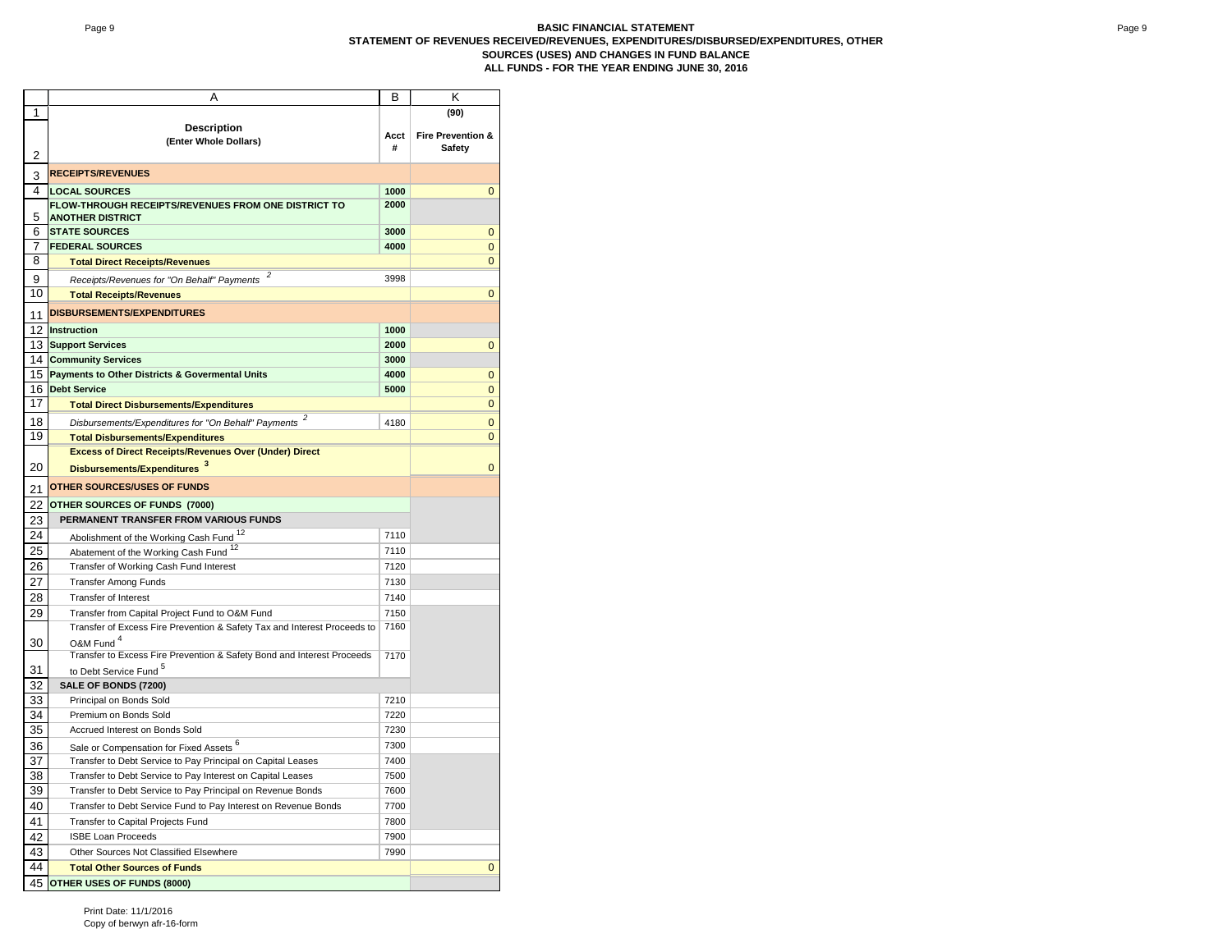#### Page 9 **BASIC FINANCIAL STATEMENT STATEMENT OF REVENUES RECEIVED/REVENUES, EXPENDITURES/DISBURSED/EXPENDITURES, OTHER SOURCES (USES) AND CHANGES IN FUND BALANCE ALL FUNDS - FOR THE YEAR ENDING JUNE 30, 2016**

|        | Α                                                                           | B            | Κ                            |
|--------|-----------------------------------------------------------------------------|--------------|------------------------------|
| 1      |                                                                             |              | (90)                         |
|        | <b>Description</b>                                                          |              |                              |
|        | (Enter Whole Dollars)                                                       | Acct         | <b>Fire Prevention &amp;</b> |
| 2      |                                                                             | #            | Safety                       |
|        | <b>RECEIPTS/REVENUES</b>                                                    |              |                              |
| 3<br>4 |                                                                             |              |                              |
|        | <b>LOCAL SOURCES</b><br>FLOW-THROUGH RECEIPTS/REVENUES FROM ONE DISTRICT TO | 1000<br>2000 | $\mathbf 0$                  |
| 5      | <b>ANOTHER DISTRICT</b>                                                     |              |                              |
| 6      | <b>STATE SOURCES</b>                                                        | 3000         | $\mathbf{0}$                 |
| 7      | <b>FEDERAL SOURCES</b>                                                      | 4000         | $\mathbf 0$                  |
| 8      | <b>Total Direct Receipts/Revenues</b>                                       |              | $\mathbf 0$                  |
|        |                                                                             |              |                              |
| 9      | Receipts/Revenues for "On Behalf" Payments                                  | 3998         |                              |
| 10     | <b>Total Receipts/Revenues</b>                                              |              | $\mathbf{0}$                 |
| 11     | <b>DISBURSEMENTS/EXPENDITURES</b>                                           |              |                              |
| 12     | <b>Instruction</b>                                                          | 1000         |                              |
| 13     | <b>Support Services</b>                                                     | 2000         | 0                            |
| 14     | <b>Community Services</b>                                                   | 3000         |                              |
| 15     | <b>Payments to Other Districts &amp; Govermental Units</b>                  | 4000         | $\mathbf 0$                  |
| 16     | <b>Debt Service</b>                                                         | 5000         | $\mathbf 0$                  |
| 17     | <b>Total Direct Disbursements/Expenditures</b>                              |              | $\mathbf 0$                  |
| 18     | Disbursements/Expenditures for "On Behalf" Payments <sup>2</sup>            | 4180         | $\mathbf 0$                  |
| 19     | <b>Total Disbursements/Expenditures</b>                                     |              | $\mathbf{0}$                 |
|        | <b>Excess of Direct Receipts/Revenues Over (Under) Direct</b>               |              |                              |
|        |                                                                             |              |                              |
| 20     | Disbursements/Expenditures 3                                                |              | $\mathbf{0}$                 |
| 21     | <b>OTHER SOURCES/USES OF FUNDS</b>                                          |              |                              |
| 22     | OTHER SOURCES OF FUNDS (7000)                                               |              |                              |
| 23     | PERMANENT TRANSFER FROM VARIOUS FUNDS                                       |              |                              |
| 24     | Abolishment of the Working Cash Fund <sup>12</sup>                          | 7110         |                              |
| 25     | Abatement of the Working Cash Fund <sup>12</sup>                            | 7110         |                              |
| 26     | Transfer of Working Cash Fund Interest                                      | 7120         |                              |
|        |                                                                             |              |                              |
| 27     | <b>Transfer Among Funds</b>                                                 | 7130         |                              |
| 28     | <b>Transfer of Interest</b>                                                 | 7140         |                              |
| 29     | Transfer from Capital Project Fund to O&M Fund                              | 7150         |                              |
|        | Transfer of Excess Fire Prevention & Safety Tax and Interest Proceeds to    | 7160         |                              |
| 30     | O&M Fund <sup>4</sup>                                                       |              |                              |
|        | Transfer to Excess Fire Prevention & Safety Bond and Interest Proceeds      | 7170         |                              |
| 31     | to Debt Service Fund <sup>5</sup>                                           |              |                              |
| 32     | SALE OF BONDS (7200)                                                        |              |                              |
| 33     | Principal on Bonds Sold                                                     | 7210         |                              |
| 34     | Premium on Bonds Sold                                                       | 7220         |                              |
| 35     | Accrued Interest on Bonds Sold                                              | 7230         |                              |
| 36     | Sale or Compensation for Fixed Assets 6                                     | 7300         |                              |
| 37     | Transfer to Debt Service to Pay Principal on Capital Leases                 | 7400         |                              |
| 38     | Transfer to Debt Service to Pay Interest on Capital Leases                  | 7500         |                              |
| 39     | Transfer to Debt Service to Pay Principal on Revenue Bonds                  | 7600         |                              |
| 40     | Transfer to Debt Service Fund to Pay Interest on Revenue Bonds              | 7700         |                              |
| 41     | Transfer to Capital Projects Fund                                           | 7800         |                              |
| 42     | <b>ISBE Loan Proceeds</b>                                                   | 7900         |                              |
| 43     | Other Sources Not Classified Elsewhere                                      | 7990         |                              |
| 44     |                                                                             |              | $\overline{0}$               |
|        | <b>Total Other Sources of Funds</b>                                         |              |                              |
|        | 45 OTHER USES OF FUNDS (8000)                                               |              |                              |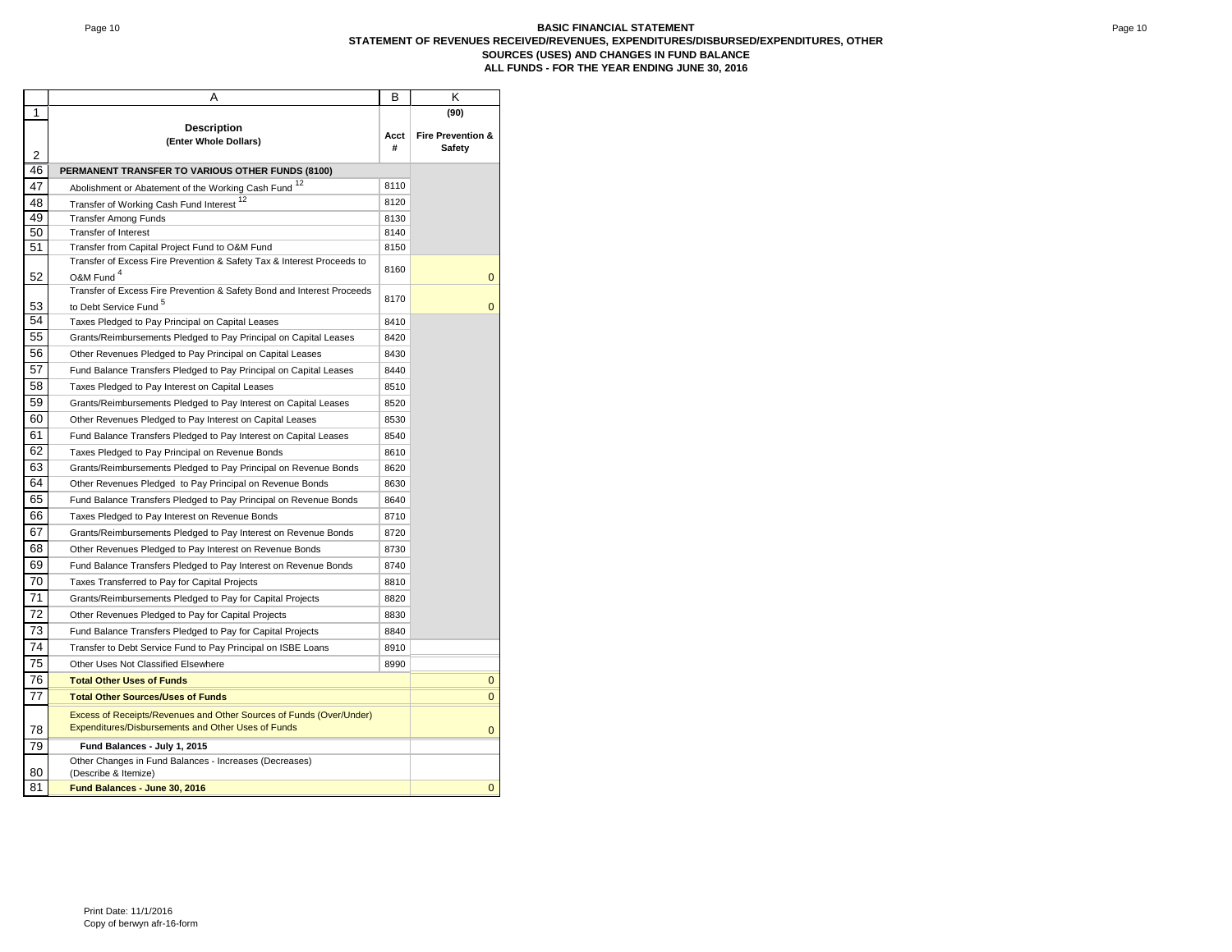#### Page 10 **BASIC FINANCIAL STATEMENT STATEMENT OF REVENUES RECEIVED/REVENUES, EXPENDITURES/DISBURSED/EXPENDITURES, OTHER SOURCES (USES) AND CHANGES IN FUND BALANCE ALL FUNDS - FOR THE YEAR ENDING JUNE 30, 2016**

|    | Α                                                                                                                         | в         | Κ                                      |
|----|---------------------------------------------------------------------------------------------------------------------------|-----------|----------------------------------------|
| 1  |                                                                                                                           |           | (90)                                   |
| 2  | <b>Description</b><br>(Enter Whole Dollars)                                                                               | Acct<br># | <b>Fire Prevention &amp;</b><br>Safety |
| 46 | PERMANENT TRANSFER TO VARIOUS OTHER FUNDS (8100)                                                                          |           |                                        |
| 47 | Abolishment or Abatement of the Working Cash Fund 12                                                                      | 8110      |                                        |
| 48 | Transfer of Working Cash Fund Interest 12                                                                                 | 8120      |                                        |
| 49 | <b>Transfer Among Funds</b>                                                                                               | 8130      |                                        |
| 50 | <b>Transfer of Interest</b>                                                                                               | 8140      |                                        |
| 51 | Transfer from Capital Project Fund to O&M Fund                                                                            | 8150      |                                        |
| 52 | Transfer of Excess Fire Prevention & Safety Tax & Interest Proceeds to<br>O&M Fund <sup>4</sup>                           | 8160      | $\mathbf{0}$                           |
|    | Transfer of Excess Fire Prevention & Safety Bond and Interest Proceeds                                                    |           |                                        |
| 53 | to Debt Service Fund <sup>5</sup>                                                                                         | 8170      | $\mathbf{0}$                           |
| 54 | Taxes Pledged to Pay Principal on Capital Leases                                                                          | 8410      |                                        |
| 55 | Grants/Reimbursements Pledged to Pay Principal on Capital Leases                                                          | 8420      |                                        |
| 56 | Other Revenues Pledged to Pay Principal on Capital Leases                                                                 | 8430      |                                        |
| 57 | Fund Balance Transfers Pledged to Pay Principal on Capital Leases                                                         | 8440      |                                        |
| 58 | Taxes Pledged to Pay Interest on Capital Leases                                                                           | 8510      |                                        |
| 59 | Grants/Reimbursements Pledged to Pay Interest on Capital Leases                                                           | 8520      |                                        |
| 60 | Other Revenues Pledged to Pay Interest on Capital Leases                                                                  | 8530      |                                        |
| 61 | Fund Balance Transfers Pledged to Pay Interest on Capital Leases                                                          | 8540      |                                        |
| 62 | Taxes Pledged to Pay Principal on Revenue Bonds                                                                           | 8610      |                                        |
| 63 | Grants/Reimbursements Pledged to Pay Principal on Revenue Bonds                                                           | 8620      |                                        |
| 64 | Other Revenues Pledged to Pay Principal on Revenue Bonds                                                                  | 8630      |                                        |
| 65 | Fund Balance Transfers Pledged to Pay Principal on Revenue Bonds                                                          | 8640      |                                        |
| 66 | Taxes Pledged to Pay Interest on Revenue Bonds                                                                            | 8710      |                                        |
| 67 | Grants/Reimbursements Pledged to Pay Interest on Revenue Bonds                                                            | 8720      |                                        |
| 68 | Other Revenues Pledged to Pay Interest on Revenue Bonds                                                                   | 8730      |                                        |
| 69 | Fund Balance Transfers Pledged to Pay Interest on Revenue Bonds                                                           | 8740      |                                        |
| 70 | Taxes Transferred to Pay for Capital Projects                                                                             | 8810      |                                        |
| 71 | Grants/Reimbursements Pledged to Pay for Capital Projects                                                                 | 8820      |                                        |
| 72 | Other Revenues Pledged to Pay for Capital Projects                                                                        | 8830      |                                        |
| 73 | Fund Balance Transfers Pledged to Pay for Capital Projects                                                                | 8840      |                                        |
| 74 | Transfer to Debt Service Fund to Pay Principal on ISBE Loans                                                              | 8910      |                                        |
| 75 | Other Uses Not Classified Elsewhere                                                                                       | 8990      |                                        |
| 76 | <b>Total Other Uses of Funds</b>                                                                                          |           | $\mathbf 0$                            |
| 77 | <b>Total Other Sources/Uses of Funds</b>                                                                                  |           | $\mathbf{0}$                           |
| 78 | Excess of Receipts/Revenues and Other Sources of Funds (Over/Under)<br>Expenditures/Disbursements and Other Uses of Funds |           | $\Omega$                               |
| 79 | Fund Balances - July 1, 2015                                                                                              |           |                                        |
|    | Other Changes in Fund Balances - Increases (Decreases)                                                                    |           |                                        |
| 80 | (Describe & Itemize)                                                                                                      |           |                                        |
| 81 | Fund Balances - June 30, 2016                                                                                             |           | $\mathbf{0}$                           |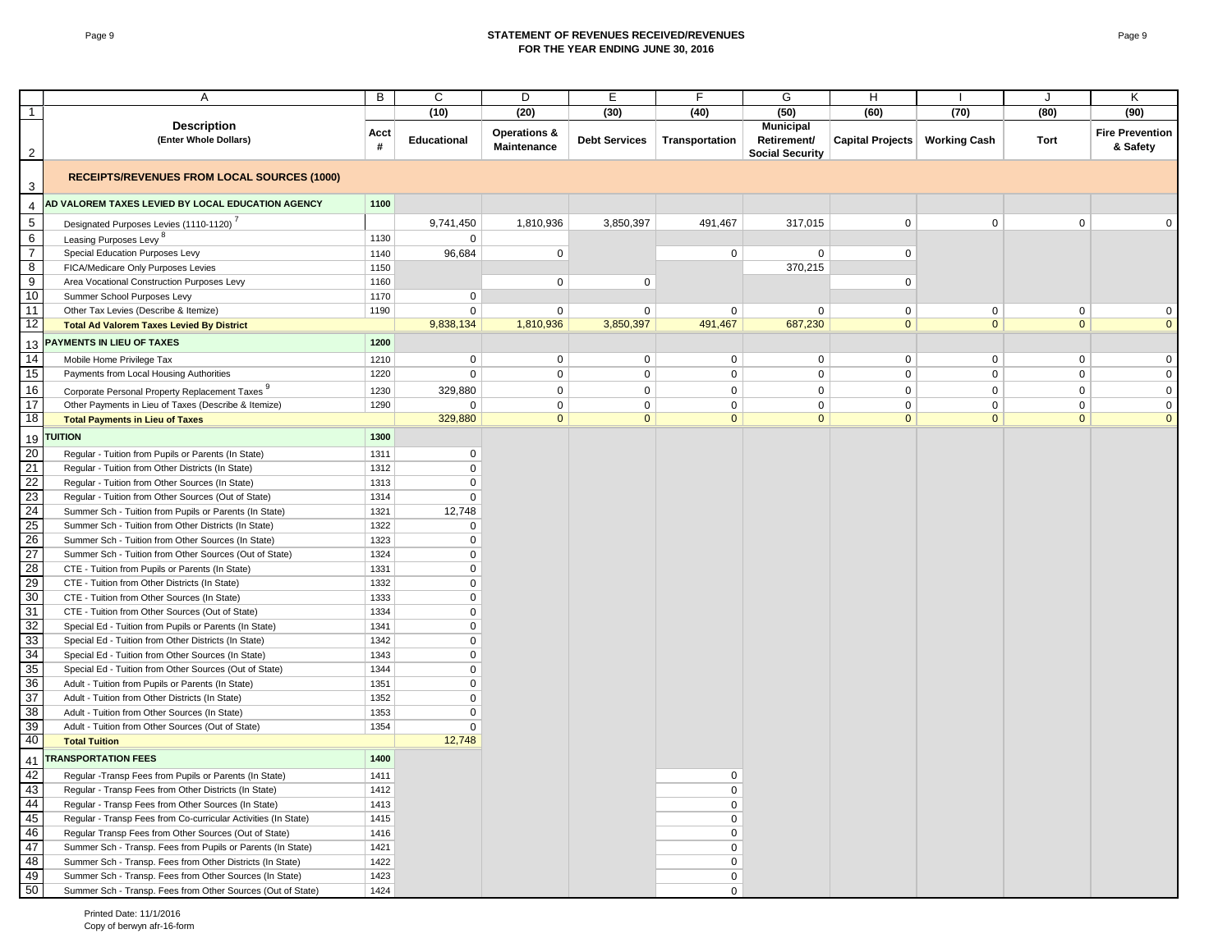#### Page 9 **STATEMENT OF REVENUES RECEIVED/REVENUES FOR THE YEAR ENDING JUNE 30, 2016**

|                  | Α                                                                                                            | B            | C                           | D                                      | E                    | F                             | G                                                         | H                               |              | J                           | Κ                                  |
|------------------|--------------------------------------------------------------------------------------------------------------|--------------|-----------------------------|----------------------------------------|----------------------|-------------------------------|-----------------------------------------------------------|---------------------------------|--------------|-----------------------------|------------------------------------|
| $\overline{1}$   |                                                                                                              |              | (10)                        | (20)                                   | (30)                 | (40)                          | (50)                                                      | (60)                            | (70)         | (80)                        | (90)                               |
| $\overline{2}$   | <b>Description</b><br>(Enter Whole Dollars)                                                                  | Acct<br>#    | <b>Educational</b>          | <b>Operations &amp;</b><br>Maintenance | <b>Debt Services</b> | Transportation                | <b>Municipal</b><br>Retirement/<br><b>Social Security</b> | Capital Projects   Working Cash |              | Tort                        | <b>Fire Prevention</b><br>& Safety |
| 3                | <b>RECEIPTS/REVENUES FROM LOCAL SOURCES (1000)</b>                                                           |              |                             |                                        |                      |                               |                                                           |                                 |              |                             |                                    |
| 4                | AD VALOREM TAXES LEVIED BY LOCAL EDUCATION AGENCY                                                            | 1100         |                             |                                        |                      |                               |                                                           |                                 |              |                             |                                    |
| $\sqrt{5}$       | Designated Purposes Levies (1110-1120)                                                                       |              | 9,741,450                   | 1,810,936                              | 3,850,397            | 491,467                       | 317,015                                                   | $\mathbf 0$                     | $\mathbf 0$  | $\mathbf 0$                 | $\mathbf 0$                        |
| $\,6\,$          | Leasing Purposes Levy <sup>8</sup>                                                                           | 1130         | $\mathbf 0$                 |                                        |                      |                               |                                                           |                                 |              |                             |                                    |
| $\overline{7}$   | Special Education Purposes Levy                                                                              | 1140         | 96,684                      | 0                                      |                      | $\mathbf 0$                   | $\mathbf 0$                                               | $\mathbf 0$                     |              |                             |                                    |
| $\overline{8}$   | FICA/Medicare Only Purposes Levies                                                                           | 1150         |                             |                                        |                      |                               | 370,215                                                   |                                 |              |                             |                                    |
| $\boldsymbol{9}$ | Area Vocational Construction Purposes Levy                                                                   | 1160         |                             | 0                                      | $\mathbf 0$          |                               |                                                           | $\mathbf 0$                     |              |                             |                                    |
| 10               | Summer School Purposes Levy                                                                                  | 1170         | $\mathbf 0$                 |                                        |                      |                               |                                                           |                                 |              |                             |                                    |
| 11               | Other Tax Levies (Describe & Itemize)                                                                        | 1190         | $\mathbf 0$                 | 0                                      | $\mathbf 0$          | $\mathbf 0$                   | $\mathbf 0$                                               | $\mathbf 0$                     | $\mathbf 0$  | $\mathbf 0$                 | $\mathbf 0$                        |
| $\overline{12}$  | <b>Total Ad Valorem Taxes Levied By District</b>                                                             |              | 9,838,134                   | 1,810,936                              | 3,850,397            | 491,467                       | 687,230                                                   | $\overline{0}$                  | $\mathbf{0}$ | $\mathbf{0}$                | $\mathbf{0}$                       |
| 13               | PAYMENTS IN LIEU OF TAXES                                                                                    | 1200         |                             |                                        |                      |                               |                                                           |                                 |              |                             |                                    |
| 14               | Mobile Home Privilege Tax                                                                                    | 1210         | $\mathbf 0$                 | 0                                      | $\mathbf 0$          | $\mathbf 0$                   | $\mathbf 0$                                               | $\mathbf 0$                     | $\mathsf 0$  | $\mathbf 0$                 | $\mathbf{0}$                       |
| 15               | Payments from Local Housing Authorities                                                                      | 1220         | $\mathbf 0$                 | $\mathbf{0}$                           | $\mathbf{0}$         | $\mathbf 0$                   | $\mathbf{0}$                                              | $\mathbf 0$                     | $\mathbf 0$  | $\mathbf 0$                 | $\mathbf 0$                        |
| 16               |                                                                                                              |              |                             | $\mathbf 0$                            | $\mathbf 0$          | $\mathbf 0$                   | $\mathbf 0$                                               | $\mathbf 0$                     | $\mathbf 0$  | $\mathbf 0$                 | $\mathbf 0$                        |
| $\overline{17}$  | Corporate Personal Property Replacement Taxes 9<br>Other Payments in Lieu of Taxes (Describe & Itemize)      | 1230<br>1290 | 329,880                     | $\mathbf 0$                            | $\mathbf 0$          |                               | $\mathbf{0}$                                              | $\mathbf 0$                     | $\mathbf 0$  |                             |                                    |
| $\overline{18}$  | <b>Total Payments in Lieu of Taxes</b>                                                                       |              | $\mathbf 0$<br>329,880      | $\mathbf{0}$                           | $\mathbf{0}$         | $\mathbf 0$<br>$\overline{0}$ | $\mathbf{0}$                                              | $\overline{0}$                  | $\mathbf{0}$ | $\mathbf 0$<br>$\mathbf{0}$ | $\mathbf 0$<br>$\mathbf{0}$        |
|                  |                                                                                                              |              |                             |                                        |                      |                               |                                                           |                                 |              |                             |                                    |
| 19               | <b>TUITION</b>                                                                                               | 1300         |                             |                                        |                      |                               |                                                           |                                 |              |                             |                                    |
| 20               | Regular - Tuition from Pupils or Parents (In State)                                                          | 1311         | $\mathbf 0$                 |                                        |                      |                               |                                                           |                                 |              |                             |                                    |
| 21               | Regular - Tuition from Other Districts (In State)                                                            | 1312         | $\mathbf 0$                 |                                        |                      |                               |                                                           |                                 |              |                             |                                    |
| $\overline{22}$  | Regular - Tuition from Other Sources (In State)                                                              | 1313         | $\mathbf 0$                 |                                        |                      |                               |                                                           |                                 |              |                             |                                    |
| 23               | Regular - Tuition from Other Sources (Out of State)                                                          | 1314         | $\mathbf 0$                 |                                        |                      |                               |                                                           |                                 |              |                             |                                    |
| 24               | Summer Sch - Tuition from Pupils or Parents (In State)                                                       | 1321         | 12,748                      |                                        |                      |                               |                                                           |                                 |              |                             |                                    |
| 25<br>26         | Summer Sch - Tuition from Other Districts (In State)                                                         | 1322<br>1323 | $\mathbf{0}$<br>$\mathbf 0$ |                                        |                      |                               |                                                           |                                 |              |                             |                                    |
| 27               | Summer Sch - Tuition from Other Sources (In State)<br>Summer Sch - Tuition from Other Sources (Out of State) | 1324         | $\mathbf 0$                 |                                        |                      |                               |                                                           |                                 |              |                             |                                    |
| 28               | CTE - Tuition from Pupils or Parents (In State)                                                              | 1331         | $\mathbf 0$                 |                                        |                      |                               |                                                           |                                 |              |                             |                                    |
| 29               | CTE - Tuition from Other Districts (In State)                                                                | 1332         | $\mathbf{0}$                |                                        |                      |                               |                                                           |                                 |              |                             |                                    |
| 30               | CTE - Tuition from Other Sources (In State)                                                                  | 1333         | $\mathbf 0$                 |                                        |                      |                               |                                                           |                                 |              |                             |                                    |
| 31               | CTE - Tuition from Other Sources (Out of State)                                                              | 1334         | $\mathbf 0$                 |                                        |                      |                               |                                                           |                                 |              |                             |                                    |
| 32               | Special Ed - Tuition from Pupils or Parents (In State)                                                       | 1341         | $\mathbf 0$                 |                                        |                      |                               |                                                           |                                 |              |                             |                                    |
| 33               | Special Ed - Tuition from Other Districts (In State)                                                         | 1342         | $\mathbf 0$                 |                                        |                      |                               |                                                           |                                 |              |                             |                                    |
| 34               | Special Ed - Tuition from Other Sources (In State)                                                           | 1343         | $\Omega$                    |                                        |                      |                               |                                                           |                                 |              |                             |                                    |
| 35               | Special Ed - Tuition from Other Sources (Out of State)                                                       | 1344         | $\mathbf{0}$                |                                        |                      |                               |                                                           |                                 |              |                             |                                    |
| 36               | Adult - Tuition from Pupils or Parents (In State)                                                            | 1351         | $\mathbf 0$                 |                                        |                      |                               |                                                           |                                 |              |                             |                                    |
| 37               | Adult - Tuition from Other Districts (In State)                                                              | 1352         | $\mathbf 0$                 |                                        |                      |                               |                                                           |                                 |              |                             |                                    |
| 38               | Adult - Tuition from Other Sources (In State)                                                                | 1353         | $\Omega$                    |                                        |                      |                               |                                                           |                                 |              |                             |                                    |
| 39               | Adult - Tuition from Other Sources (Out of State)                                                            | 1354         | $\mathbf{0}$                |                                        |                      |                               |                                                           |                                 |              |                             |                                    |
| 40               | <b>Total Tuition</b>                                                                                         |              | 12,748                      |                                        |                      |                               |                                                           |                                 |              |                             |                                    |
| 41               | <b>TRANSPORTATION FEES</b>                                                                                   | 1400         |                             |                                        |                      |                               |                                                           |                                 |              |                             |                                    |
| 42               | Regular -Transp Fees from Pupils or Parents (In State)                                                       | 1411         |                             |                                        |                      | $\mathbf 0$                   |                                                           |                                 |              |                             |                                    |
| 43               | Regular - Transp Fees from Other Districts (In State)                                                        | 1412         |                             |                                        |                      | $\mathbf 0$                   |                                                           |                                 |              |                             |                                    |
| 44               | Regular - Transp Fees from Other Sources (In State)                                                          | 1413         |                             |                                        |                      | $\mathbf 0$                   |                                                           |                                 |              |                             |                                    |
| 45               | Regular - Transp Fees from Co-curricular Activities (In State)                                               | 1415         |                             |                                        |                      | 0                             |                                                           |                                 |              |                             |                                    |
| 46               | Regular Transp Fees from Other Sources (Out of State)                                                        | 1416         |                             |                                        |                      | $\mathbf 0$                   |                                                           |                                 |              |                             |                                    |
| 47               | Summer Sch - Transp. Fees from Pupils or Parents (In State)                                                  | 1421         |                             |                                        |                      | $\Omega$                      |                                                           |                                 |              |                             |                                    |
| 48               | Summer Sch - Transp. Fees from Other Districts (In State)                                                    | 1422         |                             |                                        |                      | $\Omega$                      |                                                           |                                 |              |                             |                                    |
| 49               | Summer Sch - Transp. Fees from Other Sources (In State)                                                      | 1423         |                             |                                        |                      | 0                             |                                                           |                                 |              |                             |                                    |
| 50               | Summer Sch - Transp. Fees from Other Sources (Out of State)                                                  | 1424         |                             |                                        |                      | $\mathbf 0$                   |                                                           |                                 |              |                             |                                    |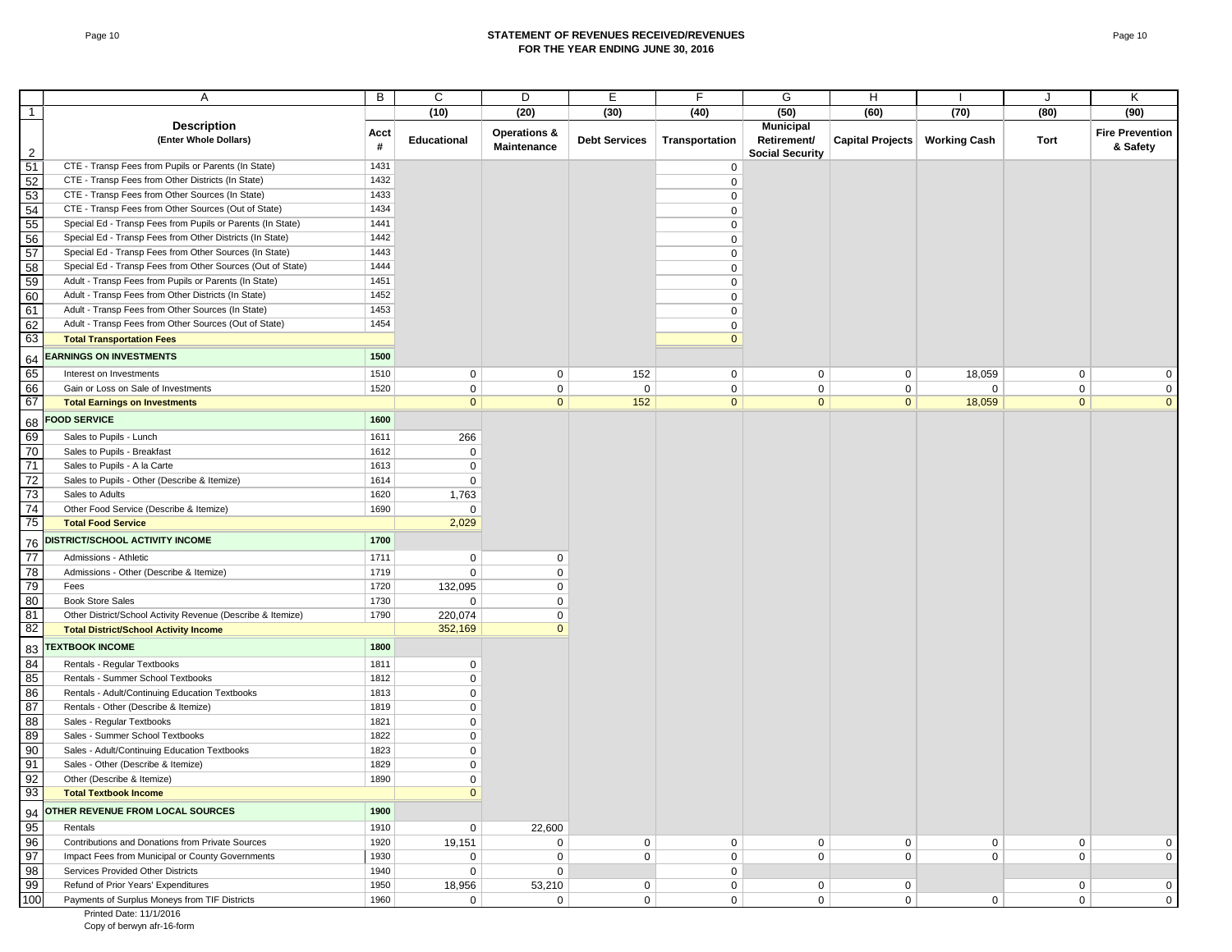#### Page 10 **STATEMENT OF REVENUES RECEIVED/REVENUES FOR THE YEAR ENDING JUNE 30, 2016**

|                 | Α                                                           | В         | C            | D                                      | Е                    | F              | G                                                         | H                |                     | J            | κ                                  |
|-----------------|-------------------------------------------------------------|-----------|--------------|----------------------------------------|----------------------|----------------|-----------------------------------------------------------|------------------|---------------------|--------------|------------------------------------|
| $\overline{1}$  |                                                             |           | (10)         | (20)                                   | (30)                 | (40)           | (50)                                                      | (60)             | (70)                | (80)         | (90)                               |
| 2               | <b>Description</b><br>(Enter Whole Dollars)                 | Acct<br># | Educational  | <b>Operations &amp;</b><br>Maintenance | <b>Debt Services</b> | Transportation | <b>Municipal</b><br>Retirement/<br><b>Social Security</b> | Capital Projects | <b>Working Cash</b> | Tort         | <b>Fire Prevention</b><br>& Safety |
| 51              | CTE - Transp Fees from Pupils or Parents (In State)         | 1431      |              |                                        |                      | $\mathbf 0$    |                                                           |                  |                     |              |                                    |
| 52              | CTE - Transp Fees from Other Districts (In State)           | 1432      |              |                                        |                      | $\mathbf 0$    |                                                           |                  |                     |              |                                    |
| 53              | CTE - Transp Fees from Other Sources (In State)             | 1433      |              |                                        |                      | $\mathbf 0$    |                                                           |                  |                     |              |                                    |
| 54              | CTE - Transp Fees from Other Sources (Out of State)         | 1434      |              |                                        |                      | $\mathbf 0$    |                                                           |                  |                     |              |                                    |
| 55              | Special Ed - Transp Fees from Pupils or Parents (In State)  | 1441      |              |                                        |                      | $\mathbf 0$    |                                                           |                  |                     |              |                                    |
| 56              | Special Ed - Transp Fees from Other Districts (In State)    | 1442      |              |                                        |                      | $\mathbf 0$    |                                                           |                  |                     |              |                                    |
| 57              | Special Ed - Transp Fees from Other Sources (In State)      | 1443      |              |                                        |                      | $\mathsf 0$    |                                                           |                  |                     |              |                                    |
| 58              | Special Ed - Transp Fees from Other Sources (Out of State)  | 1444      |              |                                        |                      | $\mathbf 0$    |                                                           |                  |                     |              |                                    |
| 59              | Adult - Transp Fees from Pupils or Parents (In State)       | 1451      |              |                                        |                      | $\mathsf 0$    |                                                           |                  |                     |              |                                    |
| 60              | Adult - Transp Fees from Other Districts (In State)         | 1452      |              |                                        |                      | $\mathsf 0$    |                                                           |                  |                     |              |                                    |
| 61              | Adult - Transp Fees from Other Sources (In State)           | 1453      |              |                                        |                      | $\mathbf 0$    |                                                           |                  |                     |              |                                    |
| 62              | Adult - Transp Fees from Other Sources (Out of State)       | 1454      |              |                                        |                      | $\mathbf 0$    |                                                           |                  |                     |              |                                    |
| 63              | <b>Total Transportation Fees</b>                            |           |              |                                        |                      | $\mathbf{0}$   |                                                           |                  |                     |              |                                    |
| 64              | <b>EARNINGS ON INVESTMENTS</b>                              | 1500      |              |                                        |                      |                |                                                           |                  |                     |              |                                    |
| 65              | Interest on Investments                                     | 1510      | $\mathbf 0$  | 0                                      | 152                  | $\mathbf{0}$   | $\mathbf 0$                                               | $\mathbf{0}$     | 18,059              | $\mathbf 0$  | $\mathbf 0$                        |
| 66              | Gain or Loss on Sale of Investments                         | 1520      | 0            | $\mathbf 0$                            | $\mathbf 0$          | $\mathbf 0$    | $\mathbf 0$                                               | $\mathbf 0$      | $\mathbf 0$         | $\mathbf 0$  | $\mathbf 0$                        |
| 67              | <b>Total Earnings on Investments</b>                        |           | $\mathbf{0}$ | $\mathbf{0}$                           | 152                  | $\mathbf{0}$   | $\mathbf{0}$                                              | $\mathbf{0}$     | 18,059              | $\mathbf{0}$ | $\mathbf{0}$                       |
|                 | <b>FOOD SERVICE</b>                                         | 1600      |              |                                        |                      |                |                                                           |                  |                     |              |                                    |
| 68              |                                                             |           |              |                                        |                      |                |                                                           |                  |                     |              |                                    |
| 69              | Sales to Pupils - Lunch                                     | 1611      | 266          |                                        |                      |                |                                                           |                  |                     |              |                                    |
| 70<br>71        | Sales to Pupils - Breakfast                                 | 1612      | 0            |                                        |                      |                |                                                           |                  |                     |              |                                    |
|                 | Sales to Pupils - A la Carte                                | 1613      | $\mathbf 0$  |                                        |                      |                |                                                           |                  |                     |              |                                    |
| 72              | Sales to Pupils - Other (Describe & Itemize)                | 1614      | $\mathbf 0$  |                                        |                      |                |                                                           |                  |                     |              |                                    |
| 73<br>74        | Sales to Adults                                             | 1620      | 1,763        |                                        |                      |                |                                                           |                  |                     |              |                                    |
| 75              | Other Food Service (Describe & Itemize)                     | 1690      | $\mathbf 0$  |                                        |                      |                |                                                           |                  |                     |              |                                    |
|                 | <b>Total Food Service</b>                                   |           | 2,029        |                                        |                      |                |                                                           |                  |                     |              |                                    |
| 76              | DISTRICT/SCHOOL ACTIVITY INCOME                             | 1700      |              |                                        |                      |                |                                                           |                  |                     |              |                                    |
| 77              | Admissions - Athletic                                       | 1711      | 0            | 0                                      |                      |                |                                                           |                  |                     |              |                                    |
| 78              | Admissions - Other (Describe & Itemize)                     | 1719      | 0            | 0                                      |                      |                |                                                           |                  |                     |              |                                    |
| 79              | Fees                                                        | 1720      | 132,095      | 0                                      |                      |                |                                                           |                  |                     |              |                                    |
| 80              | <b>Book Store Sales</b>                                     | 1730      | $\mathbf 0$  | 0                                      |                      |                |                                                           |                  |                     |              |                                    |
| 81              | Other District/School Activity Revenue (Describe & Itemize) | 1790      | 220,074      | 0                                      |                      |                |                                                           |                  |                     |              |                                    |
| 82              | <b>Total District/School Activity Income</b>                |           | 352,169      | $\Omega$                               |                      |                |                                                           |                  |                     |              |                                    |
| 83              | <b>TEXTBOOK INCOME</b>                                      | 1800      |              |                                        |                      |                |                                                           |                  |                     |              |                                    |
| 84              | Rentals - Regular Textbooks                                 | 1811      | 0            |                                        |                      |                |                                                           |                  |                     |              |                                    |
| 85              | Rentals - Summer School Textbooks                           | 1812      | $\mathbf 0$  |                                        |                      |                |                                                           |                  |                     |              |                                    |
| 86              | Rentals - Adult/Continuing Education Textbooks              | 1813      | 0            |                                        |                      |                |                                                           |                  |                     |              |                                    |
| 87              | Rentals - Other (Describe & Itemize)                        | 1819      | 0            |                                        |                      |                |                                                           |                  |                     |              |                                    |
| 88              | Sales - Regular Textbooks                                   | 1821      | 0            |                                        |                      |                |                                                           |                  |                     |              |                                    |
| 89              | Sales - Summer School Textbooks                             | 1822      | $\mathbf 0$  |                                        |                      |                |                                                           |                  |                     |              |                                    |
| 90              | Sales - Adult/Continuing Education Textbooks                | 1823      | $\mathbf 0$  |                                        |                      |                |                                                           |                  |                     |              |                                    |
| 91              | Sales - Other (Describe & Itemize)                          | 1829      | $\mathbf 0$  |                                        |                      |                |                                                           |                  |                     |              |                                    |
| $\overline{92}$ | Other (Describe & Itemize)                                  | 1890      | $\Omega$     |                                        |                      |                |                                                           |                  |                     |              |                                    |
| 93              | <b>Total Textbook Income</b>                                |           | $\mathbf{0}$ |                                        |                      |                |                                                           |                  |                     |              |                                    |
| 94              | OTHER REVENUE FROM LOCAL SOURCES                            | 1900      |              |                                        |                      |                |                                                           |                  |                     |              |                                    |
| 95              | Rentals                                                     | 1910      | $\mathbf 0$  | 22,600                                 |                      |                |                                                           |                  |                     |              |                                    |
| 96              | Contributions and Donations from Private Sources            | 1920      | 19,151       | 0                                      | $\mathbf 0$          | $\mathbf{0}$   | $\mathbf 0$                                               | $\mathbf 0$      | $\mathbf 0$         | $\mathbf 0$  | $\mathbf 0$                        |
| 97              | Impact Fees from Municipal or County Governments            | 1930      | $\mathbf 0$  | $\mathbf 0$                            | $\mathbf 0$          | $\mathbf 0$    | $\mathbf 0$                                               | $\mathbf 0$      | $\mathbf 0$         | $\mathbf 0$  | $\mathbf 0$                        |
| 98              | Services Provided Other Districts                           | 1940      | 0            | 0                                      |                      | $\mathbf 0$    |                                                           |                  |                     |              |                                    |
| 99              | Refund of Prior Years' Expenditures                         | 1950      | 18,956       | 53,210                                 | $\mathbf 0$          | $\mathbf 0$    | $\mathbf 0$                                               | 0                |                     | $\mathbf{0}$ | 0                                  |
| 100             | Payments of Surplus Moneys from TIF Districts               | 1960      | $\mathbf 0$  | 0                                      | $\mathbf 0$          | $\mathbf{0}$   | 0 <sup>1</sup>                                            | $\mathbf 0$      | $\mathbf 0$         | $\mathbf{0}$ | $\mathbf 0$                        |
|                 |                                                             |           |              |                                        |                      |                |                                                           |                  |                     |              |                                    |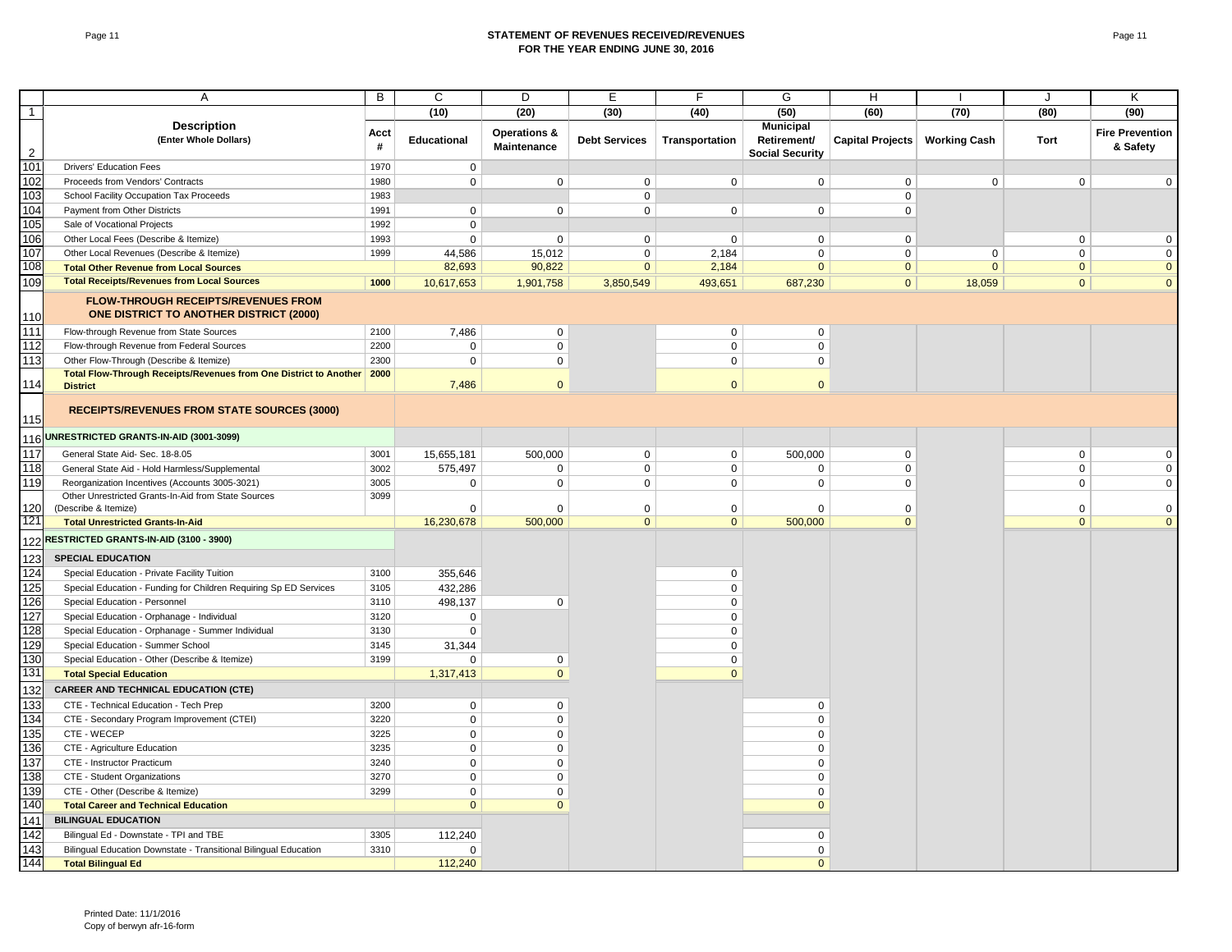#### Page 11 **STATEMENT OF REVENUES RECEIVED/REVENUES FOR THE YEAR ENDING JUNE 30, 2016**

|                | Α                                                                                            | B         | C                  | D                                      | Е                    | F              | G                                     | H                |                     | J            | Κ                                  |
|----------------|----------------------------------------------------------------------------------------------|-----------|--------------------|----------------------------------------|----------------------|----------------|---------------------------------------|------------------|---------------------|--------------|------------------------------------|
| $\mathbf{1}$   |                                                                                              |           | (10)               | (20)                                   | (30)                 | (40)           | (50)                                  | (60)             | (70)                | (80)         | (90)                               |
|                | <b>Description</b>                                                                           |           |                    |                                        |                      |                | <b>Municipal</b>                      |                  |                     |              |                                    |
| $\overline{c}$ | (Enter Whole Dollars)                                                                        | Acct<br># | <b>Educational</b> | <b>Operations &amp;</b><br>Maintenance | <b>Debt Services</b> | Transportation | Retirement/<br><b>Social Security</b> | Capital Projects | <b>Working Cash</b> | Tort         | <b>Fire Prevention</b><br>& Safety |
| 101            | <b>Drivers' Education Fees</b>                                                               | 1970      | $\mathbf 0$        |                                        |                      |                |                                       |                  |                     |              |                                    |
| 102            | Proceeds from Vendors' Contracts                                                             | 1980      | $\mathbf 0$        | $\mathbf 0$                            | $\mathbf 0$          | $\mathbf 0$    | $\mathbf 0$                           | $\mathbf{0}$     | $\mathbf 0$         | $\mathbf 0$  | $\mathbf 0$                        |
| 103            | School Facility Occupation Tax Proceeds                                                      | 1983      |                    |                                        | $\mathbf 0$          |                |                                       | $\mathbf 0$      |                     |              |                                    |
| 104            | Payment from Other Districts                                                                 | 1991      | $\mathbf{0}$       | $\mathbf 0$                            | $\mathbf 0$          | $\mathbf 0$    | $\mathbf 0$                           | $\mathbf 0$      |                     |              |                                    |
| 105            | Sale of Vocational Projects                                                                  | 1992      | $\mathbf 0$        |                                        |                      |                |                                       |                  |                     |              |                                    |
| 106            | Other Local Fees (Describe & Itemize)                                                        | 1993      | $\mathbf 0$        | $\mathsf{O}$                           | $\mathbf 0$          | $\mathbf 0$    | $\mathbf{0}$                          | $\mathbf 0$      |                     | $\mathsf 0$  | $\mathbf 0$                        |
| 107            | Other Local Revenues (Describe & Itemize)                                                    | 1999      | 44,586             | 15,012                                 | $\mathbf 0$          | 2,184          | $\Omega$                              | $\Omega$         | 0                   | $\mathsf 0$  | $\mathbf 0$                        |
| 108            | <b>Total Other Revenue from Local Sources</b>                                                |           | 82,693             | 90,822                                 | $\mathbf{0}$         | 2,184          | $\mathbf{0}$                          | $\mathbf{0}$     | $\mathbf{0}$        | $\mathbf{0}$ | $\overline{0}$                     |
| 109            | <b>Total Receipts/Revenues from Local Sources</b>                                            | 1000      | 10,617,653         | 1,901,758                              | 3,850,549            | 493,651        | 687,230                               | $\overline{0}$   | 18,059              | $\mathbf{0}$ | $\mathbf{0}$                       |
| 110            | <b>FLOW-THROUGH RECEIPTS/REVENUES FROM</b><br><b>ONE DISTRICT TO ANOTHER DISTRICT (2000)</b> |           |                    |                                        |                      |                |                                       |                  |                     |              |                                    |
| 111            | Flow-through Revenue from State Sources                                                      | 2100      | 7,486              | $\mathbf 0$                            |                      | $\mathbf 0$    | $\mathbf 0$                           |                  |                     |              |                                    |
| 112            | Flow-through Revenue from Federal Sources                                                    | 2200      | $\mathbf 0$        | $\mathbf 0$                            |                      | $\mathbf 0$    | $\mathbf 0$                           |                  |                     |              |                                    |
| 113            | Other Flow-Through (Describe & Itemize)                                                      | 2300      | $\mathbf 0$        | $\mathbf 0$                            |                      | $\mathbf 0$    | $\mathbf 0$                           |                  |                     |              |                                    |
| 114            | <b>Total Flow-Through Receipts/Revenues from One District to Another</b><br><b>District</b>  | 2000      | 7,486              | $\overline{0}$                         |                      | $\overline{0}$ | $\overline{0}$                        |                  |                     |              |                                    |
| 115            | <b>RECEIPTS/REVENUES FROM STATE SOURCES (3000)</b>                                           |           |                    |                                        |                      |                |                                       |                  |                     |              |                                    |
| 116            | UNRESTRICTED GRANTS-IN-AID (3001-3099)                                                       |           |                    |                                        |                      |                |                                       |                  |                     |              |                                    |
| 117            | General State Aid- Sec. 18-8.05                                                              | 3001      | 15,655,181         | 500,000                                | $\mathbf 0$          | $\mathbf 0$    | 500,000                               | $\mathbf 0$      |                     | $\mathsf 0$  | $\mathbf 0$                        |
| 118            | General State Aid - Hold Harmless/Supplemental                                               | 3002      | 575,497            | $\mathbf 0$                            | $\mathbf 0$          | $\mathbf 0$    | $\Omega$                              | $\mathbf 0$      |                     | $\pmb{0}$    | $\mathsf 0$                        |
| 119            | Reorganization Incentives (Accounts 3005-3021)                                               | 3005      | $\mathbf 0$        | $\mathsf{O}$                           | $\mathbf 0$          | $\mathbf 0$    | $\mathbf 0$                           | $\mathsf 0$      |                     | $\mathsf 0$  | $\mathsf 0$                        |
| 120            | Other Unrestricted Grants-In-Aid from State Sources<br>(Describe & Itemize)                  | 3099      | $\Omega$           | $\Omega$                               | 0                    | $\mathbf 0$    | $\Omega$                              | $\Omega$         |                     | $\mathbf 0$  | $\mathbf 0$                        |
| 121            | <b>Total Unrestricted Grants-In-Aid</b>                                                      |           | 16,230,678         | 500,000                                | $\mathbf{0}$         | $\mathbf{0}$   | 500,000                               | $\mathbf{0}$     |                     | $\mathbf{0}$ | $\overline{0}$                     |
| 122            | RESTRICTED GRANTS-IN-AID (3100 - 3900)                                                       |           |                    |                                        |                      |                |                                       |                  |                     |              |                                    |
| 123            | <b>SPECIAL EDUCATION</b>                                                                     |           |                    |                                        |                      |                |                                       |                  |                     |              |                                    |
| 124            | Special Education - Private Facility Tuition                                                 | 3100      | 355,646            |                                        |                      | $\mathbf 0$    |                                       |                  |                     |              |                                    |
| 125            | Special Education - Funding for Children Requiring Sp ED Services                            | 3105      | 432,286            |                                        |                      | $\mathbf 0$    |                                       |                  |                     |              |                                    |
| 126            | Special Education - Personnel                                                                | 3110      | 498,137            | $\mathbf 0$                            |                      | $\mathbf 0$    |                                       |                  |                     |              |                                    |
| 127            | Special Education - Orphanage - Individual                                                   | 3120      | $\Omega$           |                                        |                      | $\mathbf 0$    |                                       |                  |                     |              |                                    |
| 128            | Special Education - Orphanage - Summer Individual                                            | 3130      | $\Omega$           |                                        |                      | $\mathbf 0$    |                                       |                  |                     |              |                                    |
| 129            | Special Education - Summer School                                                            | 3145      | 31,344             |                                        |                      | $\pmb{0}$      |                                       |                  |                     |              |                                    |
| 130            | Special Education - Other (Describe & Itemize)                                               | 3199      | $\mathbf 0$        | $\mathbf 0$                            |                      | $\mathbf 0$    |                                       |                  |                     |              |                                    |
| 131            | <b>Total Special Education</b>                                                               |           | 1,317,413          | $\overline{0}$                         |                      | $\mathbf{0}$   |                                       |                  |                     |              |                                    |
| 132            | <b>CAREER AND TECHNICAL EDUCATION (CTE)</b>                                                  |           |                    |                                        |                      |                |                                       |                  |                     |              |                                    |
| 133            | CTE - Technical Education - Tech Prep                                                        | 3200      | $\mathbf{0}$       | $\mathbf{0}$                           |                      |                | $\mathbf 0$                           |                  |                     |              |                                    |
| 134            | CTE - Secondary Program Improvement (CTEI)                                                   | 3220      | $\mathbf 0$        | $\mathbf 0$                            |                      |                | $\mathbf 0$                           |                  |                     |              |                                    |
| 135            | CTE - WECEP                                                                                  | 3225      | $\mathbf 0$        | $\mathbf 0$                            |                      |                | $\mathbf 0$                           |                  |                     |              |                                    |
| 136            | CTE - Agriculture Education                                                                  | 3235      | $\mathbf 0$        | $\mathbf 0$                            |                      |                | 0                                     |                  |                     |              |                                    |
| 137            | CTE - Instructor Practicum                                                                   | 3240      | $\Omega$           | $\mathsf 0$                            |                      |                | $\Omega$                              |                  |                     |              |                                    |
| 138            | CTE - Student Organizations                                                                  | 3270      | $\mathbf 0$        | $\mathbf 0$                            |                      |                | $\Omega$                              |                  |                     |              |                                    |
| 139            | CTE - Other (Describe & Itemize)                                                             | 3299      | $\mathbf 0$        | $\mathbf 0$                            |                      |                | $\mathbf 0$                           |                  |                     |              |                                    |
| 140            | <b>Total Career and Technical Education</b>                                                  |           | $\overline{0}$     | $\mathbf{0}$                           |                      |                | $\Omega$                              |                  |                     |              |                                    |
| 141            | <b>BILINGUAL EDUCATION</b>                                                                   |           |                    |                                        |                      |                |                                       |                  |                     |              |                                    |
| 142            | Bilingual Ed - Downstate - TPI and TBE                                                       | 3305      | 112,240            |                                        |                      |                | $\mathbf 0$                           |                  |                     |              |                                    |
| 143            | Bilingual Education Downstate - Transitional Bilingual Education                             | 3310      | $\Omega$           |                                        |                      |                | $\Omega$                              |                  |                     |              |                                    |
| 144            | <b>Total Bilingual Ed</b>                                                                    |           | 112,240            |                                        |                      |                | $\mathbf{0}$                          |                  |                     |              |                                    |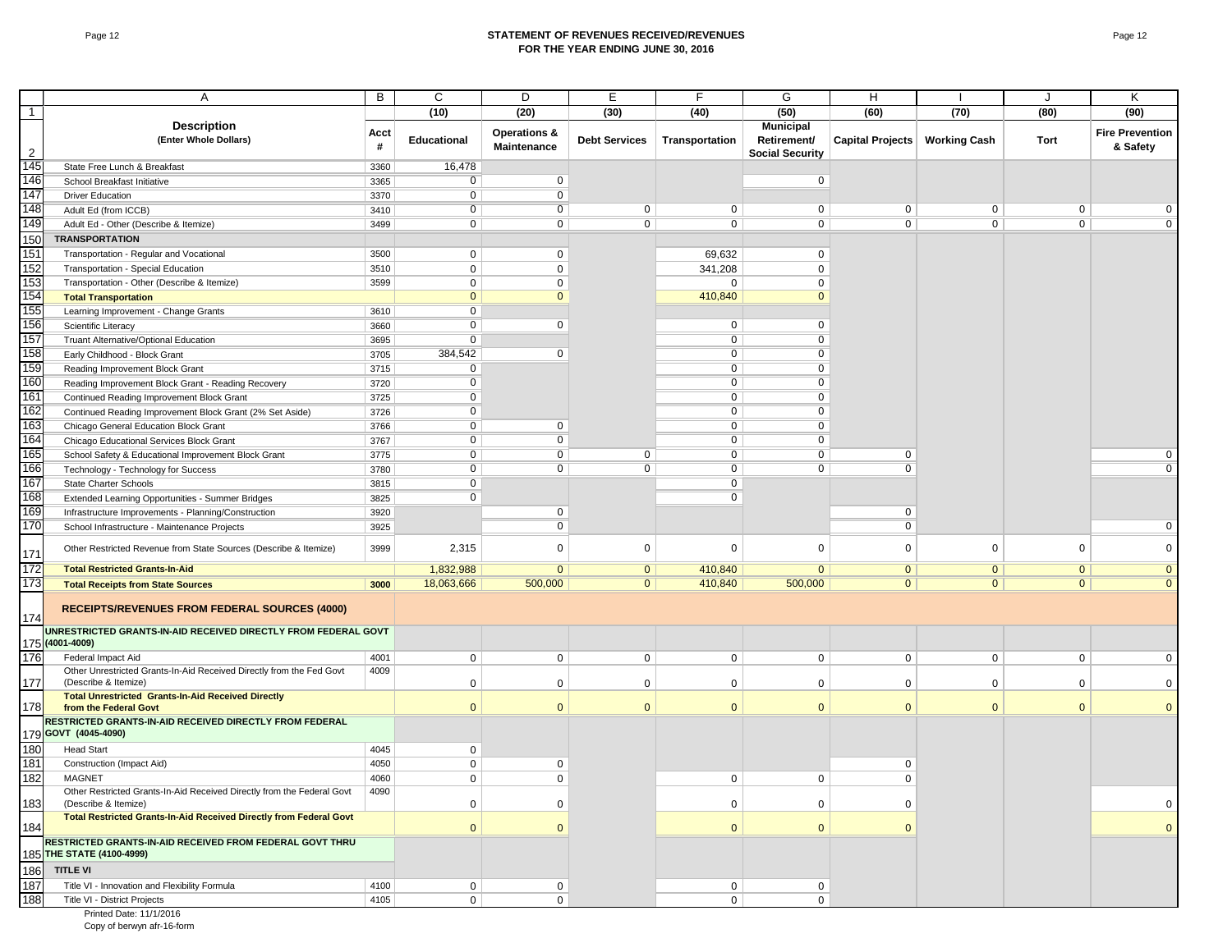#### Page 12 **STATEMENT OF REVENUES RECEIVED/REVENUES FOR THE YEAR ENDING JUNE 30, 2016**

|                | Α                                                                                              | B         | С                  | D                                      | Е                    | F              | G                                                         | H                |                     | J              | Κ                                  |
|----------------|------------------------------------------------------------------------------------------------|-----------|--------------------|----------------------------------------|----------------------|----------------|-----------------------------------------------------------|------------------|---------------------|----------------|------------------------------------|
|                |                                                                                                |           | (10)               | (20)                                   | (30)                 | (40)           | (50)                                                      | (60)             | (70)                | (80)           | (90)                               |
| $\mathbf{1}$   | <b>Description</b>                                                                             |           |                    |                                        |                      |                |                                                           |                  |                     |                |                                    |
| $\overline{2}$ | (Enter Whole Dollars)                                                                          | Acct<br># | <b>Educational</b> | <b>Operations &amp;</b><br>Maintenance | <b>Debt Services</b> | Transportation | <b>Municipal</b><br>Retirement/<br><b>Social Security</b> | Capital Projects | <b>Working Cash</b> | Tort           | <b>Fire Prevention</b><br>& Safety |
| 145            | State Free Lunch & Breakfast                                                                   | 3360      | 16,478             |                                        |                      |                |                                                           |                  |                     |                |                                    |
| 146            | School Breakfast Initiative                                                                    | 3365      | $\overline{0}$     | $\mathbf 0$                            |                      |                | $\mathbf{0}$                                              |                  |                     |                |                                    |
| 147            | <b>Driver Education</b>                                                                        | 3370      | $\overline{0}$     | $\overline{0}$                         |                      |                |                                                           |                  |                     |                |                                    |
| 148            | Adult Ed (from ICCB)                                                                           | 3410      | $\mathbf 0$        | 0                                      | $\mathbf 0$          | $\mathbf 0$    | $\mathbf{0}$                                              | $\mathbf 0$      | 0                   | $\mathbf 0$    | $\mathbf 0$                        |
| 149            | Adult Ed - Other (Describe & Itemize)                                                          | 3499      | $\overline{0}$     | $\overline{0}$                         | $\overline{0}$       | $\overline{0}$ | $\overline{0}$                                            | $\overline{0}$   | $\overline{0}$      | $\overline{0}$ | $\overline{0}$                     |
| 150            | <b>TRANSPORTATION</b>                                                                          |           |                    |                                        |                      |                |                                                           |                  |                     |                |                                    |
| 151            | Transportation - Regular and Vocational                                                        | 3500      | $\mathbf 0$        | $\mathbf 0$                            |                      | 69,632         | $\mathbf 0$                                               |                  |                     |                |                                    |
| 152            | Transportation - Special Education                                                             | 3510      | $\mathbf 0$        | $\mathbf{0}$                           |                      | 341,208        | $\Omega$                                                  |                  |                     |                |                                    |
| 153            | Transportation - Other (Describe & Itemize)                                                    | 3599      | $\mathbf 0$        | $\mathbf 0$                            |                      | $\mathbf 0$    | $\Omega$                                                  |                  |                     |                |                                    |
| 154            | <b>Total Transportation</b>                                                                    |           | $\mathbf{0}$       | $\mathbf{0}$                           |                      | 410,840        | $\Omega$                                                  |                  |                     |                |                                    |
| 155            | Learning Improvement - Change Grants                                                           | 3610      | $\mathbf 0$        |                                        |                      |                |                                                           |                  |                     |                |                                    |
| 156            | Scientific Literacy                                                                            | 3660      | $\overline{0}$     | $\mathbf 0$                            |                      | $\mathbf 0$    | $\mathbf 0$                                               |                  |                     |                |                                    |
| 157            | Truant Alternative/Optional Education                                                          | 3695      | $\mathbf 0$        |                                        |                      | $\mathbf 0$    | 0                                                         |                  |                     |                |                                    |
| 158            |                                                                                                | 3705      | 384,542            | $\mathbf{0}$                           |                      | $\overline{0}$ | 0                                                         |                  |                     |                |                                    |
| 159            | Early Childhood - Block Grant                                                                  |           | $\overline{0}$     |                                        |                      | $\overline{0}$ | $\overline{0}$                                            |                  |                     |                |                                    |
| 160            | Reading Improvement Block Grant                                                                | 3715      | $\overline{0}$     |                                        |                      | $\mathbf 0$    | $\Omega$                                                  |                  |                     |                |                                    |
| 161            | Reading Improvement Block Grant - Reading Recovery                                             | 3720      | $\overline{0}$     |                                        |                      | $\overline{0}$ | $\Omega$                                                  |                  |                     |                |                                    |
|                | Continued Reading Improvement Block Grant                                                      | 3725      |                    |                                        |                      |                |                                                           |                  |                     |                |                                    |
| 162            | Continued Reading Improvement Block Grant (2% Set Aside)                                       | 3726      | $\overline{0}$     |                                        |                      | $\overline{0}$ | $\mathbf 0$                                               |                  |                     |                |                                    |
| 163            | Chicago General Education Block Grant                                                          | 3766      | $\mathbf 0$        | $\mathbf 0$                            |                      | $\mathbf 0$    | 0                                                         |                  |                     |                |                                    |
| 164            | Chicago Educational Services Block Grant                                                       | 3767      | $\overline{0}$     | $\overline{0}$                         |                      | $\overline{0}$ | 0                                                         |                  |                     |                |                                    |
| 165            | School Safety & Educational Improvement Block Grant                                            | 3775      | $\overline{0}$     | $\overline{0}$                         | 0                    | $\overline{0}$ | $\overline{0}$                                            | $\mathbf 0$      |                     |                | $\overline{0}$                     |
| 166            | Technology - Technology for Success                                                            | 3780      | $\overline{0}$     | $\mathbf{0}$                           | $\overline{0}$       | $\overline{0}$ | $\mathbf 0$                                               | $\overline{0}$   |                     |                | $\overline{0}$                     |
| 167            | State Charter Schools                                                                          | 3815      | $\overline{0}$     |                                        |                      | $\overline{0}$ |                                                           |                  |                     |                |                                    |
| 168            | Extended Learning Opportunities - Summer Bridges                                               | 3825      | $\mathbf 0$        |                                        |                      | $\mathbf 0$    |                                                           |                  |                     |                |                                    |
| 169            | Infrastructure Improvements - Planning/Construction                                            | 3920      |                    | $\mathbf 0$                            |                      |                |                                                           | 0                |                     |                |                                    |
| 170            | School Infrastructure - Maintenance Projects                                                   | 3925      |                    | $\overline{0}$                         |                      |                |                                                           | $\overline{0}$   |                     |                | $\mathbf 0$                        |
| 171            | Other Restricted Revenue from State Sources (Describe & Itemize)                               | 3999      | 2,315              | $\mathbf{0}$                           | 0                    | $\mathbf 0$    | $\Omega$                                                  | 0                | $\mathbf 0$         | $\mathbf 0$    | $\mathbf 0$                        |
| 172            | <b>Total Restricted Grants-In-Aid</b>                                                          |           | 1,832,988          | $\overline{0}$                         | $\overline{0}$       | 410,840        | $\overline{0}$                                            | $\overline{0}$   | $\overline{0}$      | $\overline{0}$ | $\overline{0}$                     |
| 173            | <b>Total Receipts from State Sources</b>                                                       | 3000      | 18,063,666         | 500,000                                | $\overline{0}$       | 410,840        | 500,000                                                   | $\overline{0}$   | $\overline{0}$      | $\overline{0}$ | $\overline{0}$                     |
| 174            | <b>RECEIPTS/REVENUES FROM FEDERAL SOURCES (4000)</b>                                           |           |                    |                                        |                      |                |                                                           |                  |                     |                |                                    |
|                | UNRESTRICTED GRANTS-IN-AID RECEIVED DIRECTLY FROM FEDERAL GOVT                                 |           |                    |                                        |                      |                |                                                           |                  |                     |                |                                    |
|                | 175 (4001-4009)                                                                                |           |                    |                                        |                      |                |                                                           |                  |                     |                |                                    |
| 176            | Federal Impact Aid                                                                             | 4001      | $\mathbf 0$        | $\mathbf 0$                            | $\mathbf 0$          | $\mathbf 0$    | $\mathbf 0$                                               | $\mathbf 0$      | 0                   | $\mathbf 0$    | $\mathbf 0$                        |
| 177            | Other Unrestricted Grants-In-Aid Received Directly from the Fed Govt<br>(Describe & Itemize)   | 4009      | $\mathbf 0$        | $\mathbf 0$                            | $\mathbf 0$          | $\mathbf 0$    | $\mathbf 0$                                               | $\mathbf 0$      | $\Omega$            | $\mathbf 0$    | $\mathbf 0$                        |
|                | <b>Total Unrestricted Grants-In-Aid Received Directly</b>                                      |           |                    |                                        |                      |                |                                                           |                  |                     |                |                                    |
| 178            | from the Federal Govt<br>RESTRICTED GRANTS-IN-AID RECEIVED DIRECTLY FROM FEDERAL               |           | $\mathbf{0}$       | $\overline{0}$                         | $\mathbf{0}$         | $\mathbf{0}$   | $\Omega$                                                  | $\mathbf{0}$     | $\mathbf{0}$        | $\mathbf{0}$   | $\overline{0}$                     |
|                | 179 GOVT (4045-4090)                                                                           |           |                    |                                        |                      |                |                                                           |                  |                     |                |                                    |
| 180            | <b>Head Start</b>                                                                              | 4045      | $\mathbf 0$        |                                        |                      |                |                                                           |                  |                     |                |                                    |
| 181            | Construction (Impact Aid)                                                                      | 4050      | $\mathbf 0$        | $\mathbf 0$                            |                      |                |                                                           | 0                |                     |                |                                    |
| 182            | MAGNET                                                                                         | 4060      | $\mathbf{0}$       | $\mathbf{0}$                           |                      | $\mathbf 0$    | $\mathbf 0$                                               | $\Omega$         |                     |                |                                    |
| 183            | Other Restricted Grants-In-Aid Received Directly from the Federal Govt<br>(Describe & Itemize) | 4090      | $\mathbf 0$        | $\mathbf 0$                            |                      | $\mathbf 0$    | $\mathbf 0$                                               | $\mathbf 0$      |                     |                | $\mathbf 0$                        |
| 184            | <b>Total Restricted Grants-In-Aid Received Directly from Federal Govt</b>                      |           | $\mathbf{0}$       | $\mathbf{0}$                           |                      | $\mathbf{0}$   | $\mathbf{0}$                                              | $\mathbf{0}$     |                     |                | $\mathbf{0}$                       |
|                | RESTRICTED GRANTS-IN-AID RECEIVED FROM FEDERAL GOVT THRU<br>185 THE STATE (4100-4999)          |           |                    |                                        |                      |                |                                                           |                  |                     |                |                                    |
| 186            | <b>TITLE VI</b>                                                                                |           |                    |                                        |                      |                |                                                           |                  |                     |                |                                    |
| 187            |                                                                                                |           |                    |                                        |                      |                |                                                           |                  |                     |                |                                    |
|                | Title VI - Innovation and Flexibility Formula                                                  | 4100      | $\mathbf{0}$       | $\mathbf 0$                            |                      | $\mathbf 0$    | $\mathbf 0$                                               |                  |                     |                |                                    |
| 188            | Title VI - District Projects                                                                   | 4105      | $\mathbf 0$        | $\mathbf 0$                            |                      | $\mathbf 0$    | 0                                                         |                  |                     |                |                                    |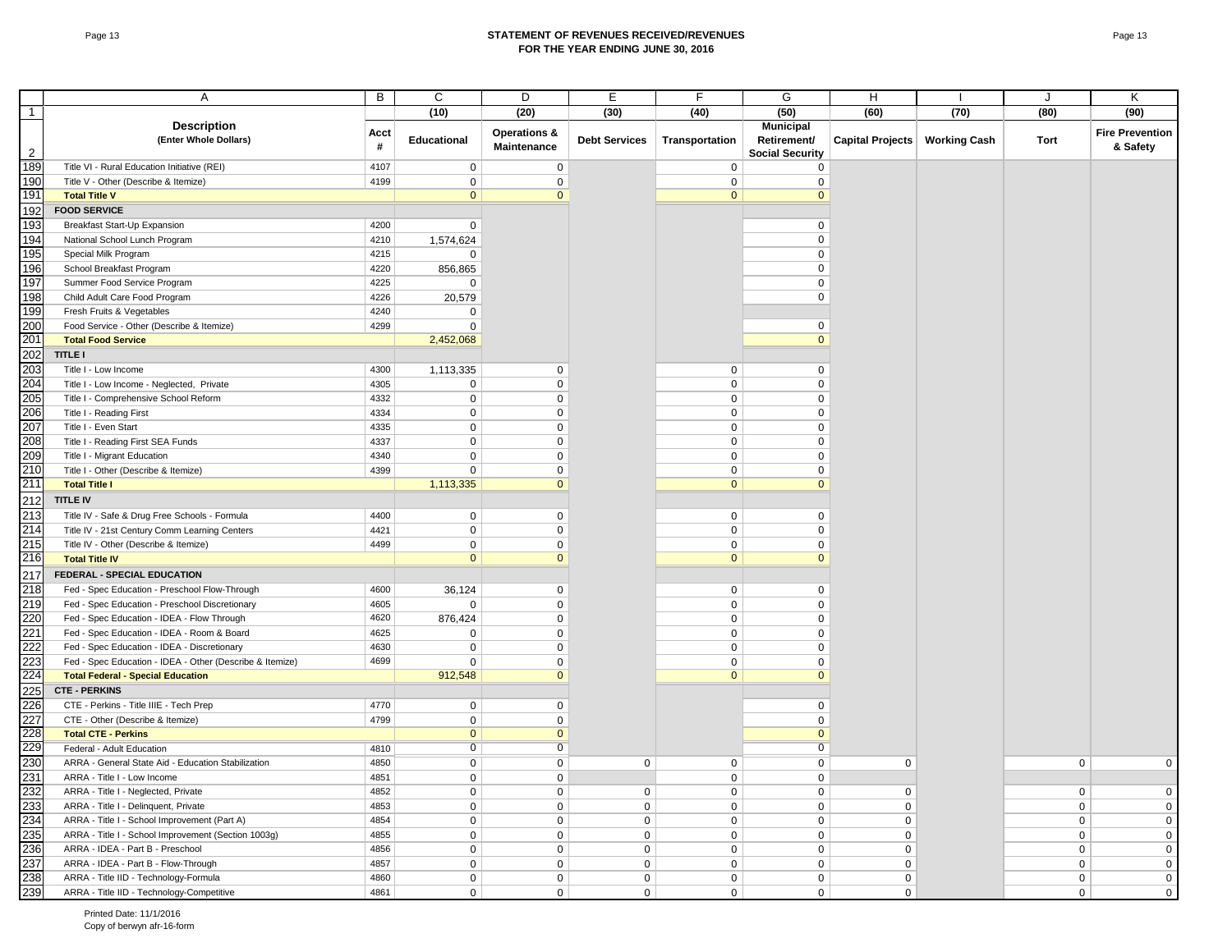#### Page 13 **STATEMENT OF REVENUES RECEIVED/REVENUES FOR THE YEAR ENDING JUNE 30, 2016**

|              | Α                                                        | B         | С                  | D                                      | E                    | F              | G                                                         | H                               |      | J              | Κ                                  |
|--------------|----------------------------------------------------------|-----------|--------------------|----------------------------------------|----------------------|----------------|-----------------------------------------------------------|---------------------------------|------|----------------|------------------------------------|
| $\mathbf{1}$ |                                                          |           | (10)               | (20)                                   | (30)                 | (40)           | (50)                                                      | (60)                            | (70) | (80)           | (90)                               |
| 2            | <b>Description</b><br>(Enter Whole Dollars)              | Acct<br># | <b>Educational</b> | <b>Operations &amp;</b><br>Maintenance | <b>Debt Services</b> | Transportation | <b>Municipal</b><br>Retirement/<br><b>Social Security</b> | Capital Projects   Working Cash |      | Tort           | <b>Fire Prevention</b><br>& Safety |
| 189          | Title VI - Rural Education Initiative (REI)              | 4107      | $\mathbf 0$        | 0                                      |                      | $\mathbf 0$    | 0                                                         |                                 |      |                |                                    |
| 190          | Title V - Other (Describe & Itemize)                     | 4199      | $\mathbf 0$        | 0                                      |                      | $\mathbf 0$    | $\Omega$                                                  |                                 |      |                |                                    |
| 191          | <b>Total Title V</b>                                     |           | $\mathbf{0}$       | $\mathbf{0}$                           |                      | $\mathbf{0}$   | $\Omega$                                                  |                                 |      |                |                                    |
| 192          | <b>FOOD SERVICE</b>                                      |           |                    |                                        |                      |                |                                                           |                                 |      |                |                                    |
| 193          | Breakfast Start-Up Expansion                             | 4200      | $\mathbf 0$        |                                        |                      |                | 0                                                         |                                 |      |                |                                    |
| 194          | National School Lunch Program                            | 4210      | 1,574,624          |                                        |                      |                | $\mathbf 0$                                               |                                 |      |                |                                    |
| 195          | Special Milk Program                                     | 4215      | 0                  |                                        |                      |                | 0                                                         |                                 |      |                |                                    |
| 196          | School Breakfast Program                                 | 4220      | 856,865            |                                        |                      |                | $\mathbf 0$                                               |                                 |      |                |                                    |
| 197          | Summer Food Service Program                              | 4225      | $\mathbf 0$        |                                        |                      |                | 0                                                         |                                 |      |                |                                    |
| 198          | Child Adult Care Food Program                            | 4226      | 20,579             |                                        |                      |                | 0                                                         |                                 |      |                |                                    |
| 199          | Fresh Fruits & Vegetables                                | 4240      | 0                  |                                        |                      |                |                                                           |                                 |      |                |                                    |
| 200          | Food Service - Other (Describe & Itemize)                | 4299      | $\Omega$           |                                        |                      |                | $\mathbf 0$                                               |                                 |      |                |                                    |
| 201          | <b>Total Food Service</b>                                |           | 2,452,068          |                                        |                      |                | $\Omega$                                                  |                                 |      |                |                                    |
| 202          | <b>TITLE I</b>                                           |           |                    |                                        |                      |                |                                                           |                                 |      |                |                                    |
| 203          | Title I - Low Income                                     | 4300      | 1,113,335          | 0                                      |                      | $\mathbf 0$    | 0                                                         |                                 |      |                |                                    |
| 204          | Title I - Low Income - Neglected, Private                | 4305      | $\mathbf 0$        | 0                                      |                      | $\mathbf 0$    | $\mathbf 0$                                               |                                 |      |                |                                    |
| 205          | Title I - Comprehensive School Reform                    | 4332      | $\mathbf 0$        | 0                                      |                      | $\mathbf 0$    | $\mathbf 0$                                               |                                 |      |                |                                    |
| 206          | Title I - Reading First                                  | 4334      | $\mathbf 0$        | 0                                      |                      | 0              | 0                                                         |                                 |      |                |                                    |
| 207          | Title I - Even Start                                     | 4335      | $\mathbf 0$        | 0                                      |                      | 0              | 0                                                         |                                 |      |                |                                    |
| 208          | Title I - Reading First SEA Funds                        | 4337      | $\mathbf 0$        | 0                                      |                      | 0              | 0                                                         |                                 |      |                |                                    |
| 209          | Title I - Migrant Education                              | 4340      | $\mathbf 0$        | 0                                      |                      | 0              | $\Omega$                                                  |                                 |      |                |                                    |
| 210          | Title I - Other (Describe & Itemize)                     | 4399      | $\mathbf 0$        | 0                                      |                      | 0              | $\Omega$                                                  |                                 |      |                |                                    |
| 211          | <b>Total Title I</b>                                     |           | 1,113,335          | $\mathbf{0}$                           |                      | $\mathbf{0}$   | $\Omega$                                                  |                                 |      |                |                                    |
| 212          | <b>TITLE IV</b>                                          |           |                    |                                        |                      |                |                                                           |                                 |      |                |                                    |
| 213          | Title IV - Safe & Drug Free Schools - Formula            | 4400      | $\mathbf 0$        | 0                                      |                      | $\mathbf 0$    | 0                                                         |                                 |      |                |                                    |
| 214          | Title IV - 21st Century Comm Learning Centers            | 4421      | $\mathbf 0$        | 0                                      |                      | $\mathbf 0$    | 0                                                         |                                 |      |                |                                    |
| 215          | Title IV - Other (Describe & Itemize)                    | 4499      | $\mathbf 0$        | 0                                      |                      | 0              | 0                                                         |                                 |      |                |                                    |
| 216          | <b>Total Title IV</b>                                    |           | $\mathbf{0}$       | $\mathbf{0}$                           |                      | $\mathbf{0}$   | $\Omega$                                                  |                                 |      |                |                                    |
| 217          | FEDERAL - SPECIAL EDUCATION                              |           |                    |                                        |                      |                |                                                           |                                 |      |                |                                    |
| 218          | Fed - Spec Education - Preschool Flow-Through            | 4600      | 36,124             | 0                                      |                      | $\mathbf 0$    | 0                                                         |                                 |      |                |                                    |
| 219          | Fed - Spec Education - Preschool Discretionary           | 4605      | $\mathbf 0$        | 0                                      |                      | 0              | $\mathbf 0$                                               |                                 |      |                |                                    |
| 220          | Fed - Spec Education - IDEA - Flow Through               | 4620      | 876,424            | 0                                      |                      | 0              | 0                                                         |                                 |      |                |                                    |
| 221          | Fed - Spec Education - IDEA - Room & Board               | 4625      | $\mathbf 0$        | 0                                      |                      | 0              | $\Omega$                                                  |                                 |      |                |                                    |
| 222          | Fed - Spec Education - IDEA - Discretionary              | 4630      | $\mathbf 0$        | 0                                      |                      | 0              | $\Omega$                                                  |                                 |      |                |                                    |
| 223          | Fed - Spec Education - IDEA - Other (Describe & Itemize) | 4699      | $\Omega$           | 0                                      |                      | $\mathbf 0$    | $\Omega$                                                  |                                 |      |                |                                    |
| 224          | <b>Total Federal - Special Education</b>                 |           | 912,548            | $\mathbf{0}$                           |                      | $\mathbf{0}$   | $\Omega$                                                  |                                 |      |                |                                    |
| 225          | <b>CTE - PERKINS</b>                                     |           |                    |                                        |                      |                |                                                           |                                 |      |                |                                    |
| 226          | CTE - Perkins - Title IIIE - Tech Prep                   | 4770      | $\mathbf 0$        | 0                                      |                      |                | $\mathbf 0$                                               |                                 |      |                |                                    |
| 227          | CTE - Other (Describe & Itemize)                         | 4799      | $\mathbf 0$        | 0                                      |                      |                | $\mathbf 0$                                               |                                 |      |                |                                    |
| 228          | <b>Total CTE - Perkins</b>                               |           | $\mathbf{0}$       | $\mathbf{0}$                           |                      |                | $\mathbf{0}$                                              |                                 |      |                |                                    |
| 229          | Federal - Adult Education                                | 4810      | 0                  | $\overline{0}$                         |                      |                | 0                                                         |                                 |      |                |                                    |
| 230          | ARRA - General State Aid - Education Stabilization       | 4850      | $\mathbf 0$        | 0                                      | 0                    | 0              | 0                                                         | 0                               |      | 0              | $\mathbf 0$                        |
| 231          | ARRA - Title I - Low Income                              | 4851      | $\mathbf 0$        | $\mathbf{0}$                           |                      | $\mathbf 0$    | $\mathbf 0$                                               |                                 |      |                |                                    |
| 232          | ARRA - Title I - Neglected, Private                      | 4852      | $\mathbf 0$        | 0                                      | 0                    | $\mathbf 0$    | 0                                                         | 0                               |      | $\mathbf 0$    | $\mathbf 0$                        |
| 233          | ARRA - Title I - Delinquent, Private                     | 4853      | $\mathbf 0$        | 0                                      | $\mathbf 0$          | 0              | $\mathbf 0$                                               | $\mathbf 0$                     |      | $\mathbf 0$    | $\mathbf 0$                        |
| 234          | ARRA - Title I - School Improvement (Part A)             | 4854      | $\mathbf 0$        | 0                                      | 0                    | 0              | 0                                                         | 0                               |      | $\mathbf 0$    | $\mathbf 0$                        |
| 235          | ARRA - Title I - School Improvement (Section 1003g)      | 4855      | $\mathbf 0$        | 0                                      | 0                    | 0              | 0                                                         | 0                               |      | $\mathbf 0$    | 0                                  |
| 236          | ARRA - IDEA - Part B - Preschool                         | 4856      | $\mathbf 0$        | 0                                      | 0                    | $\mathbf 0$    | 0                                                         | 0                               |      | $\mathbf 0$    | $\mathbf 0$                        |
| 237          | ARRA - IDEA - Part B - Flow-Through                      | 4857      | $\mathbf 0$        | 0                                      | $\mathbf 0$          | $\mathbf 0$    | 0                                                         | 0                               |      | $\mathbf 0$    | $\mathbf 0$                        |
| 238          | ARRA - Title IID - Technology-Formula                    | 4860      | $\mathbf 0$        | 0                                      | 0                    | $\mathbf 0$    | 0                                                         | 0                               |      | $\mathbf 0$    | $\mathbf 0$                        |
| 239          | ARRA - Title IID - Technology-Competitive                | 4861      | $\mathbf 0$        | $\overline{0}$                         | $\mathbf 0$          | $\overline{0}$ | $\overline{0}$                                            | $\mathbf 0$                     |      | 0 <sup>1</sup> | $\mathbf 0$                        |
|              |                                                          |           |                    |                                        |                      |                |                                                           |                                 |      |                |                                    |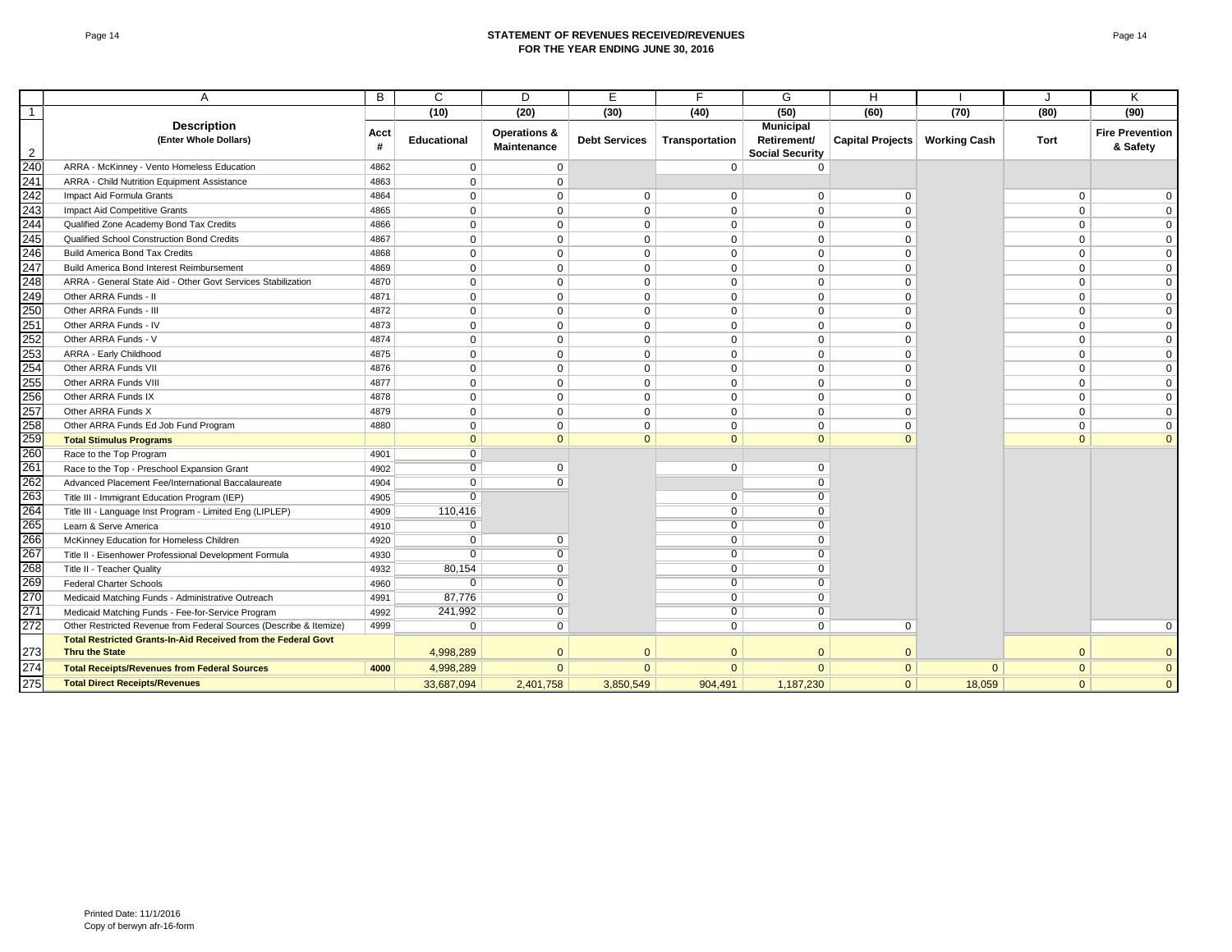#### Page 14 **STATEMENT OF REVENUES RECEIVED/REVENUES FOR THE YEAR ENDING JUNE 30, 2016**

|                | A                                                                  | B         | C              | D                                      | E                    | F              | G                                                         | H                |                     |              | K                                  |
|----------------|--------------------------------------------------------------------|-----------|----------------|----------------------------------------|----------------------|----------------|-----------------------------------------------------------|------------------|---------------------|--------------|------------------------------------|
| 1              |                                                                    |           | (10)           | (20)                                   | (30)                 | (40)           | (50)                                                      | (60)             | (70)                | (80)         | (90)                               |
| $\overline{2}$ | <b>Description</b><br>(Enter Whole Dollars)                        | Acct<br># | Educational    | <b>Operations &amp;</b><br>Maintenance | <b>Debt Services</b> | Transportation | <b>Municipal</b><br>Retirement/<br><b>Social Security</b> | Capital Projects | <b>Working Cash</b> | Tort         | <b>Fire Prevention</b><br>& Safety |
| 240            | ARRA - McKinney - Vento Homeless Education                         | 4862      | $\mathbf 0$    | $\mathbf 0$                            |                      | $\mathbf 0$    | $\Omega$                                                  |                  |                     |              |                                    |
| 241            | ARRA - Child Nutrition Equipment Assistance                        | 4863      | $\mathbf 0$    | $\mathbf{0}$                           |                      |                |                                                           |                  |                     |              |                                    |
| 242            | Impact Aid Formula Grants                                          | 4864      | $\Omega$       | $\mathbf{0}$                           | 0                    | $\Omega$       | $\Omega$                                                  | $\Omega$         |                     | $\mathbf 0$  | $\mathbf{0}$                       |
| 243            | Impact Aid Competitive Grants                                      | 4865      | $\Omega$       | $\Omega$                               | $\mathbf 0$          | $\Omega$       | $\Omega$                                                  | $\Omega$         |                     | $\Omega$     | $\mathbf 0$                        |
| 244            | Qualified Zone Academy Bond Tax Credits                            | 4866      | $\mathbf 0$    | $\mathbf 0$                            | 0                    | $\mathbf 0$    | $\Omega$                                                  | $\Omega$         |                     | 0            | $\mathbf 0$                        |
| 245            | Qualified School Construction Bond Credits                         | 4867      | $\mathbf 0$    | $\mathbf 0$                            | $\mathbf 0$          | $\mathbf 0$    | $\Omega$                                                  | $\Omega$         |                     | $\mathbf 0$  | $\mathbf 0$                        |
| 246            | <b>Build America Bond Tax Credits</b>                              | 4868      | $\Omega$       | $\Omega$                               | $\mathbf 0$          | $\Omega$       | $\Omega$                                                  | $\Omega$         |                     | $\mathbf 0$  | $\mathbf{0}$                       |
| 247            | Build America Bond Interest Reimbursement                          | 4869      | $\mathbf 0$    | $\mathbf 0$                            | $\mathbf 0$          | $\mathbf 0$    | $\mathbf 0$                                               | $\Omega$         |                     | $\mathbf 0$  | $\mathbf 0$                        |
| 248            | ARRA - General State Aid - Other Govt Services Stabilization       | 4870      | $\mathbf 0$    | $\mathbf{0}$                           | $\mathbf 0$          | $\mathbf 0$    | $\Omega$                                                  | $\Omega$         |                     | $\mathbf 0$  | $\mathbf 0$                        |
| 249            | Other ARRA Funds - II                                              | 4871      | $\Omega$       | $\Omega$                               | $\mathbf 0$          | $\Omega$       | $\Omega$                                                  | $\Omega$         |                     | $\mathbf 0$  | $\mathbf 0$                        |
| 250            | Other ARRA Funds - III                                             | 4872      | $\mathbf 0$    | $\mathbf{0}$                           | $\mathbf 0$          | $\Omega$       | $\mathbf 0$                                               | $\Omega$         |                     | $\mathbf 0$  | $\mathbf 0$                        |
| 251            | Other ARRA Funds - IV                                              | 4873      | $\Omega$       | $\mathbf{0}$                           | $\Omega$             | $\Omega$       | $\Omega$                                                  | $\Omega$         |                     | $\mathbf{0}$ | $\mathbf 0$                        |
| 252            | Other ARRA Funds - V                                               | 4874      | $\mathbf 0$    | $\mathbf 0$                            | 0                    | $\mathbf 0$    | $\mathbf 0$                                               | $\Omega$         |                     | $\mathbf 0$  | $\mathbf 0$                        |
| 253            | ARRA - Early Childhood                                             | 4875      | $\mathbf 0$    | $\mathbf 0$                            | 0                    | $\mathbf 0$    | $\mathbf 0$                                               | $\Omega$         |                     | 0            | $\mathbf 0$                        |
| 254            | Other ARRA Funds VII                                               | 4876      | $\Omega$       | $\mathbf{0}$                           | $\mathbf 0$          | $\mathbf 0$    | $\mathbf 0$                                               | $\Omega$         |                     | $\mathbf 0$  | $\mathbf 0$                        |
| 255            | Other ARRA Funds VIII                                              | 4877      | $\mathbf 0$    | $\mathbf{0}$                           | 0                    | $\mathbf 0$    | $\mathbf 0$                                               | $\mathbf 0$      |                     | 0            | $\mathbf 0$                        |
| 256            | Other ARRA Funds IX                                                | 4878      | $\Omega$       | $\mathbf 0$                            | $\mathbf 0$          | $\mathbf 0$    | $\mathbf 0$                                               | $\Omega$         |                     | $\mathbf 0$  | $\mathbf 0$                        |
| 257            | Other ARRA Funds X                                                 | 4879      | $\mathbf 0$    | $\mathbf{0}$                           | $\mathbf 0$          | $\mathbf 0$    | $\Omega$                                                  | $\Omega$         |                     | $\mathbf 0$  | $\mathbf 0$                        |
| 258            | Other ARRA Funds Ed Job Fund Program                               | 4880      | 0              | $\mathbf 0$                            | 0                    | $\mathbf 0$    | 0                                                         | $\Omega$         |                     | 0            | $\mathbf 0$                        |
| 259            | <b>Total Stimulus Programs</b>                                     |           | $\Omega$       | $\mathbf{0}$                           | $\mathbf{0}$         | $\mathbf{0}$   | $\Omega$                                                  | $\Omega$         |                     | $\mathbf{0}$ | $\overline{0}$                     |
| 260            | Race to the Top Program                                            | 4901      | $\mathbf 0$    |                                        |                      |                |                                                           |                  |                     |              |                                    |
| 261            | Race to the Top - Preschool Expansion Grant                        | 4902      | $\overline{0}$ | $\mathbf 0$                            |                      | $\mathbf 0$    | $\Omega$                                                  |                  |                     |              |                                    |
| 262            | Advanced Placement Fee/International Baccalaureate                 | 4904      | $\overline{0}$ | $\overline{0}$                         |                      |                | $\overline{0}$                                            |                  |                     |              |                                    |
| 263            | Title III - Immigrant Education Program (IEP)                      | 4905      | $\Omega$       |                                        |                      | $\mathbf 0$    | $\Omega$                                                  |                  |                     |              |                                    |
| 264            | Title III - Language Inst Program - Limited Eng (LIPLEP)           | 4909      | 110,416        |                                        |                      | $\overline{0}$ | $\Omega$                                                  |                  |                     |              |                                    |
| 265            | Learn & Serve America                                              | 4910      | $\Omega$       |                                        |                      | $\mathbf 0$    | $\Omega$                                                  |                  |                     |              |                                    |
| 266            | McKinney Education for Homeless Children                           | 4920      | $\overline{0}$ | $\mathbf 0$                            |                      | $\overline{0}$ | $\Omega$                                                  |                  |                     |              |                                    |
| 267            | Title II - Eisenhower Professional Development Formula             | 4930      | $\overline{0}$ | $\overline{0}$                         |                      | $\overline{0}$ | $\overline{0}$                                            |                  |                     |              |                                    |
| 268            | Title II - Teacher Quality                                         | 4932      | 80,154         | $\Omega$                               |                      | $\mathbf{0}$   | $\Omega$                                                  |                  |                     |              |                                    |
| 269            | <b>Federal Charter Schools</b>                                     | 4960      | 0              | $\overline{0}$                         |                      | $\overline{0}$ | $\Omega$                                                  |                  |                     |              |                                    |
| 270            | Medicaid Matching Funds - Administrative Outreach                  | 4991      | 87,776         | $\overline{0}$                         |                      | $\overline{0}$ | $\Omega$                                                  |                  |                     |              |                                    |
| 271            | Medicaid Matching Funds - Fee-for-Service Program                  | 4992      | 241,992        | $\overline{0}$                         |                      | $\overline{0}$ | $\Omega$                                                  |                  |                     |              |                                    |
| 272            | Other Restricted Revenue from Federal Sources (Describe & Itemize) | 4999      | $\overline{0}$ | $\overline{0}$                         |                      | $\overline{0}$ | $\Omega$                                                  | $\mathbf 0$      |                     |              | $\overline{0}$                     |
|                | Total Restricted Grants-In-Aid Received from the Federal Govt      |           |                |                                        |                      |                |                                                           |                  |                     |              |                                    |
| 273            | <b>Thru the State</b>                                              |           | 4,998,289      | $\Omega$                               | $\mathbf{0}$         | $\Omega$       | $\Omega$                                                  | $\Omega$         |                     | $\mathbf{0}$ | $\overline{0}$                     |
| 274            | <b>Total Receipts/Revenues from Federal Sources</b>                | 4000      | 4,998,289      | $\overline{0}$                         | $\mathbf{0}$         | $\Omega$       | $\Omega$                                                  | $\mathbf{0}$     | $\overline{0}$      | $\mathbf{0}$ | $\overline{0}$                     |
| 275            | <b>Total Direct Receipts/Revenues</b>                              |           | 33,687,094     | 2,401,758                              | 3,850,549            | 904,491        | 1,187,230                                                 | $\overline{0}$   | 18,059              | $\mathbf{0}$ | $\overline{0}$                     |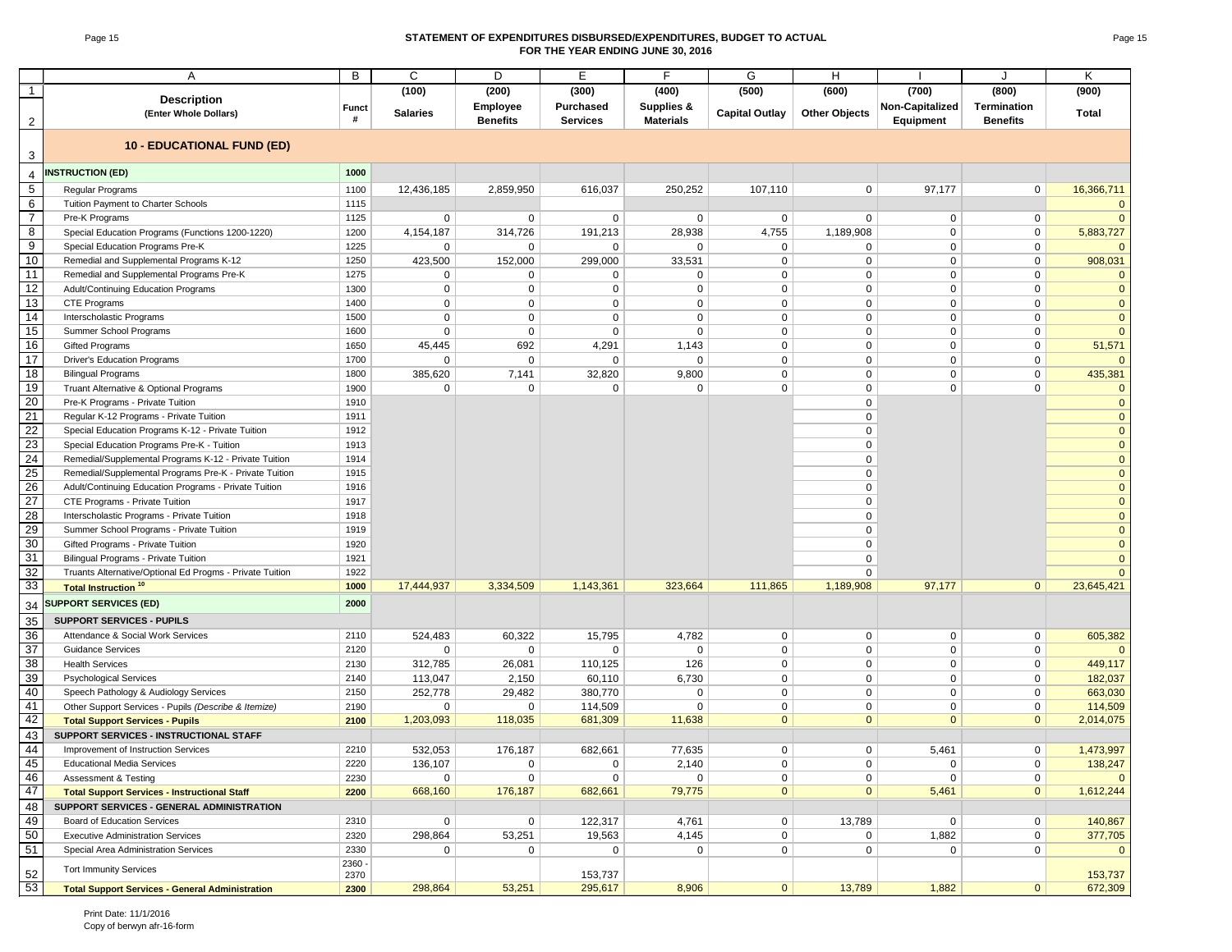#### Page 15 **STATEMENT OF EXPENDITURES DISBURSED/EXPENDITURES, BUDGET TO ACTUAL FOR THE YEAR ENDING JUNE 30, 2016**

|                 | A                                                        | В          | C               | D                                  | Е                            | F                              | G                     | H                    |                 | J                                     | K            |
|-----------------|----------------------------------------------------------|------------|-----------------|------------------------------------|------------------------------|--------------------------------|-----------------------|----------------------|-----------------|---------------------------------------|--------------|
| $\mathbf{1}$    |                                                          |            | (100)           | (200)                              | (300)                        | (400)                          | (500)                 | (600)                | (700)           | (800)                                 | (900)        |
|                 | <b>Description</b>                                       |            |                 |                                    |                              |                                |                       |                      |                 |                                       |              |
|                 | (Enter Whole Dollars)                                    | Funct<br># | <b>Salaries</b> | <b>Employee</b><br><b>Benefits</b> | Purchased<br><b>Services</b> | Supplies &<br><b>Materials</b> | <b>Capital Outlay</b> | <b>Other Objects</b> | Non-Capitalized | <b>Termination</b><br><b>Benefits</b> | Total        |
| $\overline{c}$  |                                                          |            |                 |                                    |                              |                                |                       |                      | Equipment       |                                       |              |
|                 | <b>10 - EDUCATIONAL FUND (ED)</b>                        |            |                 |                                    |                              |                                |                       |                      |                 |                                       |              |
| 3               |                                                          |            |                 |                                    |                              |                                |                       |                      |                 |                                       |              |
| 4               | <b>INSTRUCTION (ED)</b>                                  | 1000       |                 |                                    |                              |                                |                       |                      |                 |                                       |              |
| $\sqrt{5}$      | Regular Programs                                         | 1100       | 12,436,185      | 2,859,950                          | 616,037                      | 250,252                        | 107,110               | 0                    | 97,177          | $\mathbf 0$                           | 16,366,711   |
| 6               | Tuition Payment to Charter Schools                       | 1115       |                 |                                    |                              |                                |                       |                      |                 |                                       |              |
| $\overline{7}$  | Pre-K Programs                                           | 1125       | 0               | $\mathbf 0$                        | $\mathbf 0$                  | $\mathbf 0$                    | 0                     | 0                    | 0               | 0                                     | $\mathbf{0}$ |
| 8               | Special Education Programs (Functions 1200-1220)         | 1200       | 4,154,187       | 314,726                            | 191,213                      | 28,938                         | 4,755                 | 1,189,908            | $\mathbf 0$     | 0                                     | 5,883,727    |
| $\overline{9}$  | Special Education Programs Pre-K                         | 1225       | 0               | 0                                  | $\mathbf 0$                  | $\Omega$                       | 0                     | 0                    | $\mathbf 0$     | 0                                     |              |
| 10              | Remedial and Supplemental Programs K-12                  | 1250       | 423,500         | 152,000                            | 299,000                      | 33,531                         | $\mathbf 0$           | 0                    | $\mathbf 0$     | 0                                     | 908,031      |
| 11              | Remedial and Supplemental Programs Pre-K                 | 1275       | 0               | $\mathbf 0$                        | $\mathbf 0$                  | $\mathbf 0$                    | $\mathbf 0$           | 0                    | $\mathbf 0$     | 0                                     |              |
| 12              | Adult/Continuing Education Programs                      | 1300       | 0               | $\mathbf 0$                        | $\mathbf 0$                  | $\mathbf 0$                    | $\mathbf 0$           | 0                    | $\mathbf 0$     | 0                                     | $\mathbf{0}$ |
| 13              | CTE Programs                                             | 1400       | 0               | $\mathbf 0$                        | $\mathbf 0$                  | $\mathbf 0$                    | $\mathbf 0$           | 0                    | $\mathbf 0$     | $\mathbf 0$                           | $\mathbf{0}$ |
| 14              | Interscholastic Programs                                 | 1500       | 0               | $\mathbf 0$                        | $\mathbf 0$                  | $\overline{0}$                 | $\mathbf 0$           | 0                    | $\mathbf 0$     | $\mathbf 0$                           | $\Omega$     |
| 15              | Summer School Programs                                   | 1600       | 0               | $\mathbf 0$                        | $\mathbf 0$                  | $\overline{0}$                 | $\mathbf 0$           | 0                    | $\mathbf 0$     | $\mathbf 0$                           |              |
| 16              | <b>Gifted Programs</b>                                   | 1650       | 45,445          | 692                                | 4,291                        | 1,143                          | $\mathbf 0$           | 0                    | $\mathbf 0$     | 0                                     | 51,571       |
| 17              | <b>Driver's Education Programs</b>                       | 1700       | 0               | $\mathbf 0$                        | 0                            | $\mathbf 0$                    | $\mathbf 0$           | 0                    | $\mathbf 0$     | 0                                     |              |
| 18              | <b>Bilingual Programs</b>                                | 1800       | 385,620         | 7,141                              | 32,820                       | 9,800                          | $\mathbf 0$           | 0                    | $\mathbf 0$     | 0                                     | 435,381      |
| 19              | Truant Alternative & Optional Programs                   | 1900       | 0               | 0                                  | $\mathbf 0$                  | $\mathbf 0$                    | $\mathbf 0$           | 0                    | $\mathbf 0$     | $\mathbf 0$                           |              |
| 20              | Pre-K Programs - Private Tuition                         | 1910       |                 |                                    |                              |                                |                       | 0                    |                 |                                       | $\Omega$     |
| 21              | Regular K-12 Programs - Private Tuition                  | 1911       |                 |                                    |                              |                                |                       | 0                    |                 |                                       | $\Omega$     |
| 22              | Special Education Programs K-12 - Private Tuition        | 1912       |                 |                                    |                              |                                |                       | 0                    |                 |                                       | $\mathbf{0}$ |
| 23              | Special Education Programs Pre-K - Tuition               | 1913       |                 |                                    |                              |                                |                       | 0                    |                 |                                       | $\mathbf{0}$ |
| 24              | Remedial/Supplemental Programs K-12 - Private Tuition    | 1914       |                 |                                    |                              |                                |                       | 0                    |                 |                                       | $\mathbf{0}$ |
| 25              | Remedial/Supplemental Programs Pre-K - Private Tuition   | 1915       |                 |                                    |                              |                                |                       | $\mathbf 0$          |                 |                                       | $\mathbf{0}$ |
| 26              | Adult/Continuing Education Programs - Private Tuition    | 1916       |                 |                                    |                              |                                |                       | $\mathbf 0$          |                 |                                       | $\mathbf{0}$ |
| 27              | CTE Programs - Private Tuition                           | 1917       |                 |                                    |                              |                                |                       | 0                    |                 |                                       | $\mathbf{0}$ |
| 28              | Interscholastic Programs - Private Tuition               | 1918       |                 |                                    |                              |                                |                       | $\mathbf 0$          |                 |                                       | $\mathbf{0}$ |
| 29              | Summer School Programs - Private Tuition                 | 1919       |                 |                                    |                              |                                |                       | 0                    |                 |                                       | $\mathbf{0}$ |
| 30              | Gifted Programs - Private Tuition                        | 1920       |                 |                                    |                              |                                |                       | 0                    |                 |                                       | $\mathbf{0}$ |
| 31              | Bilingual Programs - Private Tuition                     | 1921       |                 |                                    |                              |                                |                       | 0                    |                 |                                       | $\mathbf{0}$ |
| 32              | Truants Alternative/Optional Ed Progms - Private Tuition | 1922       |                 |                                    |                              |                                |                       | 0                    |                 |                                       |              |
| 33              | <b>Total Instruction<sup>10</sup></b>                    | 1000       | 17,444,937      | 3,334,509                          | 1,143,361                    | 323,664                        | 111,865               | 1,189,908            | 97,177          | $\mathbf{0}$                          | 23,645,421   |
| 34              | <b>SUPPORT SERVICES (ED)</b>                             | 2000       |                 |                                    |                              |                                |                       |                      |                 |                                       |              |
| $\overline{35}$ | <b>SUPPORT SERVICES - PUPILS</b>                         |            |                 |                                    |                              |                                |                       |                      |                 |                                       |              |
| 36              | Attendance & Social Work Services                        | 2110       | 524,483         | 60,322                             | 15,795                       | 4,782                          | 0                     | 0                    | 0               | 0                                     | 605,382      |
| 37              | <b>Guidance Services</b>                                 | 2120       | $\mathbf{0}$    | $\mathbf 0$                        | $\mathbf 0$                  | $\mathbf 0$                    | 0                     | 0                    | $\mathbf 0$     | 0                                     |              |
| 38              | <b>Health Services</b>                                   | 2130       | 312,785         | 26,081                             | 110,125                      | 126                            | $\mathbf 0$           | 0                    | $\mathbf 0$     | 0                                     | 449,117      |
| 39              | <b>Psychological Services</b>                            | 2140       | 113,047         | 2,150                              | 60,110                       | 6,730                          | 0                     | 0                    | $\mathbf 0$     | 0                                     | 182,037      |
| 40              | Speech Pathology & Audiology Services                    | 2150       | 252,778         | 29,482                             | 380,770                      | $\mathbf 0$                    | $\mathbf 0$           | 0                    | $\mathsf 0$     | $\mathbf 0$                           | 663,030      |
| 41              | Other Support Services - Pupils (Describe & Itemize)     | 2190       | $\mathbf 0$     | $\mathbf 0$                        | 114,509                      | $\mathbf 0$                    | $\mathbf 0$           | 0                    | $\mathbf 0$     | $\mathsf{O}\phantom{0}$               | 114,509      |
| 42              | <b>Total Support Services - Pupils</b>                   | 2100       | 1,203,093       | 118,035                            | 681,309                      | 11,638                         | $\mathbf{0}$          | $\overline{0}$       | $\mathbf{0}$    | $\mathbf{0}$                          | 2,014,075    |
| 43              | SUPPORT SERVICES - INSTRUCTIONAL STAFF                   |            |                 |                                    |                              |                                |                       |                      |                 |                                       |              |
| 44              | Improvement of Instruction Services                      | 2210       | 532,053         | 176,187                            | 682,661                      | 77,635                         | $\mathbf 0$           | 0                    | 5,461           | $\mathbf 0$                           | 1,473,997    |
| 45              | <b>Educational Media Services</b>                        | 2220       | 136,107         | 0                                  | 0                            | 2,140                          | 0                     | 0                    | 0               | 0                                     | 138,247      |
| 46              | Assessment & Testing                                     | 2230       | 0               | $\mathbf 0$                        | $\mathbf 0$                  | $\mathbf 0$                    | $\mathbf 0$           | 0                    | $\mathbf 0$     | $\mathsf{O}\phantom{0}$               |              |
| 47              | <b>Total Support Services - Instructional Staff</b>      | 2200       | 668,160         | 176,187                            | 682,661                      | 79,775                         | $\mathbf{0}$          | $\mathbf{0}$         | 5,461           | $\mathbf{0}$                          | 1,612,244    |
| 48              | SUPPORT SERVICES - GENERAL ADMINISTRATION                |            |                 |                                    |                              |                                |                       |                      |                 |                                       |              |
| 49              | Board of Education Services                              | 2310       | 0               | $\mathbf 0$                        | 122,317                      | 4,761                          | 0                     | 13,789               | 0               | $\mathbf 0$                           | 140,867      |
| 50              | <b>Executive Administration Services</b>                 | 2320       | 298,864         | 53,251                             | 19,563                       | 4,145                          | 0                     | 0                    | 1,882           | $\mathbf 0$                           | 377,705      |
| 51              | Special Area Administration Services                     | 2330       | $\mathbf{0}$    | $\mathbf 0$                        | $\mathbf{0}$                 | $\mathbf{0}$                   | 0                     | 0                    | $\mathbf{0}$    | $\mathbf 0$                           | $\mathbf{0}$ |
|                 |                                                          | 2360 -     |                 |                                    |                              |                                |                       |                      |                 |                                       |              |
| 52              | <b>Tort Immunity Services</b>                            | 2370       |                 |                                    | 153,737                      |                                |                       |                      |                 |                                       | 153,737      |
| 53              | <b>Total Support Services - General Administration</b>   | 2300       | 298,864         | 53,251                             | 295,617                      | 8,906                          | 0                     | 13,789               | 1,882           | $\overline{0}$                        | 672,309      |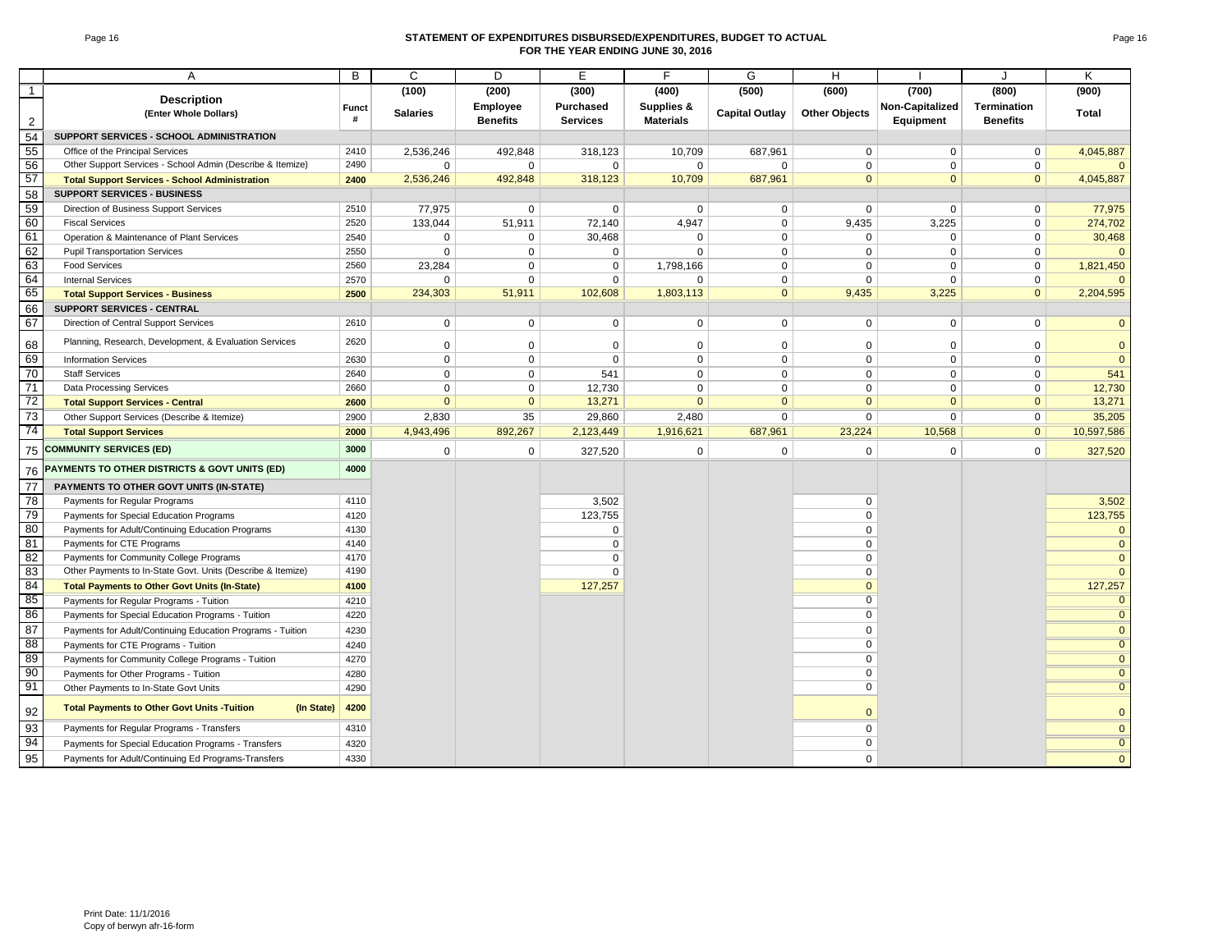#### Page 16 **STATEMENT OF EXPENDITURES DISBURSED/EXPENDITURES, BUDGET TO ACTUAL FOR THE YEAR ENDING JUNE 30, 2016**

|                | A                                                                | B          | C               | D                           | E.                           | F                              | G                     | H                    |                              | $\cdot$                               | Κ              |
|----------------|------------------------------------------------------------------|------------|-----------------|-----------------------------|------------------------------|--------------------------------|-----------------------|----------------------|------------------------------|---------------------------------------|----------------|
| $\mathbf{1}$   |                                                                  |            | (100)           | (200)                       | (300)                        | (400)                          | (500)                 | (600)                | (700)                        | (800)                                 | (900)          |
| $\overline{2}$ | <b>Description</b><br>(Enter Whole Dollars)                      | Funct<br># | <b>Salaries</b> | Employee<br><b>Benefits</b> | Purchased<br><b>Services</b> | Supplies &<br><b>Materials</b> | <b>Capital Outlay</b> | <b>Other Objects</b> | Non-Capitalized<br>Equipment | <b>Termination</b><br><b>Benefits</b> | Total          |
| 54             | SUPPORT SERVICES - SCHOOL ADMINISTRATION                         |            |                 |                             |                              |                                |                       |                      |                              |                                       |                |
| 55             | Office of the Principal Services                                 | 2410       | 2,536,246       | 492,848                     | 318,123                      | 10,709                         | 687,961               | $\mathbf 0$          | $\Omega$                     | $\mathbf{0}$                          | 4,045,887      |
| 56             | Other Support Services - School Admin (Describe & Itemize)       | 2490       | $\mathbf 0$     | $\mathbf 0$                 | $\mathbf 0$                  | $\mathbf 0$                    | $\Omega$              | $\Omega$             | $\Omega$                     | $\mathbf 0$                           |                |
| 57             | <b>Total Support Services - School Administration</b>            | 2400       | 2,536,246       | 492,848                     | 318,123                      | 10,709                         | 687,961               | $\mathbf{0}$         | $\mathbf{0}$                 | $\mathbf{0}$                          | 4,045,887      |
| 58             | <b>SUPPORT SERVICES - BUSINESS</b>                               |            |                 |                             |                              |                                |                       |                      |                              |                                       |                |
| 59             | Direction of Business Support Services                           | 2510       | 77,975          | $\mathbf 0$                 | $\mathbf 0$                  | $\mathbf 0$                    | 0                     | $\mathbf 0$          | $\mathbf 0$                  | $\mathbf 0$                           | 77,975         |
| 60             | <b>Fiscal Services</b>                                           | 2520       | 133,044         | 51,911                      | 72,140                       | 4,947                          | 0                     | 9,435                | 3,225                        | $\mathbf 0$                           | 274,702        |
| 61             | Operation & Maintenance of Plant Services                        | 2540       | $\mathbf{0}$    | $\mathbf 0$                 | 30,468                       | $\Omega$                       | $\mathbf 0$           | $\mathbf 0$          | $\Omega$                     | $\mathbf 0$                           | 30,468         |
| 62             | <b>Pupil Transportation Services</b>                             | 2550       | $\mathbf 0$     | $\mathbf 0$                 | $\mathbf 0$                  | $\mathbf 0$                    | $\mathbf 0$           | $\mathbf 0$          | $\mathsf{O}$                 | $\mathbf 0$                           | $\Omega$       |
| 63             | <b>Food Services</b>                                             | 2560       | 23,284          | $\mathbf 0$                 | $\mathbf 0$                  | 1,798,166                      | $\mathbf 0$           | $\mathbf 0$          | $\mathbf 0$                  | $\mathbf{0}$                          | 1,821,450      |
| 64             | <b>Internal Services</b>                                         | 2570       | $\mathbf{0}$    | $\mathbf 0$                 | $\mathbf 0$                  | $\Omega$                       | $\mathbf 0$           | $\mathbf 0$          | $\mathbf 0$                  | $\mathbf 0$                           |                |
| 65             | <b>Total Support Services - Business</b>                         | 2500       | 234,303         | 51,911                      | 102,608                      | 1,803,113                      | $\mathbf{0}$          | 9,435                | 3,225                        | $\mathbf{0}$                          | 2,204,595      |
| 66             | SUPPORT SERVICES - CENTRAL                                       |            |                 |                             |                              |                                |                       |                      |                              |                                       |                |
| 67             | Direction of Central Support Services                            | 2610       | $\mathbf 0$     | $\mathbf 0$                 | $\mathbf 0$                  | $\mathbf 0$                    | $\mathbf 0$           | $\mathbf 0$          | $\mathbf 0$                  | $\mathbf 0$                           | $\mathbf{0}$   |
| 68             | Planning, Research, Development, & Evaluation Services           | 2620       | $\mathbf 0$     | $\mathbf 0$                 | $\mathbf 0$                  | $\mathbf 0$                    | $\Omega$              | $\Omega$             | $\mathbf 0$                  | $\mathbf 0$                           | $\mathbf{0}$   |
| 69             | <b>Information Services</b>                                      | 2630       | $\mathbf 0$     | $\mathbf 0$                 | $\mathbf 0$                  | $\mathbf 0$                    | $\mathbf 0$           | $\mathbf 0$          | $\mathbf 0$                  | $\mathbf 0$                           | $\mathbf 0$    |
| 70             | <b>Staff Services</b>                                            | 2640       | $\mathbf{0}$    | $\mathbf 0$                 | 541                          | $\mathbf 0$                    | $\mathbf 0$           | $\Omega$             | $\mathbf 0$                  | $\mathbf 0$                           | 541            |
| 71             | <b>Data Processing Services</b>                                  | 2660       | $\Omega$        | $\mathbf 0$                 | 12,730                       | $\Omega$                       | $\Omega$              | $\Omega$             | $\Omega$                     | $\Omega$                              | 12,730         |
| 72             | <b>Total Support Services - Central</b>                          | 2600       | $\mathbf{0}$    | $\mathbf{0}$                | 13,271                       | $\Omega$                       | $\mathbf{0}$          | $\mathbf{0}$         | $\mathbf{0}$                 | $\mathbf{0}$                          | 13,271         |
| 73             | Other Support Services (Describe & Itemize)                      | 2900       | 2,830           | 35                          | 29,860                       | 2,480                          | $\mathbf 0$           | $\mathbf 0$          | $\mathbf{0}$                 | $\mathbf 0$                           | 35,205         |
| 74             | <b>Total Support Services</b>                                    | 2000       | 4,943,496       | 892,267                     | 2,123,449                    | 1,916,621                      | 687,961               | 23,224               | 10,568                       | $\overline{0}$                        | 10,597,586     |
|                | 75 COMMUNITY SERVICES (ED)                                       | 3000       | $\mathbf 0$     | $\mathbf 0$                 | 327,520                      | $\mathbf 0$                    | $\mathbf 0$           | $\mathbf 0$          | $\mathbf 0$                  | $\mathbf 0$                           | 327,520        |
| 76             | PAYMENTS TO OTHER DISTRICTS & GOVT UNITS (ED)                    | 4000       |                 |                             |                              |                                |                       |                      |                              |                                       |                |
| 77             | PAYMENTS TO OTHER GOVT UNITS (IN-STATE)                          |            |                 |                             |                              |                                |                       |                      |                              |                                       |                |
| 78             | Payments for Regular Programs                                    | 4110       |                 |                             | 3,502                        |                                |                       | $\mathbf 0$          |                              |                                       | 3,502          |
| 79             | Payments for Special Education Programs                          | 4120       |                 |                             | 123,755                      |                                |                       | $\mathbf 0$          |                              |                                       | 123,755        |
| 80             | Payments for Adult/Continuing Education Programs                 | 4130       |                 |                             | $\Omega$                     |                                |                       | $\mathbf 0$          |                              |                                       | $\Omega$       |
| 81             | Payments for CTE Programs                                        | 4140       |                 |                             | $\Omega$                     |                                |                       | $\pmb{0}$            |                              |                                       | $\overline{0}$ |
| 82             | Payments for Community College Programs                          | 4170       |                 |                             | $\Omega$                     |                                |                       | $\mathbf 0$          |                              |                                       | $\mathbf{0}$   |
| 83             | Other Payments to In-State Govt. Units (Describe & Itemize)      | 4190       |                 |                             | $\Omega$                     |                                |                       | $\mathbf 0$          |                              |                                       | $\Omega$       |
| 84             | <b>Total Payments to Other Govt Units (In-State)</b>             | 4100       |                 |                             | 127,257                      |                                |                       | $\mathbf 0$          |                              |                                       | 127,257        |
| 85             | Payments for Regular Programs - Tuition                          | 4210       |                 |                             |                              |                                |                       | $\overline{0}$       |                              |                                       | $\Omega$       |
| 86             | Payments for Special Education Programs - Tuition                | 4220       |                 |                             |                              |                                |                       | $\overline{0}$       |                              |                                       | $\overline{0}$ |
| 87             | Payments for Adult/Continuing Education Programs - Tuition       | 4230       |                 |                             |                              |                                |                       | $\mathbf 0$          |                              |                                       | $\mathbf{0}$   |
| 88             | Payments for CTE Programs - Tuition                              | 4240       |                 |                             |                              |                                |                       | $\mathbf 0$          |                              |                                       | $\overline{0}$ |
| 89             | Payments for Community College Programs - Tuition                | 4270       |                 |                             |                              |                                |                       | $\overline{0}$       |                              |                                       | $\overline{0}$ |
| 90             | Payments for Other Programs - Tuition                            | 4280       |                 |                             |                              |                                |                       | $\mathbf 0$          |                              |                                       | $\overline{0}$ |
| 91             | Other Payments to In-State Govt Units                            | 4290       |                 |                             |                              |                                |                       | $\overline{0}$       |                              |                                       | $\overline{0}$ |
| 92             | <b>Total Payments to Other Govt Units -Tuition</b><br>(In State) | 4200       |                 |                             |                              |                                |                       | $\mathbf{0}$         |                              |                                       | $\mathbf{0}$   |
| 93             | Payments for Regular Programs - Transfers                        | 4310       |                 |                             |                              |                                |                       | $\mathbf 0$          |                              |                                       | $\overline{0}$ |
| 94             | Payments for Special Education Programs - Transfers              | 4320       |                 |                             |                              |                                |                       | $\mathbf 0$          |                              |                                       | $\overline{0}$ |
| 95             | Payments for Adult/Continuing Ed Programs-Transfers              | 4330       |                 |                             |                              |                                |                       | $\mathbf 0$          |                              |                                       | $\mathbf{0}$   |
|                |                                                                  |            |                 |                             |                              |                                |                       |                      |                              |                                       |                |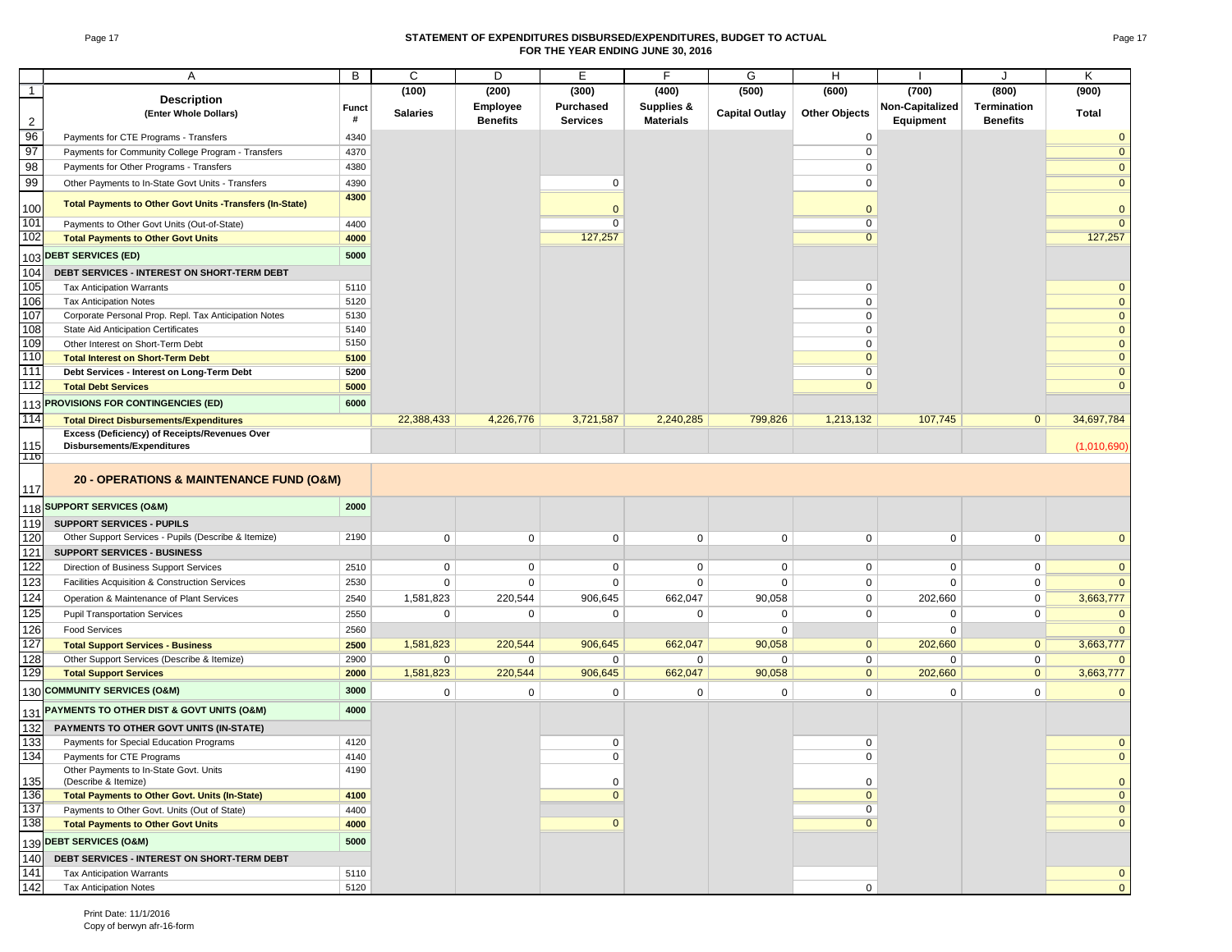#### Page 17 **STATEMENT OF EXPENDITURES DISBURSED/EXPENDITURES, BUDGET TO ACTUAL FOR THE YEAR ENDING JUNE 30, 2016**

|                | Α                                                                                      | B            | C               | D               | Е                | F                | G                     | Н                    |                 | J                  | Κ                            |
|----------------|----------------------------------------------------------------------------------------|--------------|-----------------|-----------------|------------------|------------------|-----------------------|----------------------|-----------------|--------------------|------------------------------|
| $\overline{1}$ |                                                                                        |              | (100)           | (200)           | (300)            | (400)            | (500)                 | (600)                | (700)           | (800)              | (900)                        |
|                | <b>Description</b>                                                                     | <b>Funct</b> |                 | Employee        | <b>Purchased</b> | Supplies &       |                       |                      | Non-Capitalized | <b>Termination</b> |                              |
| $\overline{2}$ | (Enter Whole Dollars)                                                                  | #            | <b>Salaries</b> | <b>Benefits</b> | <b>Services</b>  | <b>Materials</b> | <b>Capital Outlay</b> | <b>Other Objects</b> | Equipment       | <b>Benefits</b>    | <b>Total</b>                 |
| 96             | Payments for CTE Programs - Transfers                                                  | 4340         |                 |                 |                  |                  |                       | 0                    |                 |                    | $\Omega$                     |
| 97             | Payments for Community College Program - Transfers                                     | 4370         |                 |                 |                  |                  |                       | $\mathsf 0$          |                 |                    | $\Omega$                     |
| 98             | Payments for Other Programs - Transfers                                                | 4380         |                 |                 |                  |                  |                       | 0                    |                 |                    | $\overline{0}$               |
| 99             | Other Payments to In-State Govt Units - Transfers                                      | 4390         |                 |                 | $\mathbf 0$      |                  |                       | $\mathbf 0$          |                 |                    | $\overline{0}$               |
|                | <b>Total Payments to Other Govt Units -Transfers (In-State)</b>                        | 4300         |                 |                 |                  |                  |                       |                      |                 |                    |                              |
| 100            |                                                                                        |              |                 |                 | $\mathbf{0}$     |                  |                       | $\mathbf 0$          |                 |                    | $\mathbf{0}$                 |
| 101            | Payments to Other Govt Units (Out-of-State)                                            | 4400         |                 |                 | $\overline{0}$   |                  |                       | $\overline{0}$       |                 |                    | $\overline{0}$               |
| 102            | <b>Total Payments to Other Govt Units</b>                                              | 4000         |                 |                 | 127,257          |                  |                       | $\overline{0}$       |                 |                    | 127,257                      |
|                | 103 DEBT SERVICES (ED)                                                                 | 5000         |                 |                 |                  |                  |                       |                      |                 |                    |                              |
| 104            | DEBT SERVICES - INTEREST ON SHORT-TERM DEBT                                            |              |                 |                 |                  |                  |                       |                      |                 |                    |                              |
| 105            | <b>Tax Anticipation Warrants</b>                                                       | 5110         |                 |                 |                  |                  |                       | 0                    |                 |                    | $\Omega$                     |
| 106            | <b>Tax Anticipation Notes</b>                                                          | 5120         |                 |                 |                  |                  |                       | $\mathbf 0$          |                 |                    | $\mathbf{0}$                 |
| 107            | Corporate Personal Prop. Repl. Tax Anticipation Notes                                  | 5130         |                 |                 |                  |                  |                       | $\mathbf 0$          |                 |                    | $\mathbf{0}$                 |
| 108            | State Aid Anticipation Certificates                                                    | 5140<br>5150 |                 |                 |                  |                  |                       | 0                    |                 |                    | $\mathbf{0}$                 |
| 109<br>110     | Other Interest on Short-Term Debt                                                      |              |                 |                 |                  |                  |                       | 0<br>$\mathbf{0}$    |                 |                    | $\mathbf{0}$<br>$\mathbf{0}$ |
| 111            | <b>Total Interest on Short-Term Debt</b><br>Debt Services - Interest on Long-Term Debt | 5100<br>5200 |                 |                 |                  |                  |                       | 0                    |                 |                    | $\mathbf{0}$                 |
| 112            | <b>Total Debt Services</b>                                                             | 5000         |                 |                 |                  |                  |                       | $\mathbf{0}$         |                 |                    | $\mathbf{0}$                 |
|                |                                                                                        |              |                 |                 |                  |                  |                       |                      |                 |                    |                              |
|                | 113 PROVISIONS FOR CONTINGENCIES (ED)                                                  | 6000         |                 |                 |                  |                  |                       |                      |                 |                    |                              |
| 114            | <b>Total Direct Disbursements/Expenditures</b>                                         |              | 22,388,433      | 4,226,776       | 3,721,587        | 2,240,285        | 799,826               | 1,213,132            | 107,745         | $\mathbf{0}$       | 34,697,784                   |
| 115            | Excess (Deficiency) of Receipts/Revenues Over<br>Disbursements/Expenditures            |              |                 |                 |                  |                  |                       |                      |                 |                    | (1,010,690)                  |
| 110            |                                                                                        |              |                 |                 |                  |                  |                       |                      |                 |                    |                              |
|                |                                                                                        |              |                 |                 |                  |                  |                       |                      |                 |                    |                              |
| 117            | 20 - OPERATIONS & MAINTENANCE FUND (O&M)                                               |              |                 |                 |                  |                  |                       |                      |                 |                    |                              |
|                | 118 SUPPORT SERVICES (O&M)                                                             | 2000         |                 |                 |                  |                  |                       |                      |                 |                    |                              |
| 119            | <b>SUPPORT SERVICES - PUPILS</b>                                                       |              |                 |                 |                  |                  |                       |                      |                 |                    |                              |
| 120            | Other Support Services - Pupils (Describe & Itemize)                                   | 2190         | 0               | $\mathbf 0$     | 0                | 0                | $\mathbf 0$           | 0                    | $\mathbf 0$     | $\mathbf 0$        | $\Omega$                     |
| 121            | <b>SUPPORT SERVICES - BUSINESS</b>                                                     |              |                 |                 |                  |                  |                       |                      |                 |                    |                              |
| 122            | Direction of Business Support Services                                                 | 2510         | 0               | 0               | 0                | 0                | 0                     | 0                    | $\mathbf 0$     | 0                  | $\Omega$                     |
| 123            | Facilities Acquisition & Construction Services                                         | 2530         | $\mathbf 0$     | $\mathbf 0$     | 0                | $\mathbf 0$      | $\mathbf 0$           | $\mathsf{O}$         | $\Omega$        | $\mathbf 0$        | $\Omega$                     |
| 124            | Operation & Maintenance of Plant Services                                              | 2540         | 1,581,823       | 220,544         | 906,645          | 662,047          | 90,058                | 0                    | 202,660         | 0                  | 3,663,777                    |
| 125            | <b>Pupil Transportation Services</b>                                                   | 2550         | 0               | 0               | 0                | $\Omega$         | 0                     | 0                    | 0               | 0                  | $\Omega$                     |
| 126            | <b>Food Services</b>                                                                   | 2560         |                 |                 |                  |                  | $\mathbf 0$           |                      | $\Omega$        |                    | $\Omega$                     |
| 127            | <b>Total Support Services - Business</b>                                               | 2500         | 1,581,823       | 220,544         | 906,645          | 662,047          | 90,058                | $\mathbf{0}$         | 202,660         | $\mathbf{0}$       | 3,663,777                    |
| 128            | Other Support Services (Describe & Itemize)                                            | 2900         | 0               | $\mathbf 0$     | 0                | 0                | $\mathbf 0$           | $\mathbf 0$          | $\Omega$        | $\mathbf 0$        |                              |
| 129            | <b>Total Support Services</b>                                                          | 2000         | 1,581,823       | 220,544         | 906,645          | 662,047          | 90,058                | $\mathbf{0}$         | 202,660         | $\mathbf{0}$       | 3,663,777                    |
|                | 130 COMMUNITY SERVICES (O&M)                                                           | 3000         | $\mathbf 0$     | $\mathbf 0$     | 0                | $\mathbf 0$      | $\mathbf 0$           | $\mathsf{O}$         | $\mathbf 0$     | $\mathbf 0$        | $\mathbf{0}$                 |
|                | PAYMENTS TO OTHER DIST & GOVT UNITS (O&M)                                              | 4000         |                 |                 |                  |                  |                       |                      |                 |                    |                              |
| 131<br>132     |                                                                                        |              |                 |                 |                  |                  |                       |                      |                 |                    |                              |
| 133            | PAYMENTS TO OTHER GOVT UNITS (IN-STATE)                                                | 4120         |                 |                 | 0                |                  |                       | 0                    |                 |                    | $\mathbf 0$                  |
| 134            | Payments for Special Education Programs<br>Payments for CTE Programs                   | 4140         |                 |                 | $\mathbf 0$      |                  |                       | $\mathbf 0$          |                 |                    | $\mathbf{0}$                 |
|                | Other Payments to In-State Govt. Units                                                 | 4190         |                 |                 |                  |                  |                       |                      |                 |                    |                              |
| 135            | (Describe & Itemize)                                                                   |              |                 |                 | $\mathbf 0$      |                  |                       | 0                    |                 |                    | $\mathbf{0}$                 |
| 136            | <b>Total Payments to Other Govt. Units (In-State)</b>                                  | 4100         |                 |                 | $\mathbf{0}$     |                  |                       | $\overline{0}$       |                 |                    | $\mathbf{0}$                 |
| 137            | Payments to Other Govt. Units (Out of State)                                           | 4400         |                 |                 |                  |                  |                       | $\overline{0}$       |                 |                    | $\overline{0}$               |
| 138            | <b>Total Payments to Other Govt Units</b>                                              | 4000         |                 |                 | $\mathbf{0}$     |                  |                       | $\overline{0}$       |                 |                    | $\mathbf{0}$                 |
|                | 139 DEBT SERVICES (O&M)                                                                | 5000         |                 |                 |                  |                  |                       |                      |                 |                    |                              |
| 140            | DEBT SERVICES - INTEREST ON SHORT-TERM DEBT                                            |              |                 |                 |                  |                  |                       |                      |                 |                    |                              |
| 141            | <b>Tax Anticipation Warrants</b>                                                       | 5110         |                 |                 |                  |                  |                       |                      |                 |                    | $\mathbf{0}$                 |
| 142            | <b>Tax Anticipation Notes</b>                                                          | 5120         |                 |                 |                  |                  |                       | 0                    |                 |                    | $\mathbf{0}$                 |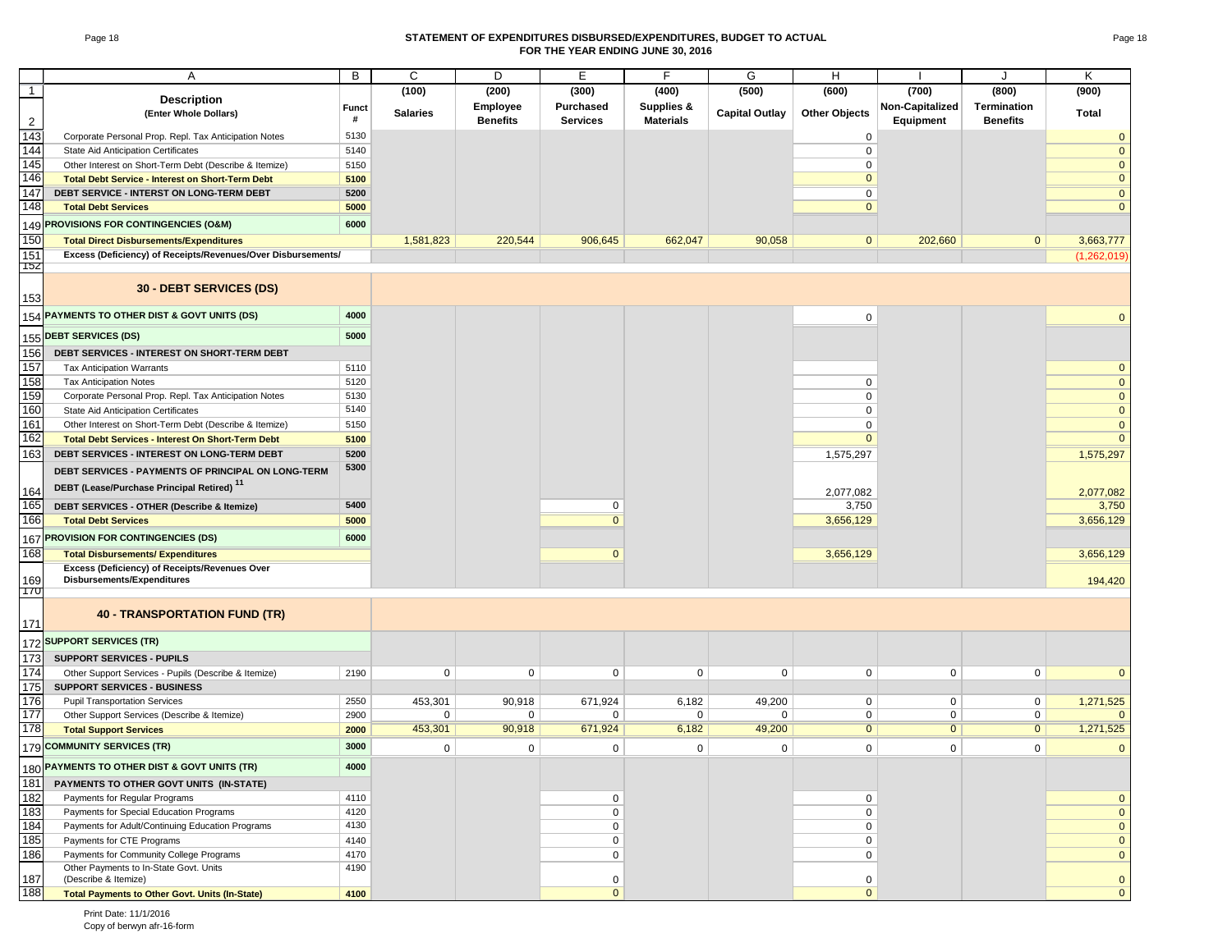#### Page 18 **STATEMENT OF EXPENDITURES DISBURSED/EXPENDITURES, BUDGET TO ACTUAL FOR THE YEAR ENDING JUNE 30, 2016**

|                  | Α                                                                           | В     | C               | D               | Е                | F                | G                     | H                    |                 | J                  | Κ            |
|------------------|-----------------------------------------------------------------------------|-------|-----------------|-----------------|------------------|------------------|-----------------------|----------------------|-----------------|--------------------|--------------|
| $\overline{1}$   | <b>Description</b>                                                          |       | (100)           | (200)           | (300)            | (400)            | (500)                 | (600)                | (700)           | (800)              | (900)        |
|                  | (Enter Whole Dollars)                                                       | Funct | <b>Salaries</b> | <b>Employee</b> | <b>Purchased</b> | Supplies &       | <b>Capital Outlay</b> | <b>Other Objects</b> | Non-Capitalized | <b>Termination</b> | <b>Total</b> |
| $\overline{2}$   |                                                                             | #     |                 | <b>Benefits</b> | <b>Services</b>  | <b>Materials</b> |                       |                      | Equipment       | <b>Benefits</b>    |              |
| $\overline{143}$ | Corporate Personal Prop. Repl. Tax Anticipation Notes                       | 5130  |                 |                 |                  |                  |                       | $\mathbf 0$          |                 |                    |              |
| 144              | State Aid Anticipation Certificates                                         | 5140  |                 |                 |                  |                  |                       | $\mathbf 0$          |                 |                    | $\mathbf 0$  |
| 145              | Other Interest on Short-Term Debt (Describe & Itemize)                      | 5150  |                 |                 |                  |                  |                       | $\mathbf 0$          |                 |                    | $\mathbf{0}$ |
| 146              | <b>Total Debt Service - Interest on Short-Term Debt</b>                     | 5100  |                 |                 |                  |                  |                       | $\Omega$             |                 |                    | $\mathbf{0}$ |
| 147              | DEBT SERVICE - INTERST ON LONG-TERM DEBT                                    | 5200  |                 |                 |                  |                  |                       | $\mathbf 0$          |                 |                    | $\mathbf{0}$ |
| 148              | <b>Total Debt Services</b>                                                  | 5000  |                 |                 |                  |                  |                       | $\mathbf{0}$         |                 |                    | $\mathbf{0}$ |
| 149              | <b>PROVISIONS FOR CONTINGENCIES (O&amp;M)</b>                               | 6000  |                 |                 |                  |                  |                       |                      |                 |                    |              |
| 150              | <b>Total Direct Disbursements/Expenditures</b>                              |       | 1,581,823       | 220,544         | 906,645          | 662,047          | 90,058                | $\mathbf 0$          | 202,660         | $\mathbf{0}$       | 3,663,777    |
| 151              | Excess (Deficiency) of Receipts/Revenues/Over Disbursements/                |       |                 |                 |                  |                  |                       |                      |                 |                    | (1,262,019)  |
| 152              |                                                                             |       |                 |                 |                  |                  |                       |                      |                 |                    |              |
| 153              | 30 - DEBT SERVICES (DS)                                                     |       |                 |                 |                  |                  |                       |                      |                 |                    |              |
| 154              | PAYMENTS TO OTHER DIST & GOVT UNITS (DS)                                    | 4000  |                 |                 |                  |                  |                       | 0                    |                 |                    | $\Omega$     |
| 155              | <b>DEBT SERVICES (DS)</b>                                                   | 5000  |                 |                 |                  |                  |                       |                      |                 |                    |              |
| 156              | DEBT SERVICES - INTEREST ON SHORT-TERM DEBT                                 |       |                 |                 |                  |                  |                       |                      |                 |                    |              |
| 157              | <b>Tax Anticipation Warrants</b>                                            | 5110  |                 |                 |                  |                  |                       |                      |                 |                    | $\mathbf 0$  |
| 158              | <b>Tax Anticipation Notes</b>                                               | 5120  |                 |                 |                  |                  |                       | $\mathbf 0$          |                 |                    | $\mathbf{0}$ |
| 159              | Corporate Personal Prop. Repl. Tax Anticipation Notes                       | 5130  |                 |                 |                  |                  |                       | $\mathbf 0$          |                 |                    | $\mathbf{0}$ |
| 160              | State Aid Anticipation Certificates                                         | 5140  |                 |                 |                  |                  |                       | $\Omega$             |                 |                    | $\mathbf 0$  |
| 161              | Other Interest on Short-Term Debt (Describe & Itemize)                      | 5150  |                 |                 |                  |                  |                       | $\Omega$             |                 |                    | $\Omega$     |
| 162              | <b>Total Debt Services - Interest On Short-Term Debt</b>                    | 5100  |                 |                 |                  |                  |                       | $\Omega$             |                 |                    | $\Omega$     |
| 163              | DEBT SERVICES - INTEREST ON LONG-TERM DEBT                                  | 5200  |                 |                 |                  |                  |                       | 1,575,297            |                 |                    | 1,575,297    |
|                  | DEBT SERVICES - PAYMENTS OF PRINCIPAL ON LONG-TERM                          | 5300  |                 |                 |                  |                  |                       |                      |                 |                    |              |
| 164              | DEBT (Lease/Purchase Principal Retired) <sup>11</sup>                       |       |                 |                 |                  |                  |                       | 2,077,082            |                 |                    | 2,077,082    |
| 165              | DEBT SERVICES - OTHER (Describe & Itemize)                                  | 5400  |                 |                 | $\mathbf 0$      |                  |                       | 3,750                |                 |                    | 3,750        |
| 166              | <b>Total Debt Services</b>                                                  | 5000  |                 |                 | $\overline{0}$   |                  |                       | 3,656,129            |                 |                    | 3,656,129    |
|                  |                                                                             |       |                 |                 |                  |                  |                       |                      |                 |                    |              |
| 167              | PROVISION FOR CONTINGENCIES (DS)                                            | 6000  |                 |                 |                  |                  |                       |                      |                 |                    |              |
| 168              | <b>Total Disbursements/ Expenditures</b>                                    |       |                 |                 | $\mathbf 0$      |                  |                       | 3,656,129            |                 |                    | 3,656,129    |
| 169              | Excess (Deficiency) of Receipts/Revenues Over<br>Disbursements/Expenditures |       |                 |                 |                  |                  |                       |                      |                 |                    | 194,420      |
| 170              |                                                                             |       |                 |                 |                  |                  |                       |                      |                 |                    |              |
| 171              | <b>40 - TRANSPORTATION FUND (TR)</b>                                        |       |                 |                 |                  |                  |                       |                      |                 |                    |              |
| 172              | <b>SUPPORT SERVICES (TR)</b>                                                |       |                 |                 |                  |                  |                       |                      |                 |                    |              |
| 173              | <b>SUPPORT SERVICES - PUPILS</b>                                            |       |                 |                 |                  |                  |                       |                      |                 |                    |              |
| 174              | Other Support Services - Pupils (Describe & Itemize)                        | 2190  | 0               | 0               | 0                | 0                | 0                     | 0                    | 0               | $\mathbf 0$        | $\mathbf 0$  |
| 175              | <b>SUPPORT SERVICES - BUSINESS</b>                                          |       |                 |                 |                  |                  |                       |                      |                 |                    |              |
| 176              | <b>Pupil Transportation Services</b>                                        | 2550  | 453,301         | 90,918          | 671,924          | 6,182            | 49,200                | 0                    | 0               | $\mathbf 0$        | 1,271,525    |
| 177              | Other Support Services (Describe & Itemize)                                 | 2900  | 0               | 0               | 0                | 0                | 0                     | 0                    | 0               | $\mathbf 0$        | $\Omega$     |
| 178              | <b>Total Support Services</b>                                               | 2000  | 453,301         | 90,918          | 671,924          | 6,182            | 49,200                | $\overline{0}$       | $\overline{0}$  | $\overline{0}$     | 1,271,525    |
|                  | 179 COMMUNITY SERVICES (TR)                                                 | 3000  | 0               | $\mathsf 0$     | $\mathsf 0$      | 0                | $\mathsf 0$           | $\mathsf 0$          | $\mathbf 0$     | $\mathsf 0$        | $\mathbf 0$  |
|                  | 180 PAYMENTS TO OTHER DIST & GOVT UNITS (TR)                                | 4000  |                 |                 |                  |                  |                       |                      |                 |                    |              |
| 181              | PAYMENTS TO OTHER GOVT UNITS (IN-STATE)                                     |       |                 |                 |                  |                  |                       |                      |                 |                    |              |
| 182              | Payments for Regular Programs                                               | 4110  |                 |                 | 0                |                  |                       | 0                    |                 |                    | $\mathbf 0$  |
| 183              | Payments for Special Education Programs                                     | 4120  |                 |                 | 0                |                  |                       | 0                    |                 |                    | $\mathbf 0$  |
| 184              | Payments for Adult/Continuing Education Programs                            | 4130  |                 |                 | 0                |                  |                       | $\pmb{0}$            |                 |                    | $\mathbf 0$  |
| 185              | Payments for CTE Programs                                                   | 4140  |                 |                 | 0                |                  |                       | 0                    |                 |                    | $\mathbf 0$  |
| 186              | Payments for Community College Programs                                     | 4170  |                 |                 | 0                |                  |                       | $\mathsf 0$          |                 |                    | $\mathbf 0$  |
|                  | Other Payments to In-State Govt. Units                                      | 4190  |                 |                 |                  |                  |                       |                      |                 |                    |              |
| 187              | (Describe & Itemize)                                                        |       |                 |                 | 0                |                  |                       | 0                    |                 |                    | $\mathbf 0$  |
| 188              | <b>Total Payments to Other Govt. Units (In-State)</b>                       | 4100  |                 |                 | $\mathbf 0$      |                  |                       | $\mathbf 0$          |                 |                    | $\pmb{0}$    |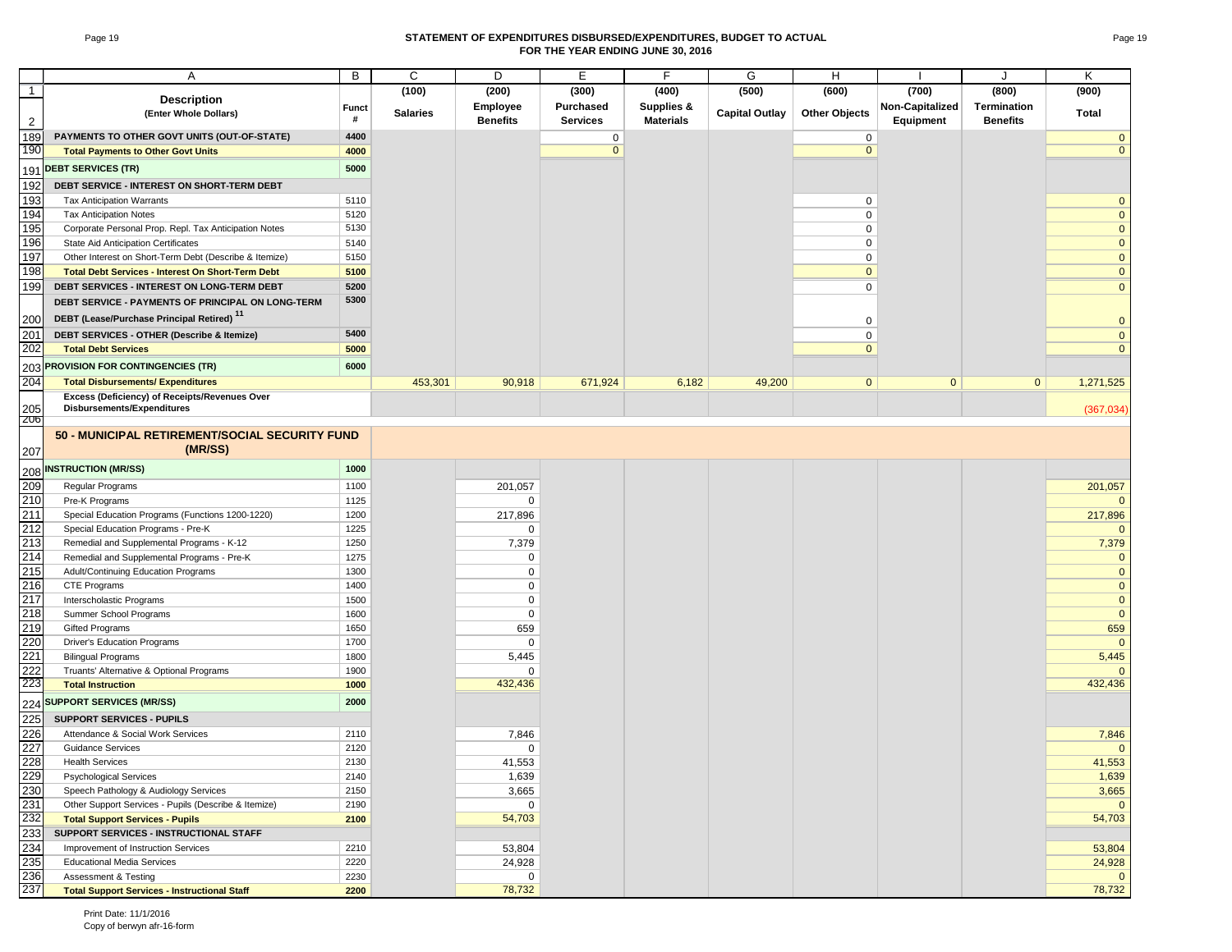#### Page 19 **STATEMENT OF EXPENDITURES DISBURSED/EXPENDITURES, BUDGET TO ACTUAL FOR THE YEAR ENDING JUNE 30, 2016**

|                   | Α                                                                                       | В            | C               | D                     | Е                | F                     | G                     | H                    |                 |                 | Κ                  |
|-------------------|-----------------------------------------------------------------------------------------|--------------|-----------------|-----------------------|------------------|-----------------------|-----------------------|----------------------|-----------------|-----------------|--------------------|
| $\mathbf{1}$      |                                                                                         |              | (100)           | (200)                 | (300)            | (400)                 | (500)                 | (600)                | (700)           | (800)           | (900)              |
|                   | <b>Description</b>                                                                      | <b>Funct</b> |                 | Employee              | <b>Purchased</b> | <b>Supplies &amp;</b> |                       |                      | Non-Capitalized | Termination     |                    |
| $\overline{2}$    | (Enter Whole Dollars)                                                                   | #            | <b>Salaries</b> | <b>Benefits</b>       | <b>Services</b>  | <b>Materials</b>      | <b>Capital Outlay</b> | <b>Other Objects</b> | Equipment       | <b>Benefits</b> | Total              |
| 189               | PAYMENTS TO OTHER GOVT UNITS (OUT-OF-STATE)                                             | 4400         |                 |                       | $\mathbf 0$      |                       |                       | $\mathbf 0$          |                 |                 | $\mathbf{0}$       |
| 190               | <b>Total Payments to Other Govt Units</b>                                               | 4000         |                 |                       | $\mathbf{0}$     |                       |                       | $\mathbf{0}$         |                 |                 | $\mathbf{0}$       |
| 191               | <b>DEBT SERVICES (TR)</b>                                                               | 5000         |                 |                       |                  |                       |                       |                      |                 |                 |                    |
| 192               | DEBT SERVICE - INTEREST ON SHORT-TERM DEBT                                              |              |                 |                       |                  |                       |                       |                      |                 |                 |                    |
| 193               | <b>Tax Anticipation Warrants</b>                                                        | 5110         |                 |                       |                  |                       |                       | 0                    |                 |                 | $\mathbf{0}$       |
| 194               | <b>Tax Anticipation Notes</b>                                                           | 5120         |                 |                       |                  |                       |                       | $\mathbf 0$          |                 |                 | $\mathbf{0}$       |
| 195               | Corporate Personal Prop. Repl. Tax Anticipation Notes                                   | 5130         |                 |                       |                  |                       |                       | 0                    |                 |                 | $\mathbf 0$        |
| 196               | <b>State Aid Anticipation Certificates</b>                                              | 5140         |                 |                       |                  |                       |                       | $\mathbf 0$          |                 |                 | $\mathbf{0}$       |
| 197               | Other Interest on Short-Term Debt (Describe & Itemize)                                  | 5150         |                 |                       |                  |                       |                       | 0                    |                 |                 | $\mathbf{0}$       |
| 198               | <b>Total Debt Services - Interest On Short-Term Debt</b>                                | 5100         |                 |                       |                  |                       |                       | $\mathbf{0}$         |                 |                 | $\mathbf 0$        |
| 199               | DEBT SERVICES - INTEREST ON LONG-TERM DEBT                                              | 5200         |                 |                       |                  |                       |                       | $\mathbf 0$          |                 |                 | $\mathbf 0$        |
|                   | DEBT SERVICE - PAYMENTS OF PRINCIPAL ON LONG-TERM                                       | 5300         |                 |                       |                  |                       |                       |                      |                 |                 |                    |
| 200               | DEBT (Lease/Purchase Principal Retired) <sup>11</sup>                                   |              |                 |                       |                  |                       |                       | 0                    |                 |                 | $\mathbf{0}$       |
| 201               | DEBT SERVICES - OTHER (Describe & Itemize)                                              | 5400         |                 |                       |                  |                       |                       | $\Omega$             |                 |                 | $\mathbf{0}$       |
| 202               | <b>Total Debt Services</b>                                                              | 5000         |                 |                       |                  |                       |                       | $\Omega$             |                 |                 | $\Omega$           |
|                   | 203 PROVISION FOR CONTINGENCIES (TR)                                                    | 6000         |                 |                       |                  |                       |                       |                      |                 |                 |                    |
| 204               | <b>Total Disbursements/ Expenditures</b>                                                |              | 453,301         | 90,918                | 671,924          | 6,182                 | 49,200                | $\mathbf{0}$         | $\mathbf{0}$    | $\mathbf{0}$    | 1,271,525          |
|                   | Excess (Deficiency) of Receipts/Revenues Over                                           |              |                 |                       |                  |                       |                       |                      |                 |                 |                    |
| 205<br>206        | <b>Disbursements/Expenditures</b>                                                       |              |                 |                       |                  |                       |                       |                      |                 |                 | (367,034)          |
|                   | 50 - MUNICIPAL RETIREMENT/SOCIAL SECURITY FUND                                          |              |                 |                       |                  |                       |                       |                      |                 |                 |                    |
| 207               | (MR/SS)                                                                                 |              |                 |                       |                  |                       |                       |                      |                 |                 |                    |
|                   |                                                                                         |              |                 |                       |                  |                       |                       |                      |                 |                 |                    |
| 208               | <b>INSTRUCTION (MR/SS)</b>                                                              | 1000         |                 |                       |                  |                       |                       |                      |                 |                 |                    |
| 209               | Regular Programs                                                                        | 1100         |                 | 201,057               |                  |                       |                       |                      |                 |                 | 201,057            |
| 210               | Pre-K Programs                                                                          | 1125         |                 | $\mathbf 0$           |                  |                       |                       |                      |                 |                 | $\Omega$           |
| 211<br>212        | Special Education Programs (Functions 1200-1220)                                        | 1200         |                 | 217,896               |                  |                       |                       |                      |                 |                 | 217,896            |
| 213               | Special Education Programs - Pre-K                                                      | 1225<br>1250 |                 | $\mathbf 0$           |                  |                       |                       |                      |                 |                 | $\Omega$<br>7,379  |
| 214               | Remedial and Supplemental Programs - K-12<br>Remedial and Supplemental Programs - Pre-K | 1275         |                 | 7,379<br>$\mathbf 0$  |                  |                       |                       |                      |                 |                 | $\mathbf{0}$       |
| 215               | Adult/Continuing Education Programs                                                     | 1300         |                 | $\mathbf 0$           |                  |                       |                       |                      |                 |                 | $\mathbf{0}$       |
| 216               | CTE Programs                                                                            | 1400         |                 | $\Omega$              |                  |                       |                       |                      |                 |                 | $\mathbf{0}$       |
| 217               | Interscholastic Programs                                                                | 1500         |                 | 0                     |                  |                       |                       |                      |                 |                 | $\mathbf{0}$       |
| 218               | Summer School Programs                                                                  | 1600         |                 | $\mathbf 0$           |                  |                       |                       |                      |                 |                 | $\overline{0}$     |
| 219               | <b>Gifted Programs</b>                                                                  | 1650         |                 | 659                   |                  |                       |                       |                      |                 |                 | 659                |
| 220               | Driver's Education Programs                                                             | 1700         |                 | $\mathbf 0$           |                  |                       |                       |                      |                 |                 | $\overline{0}$     |
| 221               | <b>Bilingual Programs</b>                                                               | 1800         |                 | 5,445                 |                  |                       |                       |                      |                 |                 | 5,445              |
| 222               | Truants' Alternative & Optional Programs                                                | 1900         |                 | $\Omega$              |                  |                       |                       |                      |                 |                 |                    |
| 223               | <b>Total Instruction</b>                                                                | 1000         |                 | 432,436               |                  |                       |                       |                      |                 |                 | 432,436            |
| 224               | <b>SUPPORT SERVICES (MR/SS)</b>                                                         | 2000         |                 |                       |                  |                       |                       |                      |                 |                 |                    |
| 225               | <b>SUPPORT SERVICES - PUPILS</b>                                                        |              |                 |                       |                  |                       |                       |                      |                 |                 |                    |
| 226               | Attendance & Social Work Services                                                       | 2110         |                 | 7,846                 |                  |                       |                       |                      |                 |                 | 7,846              |
| 227               | <b>Guidance Services</b>                                                                | 2120         |                 | $\mathbf 0$           |                  |                       |                       |                      |                 |                 | $\mathbf{0}$       |
| 228               | <b>Health Services</b>                                                                  | 2130         |                 | 41,553                |                  |                       |                       |                      |                 |                 | 41,553             |
| 229               | Psychological Services                                                                  | 2140         |                 | 1,639                 |                  |                       |                       |                      |                 |                 | 1,639              |
| 230               | Speech Pathology & Audiology Services                                                   | 2150         |                 | 3,665                 |                  |                       |                       |                      |                 |                 | 3,665              |
| $\frac{231}{232}$ | Other Support Services - Pupils (Describe & Itemize)                                    | 2190         |                 | $\mathbf 0$<br>54,703 |                  |                       |                       |                      |                 |                 | $\Omega$<br>54,703 |
| 233               | <b>Total Support Services - Pupils</b>                                                  | 2100         |                 |                       |                  |                       |                       |                      |                 |                 |                    |
|                   | SUPPORT SERVICES - INSTRUCTIONAL STAFF                                                  | 2210         |                 |                       |                  |                       |                       |                      |                 |                 |                    |
| 234<br>235        | Improvement of Instruction Services<br><b>Educational Media Services</b>                | 2220         |                 | 53,804<br>24,928      |                  |                       |                       |                      |                 |                 | 53,804<br>24,928   |
| 236               | Assessment & Testing                                                                    | 2230         |                 | 0                     |                  |                       |                       |                      |                 |                 |                    |
| 237               | <b>Total Support Services - Instructional Staff</b>                                     | 2200         |                 | 78,732                |                  |                       |                       |                      |                 |                 | 78,732             |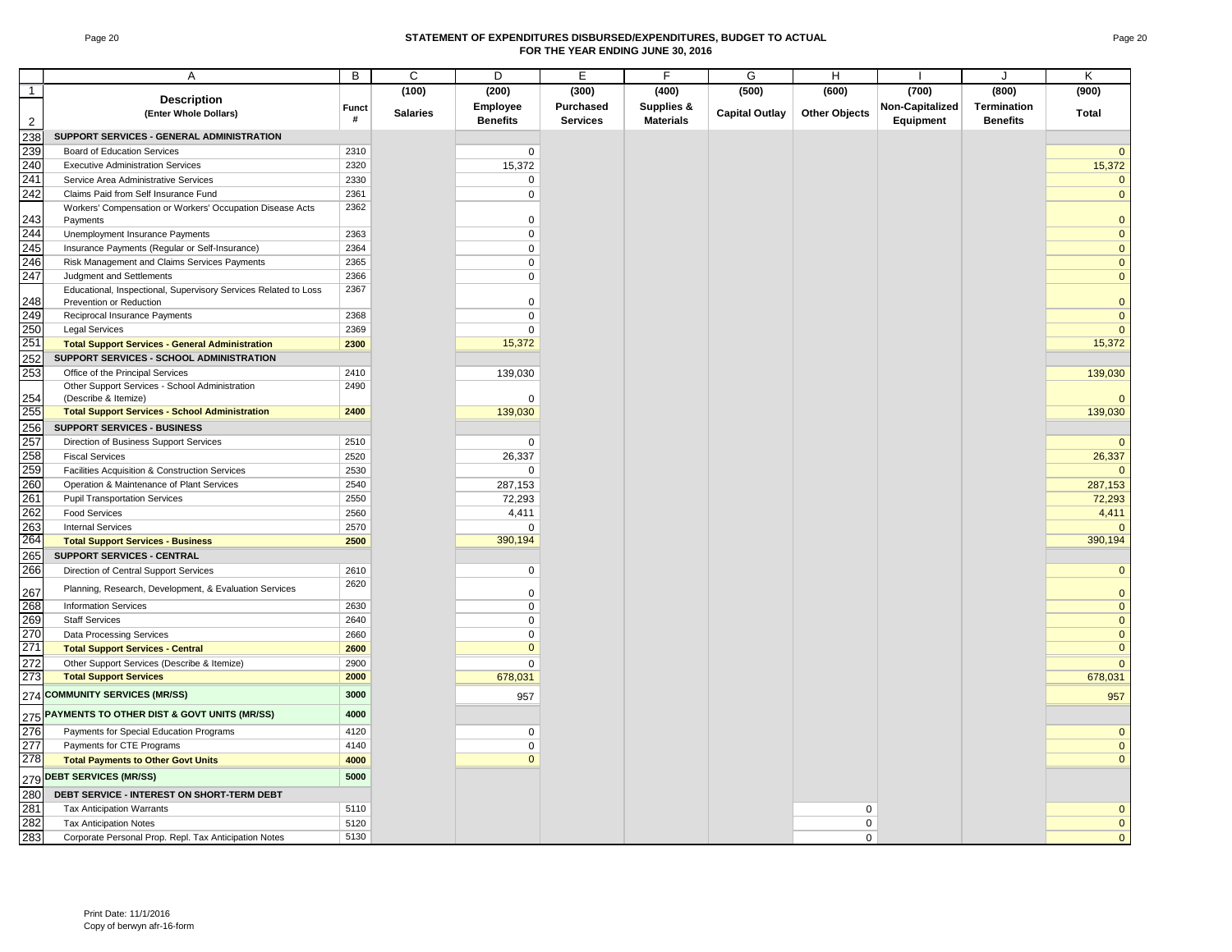#### Page 20 **STATEMENT OF EXPENDITURES DISBURSED/EXPENDITURES, BUDGET TO ACTUAL FOR THE YEAR ENDING JUNE 30, 2016**

|                | Α                                                                                          | B            | C               | D               | E               | F                | G                     | H                          |                 | J               | K                           |
|----------------|--------------------------------------------------------------------------------------------|--------------|-----------------|-----------------|-----------------|------------------|-----------------------|----------------------------|-----------------|-----------------|-----------------------------|
| $\overline{1}$ |                                                                                            |              | (100)           | (200)           | (300)           | (400)            | (500)                 | (600)                      | (700)           | (800)           | (900)                       |
|                | <b>Description</b>                                                                         | <b>Funct</b> |                 | Employee        | Purchased       | Supplies &       |                       |                            | Non-Capitalized | Termination     |                             |
| $\overline{2}$ | (Enter Whole Dollars)                                                                      | #            | <b>Salaries</b> | <b>Benefits</b> | <b>Services</b> | <b>Materials</b> | <b>Capital Outlay</b> | <b>Other Objects</b>       | Equipment       | <b>Benefits</b> | Total                       |
| 238            | SUPPORT SERVICES - GENERAL ADMINISTRATION                                                  |              |                 |                 |                 |                  |                       |                            |                 |                 |                             |
| 239            | <b>Board of Education Services</b>                                                         | 2310         |                 | $\mathbf 0$     |                 |                  |                       |                            |                 |                 | $\mathbf{0}$                |
| 240            | <b>Executive Administration Services</b>                                                   | 2320         |                 | 15,372          |                 |                  |                       |                            |                 |                 | 15,372                      |
| 241            | Service Area Administrative Services                                                       | 2330         |                 | $\mathbf 0$     |                 |                  |                       |                            |                 |                 | $\mathbf{0}$                |
| 242            | Claims Paid from Self Insurance Fund                                                       | 2361         |                 | 0               |                 |                  |                       |                            |                 |                 | $\mathbf 0$                 |
| 243            | Workers' Compensation or Workers' Occupation Disease Acts<br>Payments                      | 2362         |                 | $\Omega$        |                 |                  |                       |                            |                 |                 | $\mathbf 0$                 |
| 244            | Unemployment Insurance Payments                                                            | 2363         |                 | $\Omega$        |                 |                  |                       |                            |                 |                 | $\mathbf 0$                 |
| 245            | Insurance Payments (Regular or Self-Insurance)                                             | 2364         |                 | 0               |                 |                  |                       |                            |                 |                 | $\pmb{0}$                   |
| 246            | Risk Management and Claims Services Payments                                               | 2365         |                 | 0               |                 |                  |                       |                            |                 |                 | $\mathbf 0$                 |
| 247            | Judgment and Settlements                                                                   | 2366         |                 | 0               |                 |                  |                       |                            |                 |                 | $\mathbf{0}$                |
| 248            | Educational, Inspectional, Supervisory Services Related to Loss<br>Prevention or Reduction | 2367         |                 | $\Omega$        |                 |                  |                       |                            |                 |                 | $\mathbf{0}$                |
| 249            | Reciprocal Insurance Payments                                                              | 2368         |                 | 0               |                 |                  |                       |                            |                 |                 | $\mathbf{0}$                |
| 250            | <b>Legal Services</b>                                                                      | 2369         |                 | $\mathbf 0$     |                 |                  |                       |                            |                 |                 | $\mathbf{0}$                |
| 251            | <b>Total Support Services - General Administration</b>                                     | 2300         |                 | 15,372          |                 |                  |                       |                            |                 |                 | 15,372                      |
| 252            | SUPPORT SERVICES - SCHOOL ADMINISTRATION                                                   |              |                 |                 |                 |                  |                       |                            |                 |                 |                             |
| 253            | Office of the Principal Services                                                           | 2410         |                 | 139,030         |                 |                  |                       |                            |                 |                 | 139,030                     |
|                | Other Support Services - School Administration                                             | 2490         |                 |                 |                 |                  |                       |                            |                 |                 |                             |
| 254            | (Describe & Itemize)                                                                       |              |                 | $\Omega$        |                 |                  |                       |                            |                 |                 | $\mathbf{0}$                |
| 255            | <b>Total Support Services - School Administration</b>                                      | 2400         |                 | 139,030         |                 |                  |                       |                            |                 |                 | 139,030                     |
| 256            | SUPPORT SERVICES - BUSINESS                                                                |              |                 |                 |                 |                  |                       |                            |                 |                 |                             |
| 257            | Direction of Business Support Services                                                     | 2510         |                 | 0               |                 |                  |                       |                            |                 |                 | $\mathbf{0}$                |
| 258            | <b>Fiscal Services</b>                                                                     | 2520         |                 | 26,337          |                 |                  |                       |                            |                 |                 | 26,337                      |
| 259            | Facilities Acquisition & Construction Services                                             | 2530         |                 | 0               |                 |                  |                       |                            |                 |                 | $\mathbf{0}$                |
| 260            | Operation & Maintenance of Plant Services                                                  | 2540         |                 | 287,153         |                 |                  |                       |                            |                 |                 | 287,153                     |
| 261            | <b>Pupil Transportation Services</b>                                                       | 2550         |                 | 72,293          |                 |                  |                       |                            |                 |                 | 72,293                      |
| 262            | <b>Food Services</b>                                                                       | 2560         |                 | 4,411           |                 |                  |                       |                            |                 |                 | 4,411                       |
| 263            | <b>Internal Services</b>                                                                   | 2570         |                 | $\Omega$        |                 |                  |                       |                            |                 |                 | $\mathbf{0}$                |
| 264            | <b>Total Support Services - Business</b>                                                   | 2500         |                 | 390,194         |                 |                  |                       |                            |                 |                 | 390,194                     |
| 265            | SUPPORT SERVICES - CENTRAL                                                                 |              |                 |                 |                 |                  |                       |                            |                 |                 |                             |
| 266            | Direction of Central Support Services                                                      | 2610         |                 | 0               |                 |                  |                       |                            |                 |                 | $\mathbf{0}$                |
| 267            | Planning, Research, Development, & Evaluation Services                                     | 2620         |                 | $\mathbf 0$     |                 |                  |                       |                            |                 |                 | $\mathbf 0$                 |
| 268            | <b>Information Services</b>                                                                | 2630         |                 | 0               |                 |                  |                       |                            |                 |                 | $\mathbf 0$                 |
| 269            | <b>Staff Services</b>                                                                      | 2640         |                 | $\Omega$        |                 |                  |                       |                            |                 |                 | $\mathbf{0}$                |
| 270            | <b>Data Processing Services</b>                                                            | 2660         |                 | 0               |                 |                  |                       |                            |                 |                 | $\mathbf 0$                 |
| 271            | <b>Total Support Services - Central</b>                                                    | 2600         |                 | $\mathbf{0}$    |                 |                  |                       |                            |                 |                 | $\mathbf{0}$                |
| 272            | Other Support Services (Describe & Itemize)                                                | 2900         |                 | 0               |                 |                  |                       |                            |                 |                 | $\mathbf 0$                 |
| 273            | <b>Total Support Services</b>                                                              | 2000         |                 | 678,031         |                 |                  |                       |                            |                 |                 | 678,031                     |
|                | 274 COMMUNITY SERVICES (MR/SS)                                                             | 3000         |                 | 957             |                 |                  |                       |                            |                 |                 | 957                         |
|                | 275 PAYMENTS TO OTHER DIST & GOVT UNITS (MR/SS)                                            | 4000         |                 |                 |                 |                  |                       |                            |                 |                 |                             |
| 276            | Payments for Special Education Programs                                                    | 4120         |                 | $\mathbf 0$     |                 |                  |                       |                            |                 |                 | $\mathbf{0}$                |
| 277            | Payments for CTE Programs                                                                  | 4140         |                 | 0               |                 |                  |                       |                            |                 |                 | $\mathbf 0$                 |
| 278            | <b>Total Payments to Other Govt Units</b>                                                  | 4000         |                 | $\mathbf{0}$    |                 |                  |                       |                            |                 |                 | $\mathbf{0}$                |
|                | 279 DEBT SERVICES (MR/SS)                                                                  | 5000         |                 |                 |                 |                  |                       |                            |                 |                 |                             |
|                | DEBT SERVICE - INTEREST ON SHORT-TERM DEBT                                                 |              |                 |                 |                 |                  |                       |                            |                 |                 |                             |
| 280<br>281     |                                                                                            | 5110         |                 |                 |                 |                  |                       |                            |                 |                 |                             |
| 282            | <b>Tax Anticipation Warrants</b><br><b>Tax Anticipation Notes</b>                          | 5120         |                 |                 |                 |                  |                       | $\mathbf 0$<br>$\mathbf 0$ |                 |                 | $\mathbf{0}$<br>$\mathbf 0$ |
| 283            | Corporate Personal Prop. Repl. Tax Anticipation Notes                                      | 5130         |                 |                 |                 |                  |                       | $\Omega$                   |                 |                 | $\overline{0}$              |
|                |                                                                                            |              |                 |                 |                 |                  |                       |                            |                 |                 |                             |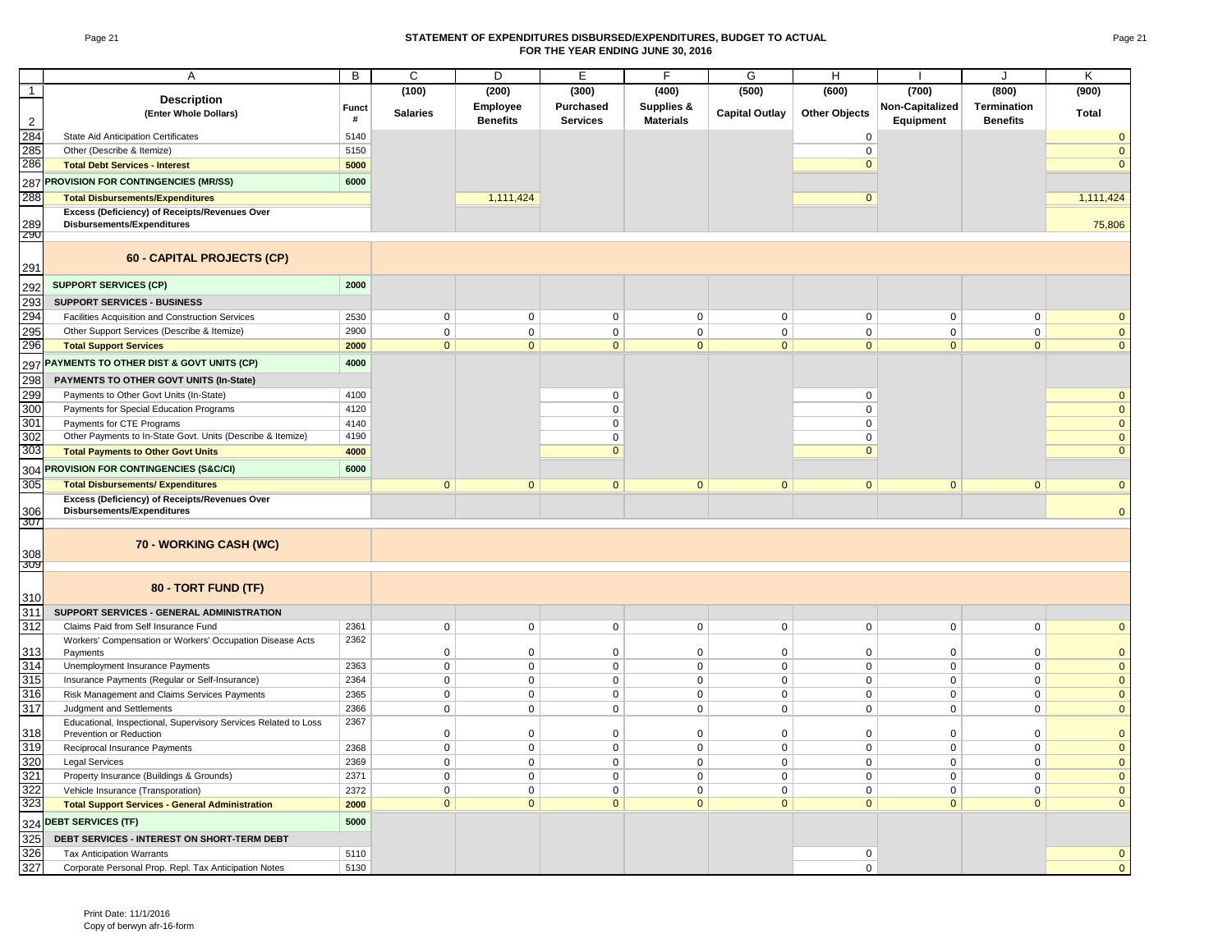#### Page 21 **STATEMENT OF EXPENDITURES DISBURSED/EXPENDITURES, BUDGET TO ACTUAL FOR THE YEAR ENDING JUNE 30, 2016**

|                   | Α                                                                        | B            | C               | D               | E               | F                | G                     | H                           |                 | $\cdot$            | K                        |
|-------------------|--------------------------------------------------------------------------|--------------|-----------------|-----------------|-----------------|------------------|-----------------------|-----------------------------|-----------------|--------------------|--------------------------|
| $\mathbf{1}$      |                                                                          |              | (100)           | (200)           | (300)           | (400)            | (500)                 | (600)                       | (700)           | (800)              | (900)                    |
|                   | <b>Description</b>                                                       | <b>Funct</b> |                 | Employee        | Purchased       | Supplies &       |                       |                             | Non-Capitalized | <b>Termination</b> |                          |
|                   | (Enter Whole Dollars)                                                    | #            | <b>Salaries</b> | <b>Benefits</b> | <b>Services</b> | <b>Materials</b> | <b>Capital Outlay</b> | <b>Other Objects</b>        | Equipment       | <b>Benefits</b>    | Total                    |
| $\mathbf 2$       |                                                                          |              |                 |                 |                 |                  |                       |                             |                 |                    |                          |
| 284<br>285        | <b>State Aid Anticipation Certificates</b><br>Other (Describe & Itemize) | 5140<br>5150 |                 |                 |                 |                  |                       | $\mathsf 0$                 |                 |                    | $\mathbf{0}$<br>$\Omega$ |
| 286               |                                                                          |              |                 |                 |                 |                  |                       | $\mathsf 0$<br>$\mathbf{0}$ |                 |                    | $\mathbf{0}$             |
|                   | <b>Total Debt Services - Interest</b>                                    | 5000         |                 |                 |                 |                  |                       |                             |                 |                    |                          |
| 287               | <b>PROVISION FOR CONTINGENCIES (MR/SS)</b>                               | 6000         |                 |                 |                 |                  |                       |                             |                 |                    |                          |
| 288               | <b>Total Disbursements/Expenditures</b>                                  |              |                 | 1,111,424       |                 |                  |                       | $\mathbf 0$                 |                 |                    | 1,111,424                |
|                   | Excess (Deficiency) of Receipts/Revenues Over                            |              |                 |                 |                 |                  |                       |                             |                 |                    |                          |
| 289<br><b>Z90</b> | Disbursements/Expenditures                                               |              |                 |                 |                 |                  |                       |                             |                 |                    | 75,806                   |
|                   |                                                                          |              |                 |                 |                 |                  |                       |                             |                 |                    |                          |
| 291               | 60 - CAPITAL PROJECTS (CP)                                               |              |                 |                 |                 |                  |                       |                             |                 |                    |                          |
| 292               | <b>SUPPORT SERVICES (CP)</b>                                             | 2000         |                 |                 |                 |                  |                       |                             |                 |                    |                          |
| 293               | <b>SUPPORT SERVICES - BUSINESS</b>                                       |              |                 |                 |                 |                  |                       |                             |                 |                    |                          |
| 294               | Facilities Acquisition and Construction Services                         | 2530         | $\mathbf 0$     | $\mathbf 0$     | 0               | $\mathbf 0$      | $\mathbf 0$           | $\mathbf 0$                 | $\mathbf 0$     | $\mathbf 0$        | $\mathbf{0}$             |
| 295               | Other Support Services (Describe & Itemize)                              | 2900         | $\mathbf 0$     | $\mathbf 0$     | 0               | $\mathbf 0$      | $\mathbf 0$           | $\mathbf 0$                 | $\mathbf 0$     | $\mathbf 0$        | $\mathbf 0$              |
| 296               | <b>Total Support Services</b>                                            | 2000         | $\mathbf{0}$    | $\mathbf{0}$    | $\overline{0}$  | $\mathbf{0}$     | $\mathbf{0}$          | $\mathbf{0}$                | $\mathbf{0}$    | $\mathbf{0}$       | $\Omega$                 |
|                   |                                                                          |              |                 |                 |                 |                  |                       |                             |                 |                    |                          |
| 297               | PAYMENTS TO OTHER DIST & GOVT UNITS (CP)                                 | 4000         |                 |                 |                 |                  |                       |                             |                 |                    |                          |
| 298               | PAYMENTS TO OTHER GOVT UNITS (In-State)                                  |              |                 |                 |                 |                  |                       |                             |                 |                    |                          |
| 299               | Payments to Other Govt Units (In-State)                                  | 4100         |                 |                 | 0               |                  |                       | $\mathbf 0$                 |                 |                    | $\mathbf 0$              |
| 300               | Payments for Special Education Programs                                  | 4120         |                 |                 | $\mathbf 0$     |                  |                       | $\mathbf 0$                 |                 |                    | $\overline{0}$           |
| 301               | Payments for CTE Programs                                                | 4140         |                 |                 | 0               |                  |                       | 0                           |                 |                    | $\mathbf 0$              |
| 302               | Other Payments to In-State Govt. Units (Describe & Itemize)              | 4190         |                 |                 | $\mathbf{0}$    |                  |                       | $\mathbf 0$                 |                 |                    | $\mathbf{0}$             |
| 303               | <b>Total Payments to Other Govt Units</b>                                | 4000         |                 |                 | $\mathbf{0}$    |                  |                       | $\overline{0}$              |                 |                    | $\mathbf{0}$             |
| 304               | PROVISION FOR CONTINGENCIES (S&C/CI)                                     | 6000         |                 |                 |                 |                  |                       |                             |                 |                    |                          |
| 305               | <b>Total Disbursements/ Expenditures</b>                                 |              | $\mathbf{0}$    | $\mathbf{0}$    | $\overline{0}$  | $\mathbf{0}$     | $\mathbf{0}$          | $\overline{0}$              | $\mathbf{0}$    | $\mathbf{0}$       | $\Omega$                 |
|                   | Excess (Deficiency) of Receipts/Revenues Over                            |              |                 |                 |                 |                  |                       |                             |                 |                    |                          |
| 306               | Disbursements/Expenditures                                               |              |                 |                 |                 |                  |                       |                             |                 |                    | $\mathbf{0}$             |
| 307               |                                                                          |              |                 |                 |                 |                  |                       |                             |                 |                    |                          |
|                   | 70 - WORKING CASH (WC)                                                   |              |                 |                 |                 |                  |                       |                             |                 |                    |                          |
| 308               |                                                                          |              |                 |                 |                 |                  |                       |                             |                 |                    |                          |
| 309               |                                                                          |              |                 |                 |                 |                  |                       |                             |                 |                    |                          |
| 310               | 80 - TORT FUND (TF)                                                      |              |                 |                 |                 |                  |                       |                             |                 |                    |                          |
| 311               | SUPPORT SERVICES - GENERAL ADMINISTRATION                                |              |                 |                 |                 |                  |                       |                             |                 |                    |                          |
| 312               | Claims Paid from Self Insurance Fund                                     | 2361         | $\mathbf 0$     | $\mathbf 0$     | 0               | $\mathbf 0$      | $\mathbf 0$           | $\mathbf 0$                 | $\mathbf 0$     | $\mathbf 0$        | $\Omega$                 |
|                   | Workers' Compensation or Workers' Occupation Disease Acts                | 2362         |                 |                 |                 |                  |                       |                             |                 |                    |                          |
| 313               | Payments                                                                 |              | $\mathbf 0$     | $\mathsf 0$     | 0               | $\mathbf 0$      | $\mathbf 0$           | $\mathsf 0$                 | $\mathbf 0$     | $\mathsf 0$        | $\mathbf{0}$             |
| 314               | Unemployment Insurance Payments                                          | 2363         | $\mathbf 0$     | $\mathbf 0$     | $\mathbf 0$     | $\mathsf 0$      | $\pmb{0}$             | $\mathbf 0$                 | $\mathsf 0$     | $\mathbf 0$        | $\mathbf 0$              |
| 315               | Insurance Payments (Regular or Self-Insurance)                           | 2364         | $\mathsf 0$     | $\mathbf 0$     | $\mathbf 0$     | $\mathbf 0$      | $\mathbf 0$           | $\mathbf 0$                 | $\mathbf 0$     | $\mathbf 0$        | $\mathbf 0$              |
| 316               | Risk Management and Claims Services Payments                             | 2365         | $\mathbf 0$     | $\mathbf 0$     | $\mathbf 0$     | $\mathbf 0$      | $\mathbf 0$           | $\mathbf 0$                 | $\mathbf 0$     | $\mathbf 0$        | $\mathbf{0}$             |
| 317               | Judgment and Settlements                                                 | 2366         | $\mathbf 0$     | $\mathbf 0$     | 0               | $\mathbf 0$      | $\mathbf 0$           | 0                           | $\mathbf 0$     | $\mathbf 0$        | $\mathbf{0}$             |
|                   | Educational, Inspectional, Supervisory Services Related to Loss          | 2367         |                 |                 |                 |                  |                       |                             |                 |                    |                          |
| 318               | Prevention or Reduction                                                  |              | $\mathbf 0$     | $\mathsf 0$     | 0               | $\mathbf 0$      | $\pmb{0}$             | $\pmb{0}$                   | $\overline{0}$  | $\mathsf 0$        | $\overline{0}$           |
| 319               | Reciprocal Insurance Payments                                            | 2368         | $\mathbf 0$     | $\mathbf 0$     | $\mathbf 0$     | $\mathbf 0$      | $\mathbf 0$           | $\mathbf 0$                 | $\mathbf 0$     | $\mathbf 0$        | $\mathbf{0}$             |
| 320               | <b>Legal Services</b>                                                    | 2369         | $\mathbf 0$     | $\Omega$        | $\mathbf 0$     | $\Omega$         | $\Omega$              | $\mathbf 0$                 | $\mathbf 0$     | $\mathbf 0$        | $\pmb{0}$                |
| 321               | Property Insurance (Buildings & Grounds)                                 | 2371         | $\mathbf 0$     | $\mathbf 0$     | 0               | $\mathbf 0$      | $\mathbf 0$           | $\mathbf 0$                 | $\mathbf 0$     | $\mathbf 0$        | $\mathbf 0$              |
| 322               | Vehicle Insurance (Transporation)                                        | 2372         | $\mathbf 0$     | $\mathbf 0$     | $\mathbf 0$     | $\mathbf 0$      | $\mathbf 0$           | $\mathbf 0$                 | $\mathbf 0$     | $\mathbf 0$        | $\mathbf{0}$             |
| 323               | <b>Total Support Services - General Administration</b>                   | 2000         | $\mathbf{0}$    | $\mathbf{0}$    | $\overline{0}$  | $\mathbf{0}$     | $\Omega$              | $\overline{0}$              | $\mathbf{0}$    | $\mathbf{0}$       | $\mathbf{0}$             |
|                   | 324 DEBT SERVICES (TF)                                                   | 5000         |                 |                 |                 |                  |                       |                             |                 |                    |                          |
| 325               | DEBT SERVICES - INTEREST ON SHORT-TERM DEBT                              |              |                 |                 |                 |                  |                       |                             |                 |                    |                          |
| 326               | <b>Tax Anticipation Warrants</b>                                         | 5110         |                 |                 |                 |                  |                       | $\mathbf 0$                 |                 |                    | $\mathbf{0}$             |
| 327               | Corporate Personal Prop. Repl. Tax Anticipation Notes                    | 5130         |                 |                 |                 |                  |                       | $\mathbf 0$                 |                 |                    | $\mathbf{0}$             |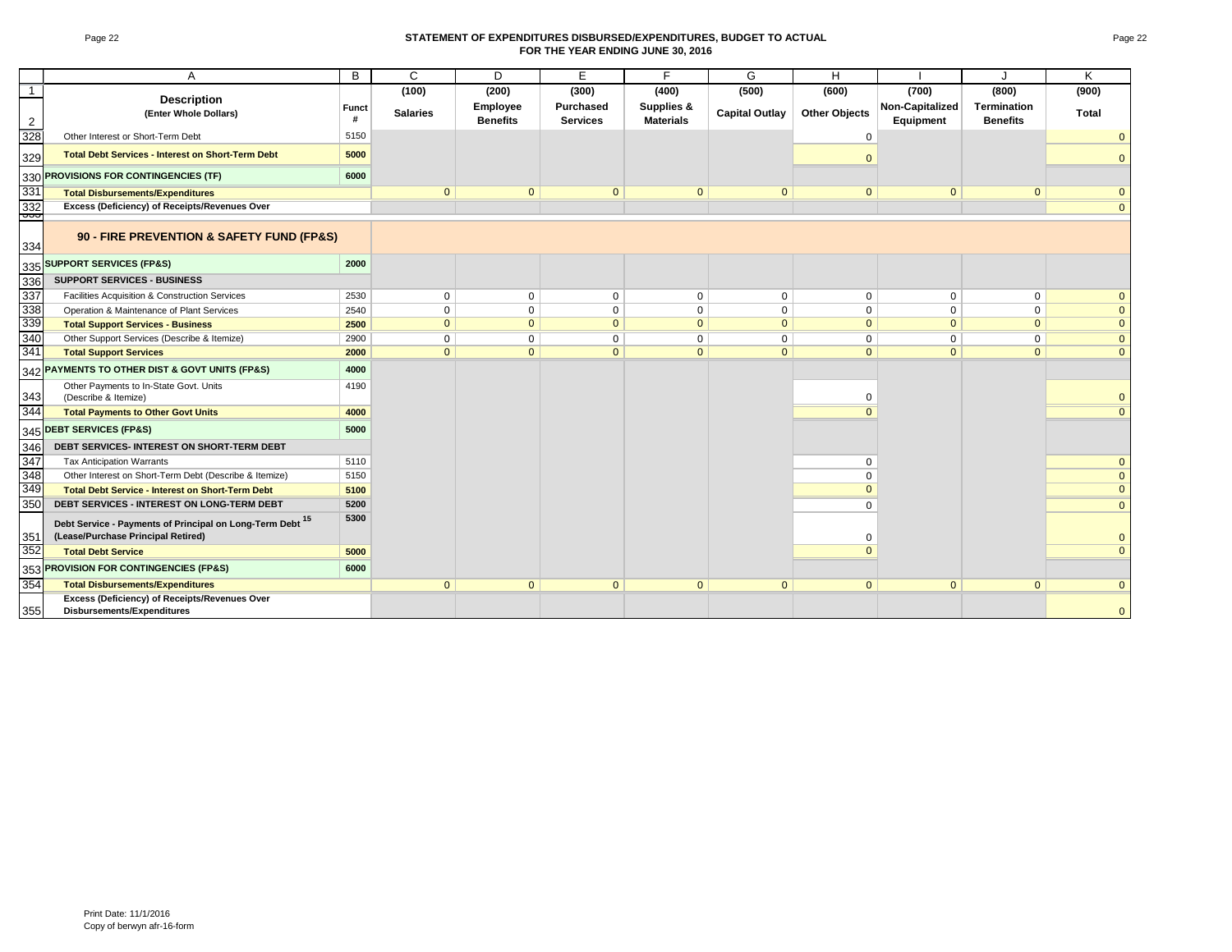#### Page 22 **STATEMENT OF EXPENDITURES DISBURSED/EXPENDITURES, BUDGET TO ACTUAL FOR THE YEAR ENDING JUNE 30, 2016**

|              | A                                                                                               | B            | $\mathsf{C}$    | D               | E               | F                | G                     | H                    |                 | J                  | K              |
|--------------|-------------------------------------------------------------------------------------------------|--------------|-----------------|-----------------|-----------------|------------------|-----------------------|----------------------|-----------------|--------------------|----------------|
| $\mathbf{1}$ |                                                                                                 |              | (100)           | (200)           | (300)           | (400)            | (500)                 | (600)                | (700)           | (800)              | (900)          |
|              | <b>Description</b>                                                                              | <b>Funct</b> |                 | Employee        | Purchased       | Supplies &       |                       |                      | Non-Capitalized | <b>Termination</b> |                |
| 2            | (Enter Whole Dollars)                                                                           | #            | <b>Salaries</b> | <b>Benefits</b> | <b>Services</b> | <b>Materials</b> | <b>Capital Outlay</b> | <b>Other Objects</b> | Equipment       | <b>Benefits</b>    | Total          |
| 328          | Other Interest or Short-Term Debt                                                               | 5150         |                 |                 |                 |                  |                       | $\Omega$             |                 |                    | $\mathbf{0}$   |
| 329          | <b>Total Debt Services - Interest on Short-Term Debt</b>                                        | 5000         |                 |                 |                 |                  |                       |                      |                 |                    | $\mathbf{0}$   |
| 330          | PROVISIONS FOR CONTINGENCIES (TF)                                                               | 6000         |                 |                 |                 |                  |                       |                      |                 |                    |                |
| 331          | <b>Total Disbursements/Expenditures</b>                                                         |              | $\mathbf{0}$    | $\mathbf{0}$    | $\mathbf{0}$    | $\mathbf{0}$     | $\mathbf{0}$          | $\Omega$             | $\mathbf{0}$    | $\mathbf{0}$       | $\mathbf{0}$   |
| 332<br>ᡂ     | Excess (Deficiency) of Receipts/Revenues Over                                                   |              |                 |                 |                 |                  |                       |                      |                 |                    | $\overline{0}$ |
| 334          | 90 - FIRE PREVENTION & SAFETY FUND (FP&S)                                                       |              |                 |                 |                 |                  |                       |                      |                 |                    |                |
| 335          | <b>SUPPORT SERVICES (FP&amp;S)</b>                                                              | 2000         |                 |                 |                 |                  |                       |                      |                 |                    |                |
| 336          | <b>SUPPORT SERVICES - BUSINESS</b>                                                              |              |                 |                 |                 |                  |                       |                      |                 |                    |                |
| 337          | Facilities Acquisition & Construction Services                                                  | 2530         | $\mathbf 0$     | $\mathbf 0$     | $\mathbf 0$     | $\Omega$         | $\mathbf{0}$          | $\mathbf 0$          | $\Omega$        | $\mathbf 0$        | $\mathbf{0}$   |
| 338          | Operation & Maintenance of Plant Services                                                       | 2540         | $\mathbf 0$     | $\mathbf 0$     | $\mathbf 0$     | $\mathbf 0$      | $\mathbf 0$           | $\mathbf 0$          | $\Omega$        | $\mathbf 0$        | $\mathbf{0}$   |
| 339          | <b>Total Support Services - Business</b>                                                        | 2500         | $\mathbf{0}$    | $\mathbf{0}$    | $\mathbf{0}$    | $\mathbf{0}$     | $\mathbf{0}$          | $\mathbf{0}$         | $\mathbf{0}$    | $\mathbf{0}$       | $\mathbf{0}$   |
| 340          | Other Support Services (Describe & Itemize)                                                     | 2900         | $\mathbf 0$     | $\mathbf 0$     | $\mathbf 0$     | $\mathbf 0$      | $\mathbf 0$           | 0                    | $\mathbf{0}$    | $\mathbf 0$        | $\mathbf{0}$   |
| 341          | <b>Total Support Services</b>                                                                   | 2000         | $\mathbf{0}$    | $\mathbf{0}$    | $\mathbf{0}$    | $\mathbf{0}$     | $\mathbf{0}$          | $\mathbf{0}$         | $\mathbf{0}$    | $\mathbf{0}$       | $\mathbf{0}$   |
| 342          | PAYMENTS TO OTHER DIST & GOVT UNITS (FP&S)                                                      | 4000         |                 |                 |                 |                  |                       |                      |                 |                    |                |
| 343          | Other Payments to In-State Govt. Units<br>(Describe & Itemize)                                  | 4190         |                 |                 |                 |                  |                       | $\Omega$             |                 |                    | $\mathbf{0}$   |
| 344          | <b>Total Payments to Other Govt Units</b>                                                       | 4000         |                 |                 |                 |                  |                       |                      |                 |                    | $\overline{0}$ |
| 345          | <b>DEBT SERVICES (FP&amp;S)</b>                                                                 | 5000         |                 |                 |                 |                  |                       |                      |                 |                    |                |
| 346          | DEBT SERVICES- INTEREST ON SHORT-TERM DEBT                                                      |              |                 |                 |                 |                  |                       |                      |                 |                    |                |
| 347          | <b>Tax Anticipation Warrants</b>                                                                | 5110         |                 |                 |                 |                  |                       | $\Omega$             |                 |                    | $\mathbf{0}$   |
| 348          | Other Interest on Short-Term Debt (Describe & Itemize)                                          | 5150         |                 |                 |                 |                  |                       | $\Omega$             |                 |                    | $\overline{0}$ |
| 349          | <b>Total Debt Service - Interest on Short-Term Debt</b>                                         | 5100         |                 |                 |                 |                  |                       | $\Omega$             |                 |                    | $\mathbf{0}$   |
| 350          | DEBT SERVICES - INTEREST ON LONG-TERM DEBT                                                      | 5200         |                 |                 |                 |                  |                       | $\Omega$             |                 |                    | $\overline{0}$ |
| 351          | Debt Service - Payments of Principal on Long-Term Debt 15<br>(Lease/Purchase Principal Retired) | 5300         |                 |                 |                 |                  |                       | $\Omega$             |                 |                    | $\mathbf{0}$   |
| 352          | <b>Total Debt Service</b>                                                                       | 5000         |                 |                 |                 |                  |                       | $\Omega$             |                 |                    | $\overline{0}$ |
| 353          | <b>PROVISION FOR CONTINGENCIES (FP&amp;S)</b>                                                   | 6000         |                 |                 |                 |                  |                       |                      |                 |                    |                |
| 354          | <b>Total Disbursements/Expenditures</b>                                                         |              | $\mathbf{0}$    | $\mathbf{0}$    | $\mathbf{0}$    | $\mathbf{0}$     | $\mathbf{0}$          | $\mathbf{0}$         | $\mathbf{0}$    | $\mathbf{0}$       | $\overline{0}$ |
| 355          | Excess (Deficiency) of Receipts/Revenues Over<br>Disbursements/Expenditures                     |              |                 |                 |                 |                  |                       |                      |                 |                    | $\overline{0}$ |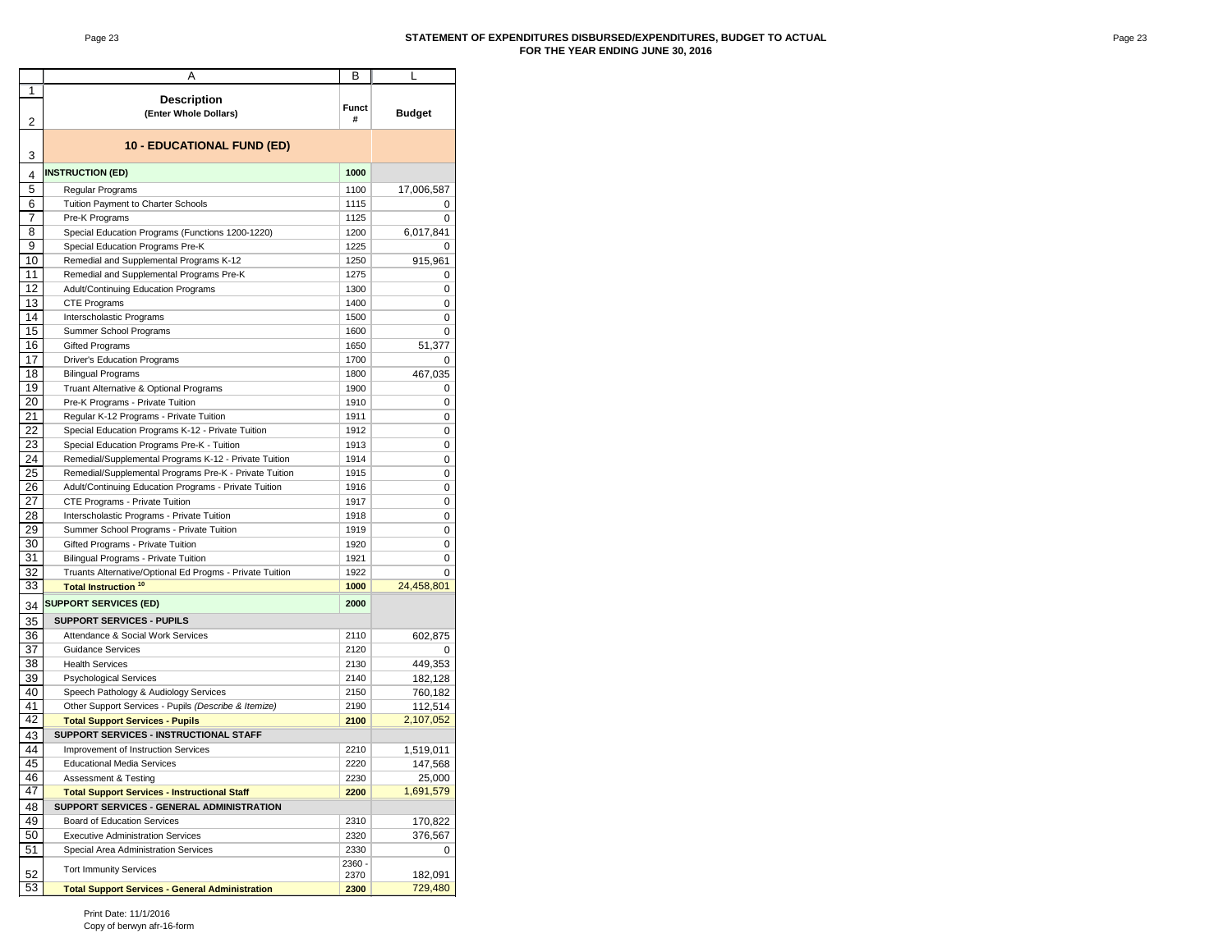#### Page 23 **STATEMENT OF EXPENDITURES DISBURSED/EXPENDITURES, BUDGET TO ACTUAL FOR THE YEAR ENDING JUNE 30, 2016**

|          | Α                                                        | В                 | L                  |  |  |  |  |  |  |  |
|----------|----------------------------------------------------------|-------------------|--------------------|--|--|--|--|--|--|--|
| 1        |                                                          |                   |                    |  |  |  |  |  |  |  |
| 2        | <b>Description</b><br>(Enter Whole Dollars)              | <b>Funct</b><br># | <b>Budget</b>      |  |  |  |  |  |  |  |
| 3        | <b>10 - EDUCATIONAL FUND (ED)</b>                        |                   |                    |  |  |  |  |  |  |  |
| 4        | <b>INSTRUCTION (ED)</b>                                  | 1000              |                    |  |  |  |  |  |  |  |
| 5        | Regular Programs                                         | 1100              | 17,006,587         |  |  |  |  |  |  |  |
| 6        | Tuition Payment to Charter Schools                       | 1115              | 0                  |  |  |  |  |  |  |  |
| 7        | Pre-K Programs                                           | 1125              | 0                  |  |  |  |  |  |  |  |
| 8        | Special Education Programs (Functions 1200-1220)         | 1200              | 6,017,841          |  |  |  |  |  |  |  |
| 9        | Special Education Programs Pre-K                         | 1225              | 0                  |  |  |  |  |  |  |  |
| 10       | Remedial and Supplemental Programs K-12                  | 1250              | 915,961            |  |  |  |  |  |  |  |
| 11       | Remedial and Supplemental Programs Pre-K                 | 1275              | 0                  |  |  |  |  |  |  |  |
| 12       | Adult/Continuing Education Programs                      | 1300              | 0                  |  |  |  |  |  |  |  |
| 13       | CTE Programs                                             | 1400              | 0                  |  |  |  |  |  |  |  |
| 14       | Interscholastic Programs                                 | 1500              | 0                  |  |  |  |  |  |  |  |
| 15       | Summer School Programs                                   | 1600              | 0                  |  |  |  |  |  |  |  |
| 16       | <b>Gifted Programs</b>                                   | 1650              | 51,377             |  |  |  |  |  |  |  |
| 17       | <b>Driver's Education Programs</b>                       | 1700              | 0                  |  |  |  |  |  |  |  |
| 18       | <b>Bilingual Programs</b>                                | 1800              | 467,035            |  |  |  |  |  |  |  |
| 19       | Truant Alternative & Optional Programs                   | 1900              | 0                  |  |  |  |  |  |  |  |
| 20       | Pre-K Programs - Private Tuition                         | 1910              | 0                  |  |  |  |  |  |  |  |
| 21       | Regular K-12 Programs - Private Tuition                  | 1911              | 0                  |  |  |  |  |  |  |  |
| 22       | Special Education Programs K-12 - Private Tuition        | 1912              | 0                  |  |  |  |  |  |  |  |
| 23       | Special Education Programs Pre-K - Tuition               | 1913              | 0                  |  |  |  |  |  |  |  |
| 24       | Remedial/Supplemental Programs K-12 - Private Tuition    | 1914              | 0                  |  |  |  |  |  |  |  |
| 25       | Remedial/Supplemental Programs Pre-K - Private Tuition   | 1915              | 0                  |  |  |  |  |  |  |  |
| 26       | Adult/Continuing Education Programs - Private Tuition    | 1916              | 0                  |  |  |  |  |  |  |  |
| 27       | CTE Programs - Private Tuition                           | 1917              | 0                  |  |  |  |  |  |  |  |
| 28       | Interscholastic Programs - Private Tuition               | 1918              | 0                  |  |  |  |  |  |  |  |
| 29       | Summer School Programs - Private Tuition                 | 1919              | 0                  |  |  |  |  |  |  |  |
| 30       | Gifted Programs - Private Tuition                        | 1920              | 0                  |  |  |  |  |  |  |  |
| 31       | Bilingual Programs - Private Tuition                     | 1921              | 0                  |  |  |  |  |  |  |  |
| 32       | Truants Alternative/Optional Ed Progms - Private Tuition | 1922              | 0                  |  |  |  |  |  |  |  |
| 33       | Total Instruction <sup>10</sup>                          | 1000              | 24,458,801         |  |  |  |  |  |  |  |
|          | <b>SUPPORT SERVICES (ED)</b>                             | 2000              |                    |  |  |  |  |  |  |  |
| 34       |                                                          |                   |                    |  |  |  |  |  |  |  |
| 35       | <b>SUPPORT SERVICES - PUPILS</b>                         |                   |                    |  |  |  |  |  |  |  |
| 36       | Attendance & Social Work Services                        | 2110              | 602,875            |  |  |  |  |  |  |  |
| 37       | <b>Guidance Services</b>                                 | 2120              | 0                  |  |  |  |  |  |  |  |
| 38       | <b>Health Services</b>                                   | 2130              | 449,353            |  |  |  |  |  |  |  |
| 39       | <b>Psychological Services</b>                            | 2140              | 182,128            |  |  |  |  |  |  |  |
| 40       | Speech Pathology & Audiology Services                    | 2150              | 760,182            |  |  |  |  |  |  |  |
| 41       | Other Support Services - Pupils (Describe & Itemize)     | 2190              | 112,514            |  |  |  |  |  |  |  |
| 42       | <b>Total Support Services - Pupils</b>                   | 2100              | 2,107,052          |  |  |  |  |  |  |  |
| 43       | SUPPORT SERVICES - INSTRUCTIONAL STAFF                   |                   |                    |  |  |  |  |  |  |  |
| 44       | Improvement of Instruction Services                      | 2210              | 1,519,011          |  |  |  |  |  |  |  |
| 45       | <b>Educational Media Services</b>                        | 2220              | 147,568            |  |  |  |  |  |  |  |
| 46       | Assessment & Testing                                     | 2230              | 25,000             |  |  |  |  |  |  |  |
| 47       | <b>Total Support Services - Instructional Staff</b>      | 2200              | 1,691,579          |  |  |  |  |  |  |  |
| 48       | SUPPORT SERVICES - GENERAL ADMINISTRATION                |                   |                    |  |  |  |  |  |  |  |
| 49       | <b>Board of Education Services</b>                       | 2310              | 170,822            |  |  |  |  |  |  |  |
| 50       | <b>Executive Administration Services</b>                 | 2320              | 376,567            |  |  |  |  |  |  |  |
| 51       | Special Area Administration Services                     | 2330              | 0                  |  |  |  |  |  |  |  |
|          | <b>Tort Immunity Services</b>                            | 2360 -            |                    |  |  |  |  |  |  |  |
| 52<br>53 |                                                          | 2370              | 182,091<br>729,480 |  |  |  |  |  |  |  |
|          | <b>Total Support Services - General Administration</b>   | 2300              |                    |  |  |  |  |  |  |  |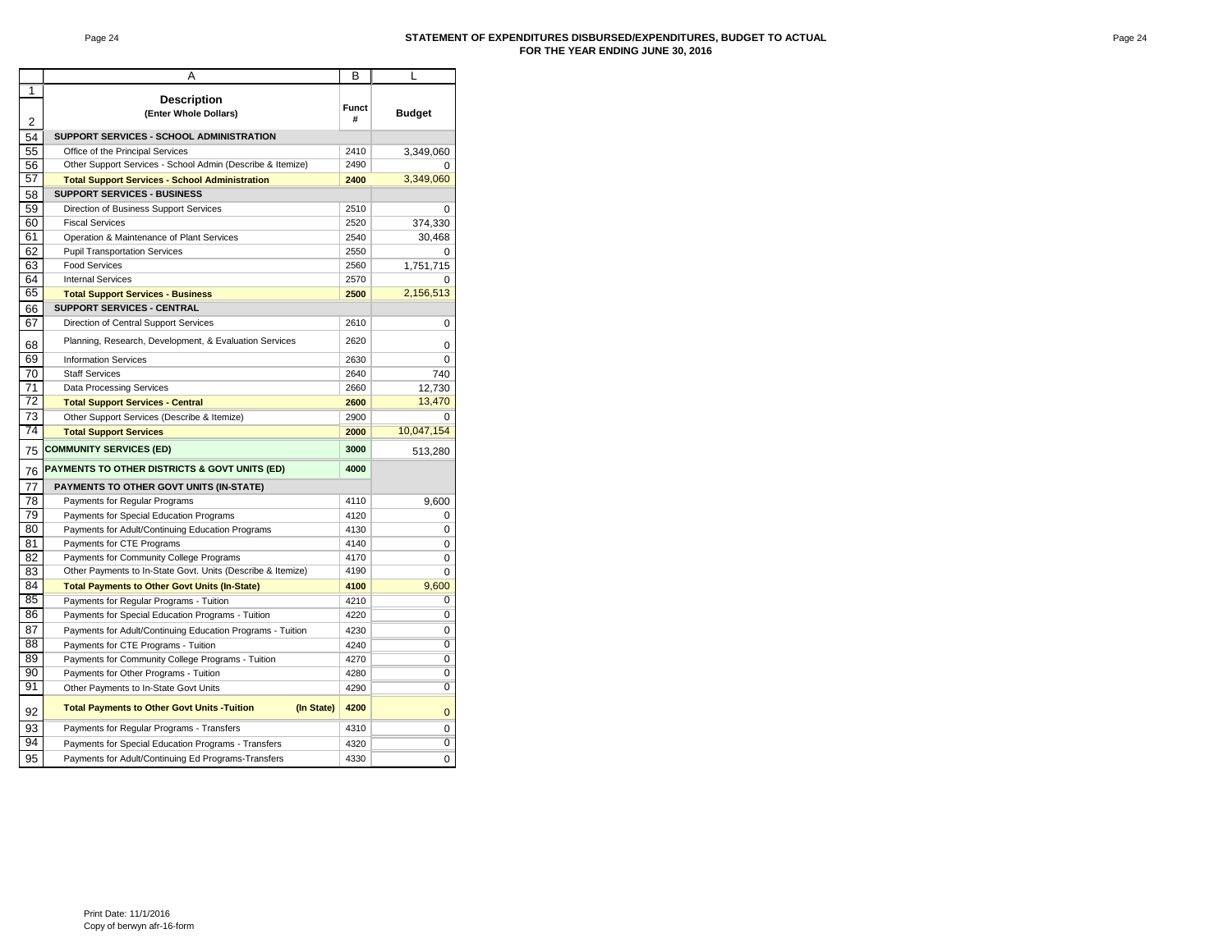#### Page 24 **STATEMENT OF EXPENDITURES DISBURSED/EXPENDITURES, BUDGET TO ACTUAL FOR THE YEAR ENDING JUNE 30, 2016**

|                     | A                                                                | в                 | L              |
|---------------------|------------------------------------------------------------------|-------------------|----------------|
| 1<br>$\overline{2}$ | <b>Description</b><br>(Enter Whole Dollars)                      | <b>Funct</b><br># | <b>Budget</b>  |
| 54                  | SUPPORT SERVICES - SCHOOL ADMINISTRATION                         |                   |                |
| 55                  | Office of the Principal Services                                 | 2410              | 3,349,060      |
| 56                  | Other Support Services - School Admin (Describe & Itemize)       | 2490              | U              |
| 57                  | <b>Total Support Services - School Administration</b>            | 2400              | 3,349,060      |
| 58                  | SUPPORT SERVICES - BUSINESS                                      |                   |                |
| 59                  | Direction of Business Support Services                           | 2510              | 0              |
| 60                  | <b>Fiscal Services</b>                                           | 2520              | 374,330        |
| 61                  | Operation & Maintenance of Plant Services                        | 2540              | 30,468         |
| 62                  | <b>Pupil Transportation Services</b>                             | 2550              |                |
| 63                  | <b>Food Services</b>                                             | 2560              | 1,751,715      |
| 64                  | <b>Internal Services</b>                                         | 2570              |                |
| 65                  | <b>Total Support Services - Business</b>                         | 2500              | 2,156,513      |
| 66                  | <b>SUPPORT SERVICES - CENTRAL</b>                                |                   |                |
| 67                  | Direction of Central Support Services                            | 2610              | 0              |
| 68                  | Planning, Research, Development, & Evaluation Services           | 2620              | 0              |
| 69                  | <b>Information Services</b>                                      | 2630              | 0              |
| 70                  | <b>Staff Services</b>                                            | 2640              | 740            |
| 71                  | <b>Data Processing Services</b>                                  | 2660              | 12.730         |
| 72                  | <b>Total Support Services - Central</b>                          | 2600              | 13,470         |
| 73                  | Other Support Services (Describe & Itemize)                      | 2900              | O              |
| 74                  | <b>Total Support Services</b>                                    | 2000              | 10,047,154     |
| 75                  | <b>COMMUNITY SERVICES (ED)</b>                                   | 3000              | 513,280        |
| 76                  | PAYMENTS TO OTHER DISTRICTS & GOVT UNITS (ED)                    | 4000              |                |
| 77                  | PAYMENTS TO OTHER GOVT UNITS (IN-STATE)                          |                   |                |
| 78                  | Payments for Regular Programs                                    | 4110              | 9,600          |
| 79                  | Payments for Special Education Programs                          | 4120              | 0              |
| 80                  | Payments for Adult/Continuing Education Programs                 | 4130              | $\Omega$       |
| 81                  | Payments for CTE Programs                                        | 4140              | 0              |
| 82                  | Payments for Community College Programs                          | 4170              | 0              |
| 83                  | Other Payments to In-State Govt. Units (Describe & Itemize)      | 4190              | 0              |
| 84                  | <b>Total Payments to Other Govt Units (In-State)</b>             | 4100              | 9.600          |
| 85                  | Payments for Regular Programs - Tuition                          | 4210              | 0              |
| 86                  | Payments for Special Education Programs - Tuition                | 4220              | $\overline{0}$ |
| 87                  | Payments for Adult/Continuing Education Programs - Tuition       | 4230              | 0              |
| 88                  | Payments for CTE Programs - Tuition                              | 4240              | $\overline{0}$ |
| 89                  | Payments for Community College Programs - Tuition                | 4270              | 0              |
| 90                  | Payments for Other Programs - Tuition                            | 4280              | $\overline{0}$ |
| 91                  | Other Payments to In-State Govt Units                            | 4290              | $\overline{0}$ |
| 92                  | <b>Total Payments to Other Govt Units -Tuition</b><br>(In State) | 4200              | $\mathbf 0$    |
| 93                  | Payments for Regular Programs - Transfers                        | 4310              | 0              |
| 94                  | Payments for Special Education Programs - Transfers              | 4320              | $\overline{0}$ |
| 95                  | Payments for Adult/Continuing Ed Programs-Transfers              | 4330              | 0              |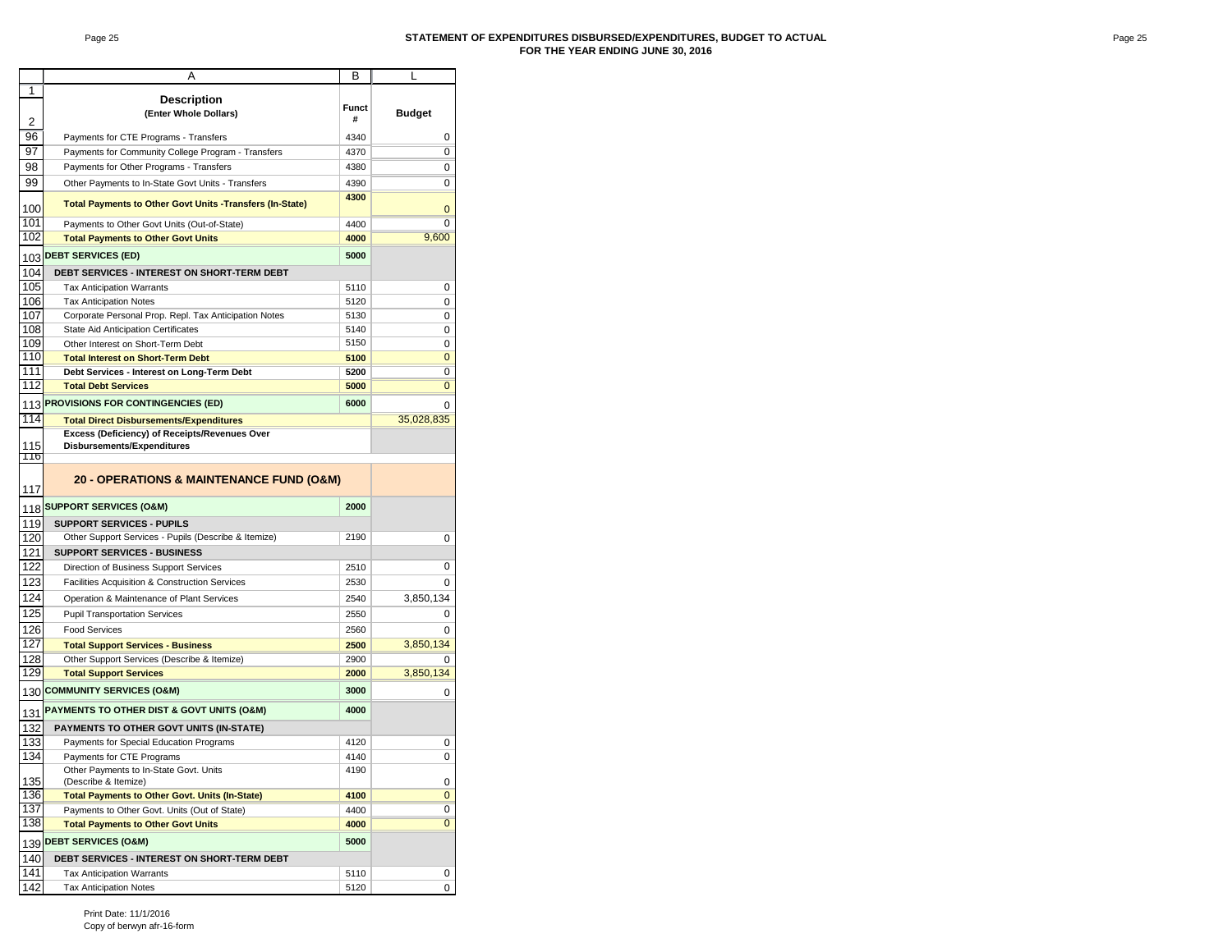#### Page 25 **STATEMENT OF EXPENDITURES DISBURSED/EXPENDITURES, BUDGET TO ACTUAL FOR THE YEAR ENDING JUNE 30, 2016**

|            | Α                                                                                        | в            | L              |
|------------|------------------------------------------------------------------------------------------|--------------|----------------|
| 1          |                                                                                          |              |                |
|            | <b>Description</b>                                                                       | <b>Funct</b> |                |
| 2          | (Enter Whole Dollars)                                                                    | #            | <b>Budget</b>  |
| 96         | Payments for CTE Programs - Transfers                                                    | 4340         | 0              |
| 97         | Payments for Community College Program - Transfers                                       | 4370         | 0              |
| 98         | Payments for Other Programs - Transfers                                                  | 4380         | 0              |
| 99         | Other Payments to In-State Govt Units - Transfers                                        | 4390         | 0              |
|            |                                                                                          | 4300         |                |
| 100        | <b>Total Payments to Other Govt Units -Transfers (In-State)</b>                          |              | 0              |
| 101        | Payments to Other Govt Units (Out-of-State)                                              | 4400         | $\Omega$       |
| 102        | <b>Total Payments to Other Govt Units</b>                                                | 4000         | 9,600          |
| 103        | <b>DEBT SERVICES (ED)</b>                                                                | 5000         |                |
| 104        | <b>DEBT SERVICES - INTEREST ON SHORT-TERM DEBT</b>                                       |              |                |
| 105        | <b>Tax Anticipation Warrants</b>                                                         | 5110         | 0              |
| 106        | <b>Tax Anticipation Notes</b>                                                            | 5120         | 0              |
| 107        | Corporate Personal Prop. Repl. Tax Anticipation Notes                                    | 5130         | 0              |
| 108        | State Aid Anticipation Certificates                                                      | 5140         | 0              |
| 109        | Other Interest on Short-Term Debt                                                        | 5150         | 0              |
| 110        | <b>Total Interest on Short-Term Debt</b>                                                 | 5100         | $\mathbf 0$    |
| 111<br>112 | Debt Services - Interest on Long-Term Debt                                               | 5200         | 0<br>0         |
|            | <b>Total Debt Services</b>                                                               | 5000         |                |
| 113        | PROVISIONS FOR CONTINGENCIES (ED)                                                        | 6000         | 0              |
| 114        | <b>Total Direct Disbursements/Expenditures</b>                                           |              | 35,028,835     |
| 115        | Excess (Deficiency) of Receipts/Revenues Over<br>Disbursements/Expenditures              |              |                |
| 116        |                                                                                          |              |                |
|            |                                                                                          |              |                |
| 117        | 20 - OPERATIONS & MAINTENANCE FUND (O&M)                                                 |              |                |
|            | <b>SUPPORT SERVICES (O&amp;M)</b>                                                        | 2000         |                |
| 118        |                                                                                          |              |                |
| 119        | <b>SUPPORT SERVICES - PUPILS</b><br>Other Support Services - Pupils (Describe & Itemize) | 2190         |                |
| 120<br>121 | <b>SUPPORT SERVICES - BUSINESS</b>                                                       |              | 0              |
| 122        | Direction of Business Support Services                                                   | 2510         | 0              |
| 123        | Facilities Acquisition & Construction Services                                           | 2530         | 0              |
| 124        | Operation & Maintenance of Plant Services                                                | 2540         | 3,850,134      |
| 125        |                                                                                          |              |                |
| 126        | <b>Pupil Transportation Services</b>                                                     | 2550         | 0<br>$\Omega$  |
| 127        | <b>Food Services</b>                                                                     | 2560         |                |
| 128        | <b>Total Support Services - Business</b><br>Other Support Services (Describe & Itemize)  | 2500<br>2900 | 3,850,134<br>0 |
| 129        | <b>Total Support Services</b>                                                            | 2000         | 3,850,134      |
|            | 130 COMMUNITY SERVICES (O&M)                                                             | 3000         |                |
|            |                                                                                          |              | 0              |
|            | 131 PAYMENTS TO OTHER DIST & GOVT UNITS (O&M)                                            | 4000         |                |
| 132        | PAYMENTS TO OTHER GOVT UNITS (IN-STATE)                                                  |              |                |
| 133        | Payments for Special Education Programs                                                  | 4120         | 0              |
| 134        | Payments for CTE Programs                                                                | 4140         | 0              |
| 135        | Other Payments to In-State Govt. Units<br>(Describe & Itemize)                           | 4190         | 0              |
| 136        | <b>Total Payments to Other Govt. Units (In-State)</b>                                    | 4100         | $\bf{0}$       |
| 137        | Payments to Other Govt. Units (Out of State)                                             | 4400         | 0              |
| 138        | <b>Total Payments to Other Govt Units</b>                                                | 4000         | $\bf{0}$       |
|            | 139 DEBT SERVICES (O&M)                                                                  | 5000         |                |
| 140        | <b>DEBT SERVICES - INTEREST ON SHORT-TERM DEBT</b>                                       |              |                |
| 141        | Tax Anticipation Warrants                                                                | 5110         | 0              |
| 142        | <b>Tax Anticipation Notes</b>                                                            | 5120         | 0              |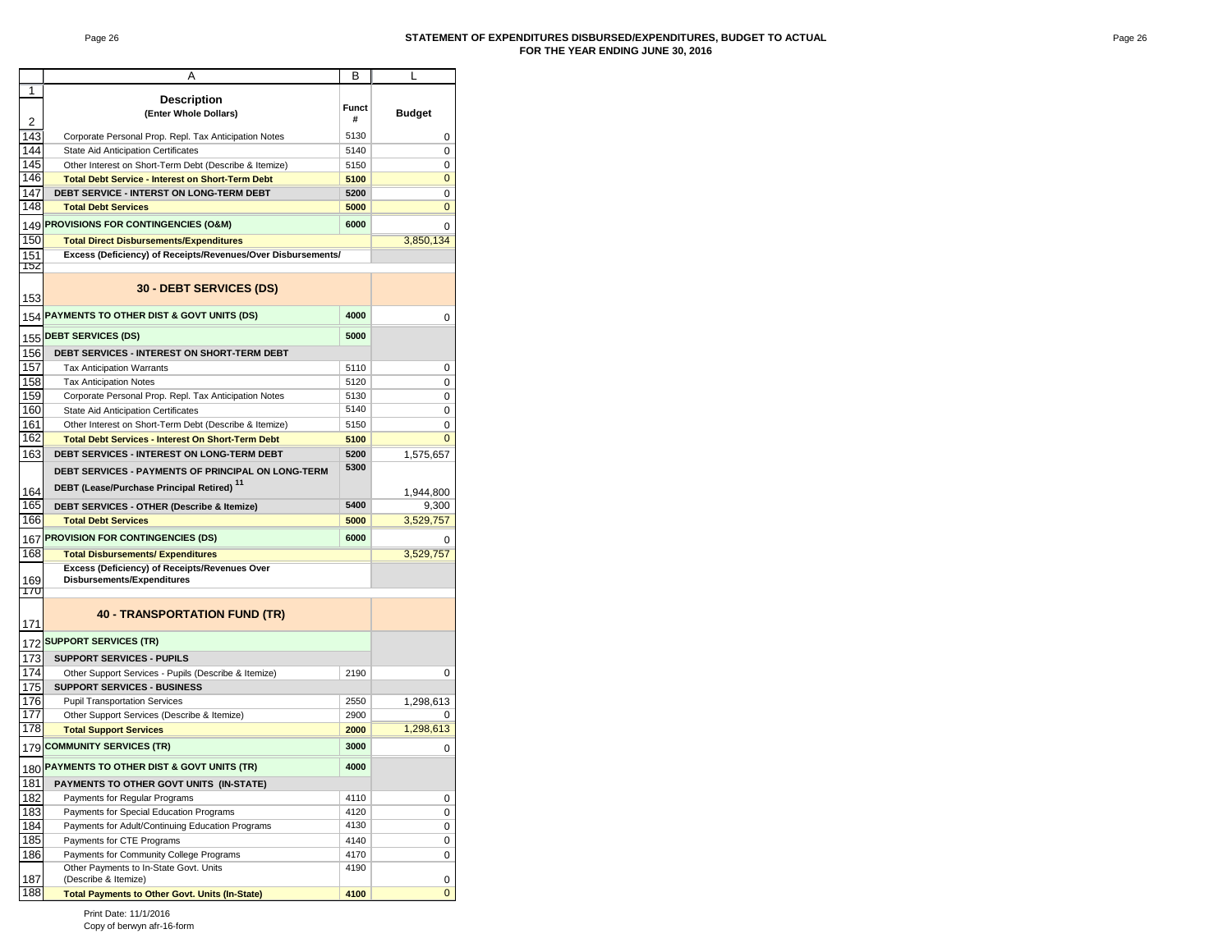#### Page 26 **STATEMENT OF EXPENDITURES DISBURSED/EXPENDITURES, BUDGET TO ACTUAL FOR THE YEAR ENDING JUNE 30, 2016**

|            | Α                                                                           | В            | L              |
|------------|-----------------------------------------------------------------------------|--------------|----------------|
| 1          |                                                                             |              |                |
|            | <b>Description</b>                                                          | <b>Funct</b> |                |
| 2          | (Enter Whole Dollars)                                                       | #            | <b>Budget</b>  |
| 143        | Corporate Personal Prop. Repl. Tax Anticipation Notes                       | 5130         | 0              |
| 144        | State Aid Anticipation Certificates                                         | 5140         | 0              |
| 145        | Other Interest on Short-Term Debt (Describe & Itemize)                      | 5150         | 0              |
| 146        | <b>Total Debt Service - Interest on Short-Term Debt</b>                     | 5100         | 0              |
| 147        | DEBT SERVICE - INTERST ON LONG-TERM DEBT                                    | 5200         | 0              |
| 148        | <b>Total Debt Services</b>                                                  | 5000         | 0              |
| 149        | PROVISIONS FOR CONTINGENCIES (O&M)                                          | 6000         | 0              |
| 150        | <b>Total Direct Disbursements/Expenditures</b>                              |              | 3,850,134      |
| 151        | Excess (Deficiency) of Receipts/Revenues/Over Disbursements/                |              |                |
| 152<br>153 | <b>30 - DEBT SERVICES (DS)</b>                                              |              |                |
| 154        | PAYMENTS TO OTHER DIST & GOVT UNITS (DS)                                    | 4000         | 0              |
|            | <b>DEBT SERVICES (DS)</b>                                                   | 5000         |                |
| 155        |                                                                             |              |                |
| 156<br>157 | DEBT SERVICES - INTEREST ON SHORT-TERM DEBT                                 |              |                |
| 158        | <b>Tax Anticipation Warrants</b><br><b>Tax Anticipation Notes</b>           | 5110<br>5120 | 0<br>0         |
| 159        | Corporate Personal Prop. Repl. Tax Anticipation Notes                       | 5130         | 0              |
| 160        | <b>State Aid Anticipation Certificates</b>                                  | 5140         | 0              |
| 161        | Other Interest on Short-Term Debt (Describe & Itemize)                      | 5150         | 0              |
| 162        | <b>Total Debt Services - Interest On Short-Term Debt</b>                    | 5100         | 0              |
| 163        | DEBT SERVICES - INTEREST ON LONG-TERM DEBT                                  | 5200         | 1,575,657      |
|            | DEBT SERVICES - PAYMENTS OF PRINCIPAL ON LONG-TERM                          | 5300         |                |
|            | DEBT (Lease/Purchase Principal Retired) 11                                  |              |                |
| 164        |                                                                             |              | 1,944,800      |
| 165<br>166 | DEBT SERVICES - OTHER (Describe & Itemize)                                  | 5400         | 9,300          |
|            | <b>Total Debt Services</b>                                                  | 5000         | 3,529,757      |
| 167        | <b>PROVISION FOR CONTINGENCIES (DS)</b>                                     | 6000         |                |
| 168        | <b>Total Disbursements/ Expenditures</b>                                    |              | 3,529,757      |
| 169<br>17U | Excess (Deficiency) of Receipts/Revenues Over<br>Disbursements/Expenditures |              |                |
| 171        | <b>40 - TRANSPORTATION FUND (TR)</b>                                        |              |                |
| 172        | <b>SUPPORT SERVICES (TR)</b>                                                |              |                |
| 173        | <b>SUPPORT SERVICES - PUPILS</b>                                            |              |                |
| 174        | Other Support Services - Pupils (Describe & Itemize)                        | 2190         | 0              |
| 175        | <b>SUPPORT SERVICES - BUSINESS</b>                                          |              |                |
| 176        | <b>Pupil Transportation Services</b>                                        | 2550         | 1,298,613      |
| 177        | Other Support Services (Describe & Itemize)                                 | 2900         | 0              |
| 178        | <b>Total Support Services</b>                                               | 2000         | 1.298.613      |
| 179        | <b>COMMUNITY SERVICES (TR)</b>                                              | 3000         | 0              |
|            | 180 PAYMENTS TO OTHER DIST & GOVT UNITS (TR)                                | 4000         |                |
| 181        | PAYMENTS TO OTHER GOVT UNITS (IN-STATE)                                     |              |                |
| 182        | Payments for Regular Programs                                               | 4110         | 0              |
| 183        | Payments for Special Education Programs                                     | 4120         | 0              |
| 184        | Payments for Adult/Continuing Education Programs                            | 4130         | 0              |
| 185        | Payments for CTE Programs                                                   | 4140         | 0              |
| 186        | Payments for Community College Programs                                     | 4170         | 0              |
| 187        | Other Payments to In-State Govt. Units<br>(Describe & Itemize)              | 4190         | 0              |
| 188        | <b>Total Payments to Other Govt. Units (In-State)</b>                       | 4100         | $\overline{0}$ |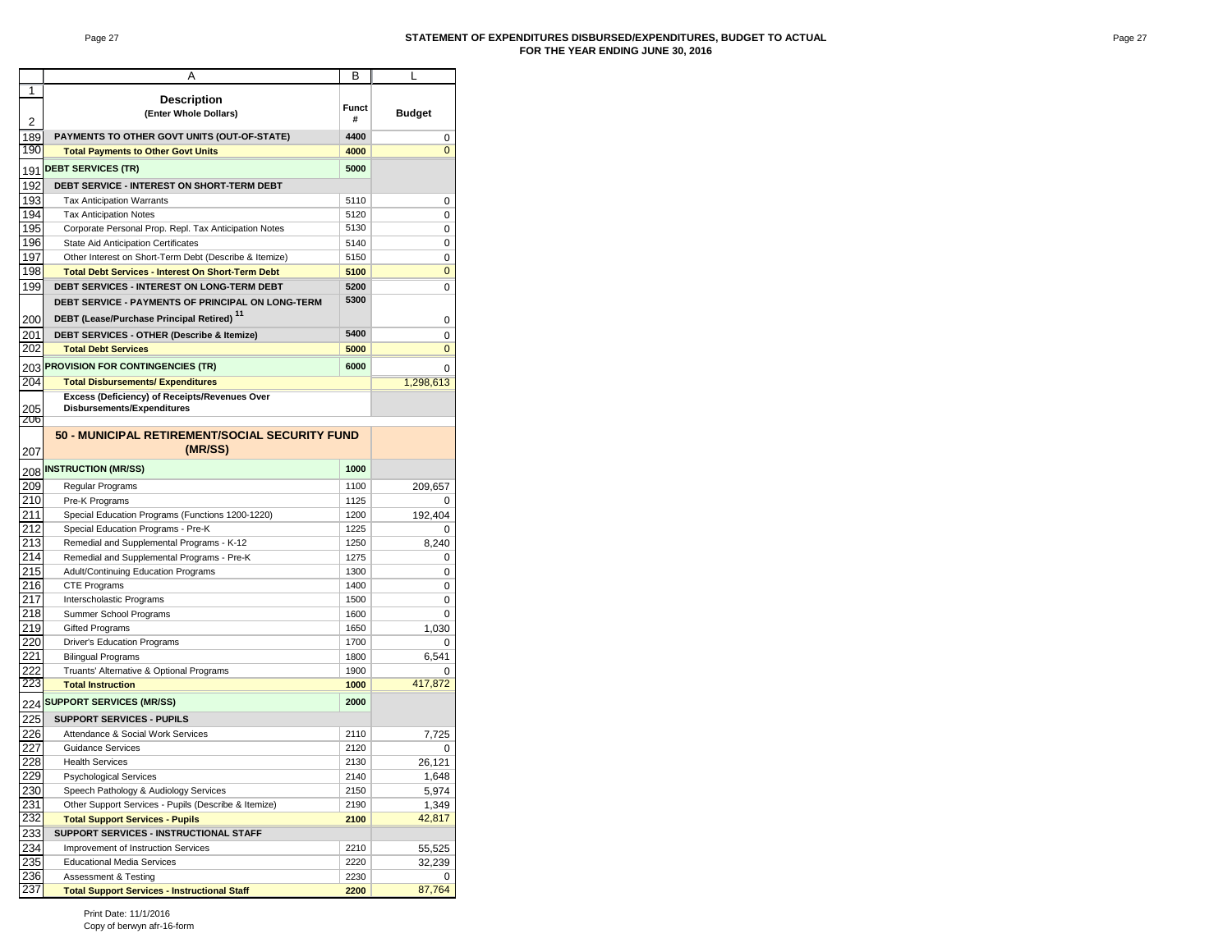#### Page 27 **STATEMENT OF EXPENDITURES DISBURSED/EXPENDITURES, BUDGET TO ACTUAL FOR THE YEAR ENDING JUNE 30, 2016**

|                | А                                                        | В            | L              |
|----------------|----------------------------------------------------------|--------------|----------------|
| 1              | <b>Description</b>                                       | <b>Funct</b> |                |
| $\overline{2}$ | (Enter Whole Dollars)                                    | #            | <b>Budget</b>  |
| 189            | PAYMENTS TO OTHER GOVT UNITS (OUT-OF-STATE)              | 4400         | 0              |
| 190            | <b>Total Payments to Other Govt Units</b>                | 4000         | $\overline{0}$ |
|                |                                                          |              |                |
| 191            | <b>DEBT SERVICES (TR)</b>                                | 5000         |                |
| 192            | DEBT SERVICE - INTEREST ON SHORT-TERM DEBT               |              |                |
| 193            | <b>Tax Anticipation Warrants</b>                         | 5110         | 0              |
| 194            | <b>Tax Anticipation Notes</b>                            | 5120         | 0              |
| 195            | Corporate Personal Prop. Repl. Tax Anticipation Notes    | 5130         | 0              |
| 196            | State Aid Anticipation Certificates                      | 5140         | 0              |
| 197            | Other Interest on Short-Term Debt (Describe & Itemize)   | 5150         | 0              |
| 198            | <b>Total Debt Services - Interest On Short-Term Debt</b> | 5100         | 0              |
| 199            | <b>DEBT SERVICES - INTEREST ON LONG-TERM DEBT</b>        | 5200         | 0              |
|                | DEBT SERVICE - PAYMENTS OF PRINCIPAL ON LONG-TERM        | 5300         |                |
| 200            | DEBT (Lease/Purchase Principal Retired) <sup>11</sup>    |              | 0              |
| 201            | DEBT SERVICES - OTHER (Describe & Itemize)               | 5400         | 0              |
| 202            | <b>Total Debt Services</b>                               | 5000         | 0              |
|                |                                                          |              |                |
| 203            | <b>PROVISION FOR CONTINGENCIES (TR)</b>                  | 6000         | 0              |
| 204            | <b>Total Disbursements/ Expenditures</b>                 |              | 1,298,613      |
|                | Excess (Deficiency) of Receipts/Revenues Over            |              |                |
| 205<br>206     | Disbursements/Expenditures                               |              |                |
|                | 50 - MUNICIPAL RETIREMENT/SOCIAL SECURITY FUND           |              |                |
|                |                                                          |              |                |
| 207            | (MR/SS)                                                  |              |                |
| 208            | <b>INSTRUCTION (MR/SS)</b>                               | 1000         |                |
| 209            | Regular Programs                                         | 1100         | 209,657        |
| 210            | Pre-K Programs                                           | 1125         | 0              |
| 211            | Special Education Programs (Functions 1200-1220)         | 1200         | 192,404        |
| 212            | Special Education Programs - Pre-K                       | 1225         | 0              |
| 213            | Remedial and Supplemental Programs - K-12                | 1250         | 8,240          |
| 214            | Remedial and Supplemental Programs - Pre-K               | 1275         | 0              |
| 215            | Adult/Continuing Education Programs                      | 1300         | 0              |
| 216            | <b>CTE Programs</b>                                      | 1400         | 0              |
| 217            | Interscholastic Programs                                 | 1500         | 0              |
| 218            | Summer School Programs                                   | 1600         | 0              |
| 219            | <b>Gifted Programs</b>                                   | 1650         | 1,030          |
| 220            | <b>Driver's Education Programs</b>                       | 1700         | 0              |
| 221            | <b>Bilingual Programs</b>                                | 1800         | 6,541          |
| 222            | Truants' Alternative & Optional Programs                 | 1900         | O              |
| 223            | <b>Total Instruction</b>                                 | 1000         | 417,872        |
|                | 224 SUPPORT SERVICES (MR/SS)                             | 2000         |                |
|                |                                                          |              |                |
| 225            | <b>SUPPORT SERVICES - PUPILS</b>                         |              |                |
| 226            | Attendance & Social Work Services                        | 2110         | 7,725          |
| 227            | <b>Guidance Services</b>                                 | 2120         | 0              |
| 228            | <b>Health Services</b>                                   | 2130         | 26,121         |
| 229            | <b>Psychological Services</b>                            | 2140         | 1,648          |
| 230            | Speech Pathology & Audiology Services                    | 2150         | 5,974          |
| 231            | Other Support Services - Pupils (Describe & Itemize)     | 2190         | 1,349          |
| 232            | <b>Total Support Services - Pupils</b>                   | 2100         | 42,817         |
| 233            | SUPPORT SERVICES - INSTRUCTIONAL STAFF                   |              |                |
| 234            | Improvement of Instruction Services                      | 2210         | 55,525         |
| 235            | <b>Educational Media Services</b>                        | 2220         | 32,239         |
| 236            | Assessment & Testing                                     | 2230         | 0              |
| 237            | <b>Total Support Services - Instructional Staff</b>      | 2200         | 87,764         |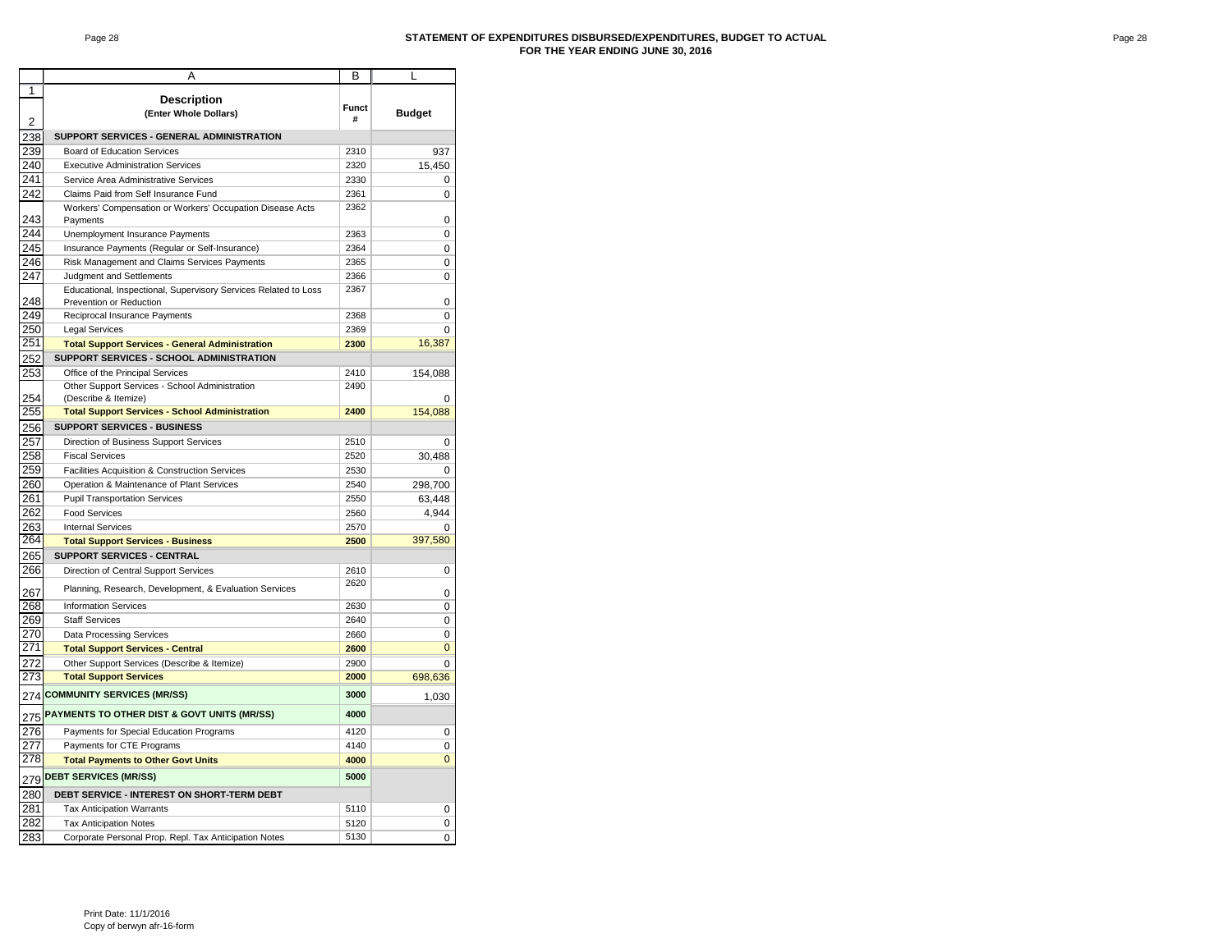#### Page 28 **STATEMENT OF EXPENDITURES DISBURSED/EXPENDITURES, BUDGET TO ACTUAL FOR THE YEAR ENDING JUNE 30, 2016**

|                | Α                                                                      | В            | L              |
|----------------|------------------------------------------------------------------------|--------------|----------------|
| 1              |                                                                        |              |                |
|                | <b>Description</b>                                                     | <b>Funct</b> |                |
| $\overline{2}$ | (Enter Whole Dollars)                                                  | #            | <b>Budget</b>  |
| 238            | SUPPORT SERVICES - GENERAL ADMINISTRATION                              |              |                |
| 239            | <b>Board of Education Services</b>                                     | 2310         | 937            |
| 240            | <b>Executive Administration Services</b>                               | 2320         | 15,450         |
| 241            | Service Area Administrative Services                                   | 2330         | 0              |
| 242            | Claims Paid from Self Insurance Fund                                   | 2361         | 0              |
|                | Workers' Compensation or Workers' Occupation Disease Acts              | 2362         |                |
| 243            | Payments                                                               |              | 0              |
| 244            | Unemployment Insurance Payments                                        | 2363         | 0              |
| 245            | Insurance Payments (Regular or Self-Insurance)                         | 2364         | 0              |
| 246            | Risk Management and Claims Services Payments                           | 2365         | 0              |
| 247            | Judgment and Settlements                                               | 2366         | 0              |
|                | Educational, Inspectional, Supervisory Services Related to Loss        | 2367         |                |
| 248            | Prevention or Reduction                                                |              | 0              |
| 249            | Reciprocal Insurance Payments                                          | 2368         | 0              |
| 250            | <b>Legal Services</b>                                                  | 2369         | 0              |
| 251            | <b>Total Support Services - General Administration</b>                 | 2300         | 16,387         |
| 252            | SUPPORT SERVICES - SCHOOL ADMINISTRATION                               |              |                |
| 253            | Office of the Principal Services                                       | 2410         | 154,088        |
| 254            | Other Support Services - School Administration<br>(Describe & Itemize) | 2490         | O              |
| 255            | <b>Total Support Services - School Administration</b>                  | 2400         | 154,088        |
|                | SUPPORT SERVICES - BUSINESS                                            |              |                |
| 256<br>257     | Direction of Business Support Services                                 | 2510         |                |
| 258            | <b>Fiscal Services</b>                                                 | 2520         | 0<br>30,488    |
| 259            | Facilities Acquisition & Construction Services                         | 2530         |                |
| 260            | Operation & Maintenance of Plant Services                              | 2540         | 298,700        |
| 261            | <b>Pupil Transportation Services</b>                                   | 2550         | 63,448         |
| 262            | <b>Food Services</b>                                                   | 2560         | 4,944          |
| 263            | <b>Internal Services</b>                                               | 2570         | 0              |
| 264            | <b>Total Support Services - Business</b>                               | 2500         | 397,580        |
| 265            | SUPPORT SERVICES - CENTRAL                                             |              |                |
| 266            | Direction of Central Support Services                                  | 2610         | 0              |
|                |                                                                        | 2620         |                |
| 267            | Planning, Research, Development, & Evaluation Services                 |              | 0              |
| 268            | <b>Information Services</b>                                            | 2630         | 0              |
| 269            | <b>Staff Services</b>                                                  | 2640         | 0              |
| 270            | <b>Data Processing Services</b>                                        | 2660         | 0              |
| 271            | <b>Total Support Services - Central</b>                                | 2600         | $\mathbf 0$    |
| 272            | Other Support Services (Describe & Itemize)                            | 2900         | 0              |
| 273            | <b>Total Support Services</b>                                          | 2000         | 698,636        |
|                | 274 COMMUNITY SERVICES (MR/SS)                                         | 3000         | 1,030          |
|                | 275 PAYMENTS TO OTHER DIST & GOVT UNITS (MR/SS)                        | 4000         |                |
| 276            | Payments for Special Education Programs                                | 4120         | 0              |
| 277            | Payments for CTE Programs                                              | 4140         | 0              |
| 278            | <b>Total Payments to Other Govt Units</b>                              | 4000         | $\overline{0}$ |
|                | 279 DEBT SERVICES (MR/SS)                                              | 5000         |                |
| 280            | DEBT SERVICE - INTEREST ON SHORT-TERM DEBT                             |              |                |
| 281            | <b>Tax Anticipation Warrants</b>                                       | 5110         | 0              |
| 282            | <b>Tax Anticipation Notes</b>                                          | 5120         | 0              |
| 283            |                                                                        | 5130         | 0              |
|                | Corporate Personal Prop. Repl. Tax Anticipation Notes                  |              |                |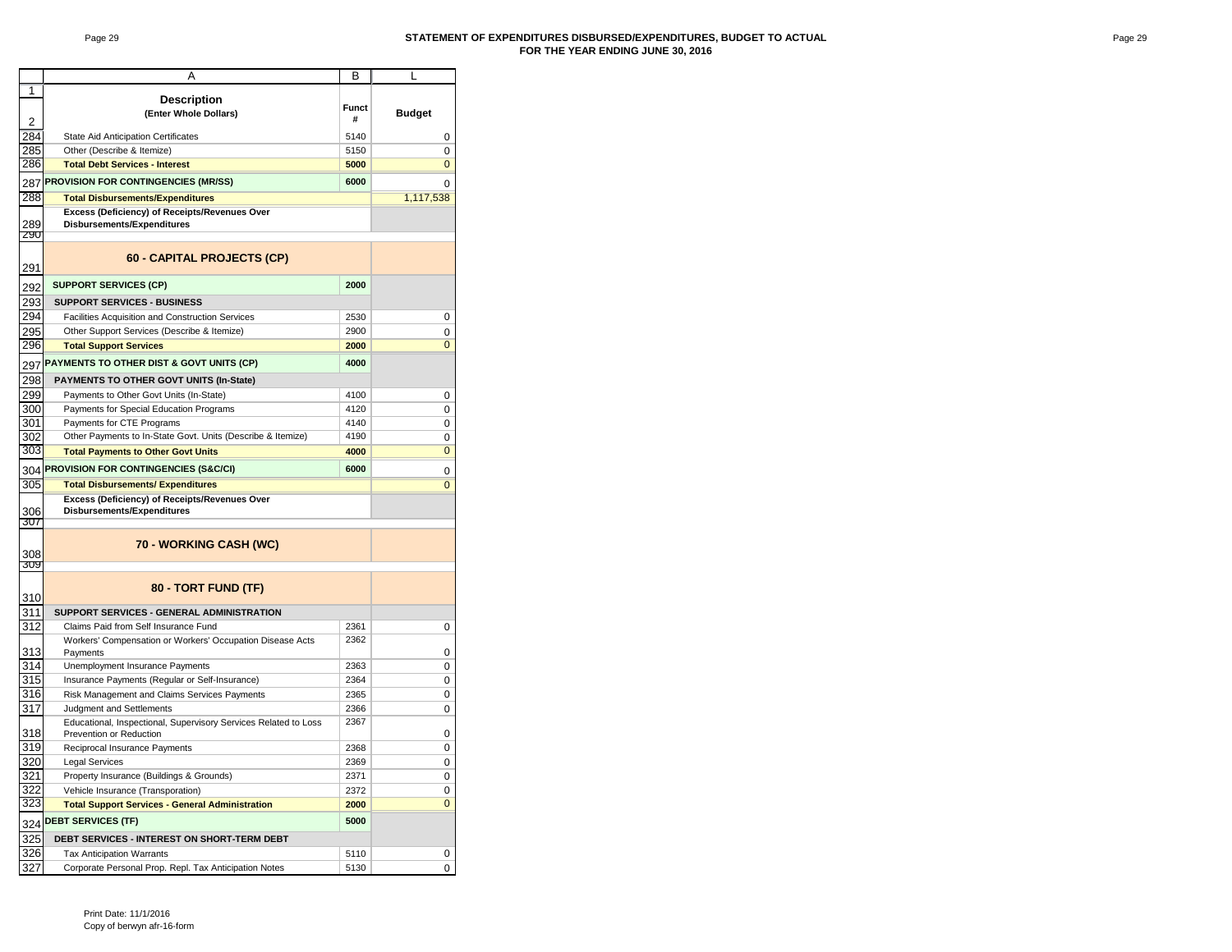#### Page 29 **STATEMENT OF EXPENDITURES DISBURSED/EXPENDITURES, BUDGET TO ACTUAL FOR THE YEAR ENDING JUNE 30, 2016**

|                | Α                                                               | В            | L              |
|----------------|-----------------------------------------------------------------|--------------|----------------|
| 1              |                                                                 |              |                |
|                | <b>Description</b>                                              |              |                |
|                | (Enter Whole Dollars)                                           | <b>Funct</b> | <b>Budget</b>  |
| $\overline{2}$ |                                                                 | #            |                |
| 284            | State Aid Anticipation Certificates                             | 5140         | 0              |
| 285            | Other (Describe & Itemize)                                      | 5150         | 0              |
| 286            | <b>Total Debt Services - Interest</b>                           | 5000         | $\mathbf 0$    |
| 287            | PROVISION FOR CONTINGENCIES (MR/SS)                             | 6000         | 0              |
| 288            | <b>Total Disbursements/Expenditures</b>                         |              | 1,117,538      |
|                | Excess (Deficiency) of Receipts/Revenues Over                   |              |                |
| 289            | <b>Disbursements/Expenditures</b>                               |              |                |
| 290            |                                                                 |              |                |
|                |                                                                 |              |                |
| 291            | 60 - CAPITAL PROJECTS (CP)                                      |              |                |
|                |                                                                 |              |                |
| 292            | <b>SUPPORT SERVICES (CP)</b>                                    | 2000         |                |
| 293            | <b>SUPPORT SERVICES - BUSINESS</b>                              |              |                |
| 294            | Facilities Acquisition and Construction Services                | 2530         | 0              |
| 295            | Other Support Services (Describe & Itemize)                     | 2900         | 0              |
| 296            | <b>Total Support Services</b>                                   | 2000         | $\overline{0}$ |
| 297            | PAYMENTS TO OTHER DIST & GOVT UNITS (CP)                        | 4000         |                |
|                |                                                                 |              |                |
| 298            | PAYMENTS TO OTHER GOVT UNITS (In-State)                         |              |                |
| 299            | Payments to Other Govt Units (In-State)                         | 4100         | 0              |
| 300            | Payments for Special Education Programs                         | 4120         | 0              |
| 301            | Payments for CTE Programs                                       | 4140         | 0              |
| 302            | Other Payments to In-State Govt. Units (Describe & Itemize)     | 4190         | 0              |
| 303            | <b>Total Payments to Other Govt Units</b>                       | 4000         | $\mathbf 0$    |
| 304            | PROVISION FOR CONTINGENCIES (S&C/CI)                            | 6000         | 0              |
| 305            | <b>Total Disbursements/ Expenditures</b>                        |              | $\overline{0}$ |
|                | Excess (Deficiency) of Receipts/Revenues Over                   |              |                |
| 306            | Disbursements/Expenditures                                      |              |                |
| 307            |                                                                 |              |                |
|                | 70 - WORKING CASH (WC)                                          |              |                |
| 308            |                                                                 |              |                |
| 309            |                                                                 |              |                |
|                | 80 - TORT FUND (TF)                                             |              |                |
| 310            |                                                                 |              |                |
| 311            | SUPPORT SERVICES - GENERAL ADMINISTRATION                       |              |                |
| 312            | Claims Paid from Self Insurance Fund                            | 2361         | 0              |
|                | Workers' Compensation or Workers' Occupation Disease Acts       | 2362         |                |
| 313            | Payments                                                        |              | 0              |
| 314            | Unemployment Insurance Payments                                 | 2363         | 0              |
| 315            | Insurance Payments (Regular or Self-Insurance)                  | 2364         | 0              |
| 316            | Risk Management and Claims Services Payments                    | 2365         | 0              |
| 317            | Judgment and Settlements                                        | 2366         | 0              |
|                | Educational, Inspectional, Supervisory Services Related to Loss | 2367         |                |
| 318            | Prevention or Reduction                                         |              | 0              |
| 319            | Reciprocal Insurance Payments                                   | 2368         | 0              |
| 320            | <b>Legal Services</b>                                           | 2369         | 0              |
| 321            | Property Insurance (Buildings & Grounds)                        | 2371         | 0              |
| 322            | Vehicle Insurance (Transporation)                               | 2372         | 0              |
| 323            | <b>Total Support Services - General Administration</b>          | 2000         | $\overline{0}$ |
|                | <b>DEBT SERVICES (TF)</b>                                       | 5000         |                |
| 324<br>325     | DEBT SERVICES - INTEREST ON SHORT-TERM DEBT                     |              |                |
| 326            |                                                                 |              |                |
| 327            | <b>Tax Anticipation Warrants</b>                                | 5110         | 0              |
|                | Corporate Personal Prop. Repl. Tax Anticipation Notes           | 5130         | 0              |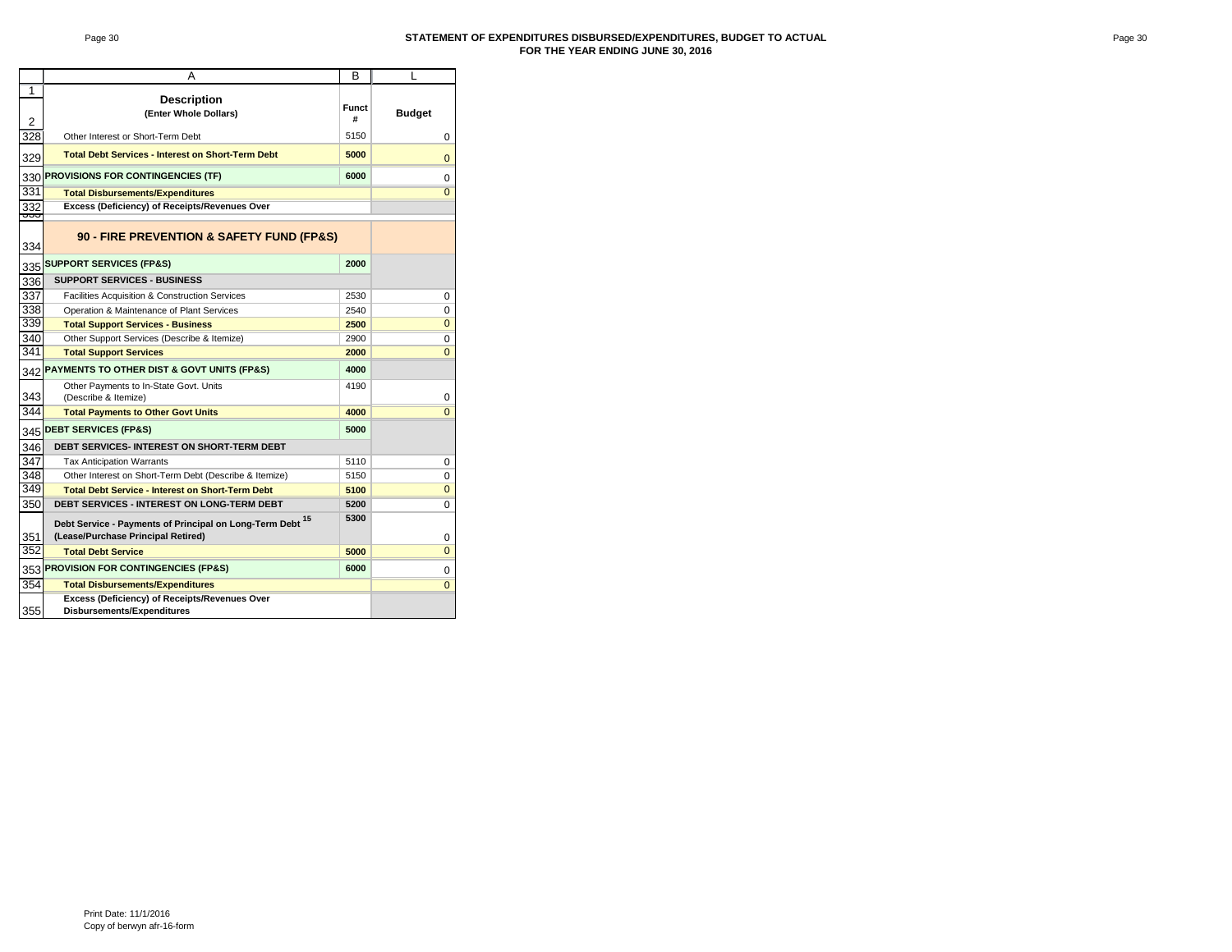#### Page 30 **STATEMENT OF EXPENDITURES DISBURSED/EXPENDITURES, BUDGET TO ACTUAL FOR THE YEAR ENDING JUNE 30, 2016**

|                | А                                                                                                          | в             | L              |
|----------------|------------------------------------------------------------------------------------------------------------|---------------|----------------|
| 1              |                                                                                                            |               |                |
| $\overline{2}$ | <b>Description</b><br>(Enter Whole Dollars)                                                                | <b>Budget</b> |                |
| 328            | Other Interest or Short-Term Debt                                                                          | 5150          | 0              |
| 329            | <b>Total Debt Services - Interest on Short-Term Debt</b>                                                   | $\Omega$      |                |
| 330            | PROVISIONS FOR CONTINGENCIES (TF)                                                                          | 0             |                |
| 331            | <b>Total Disbursements/Expenditures</b>                                                                    |               | $\overline{0}$ |
| 332            | Excess (Deficiency) of Receipts/Revenues Over                                                              |               |                |
| তত<br>334      | 90 - FIRE PREVENTION & SAFETY FUND (FP&S)                                                                  |               |                |
|                | 335 SUPPORT SERVICES (FP&S)                                                                                | 2000          |                |
| 336            | <b>SUPPORT SERVICES - BUSINESS</b>                                                                         |               |                |
| 337            | <b>Facilities Acquisition &amp; Construction Services</b>                                                  | 2530          | 0              |
| 338            | Operation & Maintenance of Plant Services                                                                  | 2540          | 0              |
| 339            | <b>Total Support Services - Business</b>                                                                   | 2500          | $\overline{0}$ |
| 340            | Other Support Services (Describe & Itemize)                                                                | 2900          | 0              |
| 341            | <b>Total Support Services</b>                                                                              | 2000          | $\overline{0}$ |
|                | 342 PAYMENTS TO OTHER DIST & GOVT UNITS (FP&S)                                                             | 4000          |                |
| 343            | Other Payments to In-State Govt. Units<br>(Describe & Itemize)                                             | 4190          | $\mathbf 0$    |
| 344            | <b>Total Payments to Other Govt Units</b>                                                                  | 4000          | $\mathbf{0}$   |
| 345            | <b>DEBT SERVICES (FP&amp;S)</b>                                                                            | 5000          |                |
| 346            | <b>DEBT SERVICES- INTEREST ON SHORT-TERM DEBT</b>                                                          |               |                |
| 347            | <b>Tax Anticipation Warrants</b>                                                                           | 5110          | 0              |
| 348            | Other Interest on Short-Term Debt (Describe & Itemize)                                                     | 5150          | 0              |
| 349            | <b>Total Debt Service - Interest on Short-Term Debt</b>                                                    | 5100          | $\mathbf 0$    |
| 350            | <b>DEBT SERVICES - INTEREST ON LONG-TERM DEBT</b>                                                          | 5200          | 0              |
| 351            | Debt Service - Payments of Principal on Long-Term Debt <sup>15</sup><br>(Lease/Purchase Principal Retired) | 5300          | 0              |
| 352            | <b>Total Debt Service</b>                                                                                  | 5000          | $\mathbf{0}$   |
|                | 353 PROVISION FOR CONTINGENCIES (FP&S)                                                                     | 6000          | 0              |
| 354            | <b>Total Disbursements/Expenditures</b>                                                                    |               | $\overline{0}$ |
| 355            | Excess (Deficiency) of Receipts/Revenues Over<br>Disbursements/Expenditures                                |               |                |
|                |                                                                                                            |               |                |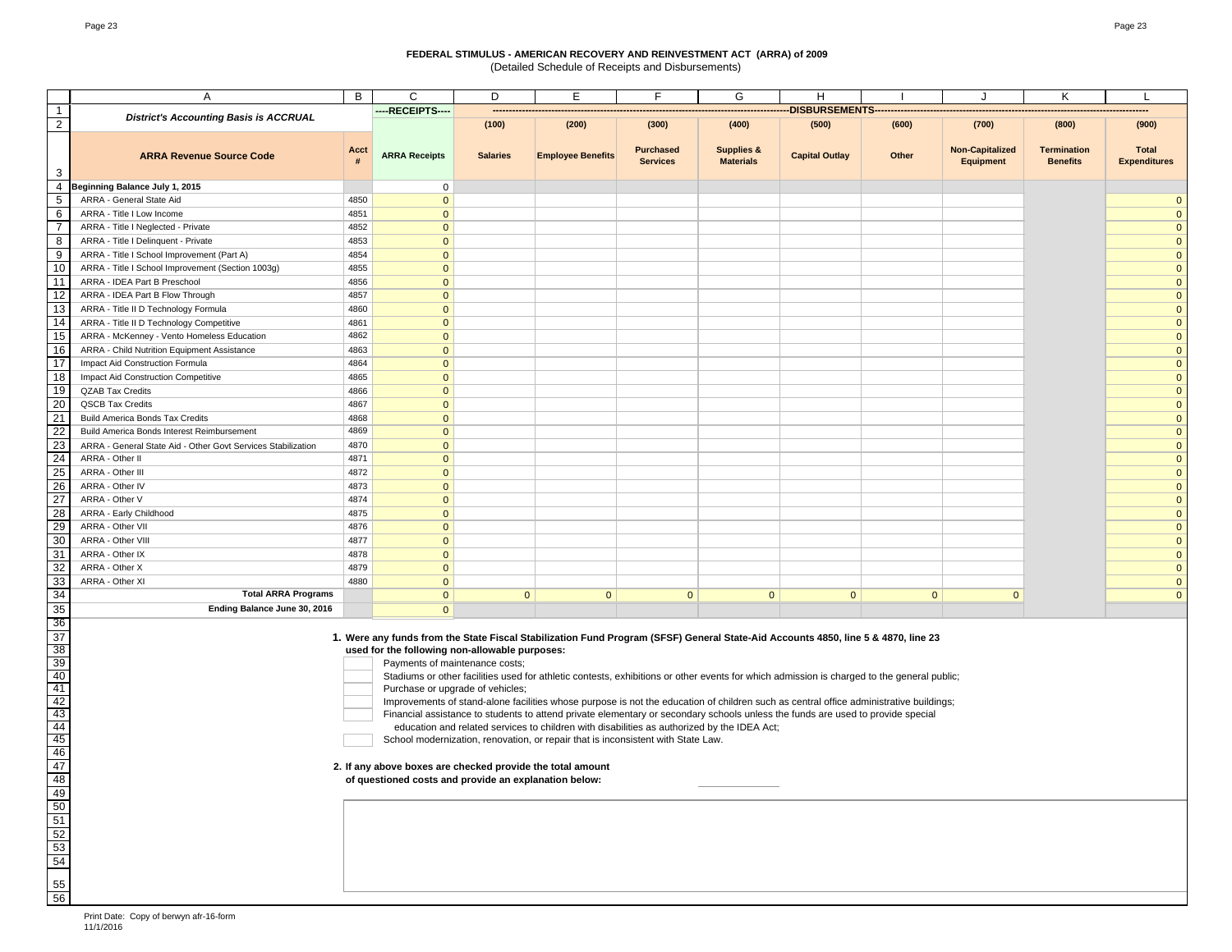(Detailed Schedule of Receipts and Disbursements)

|                                                                             | Α                                                                                                                                                                                                                                                                                                                                                                                                                                                                                                                                                                                                                                                                                                                                                                                                                                                                                                                                                                                                    | B            | C                            | D               | Ε                        | F                                   | G                                         | H                     |              | J                                          | Κ                                     | $\mathbf{L}$                        |
|-----------------------------------------------------------------------------|------------------------------------------------------------------------------------------------------------------------------------------------------------------------------------------------------------------------------------------------------------------------------------------------------------------------------------------------------------------------------------------------------------------------------------------------------------------------------------------------------------------------------------------------------------------------------------------------------------------------------------------------------------------------------------------------------------------------------------------------------------------------------------------------------------------------------------------------------------------------------------------------------------------------------------------------------------------------------------------------------|--------------|------------------------------|-----------------|--------------------------|-------------------------------------|-------------------------------------------|-----------------------|--------------|--------------------------------------------|---------------------------------------|-------------------------------------|
|                                                                             | <b>District's Accounting Basis is ACCRUAL</b>                                                                                                                                                                                                                                                                                                                                                                                                                                                                                                                                                                                                                                                                                                                                                                                                                                                                                                                                                        |              | ----RECEIPTS----             |                 |                          |                                     |                                           | DISBURSEMENTS-        |              |                                            |                                       |                                     |
| $\overline{2}$                                                              |                                                                                                                                                                                                                                                                                                                                                                                                                                                                                                                                                                                                                                                                                                                                                                                                                                                                                                                                                                                                      |              |                              | (100)           | (200)                    | (300)                               | (400)                                     | (500)                 | (600)        | (700)                                      | (800)                                 | (900)                               |
| 3                                                                           | <b>ARRA Revenue Source Code</b>                                                                                                                                                                                                                                                                                                                                                                                                                                                                                                                                                                                                                                                                                                                                                                                                                                                                                                                                                                      | Acct<br>#    | <b>ARRA Receipts</b>         | <b>Salaries</b> | <b>Employee Benefits</b> | <b>Purchased</b><br><b>Services</b> | <b>Supplies &amp;</b><br><b>Materials</b> | <b>Capital Outlay</b> | Other        | <b>Non-Capitalized</b><br><b>Equipment</b> | <b>Termination</b><br><b>Benefits</b> | <b>Total</b><br><b>Expenditures</b> |
| $\overline{4}$                                                              | Beginning Balance July 1, 2015                                                                                                                                                                                                                                                                                                                                                                                                                                                                                                                                                                                                                                                                                                                                                                                                                                                                                                                                                                       |              | $\mathbf 0$                  |                 |                          |                                     |                                           |                       |              |                                            |                                       |                                     |
| $5\phantom{.0}$                                                             | ARRA - General State Aid                                                                                                                                                                                                                                                                                                                                                                                                                                                                                                                                                                                                                                                                                                                                                                                                                                                                                                                                                                             | 4850         | $\mathbf{0}$                 |                 |                          |                                     |                                           |                       |              |                                            |                                       | $\mathbf{0}$                        |
| 6                                                                           | ARRA - Title I Low Income                                                                                                                                                                                                                                                                                                                                                                                                                                                                                                                                                                                                                                                                                                                                                                                                                                                                                                                                                                            | 4851         | $\mathbf{0}$                 |                 |                          |                                     |                                           |                       |              |                                            |                                       | $\mathbf{0}$                        |
| $\overline{7}$                                                              | ARRA - Title I Neglected - Private                                                                                                                                                                                                                                                                                                                                                                                                                                                                                                                                                                                                                                                                                                                                                                                                                                                                                                                                                                   | 4852         | $\mathbf{0}$                 |                 |                          |                                     |                                           |                       |              |                                            |                                       | $\mathbf 0$                         |
| 8                                                                           | ARRA - Title I Delinquent - Private                                                                                                                                                                                                                                                                                                                                                                                                                                                                                                                                                                                                                                                                                                                                                                                                                                                                                                                                                                  | 4853         | $\mathbf{0}$                 |                 |                          |                                     |                                           |                       |              |                                            |                                       | $\overline{0}$                      |
| 9                                                                           | ARRA - Title I School Improvement (Part A)                                                                                                                                                                                                                                                                                                                                                                                                                                                                                                                                                                                                                                                                                                                                                                                                                                                                                                                                                           | 4854         | $\mathbf{0}$                 |                 |                          |                                     |                                           |                       |              |                                            |                                       | $\overline{0}$                      |
| 10                                                                          | ARRA - Title I School Improvement (Section 1003g)                                                                                                                                                                                                                                                                                                                                                                                                                                                                                                                                                                                                                                                                                                                                                                                                                                                                                                                                                    | 4855         | $\mathbf{0}$                 |                 |                          |                                     |                                           |                       |              |                                            |                                       | $\mathbf{0}$                        |
| 11                                                                          | ARRA - IDEA Part B Preschool                                                                                                                                                                                                                                                                                                                                                                                                                                                                                                                                                                                                                                                                                                                                                                                                                                                                                                                                                                         | 4856         | $\mathbf{0}$                 |                 |                          |                                     |                                           |                       |              |                                            |                                       | $\overline{0}$                      |
| $\overline{12}$                                                             | ARRA - IDEA Part B Flow Through                                                                                                                                                                                                                                                                                                                                                                                                                                                                                                                                                                                                                                                                                                                                                                                                                                                                                                                                                                      | 4857         | $\mathbf{0}$                 |                 |                          |                                     |                                           |                       |              |                                            |                                       | $\mathbf{0}$                        |
| 13                                                                          | ARRA - Title II D Technology Formula                                                                                                                                                                                                                                                                                                                                                                                                                                                                                                                                                                                                                                                                                                                                                                                                                                                                                                                                                                 | 4860         | $\mathbf{0}$                 |                 |                          |                                     |                                           |                       |              |                                            |                                       | $\mathbf{0}$                        |
| 14                                                                          | ARRA - Title II D Technology Competitive                                                                                                                                                                                                                                                                                                                                                                                                                                                                                                                                                                                                                                                                                                                                                                                                                                                                                                                                                             | 4861         | $\mathbf{0}$                 |                 |                          |                                     |                                           |                       |              |                                            |                                       | $\mathbf{0}$                        |
| 15                                                                          | ARRA - McKenney - Vento Homeless Education                                                                                                                                                                                                                                                                                                                                                                                                                                                                                                                                                                                                                                                                                                                                                                                                                                                                                                                                                           | 4862         | $\mathbf{0}$                 |                 |                          |                                     |                                           |                       |              |                                            |                                       | $\mathbf{0}$                        |
| 16                                                                          | ARRA - Child Nutrition Equipment Assistance                                                                                                                                                                                                                                                                                                                                                                                                                                                                                                                                                                                                                                                                                                                                                                                                                                                                                                                                                          | 4863         | $\mathbf 0$                  |                 |                          |                                     |                                           |                       |              |                                            |                                       | $\mathbf{0}$                        |
| 17                                                                          | Impact Aid Construction Formula                                                                                                                                                                                                                                                                                                                                                                                                                                                                                                                                                                                                                                                                                                                                                                                                                                                                                                                                                                      | 4864         | $\mathbf{0}$                 |                 |                          |                                     |                                           |                       |              |                                            |                                       | $\overline{0}$                      |
| 18                                                                          | Impact Aid Construction Competitive                                                                                                                                                                                                                                                                                                                                                                                                                                                                                                                                                                                                                                                                                                                                                                                                                                                                                                                                                                  | 4865         | $\mathbf{0}$                 |                 |                          |                                     |                                           |                       |              |                                            |                                       | $\overline{0}$                      |
| 19                                                                          | <b>QZAB Tax Credits</b>                                                                                                                                                                                                                                                                                                                                                                                                                                                                                                                                                                                                                                                                                                                                                                                                                                                                                                                                                                              | 4866         | $\mathbf{0}$                 |                 |                          |                                     |                                           |                       |              |                                            |                                       | $\overline{0}$                      |
| 20                                                                          | QSCB Tax Credits                                                                                                                                                                                                                                                                                                                                                                                                                                                                                                                                                                                                                                                                                                                                                                                                                                                                                                                                                                                     | 4867         | $\mathbf{0}$                 |                 |                          |                                     |                                           |                       |              |                                            |                                       | $\overline{0}$                      |
| 21                                                                          | <b>Build America Bonds Tax Credits</b>                                                                                                                                                                                                                                                                                                                                                                                                                                                                                                                                                                                                                                                                                                                                                                                                                                                                                                                                                               | 4868         | $\mathbf{0}$                 |                 |                          |                                     |                                           |                       |              |                                            |                                       | $\overline{0}$                      |
| $\overline{22}$                                                             | Build America Bonds Interest Reimbursement                                                                                                                                                                                                                                                                                                                                                                                                                                                                                                                                                                                                                                                                                                                                                                                                                                                                                                                                                           | 4869         | $\mathbf{0}$                 |                 |                          |                                     |                                           |                       |              |                                            |                                       | $\overline{0}$                      |
| $\overline{23}$                                                             | ARRA - General State Aid - Other Govt Services Stabilization                                                                                                                                                                                                                                                                                                                                                                                                                                                                                                                                                                                                                                                                                                                                                                                                                                                                                                                                         | 4870         | $\mathbf{0}$                 |                 |                          |                                     |                                           |                       |              |                                            |                                       | $\mathbf{0}$                        |
| $\overline{24}$                                                             | ARRA - Other II                                                                                                                                                                                                                                                                                                                                                                                                                                                                                                                                                                                                                                                                                                                                                                                                                                                                                                                                                                                      | 4871         | $\mathbf{0}$                 |                 |                          |                                     |                                           |                       |              |                                            |                                       | $\mathbf{0}$                        |
| 25<br>$\overline{26}$                                                       | ARRA - Other III<br>ARRA - Other IV                                                                                                                                                                                                                                                                                                                                                                                                                                                                                                                                                                                                                                                                                                                                                                                                                                                                                                                                                                  | 4872<br>4873 | $\mathbf{0}$                 |                 |                          |                                     |                                           |                       |              |                                            |                                       | $\mathbf{0}$                        |
| 27                                                                          | ARRA - Other V                                                                                                                                                                                                                                                                                                                                                                                                                                                                                                                                                                                                                                                                                                                                                                                                                                                                                                                                                                                       | 4874         | $\mathbf{0}$<br>$\mathbf{0}$ |                 |                          |                                     |                                           |                       |              |                                            |                                       | $\mathbf{0}$<br>$\mathbf{0}$        |
| 28                                                                          | ARRA - Early Childhood                                                                                                                                                                                                                                                                                                                                                                                                                                                                                                                                                                                                                                                                                                                                                                                                                                                                                                                                                                               | 4875         | $\mathbf{0}$                 |                 |                          |                                     |                                           |                       |              |                                            |                                       | $\mathbf{0}$                        |
| 29                                                                          | ARRA - Other VII                                                                                                                                                                                                                                                                                                                                                                                                                                                                                                                                                                                                                                                                                                                                                                                                                                                                                                                                                                                     | 4876         | $\mathbf 0$                  |                 |                          |                                     |                                           |                       |              |                                            |                                       | $\overline{0}$                      |
| 30                                                                          | ARRA - Other VIII                                                                                                                                                                                                                                                                                                                                                                                                                                                                                                                                                                                                                                                                                                                                                                                                                                                                                                                                                                                    | 4877         | $\mathbf{0}$                 |                 |                          |                                     |                                           |                       |              |                                            |                                       | $\mathbf{0}$                        |
| 31                                                                          | ARRA - Other IX                                                                                                                                                                                                                                                                                                                                                                                                                                                                                                                                                                                                                                                                                                                                                                                                                                                                                                                                                                                      | 4878         | $\mathbf{0}$                 |                 |                          |                                     |                                           |                       |              |                                            |                                       | $\overline{0}$                      |
| 32                                                                          | ARRA - Other X                                                                                                                                                                                                                                                                                                                                                                                                                                                                                                                                                                                                                                                                                                                                                                                                                                                                                                                                                                                       | 4879         | $\mathbf{0}$                 |                 |                          |                                     |                                           |                       |              |                                            |                                       | $\overline{0}$                      |
| 33                                                                          | ARRA - Other XI                                                                                                                                                                                                                                                                                                                                                                                                                                                                                                                                                                                                                                                                                                                                                                                                                                                                                                                                                                                      | 4880         | $\overline{0}$               |                 |                          |                                     |                                           |                       |              |                                            |                                       | $\mathbf{0}$                        |
| 34                                                                          | <b>Total ARRA Programs</b>                                                                                                                                                                                                                                                                                                                                                                                                                                                                                                                                                                                                                                                                                                                                                                                                                                                                                                                                                                           |              | $\mathbf{0}$                 | $\mathbf{0}$    | $\mathbf{0}$             | $\mathbf{0}$                        | $\mathbf{0}$                              | $\mathbf{0}$          | $\mathbf{0}$ | $\mathbf{0}$                               |                                       | $\overline{0}$                      |
| 35                                                                          | Ending Balance June 30, 2016                                                                                                                                                                                                                                                                                                                                                                                                                                                                                                                                                                                                                                                                                                                                                                                                                                                                                                                                                                         |              | $\mathbf{0}$                 |                 |                          |                                     |                                           |                       |              |                                            |                                       |                                     |
| 37<br>38<br>39<br>40<br>41<br>42<br>43<br>44<br>$\frac{45}{46}$<br>47<br>48 | 36<br>1. Were any funds from the State Fiscal Stabilization Fund Program (SFSF) General State-Aid Accounts 4850, line 5 & 4870, line 23<br>used for the following non-allowable purposes:<br>Payments of maintenance costs;<br>Stadiums or other facilities used for athletic contests, exhibitions or other events for which admission is charged to the general public;<br>Purchase or upgrade of vehicles;<br>Improvements of stand-alone facilities whose purpose is not the education of children such as central office administrative buildings;<br>Financial assistance to students to attend private elementary or secondary schools unless the funds are used to provide special<br>education and related services to children with disabilities as authorized by the IDEA Act;<br>School modernization, renovation, or repair that is inconsistent with State Law.<br>2. If any above boxes are checked provide the total amount<br>of questioned costs and provide an explanation below: |              |                              |                 |                          |                                     |                                           |                       |              |                                            |                                       |                                     |
| $\frac{49}{54}$<br>$\frac{55}{56}$                                          |                                                                                                                                                                                                                                                                                                                                                                                                                                                                                                                                                                                                                                                                                                                                                                                                                                                                                                                                                                                                      |              |                              |                 |                          |                                     |                                           |                       |              |                                            |                                       |                                     |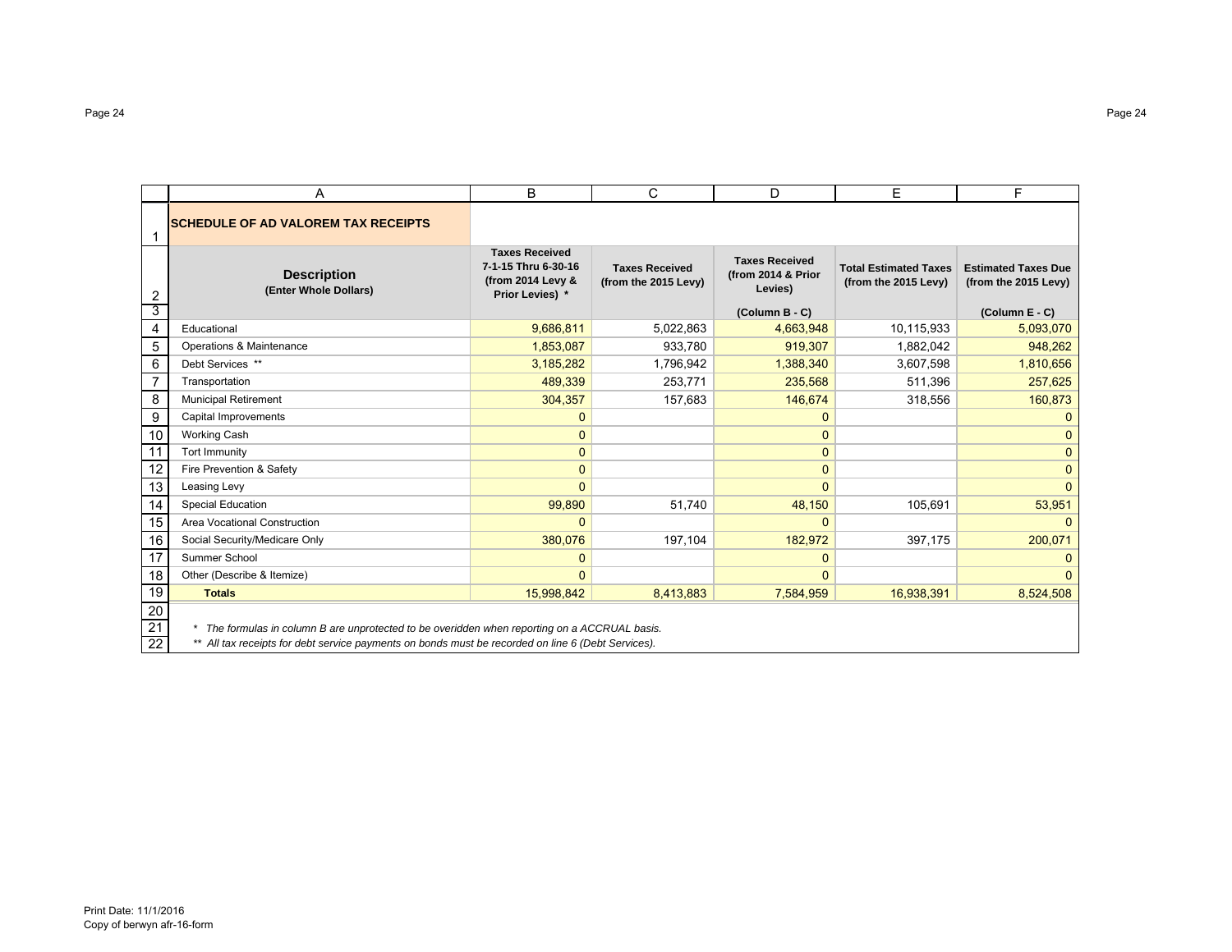|                 | A                                                                                                      | B                                                                                    | C                                             | D                                                      | E                                                    | F                                                  |  |  |  |  |  |
|-----------------|--------------------------------------------------------------------------------------------------------|--------------------------------------------------------------------------------------|-----------------------------------------------|--------------------------------------------------------|------------------------------------------------------|----------------------------------------------------|--|--|--|--|--|
|                 | <b>SCHEDULE OF AD VALOREM TAX RECEIPTS</b>                                                             |                                                                                      |                                               |                                                        |                                                      |                                                    |  |  |  |  |  |
| 2               | <b>Description</b><br>(Enter Whole Dollars)                                                            | <b>Taxes Received</b><br>7-1-15 Thru 6-30-16<br>(from 2014 Levy &<br>Prior Levies) * | <b>Taxes Received</b><br>(from the 2015 Levy) | <b>Taxes Received</b><br>(from 2014 & Prior<br>Levies) | <b>Total Estimated Taxes</b><br>(from the 2015 Levy) | <b>Estimated Taxes Due</b><br>(from the 2015 Levy) |  |  |  |  |  |
| 3               |                                                                                                        |                                                                                      |                                               | (Column B - C)                                         |                                                      | (Column E - C)                                     |  |  |  |  |  |
| $\overline{4}$  | Educational                                                                                            | 9,686,811                                                                            | 5,022,863                                     | 4,663,948                                              | 10,115,933                                           | 5,093,070                                          |  |  |  |  |  |
| 5               | Operations & Maintenance                                                                               | 1,853,087                                                                            | 933,780                                       | 919,307                                                | 1,882,042                                            | 948,262                                            |  |  |  |  |  |
| 6               | Debt Services **                                                                                       | 3,185,282                                                                            | 1,796,942                                     | 1,388,340                                              | 3,607,598                                            | 1,810,656                                          |  |  |  |  |  |
| $\overline{7}$  | Transportation                                                                                         | 489,339                                                                              | 253,771                                       | 235,568                                                | 511,396                                              | 257,625                                            |  |  |  |  |  |
| 8               | <b>Municipal Retirement</b>                                                                            | 304,357                                                                              | 157,683                                       | 146,674                                                | 318,556                                              | 160,873                                            |  |  |  |  |  |
| 9               | Capital Improvements                                                                                   | $\mathbf{0}$                                                                         |                                               | $\mathbf{0}$                                           |                                                      | $\Omega$                                           |  |  |  |  |  |
| 10              | <b>Working Cash</b>                                                                                    | $\mathbf{0}$                                                                         |                                               | 0                                                      |                                                      | $\mathbf{0}$                                       |  |  |  |  |  |
| 11              | <b>Tort Immunity</b>                                                                                   | $\Omega$                                                                             |                                               | $\mathbf{0}$                                           |                                                      | $\mathbf{0}$                                       |  |  |  |  |  |
| 12              | Fire Prevention & Safety                                                                               | $\mathbf{0}$                                                                         |                                               | $\mathbf{0}$                                           |                                                      | $\mathbf{0}$                                       |  |  |  |  |  |
| 13              | Leasing Levy                                                                                           | $\Omega$                                                                             |                                               | $\Omega$                                               |                                                      | $\Omega$                                           |  |  |  |  |  |
| 14              | <b>Special Education</b>                                                                               | 99,890                                                                               | 51,740                                        | 48,150                                                 | 105,691                                              | 53,951                                             |  |  |  |  |  |
| 15              | Area Vocational Construction                                                                           | $\mathbf{0}$                                                                         |                                               | $\mathbf{0}$                                           |                                                      | $\mathbf{0}$                                       |  |  |  |  |  |
| 16              | Social Security/Medicare Only                                                                          | 380,076                                                                              | 197,104                                       | 182,972                                                | 397,175                                              | 200,071                                            |  |  |  |  |  |
| 17              | Summer School                                                                                          | $\mathbf{0}$                                                                         |                                               | $\mathbf{0}$                                           |                                                      | $\Omega$                                           |  |  |  |  |  |
| 18              | Other (Describe & Itemize)                                                                             | $\Omega$                                                                             |                                               | $\mathbf{0}$                                           |                                                      | $\Omega$                                           |  |  |  |  |  |
| 19              | <b>Totals</b>                                                                                          | 15,998,842                                                                           | 8,413,883                                     | 7,584,959                                              | 16,938,391                                           | 8,524,508                                          |  |  |  |  |  |
| $20\,$<br>21    | The formulas in column B are unprotected to be overidden when reporting on a ACCRUAL basis.<br>$\star$ |                                                                                      |                                               |                                                        |                                                      |                                                    |  |  |  |  |  |
| $\overline{22}$ | ** All tax receipts for debt service payments on bonds must be recorded on line 6 (Debt Services).     |                                                                                      |                                               |                                                        |                                                      |                                                    |  |  |  |  |  |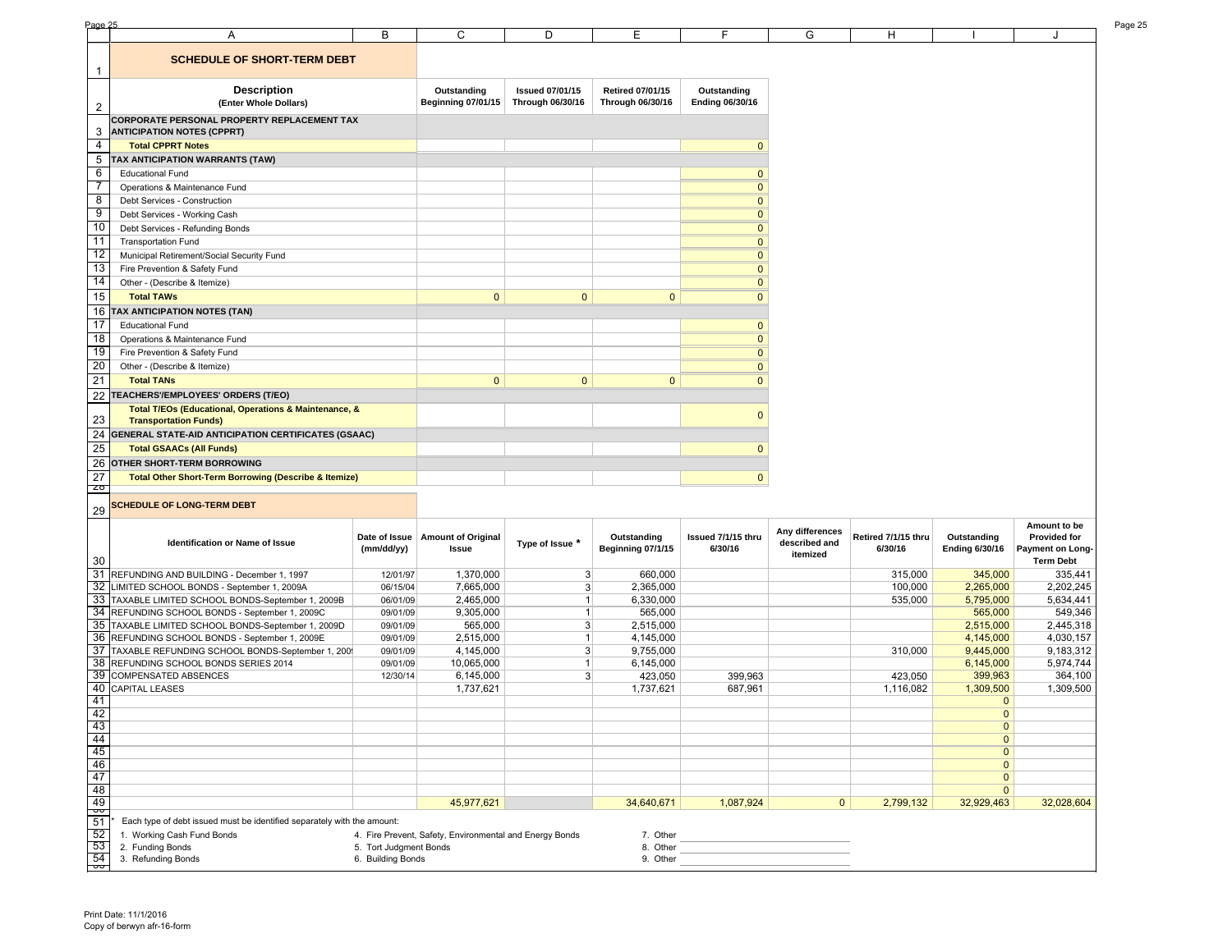| <b>SCHEDULE OF SHORT-TERM DEBT</b><br>1<br><b>Description</b><br><b>Issued 07/01/15</b><br><b>Retired 07/01/15</b><br>Outstanding<br>Outstanding<br><b>Beginning 07/01/15</b><br>Through 06/30/16<br>Through 06/30/16<br><b>Ending 06/30/16</b><br>(Enter Whole Dollars)<br>$\overline{2}$<br>CORPORATE PERSONAL PROPERTY REPLACEMENT TAX<br>3<br><b>ANTICIPATION NOTES (CPPRT)</b><br>4<br><b>Total CPPRT Notes</b><br>$\mathbf{0}$<br>5<br>TAX ANTICIPATION WARRANTS (TAW)<br>6<br>$\mathbf{0}$<br><b>Educational Fund</b><br>7<br>$\mathbf 0$<br>Operations & Maintenance Fund<br>8<br>$\mathbf 0$<br>Debt Services - Construction<br>9<br>$\mathbf 0$<br>Debt Services - Working Cash<br>10<br>Debt Services - Refunding Bonds<br>$\mathbf 0$<br>11<br>$\pmb{0}$<br><b>Transportation Fund</b><br>12<br>$\pmb{0}$<br>Municipal Retirement/Social Security Fund<br>13<br>$\mathbf 0$<br>Fire Prevention & Safety Fund<br>14<br>$\pmb{0}$<br>Other - (Describe & Itemize)<br>15<br>$\mathbf 0$<br><b>Total TAWs</b><br>$\mathbf{0}$<br>$\mathbf{0}$<br>$\mathbf{0}$<br>16<br><b>TAX ANTICIPATION NOTES (TAN)</b><br>17<br>$\pmb{0}$<br><b>Educational Fund</b><br>$\overline{18}$<br>$\pmb{0}$<br>Operations & Maintenance Fund<br>19<br>$\mathbf{0}$<br>Fire Prevention & Safety Fund<br>20<br>$\pmb{0}$<br>Other - (Describe & Itemize)<br>21<br><b>Total TANs</b><br>$\mathbf{0}$<br>$\mathbf{0}$<br>$\mathbf{0}$<br>$\mathbf{0}$<br>22<br>TEACHERS'/EMPLOYEES' ORDERS (T/EO)<br>Total T/EOs (Educational, Operations & Maintenance, &<br>$\mathbf{0}$<br>23<br><b>Transportation Funds)</b><br>24<br>GENERAL STATE-AID ANTICIPATION CERTIFICATES (GSAAC)<br>25<br><b>Total GSAACs (All Funds)</b><br>$\mathbf{0}$<br>26<br>OTHER SHORT-TERM BORROWING<br>27<br>$\mathbf{0}$<br><b>Total Other Short-Term Borrowing (Describe &amp; Itemize)</b><br>b<br><b>SCHEDULE OF LONG-TERM DEBT</b><br>29<br>Amount to be<br>Any differences<br>Issued 7/1/15 thru<br>Retired 7/1/15 thru<br>Date of Issue<br><b>Amount of Original</b><br>Outstanding<br>Outstanding<br>Provided for<br>Type of Issue *<br>described and<br>Identification or Name of Issue<br>(mm/dd/yy)<br>Issue<br>Beginning 07/1/15<br>6/30/16<br>6/30/16<br><b>Ending 6/30/16</b><br>Payment on Long-<br>itemized<br><b>Term Debt</b><br>30<br>31 REFUNDING AND BUILDING - December 1, 1997<br>1,370,000<br>3<br>660,000<br>315,000<br>345,000<br>335,441<br>12/01/97<br>32 LIMITED SCHOOL BONDS - September 1, 2009A<br>2,202,245<br>7,665,000<br>$\mathbf{3}$<br>2,365,000<br>100,000<br>2,265,000<br>06/15/04<br>33 TAXABLE LIMITED SCHOOL BONDS-September 1, 2009B<br>535,000<br>5,795,000<br>5,634,441<br>06/01/09<br>2,465,000<br>6,330,000<br>$\mathbf{1}$<br>34 REFUNDING SCHOOL BONDS - September 1, 2009C<br>549,346<br>9,305,000<br>565,000<br>565,000<br>09/01/09<br>$\mathbf{1}$<br>35 TAXABLE LIMITED SCHOOL BONDS-September 1, 2009D<br>2,445,318<br>565,000<br>$\mathbf{3}$<br>2,515,000<br>2,515,000<br>09/01/09<br>36 REFUNDING SCHOOL BONDS - September 1, 2009E<br>2,515,000<br>4,145,000<br>4,145,000<br>4,030,157<br>09/01/09<br>37 TAXABLE REFUNDING SCHOOL BONDS-September 1, 200<br>9,183,312<br>$\mathbf{3}$<br>9,755,000<br>310,000<br>9,445,000<br>09/01/09<br>4,145,000<br>5,974,744<br>38 REFUNDING SCHOOL BONDS SERIES 2014<br>10,065,000<br>6,145,000<br>6,145,000<br>09/01/09<br>$\mathbf{1}$<br>39<br>$\overline{3}$<br><b>COMPENSATED ABSENCES</b><br>6,145,000<br>423,050<br>399,963<br>423,050<br>399,963<br>364,100<br>12/30/14<br>40<br>1,309,500<br><b>CAPITAL LEASES</b><br>1,737,621<br>1,737,621<br>687,961<br>1,116,082<br>1,309,500<br>41<br>$\mathbf{0}$<br>42<br>$\mathbf{0}$<br>$\mathbf{0}$<br>$\mathbf 0$<br>$\mathbf{0}$<br>$\mathbf{0}$<br>$\mathbf{0}$<br>$\mathbf{0}$<br>45,977,621<br>34,640,671<br>1,087,924<br>$\mathbf{0}$<br>32,929,463<br>32,028,604<br>2,799,132<br>Each type of debt issued must be identified separately with the amount:<br>1. Working Cash Fund Bonds<br>4. Fire Prevent, Safety, Environmental and Energy Bonds<br>7. Other<br>2. Funding Bonds<br>5. Tort Judgment Bonds<br>8. Other<br>the control of the control of the control of<br>3. Refunding Bonds<br>6. Building Bonds<br>9. Other | Page 25 |   |   |   |   |   |   |   |   | Page 25 |
|--------------------------------------------------------------------------------------------------------------------------------------------------------------------------------------------------------------------------------------------------------------------------------------------------------------------------------------------------------------------------------------------------------------------------------------------------------------------------------------------------------------------------------------------------------------------------------------------------------------------------------------------------------------------------------------------------------------------------------------------------------------------------------------------------------------------------------------------------------------------------------------------------------------------------------------------------------------------------------------------------------------------------------------------------------------------------------------------------------------------------------------------------------------------------------------------------------------------------------------------------------------------------------------------------------------------------------------------------------------------------------------------------------------------------------------------------------------------------------------------------------------------------------------------------------------------------------------------------------------------------------------------------------------------------------------------------------------------------------------------------------------------------------------------------------------------------------------------------------------------------------------------------------------------------------------------------------------------------------------------------------------------------------------------------------------------------------------------------------------------------------------------------------------------------------------------------------------------------------------------------------------------------------------------------------------------------------------------------------------------------------------------------------------------------------------------------------------------------------------------------------------------------------------------------------------------------------------------------------------------------------------------------------------------------------------------------------------------------------------------------------------------------------------------------------------------------------------------------------------------------------------------------------------------------------------------------------------------------------------------------------------------------------------------------------------------------------------------------------------------------------------------------------------------------------------------------------------------------------------------------------------------------------------------------------------------------------------------------------------------------------------------------------------------------------------------------------------------------------------------------------------------------------------------------------------------------------------------------------------------------------------------------------------------------------------------------------------------------------------------------------------------------------------------------------------------------------------------------------------------------------------------------------------------------------------------------------------------------------------------------------------------------------------------------------------------------------------------------------------------------------------------------------------------------------------------------------------------------------------------------|---------|---|---|---|---|---|---|---|---|---------|
|                                                                                                                                                                                                                                                                                                                                                                                                                                                                                                                                                                                                                                                                                                                                                                                                                                                                                                                                                                                                                                                                                                                                                                                                                                                                                                                                                                                                                                                                                                                                                                                                                                                                                                                                                                                                                                                                                                                                                                                                                                                                                                                                                                                                                                                                                                                                                                                                                                                                                                                                                                                                                                                                                                                                                                                                                                                                                                                                                                                                                                                                                                                                                                                                                                                                                                                                                                                                                                                                                                                                                                                                                                                                                                                                                                                                                                                                                                                                                                                                                                                                                                                                                                                                                                                  |         | Α | B | C | D | Ε | F | G | H |         |
|                                                                                                                                                                                                                                                                                                                                                                                                                                                                                                                                                                                                                                                                                                                                                                                                                                                                                                                                                                                                                                                                                                                                                                                                                                                                                                                                                                                                                                                                                                                                                                                                                                                                                                                                                                                                                                                                                                                                                                                                                                                                                                                                                                                                                                                                                                                                                                                                                                                                                                                                                                                                                                                                                                                                                                                                                                                                                                                                                                                                                                                                                                                                                                                                                                                                                                                                                                                                                                                                                                                                                                                                                                                                                                                                                                                                                                                                                                                                                                                                                                                                                                                                                                                                                                                  |         |   |   |   |   |   |   |   |   |         |
|                                                                                                                                                                                                                                                                                                                                                                                                                                                                                                                                                                                                                                                                                                                                                                                                                                                                                                                                                                                                                                                                                                                                                                                                                                                                                                                                                                                                                                                                                                                                                                                                                                                                                                                                                                                                                                                                                                                                                                                                                                                                                                                                                                                                                                                                                                                                                                                                                                                                                                                                                                                                                                                                                                                                                                                                                                                                                                                                                                                                                                                                                                                                                                                                                                                                                                                                                                                                                                                                                                                                                                                                                                                                                                                                                                                                                                                                                                                                                                                                                                                                                                                                                                                                                                                  |         |   |   |   |   |   |   |   |   |         |
|                                                                                                                                                                                                                                                                                                                                                                                                                                                                                                                                                                                                                                                                                                                                                                                                                                                                                                                                                                                                                                                                                                                                                                                                                                                                                                                                                                                                                                                                                                                                                                                                                                                                                                                                                                                                                                                                                                                                                                                                                                                                                                                                                                                                                                                                                                                                                                                                                                                                                                                                                                                                                                                                                                                                                                                                                                                                                                                                                                                                                                                                                                                                                                                                                                                                                                                                                                                                                                                                                                                                                                                                                                                                                                                                                                                                                                                                                                                                                                                                                                                                                                                                                                                                                                                  |         |   |   |   |   |   |   |   |   |         |
|                                                                                                                                                                                                                                                                                                                                                                                                                                                                                                                                                                                                                                                                                                                                                                                                                                                                                                                                                                                                                                                                                                                                                                                                                                                                                                                                                                                                                                                                                                                                                                                                                                                                                                                                                                                                                                                                                                                                                                                                                                                                                                                                                                                                                                                                                                                                                                                                                                                                                                                                                                                                                                                                                                                                                                                                                                                                                                                                                                                                                                                                                                                                                                                                                                                                                                                                                                                                                                                                                                                                                                                                                                                                                                                                                                                                                                                                                                                                                                                                                                                                                                                                                                                                                                                  |         |   |   |   |   |   |   |   |   |         |
|                                                                                                                                                                                                                                                                                                                                                                                                                                                                                                                                                                                                                                                                                                                                                                                                                                                                                                                                                                                                                                                                                                                                                                                                                                                                                                                                                                                                                                                                                                                                                                                                                                                                                                                                                                                                                                                                                                                                                                                                                                                                                                                                                                                                                                                                                                                                                                                                                                                                                                                                                                                                                                                                                                                                                                                                                                                                                                                                                                                                                                                                                                                                                                                                                                                                                                                                                                                                                                                                                                                                                                                                                                                                                                                                                                                                                                                                                                                                                                                                                                                                                                                                                                                                                                                  |         |   |   |   |   |   |   |   |   |         |
|                                                                                                                                                                                                                                                                                                                                                                                                                                                                                                                                                                                                                                                                                                                                                                                                                                                                                                                                                                                                                                                                                                                                                                                                                                                                                                                                                                                                                                                                                                                                                                                                                                                                                                                                                                                                                                                                                                                                                                                                                                                                                                                                                                                                                                                                                                                                                                                                                                                                                                                                                                                                                                                                                                                                                                                                                                                                                                                                                                                                                                                                                                                                                                                                                                                                                                                                                                                                                                                                                                                                                                                                                                                                                                                                                                                                                                                                                                                                                                                                                                                                                                                                                                                                                                                  |         |   |   |   |   |   |   |   |   |         |
|                                                                                                                                                                                                                                                                                                                                                                                                                                                                                                                                                                                                                                                                                                                                                                                                                                                                                                                                                                                                                                                                                                                                                                                                                                                                                                                                                                                                                                                                                                                                                                                                                                                                                                                                                                                                                                                                                                                                                                                                                                                                                                                                                                                                                                                                                                                                                                                                                                                                                                                                                                                                                                                                                                                                                                                                                                                                                                                                                                                                                                                                                                                                                                                                                                                                                                                                                                                                                                                                                                                                                                                                                                                                                                                                                                                                                                                                                                                                                                                                                                                                                                                                                                                                                                                  |         |   |   |   |   |   |   |   |   |         |
|                                                                                                                                                                                                                                                                                                                                                                                                                                                                                                                                                                                                                                                                                                                                                                                                                                                                                                                                                                                                                                                                                                                                                                                                                                                                                                                                                                                                                                                                                                                                                                                                                                                                                                                                                                                                                                                                                                                                                                                                                                                                                                                                                                                                                                                                                                                                                                                                                                                                                                                                                                                                                                                                                                                                                                                                                                                                                                                                                                                                                                                                                                                                                                                                                                                                                                                                                                                                                                                                                                                                                                                                                                                                                                                                                                                                                                                                                                                                                                                                                                                                                                                                                                                                                                                  |         |   |   |   |   |   |   |   |   |         |
|                                                                                                                                                                                                                                                                                                                                                                                                                                                                                                                                                                                                                                                                                                                                                                                                                                                                                                                                                                                                                                                                                                                                                                                                                                                                                                                                                                                                                                                                                                                                                                                                                                                                                                                                                                                                                                                                                                                                                                                                                                                                                                                                                                                                                                                                                                                                                                                                                                                                                                                                                                                                                                                                                                                                                                                                                                                                                                                                                                                                                                                                                                                                                                                                                                                                                                                                                                                                                                                                                                                                                                                                                                                                                                                                                                                                                                                                                                                                                                                                                                                                                                                                                                                                                                                  |         |   |   |   |   |   |   |   |   |         |
|                                                                                                                                                                                                                                                                                                                                                                                                                                                                                                                                                                                                                                                                                                                                                                                                                                                                                                                                                                                                                                                                                                                                                                                                                                                                                                                                                                                                                                                                                                                                                                                                                                                                                                                                                                                                                                                                                                                                                                                                                                                                                                                                                                                                                                                                                                                                                                                                                                                                                                                                                                                                                                                                                                                                                                                                                                                                                                                                                                                                                                                                                                                                                                                                                                                                                                                                                                                                                                                                                                                                                                                                                                                                                                                                                                                                                                                                                                                                                                                                                                                                                                                                                                                                                                                  |         |   |   |   |   |   |   |   |   |         |
|                                                                                                                                                                                                                                                                                                                                                                                                                                                                                                                                                                                                                                                                                                                                                                                                                                                                                                                                                                                                                                                                                                                                                                                                                                                                                                                                                                                                                                                                                                                                                                                                                                                                                                                                                                                                                                                                                                                                                                                                                                                                                                                                                                                                                                                                                                                                                                                                                                                                                                                                                                                                                                                                                                                                                                                                                                                                                                                                                                                                                                                                                                                                                                                                                                                                                                                                                                                                                                                                                                                                                                                                                                                                                                                                                                                                                                                                                                                                                                                                                                                                                                                                                                                                                                                  |         |   |   |   |   |   |   |   |   |         |
|                                                                                                                                                                                                                                                                                                                                                                                                                                                                                                                                                                                                                                                                                                                                                                                                                                                                                                                                                                                                                                                                                                                                                                                                                                                                                                                                                                                                                                                                                                                                                                                                                                                                                                                                                                                                                                                                                                                                                                                                                                                                                                                                                                                                                                                                                                                                                                                                                                                                                                                                                                                                                                                                                                                                                                                                                                                                                                                                                                                                                                                                                                                                                                                                                                                                                                                                                                                                                                                                                                                                                                                                                                                                                                                                                                                                                                                                                                                                                                                                                                                                                                                                                                                                                                                  |         |   |   |   |   |   |   |   |   |         |
|                                                                                                                                                                                                                                                                                                                                                                                                                                                                                                                                                                                                                                                                                                                                                                                                                                                                                                                                                                                                                                                                                                                                                                                                                                                                                                                                                                                                                                                                                                                                                                                                                                                                                                                                                                                                                                                                                                                                                                                                                                                                                                                                                                                                                                                                                                                                                                                                                                                                                                                                                                                                                                                                                                                                                                                                                                                                                                                                                                                                                                                                                                                                                                                                                                                                                                                                                                                                                                                                                                                                                                                                                                                                                                                                                                                                                                                                                                                                                                                                                                                                                                                                                                                                                                                  |         |   |   |   |   |   |   |   |   |         |
|                                                                                                                                                                                                                                                                                                                                                                                                                                                                                                                                                                                                                                                                                                                                                                                                                                                                                                                                                                                                                                                                                                                                                                                                                                                                                                                                                                                                                                                                                                                                                                                                                                                                                                                                                                                                                                                                                                                                                                                                                                                                                                                                                                                                                                                                                                                                                                                                                                                                                                                                                                                                                                                                                                                                                                                                                                                                                                                                                                                                                                                                                                                                                                                                                                                                                                                                                                                                                                                                                                                                                                                                                                                                                                                                                                                                                                                                                                                                                                                                                                                                                                                                                                                                                                                  |         |   |   |   |   |   |   |   |   |         |
|                                                                                                                                                                                                                                                                                                                                                                                                                                                                                                                                                                                                                                                                                                                                                                                                                                                                                                                                                                                                                                                                                                                                                                                                                                                                                                                                                                                                                                                                                                                                                                                                                                                                                                                                                                                                                                                                                                                                                                                                                                                                                                                                                                                                                                                                                                                                                                                                                                                                                                                                                                                                                                                                                                                                                                                                                                                                                                                                                                                                                                                                                                                                                                                                                                                                                                                                                                                                                                                                                                                                                                                                                                                                                                                                                                                                                                                                                                                                                                                                                                                                                                                                                                                                                                                  |         |   |   |   |   |   |   |   |   |         |
|                                                                                                                                                                                                                                                                                                                                                                                                                                                                                                                                                                                                                                                                                                                                                                                                                                                                                                                                                                                                                                                                                                                                                                                                                                                                                                                                                                                                                                                                                                                                                                                                                                                                                                                                                                                                                                                                                                                                                                                                                                                                                                                                                                                                                                                                                                                                                                                                                                                                                                                                                                                                                                                                                                                                                                                                                                                                                                                                                                                                                                                                                                                                                                                                                                                                                                                                                                                                                                                                                                                                                                                                                                                                                                                                                                                                                                                                                                                                                                                                                                                                                                                                                                                                                                                  |         |   |   |   |   |   |   |   |   |         |
|                                                                                                                                                                                                                                                                                                                                                                                                                                                                                                                                                                                                                                                                                                                                                                                                                                                                                                                                                                                                                                                                                                                                                                                                                                                                                                                                                                                                                                                                                                                                                                                                                                                                                                                                                                                                                                                                                                                                                                                                                                                                                                                                                                                                                                                                                                                                                                                                                                                                                                                                                                                                                                                                                                                                                                                                                                                                                                                                                                                                                                                                                                                                                                                                                                                                                                                                                                                                                                                                                                                                                                                                                                                                                                                                                                                                                                                                                                                                                                                                                                                                                                                                                                                                                                                  |         |   |   |   |   |   |   |   |   |         |
|                                                                                                                                                                                                                                                                                                                                                                                                                                                                                                                                                                                                                                                                                                                                                                                                                                                                                                                                                                                                                                                                                                                                                                                                                                                                                                                                                                                                                                                                                                                                                                                                                                                                                                                                                                                                                                                                                                                                                                                                                                                                                                                                                                                                                                                                                                                                                                                                                                                                                                                                                                                                                                                                                                                                                                                                                                                                                                                                                                                                                                                                                                                                                                                                                                                                                                                                                                                                                                                                                                                                                                                                                                                                                                                                                                                                                                                                                                                                                                                                                                                                                                                                                                                                                                                  |         |   |   |   |   |   |   |   |   |         |
|                                                                                                                                                                                                                                                                                                                                                                                                                                                                                                                                                                                                                                                                                                                                                                                                                                                                                                                                                                                                                                                                                                                                                                                                                                                                                                                                                                                                                                                                                                                                                                                                                                                                                                                                                                                                                                                                                                                                                                                                                                                                                                                                                                                                                                                                                                                                                                                                                                                                                                                                                                                                                                                                                                                                                                                                                                                                                                                                                                                                                                                                                                                                                                                                                                                                                                                                                                                                                                                                                                                                                                                                                                                                                                                                                                                                                                                                                                                                                                                                                                                                                                                                                                                                                                                  |         |   |   |   |   |   |   |   |   |         |
|                                                                                                                                                                                                                                                                                                                                                                                                                                                                                                                                                                                                                                                                                                                                                                                                                                                                                                                                                                                                                                                                                                                                                                                                                                                                                                                                                                                                                                                                                                                                                                                                                                                                                                                                                                                                                                                                                                                                                                                                                                                                                                                                                                                                                                                                                                                                                                                                                                                                                                                                                                                                                                                                                                                                                                                                                                                                                                                                                                                                                                                                                                                                                                                                                                                                                                                                                                                                                                                                                                                                                                                                                                                                                                                                                                                                                                                                                                                                                                                                                                                                                                                                                                                                                                                  |         |   |   |   |   |   |   |   |   |         |
|                                                                                                                                                                                                                                                                                                                                                                                                                                                                                                                                                                                                                                                                                                                                                                                                                                                                                                                                                                                                                                                                                                                                                                                                                                                                                                                                                                                                                                                                                                                                                                                                                                                                                                                                                                                                                                                                                                                                                                                                                                                                                                                                                                                                                                                                                                                                                                                                                                                                                                                                                                                                                                                                                                                                                                                                                                                                                                                                                                                                                                                                                                                                                                                                                                                                                                                                                                                                                                                                                                                                                                                                                                                                                                                                                                                                                                                                                                                                                                                                                                                                                                                                                                                                                                                  |         |   |   |   |   |   |   |   |   |         |
|                                                                                                                                                                                                                                                                                                                                                                                                                                                                                                                                                                                                                                                                                                                                                                                                                                                                                                                                                                                                                                                                                                                                                                                                                                                                                                                                                                                                                                                                                                                                                                                                                                                                                                                                                                                                                                                                                                                                                                                                                                                                                                                                                                                                                                                                                                                                                                                                                                                                                                                                                                                                                                                                                                                                                                                                                                                                                                                                                                                                                                                                                                                                                                                                                                                                                                                                                                                                                                                                                                                                                                                                                                                                                                                                                                                                                                                                                                                                                                                                                                                                                                                                                                                                                                                  |         |   |   |   |   |   |   |   |   |         |
|                                                                                                                                                                                                                                                                                                                                                                                                                                                                                                                                                                                                                                                                                                                                                                                                                                                                                                                                                                                                                                                                                                                                                                                                                                                                                                                                                                                                                                                                                                                                                                                                                                                                                                                                                                                                                                                                                                                                                                                                                                                                                                                                                                                                                                                                                                                                                                                                                                                                                                                                                                                                                                                                                                                                                                                                                                                                                                                                                                                                                                                                                                                                                                                                                                                                                                                                                                                                                                                                                                                                                                                                                                                                                                                                                                                                                                                                                                                                                                                                                                                                                                                                                                                                                                                  |         |   |   |   |   |   |   |   |   |         |
|                                                                                                                                                                                                                                                                                                                                                                                                                                                                                                                                                                                                                                                                                                                                                                                                                                                                                                                                                                                                                                                                                                                                                                                                                                                                                                                                                                                                                                                                                                                                                                                                                                                                                                                                                                                                                                                                                                                                                                                                                                                                                                                                                                                                                                                                                                                                                                                                                                                                                                                                                                                                                                                                                                                                                                                                                                                                                                                                                                                                                                                                                                                                                                                                                                                                                                                                                                                                                                                                                                                                                                                                                                                                                                                                                                                                                                                                                                                                                                                                                                                                                                                                                                                                                                                  |         |   |   |   |   |   |   |   |   |         |
|                                                                                                                                                                                                                                                                                                                                                                                                                                                                                                                                                                                                                                                                                                                                                                                                                                                                                                                                                                                                                                                                                                                                                                                                                                                                                                                                                                                                                                                                                                                                                                                                                                                                                                                                                                                                                                                                                                                                                                                                                                                                                                                                                                                                                                                                                                                                                                                                                                                                                                                                                                                                                                                                                                                                                                                                                                                                                                                                                                                                                                                                                                                                                                                                                                                                                                                                                                                                                                                                                                                                                                                                                                                                                                                                                                                                                                                                                                                                                                                                                                                                                                                                                                                                                                                  |         |   |   |   |   |   |   |   |   |         |
|                                                                                                                                                                                                                                                                                                                                                                                                                                                                                                                                                                                                                                                                                                                                                                                                                                                                                                                                                                                                                                                                                                                                                                                                                                                                                                                                                                                                                                                                                                                                                                                                                                                                                                                                                                                                                                                                                                                                                                                                                                                                                                                                                                                                                                                                                                                                                                                                                                                                                                                                                                                                                                                                                                                                                                                                                                                                                                                                                                                                                                                                                                                                                                                                                                                                                                                                                                                                                                                                                                                                                                                                                                                                                                                                                                                                                                                                                                                                                                                                                                                                                                                                                                                                                                                  |         |   |   |   |   |   |   |   |   |         |
|                                                                                                                                                                                                                                                                                                                                                                                                                                                                                                                                                                                                                                                                                                                                                                                                                                                                                                                                                                                                                                                                                                                                                                                                                                                                                                                                                                                                                                                                                                                                                                                                                                                                                                                                                                                                                                                                                                                                                                                                                                                                                                                                                                                                                                                                                                                                                                                                                                                                                                                                                                                                                                                                                                                                                                                                                                                                                                                                                                                                                                                                                                                                                                                                                                                                                                                                                                                                                                                                                                                                                                                                                                                                                                                                                                                                                                                                                                                                                                                                                                                                                                                                                                                                                                                  |         |   |   |   |   |   |   |   |   |         |
|                                                                                                                                                                                                                                                                                                                                                                                                                                                                                                                                                                                                                                                                                                                                                                                                                                                                                                                                                                                                                                                                                                                                                                                                                                                                                                                                                                                                                                                                                                                                                                                                                                                                                                                                                                                                                                                                                                                                                                                                                                                                                                                                                                                                                                                                                                                                                                                                                                                                                                                                                                                                                                                                                                                                                                                                                                                                                                                                                                                                                                                                                                                                                                                                                                                                                                                                                                                                                                                                                                                                                                                                                                                                                                                                                                                                                                                                                                                                                                                                                                                                                                                                                                                                                                                  |         |   |   |   |   |   |   |   |   |         |
|                                                                                                                                                                                                                                                                                                                                                                                                                                                                                                                                                                                                                                                                                                                                                                                                                                                                                                                                                                                                                                                                                                                                                                                                                                                                                                                                                                                                                                                                                                                                                                                                                                                                                                                                                                                                                                                                                                                                                                                                                                                                                                                                                                                                                                                                                                                                                                                                                                                                                                                                                                                                                                                                                                                                                                                                                                                                                                                                                                                                                                                                                                                                                                                                                                                                                                                                                                                                                                                                                                                                                                                                                                                                                                                                                                                                                                                                                                                                                                                                                                                                                                                                                                                                                                                  |         |   |   |   |   |   |   |   |   |         |
|                                                                                                                                                                                                                                                                                                                                                                                                                                                                                                                                                                                                                                                                                                                                                                                                                                                                                                                                                                                                                                                                                                                                                                                                                                                                                                                                                                                                                                                                                                                                                                                                                                                                                                                                                                                                                                                                                                                                                                                                                                                                                                                                                                                                                                                                                                                                                                                                                                                                                                                                                                                                                                                                                                                                                                                                                                                                                                                                                                                                                                                                                                                                                                                                                                                                                                                                                                                                                                                                                                                                                                                                                                                                                                                                                                                                                                                                                                                                                                                                                                                                                                                                                                                                                                                  |         |   |   |   |   |   |   |   |   |         |
|                                                                                                                                                                                                                                                                                                                                                                                                                                                                                                                                                                                                                                                                                                                                                                                                                                                                                                                                                                                                                                                                                                                                                                                                                                                                                                                                                                                                                                                                                                                                                                                                                                                                                                                                                                                                                                                                                                                                                                                                                                                                                                                                                                                                                                                                                                                                                                                                                                                                                                                                                                                                                                                                                                                                                                                                                                                                                                                                                                                                                                                                                                                                                                                                                                                                                                                                                                                                                                                                                                                                                                                                                                                                                                                                                                                                                                                                                                                                                                                                                                                                                                                                                                                                                                                  |         |   |   |   |   |   |   |   |   |         |
|                                                                                                                                                                                                                                                                                                                                                                                                                                                                                                                                                                                                                                                                                                                                                                                                                                                                                                                                                                                                                                                                                                                                                                                                                                                                                                                                                                                                                                                                                                                                                                                                                                                                                                                                                                                                                                                                                                                                                                                                                                                                                                                                                                                                                                                                                                                                                                                                                                                                                                                                                                                                                                                                                                                                                                                                                                                                                                                                                                                                                                                                                                                                                                                                                                                                                                                                                                                                                                                                                                                                                                                                                                                                                                                                                                                                                                                                                                                                                                                                                                                                                                                                                                                                                                                  |         |   |   |   |   |   |   |   |   |         |
|                                                                                                                                                                                                                                                                                                                                                                                                                                                                                                                                                                                                                                                                                                                                                                                                                                                                                                                                                                                                                                                                                                                                                                                                                                                                                                                                                                                                                                                                                                                                                                                                                                                                                                                                                                                                                                                                                                                                                                                                                                                                                                                                                                                                                                                                                                                                                                                                                                                                                                                                                                                                                                                                                                                                                                                                                                                                                                                                                                                                                                                                                                                                                                                                                                                                                                                                                                                                                                                                                                                                                                                                                                                                                                                                                                                                                                                                                                                                                                                                                                                                                                                                                                                                                                                  |         |   |   |   |   |   |   |   |   |         |
|                                                                                                                                                                                                                                                                                                                                                                                                                                                                                                                                                                                                                                                                                                                                                                                                                                                                                                                                                                                                                                                                                                                                                                                                                                                                                                                                                                                                                                                                                                                                                                                                                                                                                                                                                                                                                                                                                                                                                                                                                                                                                                                                                                                                                                                                                                                                                                                                                                                                                                                                                                                                                                                                                                                                                                                                                                                                                                                                                                                                                                                                                                                                                                                                                                                                                                                                                                                                                                                                                                                                                                                                                                                                                                                                                                                                                                                                                                                                                                                                                                                                                                                                                                                                                                                  |         |   |   |   |   |   |   |   |   |         |
|                                                                                                                                                                                                                                                                                                                                                                                                                                                                                                                                                                                                                                                                                                                                                                                                                                                                                                                                                                                                                                                                                                                                                                                                                                                                                                                                                                                                                                                                                                                                                                                                                                                                                                                                                                                                                                                                                                                                                                                                                                                                                                                                                                                                                                                                                                                                                                                                                                                                                                                                                                                                                                                                                                                                                                                                                                                                                                                                                                                                                                                                                                                                                                                                                                                                                                                                                                                                                                                                                                                                                                                                                                                                                                                                                                                                                                                                                                                                                                                                                                                                                                                                                                                                                                                  |         |   |   |   |   |   |   |   |   |         |
|                                                                                                                                                                                                                                                                                                                                                                                                                                                                                                                                                                                                                                                                                                                                                                                                                                                                                                                                                                                                                                                                                                                                                                                                                                                                                                                                                                                                                                                                                                                                                                                                                                                                                                                                                                                                                                                                                                                                                                                                                                                                                                                                                                                                                                                                                                                                                                                                                                                                                                                                                                                                                                                                                                                                                                                                                                                                                                                                                                                                                                                                                                                                                                                                                                                                                                                                                                                                                                                                                                                                                                                                                                                                                                                                                                                                                                                                                                                                                                                                                                                                                                                                                                                                                                                  |         |   |   |   |   |   |   |   |   |         |
|                                                                                                                                                                                                                                                                                                                                                                                                                                                                                                                                                                                                                                                                                                                                                                                                                                                                                                                                                                                                                                                                                                                                                                                                                                                                                                                                                                                                                                                                                                                                                                                                                                                                                                                                                                                                                                                                                                                                                                                                                                                                                                                                                                                                                                                                                                                                                                                                                                                                                                                                                                                                                                                                                                                                                                                                                                                                                                                                                                                                                                                                                                                                                                                                                                                                                                                                                                                                                                                                                                                                                                                                                                                                                                                                                                                                                                                                                                                                                                                                                                                                                                                                                                                                                                                  |         |   |   |   |   |   |   |   |   |         |
|                                                                                                                                                                                                                                                                                                                                                                                                                                                                                                                                                                                                                                                                                                                                                                                                                                                                                                                                                                                                                                                                                                                                                                                                                                                                                                                                                                                                                                                                                                                                                                                                                                                                                                                                                                                                                                                                                                                                                                                                                                                                                                                                                                                                                                                                                                                                                                                                                                                                                                                                                                                                                                                                                                                                                                                                                                                                                                                                                                                                                                                                                                                                                                                                                                                                                                                                                                                                                                                                                                                                                                                                                                                                                                                                                                                                                                                                                                                                                                                                                                                                                                                                                                                                                                                  |         |   |   |   |   |   |   |   |   |         |
|                                                                                                                                                                                                                                                                                                                                                                                                                                                                                                                                                                                                                                                                                                                                                                                                                                                                                                                                                                                                                                                                                                                                                                                                                                                                                                                                                                                                                                                                                                                                                                                                                                                                                                                                                                                                                                                                                                                                                                                                                                                                                                                                                                                                                                                                                                                                                                                                                                                                                                                                                                                                                                                                                                                                                                                                                                                                                                                                                                                                                                                                                                                                                                                                                                                                                                                                                                                                                                                                                                                                                                                                                                                                                                                                                                                                                                                                                                                                                                                                                                                                                                                                                                                                                                                  |         |   |   |   |   |   |   |   |   |         |
|                                                                                                                                                                                                                                                                                                                                                                                                                                                                                                                                                                                                                                                                                                                                                                                                                                                                                                                                                                                                                                                                                                                                                                                                                                                                                                                                                                                                                                                                                                                                                                                                                                                                                                                                                                                                                                                                                                                                                                                                                                                                                                                                                                                                                                                                                                                                                                                                                                                                                                                                                                                                                                                                                                                                                                                                                                                                                                                                                                                                                                                                                                                                                                                                                                                                                                                                                                                                                                                                                                                                                                                                                                                                                                                                                                                                                                                                                                                                                                                                                                                                                                                                                                                                                                                  |         |   |   |   |   |   |   |   |   |         |
|                                                                                                                                                                                                                                                                                                                                                                                                                                                                                                                                                                                                                                                                                                                                                                                                                                                                                                                                                                                                                                                                                                                                                                                                                                                                                                                                                                                                                                                                                                                                                                                                                                                                                                                                                                                                                                                                                                                                                                                                                                                                                                                                                                                                                                                                                                                                                                                                                                                                                                                                                                                                                                                                                                                                                                                                                                                                                                                                                                                                                                                                                                                                                                                                                                                                                                                                                                                                                                                                                                                                                                                                                                                                                                                                                                                                                                                                                                                                                                                                                                                                                                                                                                                                                                                  |         |   |   |   |   |   |   |   |   |         |
|                                                                                                                                                                                                                                                                                                                                                                                                                                                                                                                                                                                                                                                                                                                                                                                                                                                                                                                                                                                                                                                                                                                                                                                                                                                                                                                                                                                                                                                                                                                                                                                                                                                                                                                                                                                                                                                                                                                                                                                                                                                                                                                                                                                                                                                                                                                                                                                                                                                                                                                                                                                                                                                                                                                                                                                                                                                                                                                                                                                                                                                                                                                                                                                                                                                                                                                                                                                                                                                                                                                                                                                                                                                                                                                                                                                                                                                                                                                                                                                                                                                                                                                                                                                                                                                  |         |   |   |   |   |   |   |   |   |         |
|                                                                                                                                                                                                                                                                                                                                                                                                                                                                                                                                                                                                                                                                                                                                                                                                                                                                                                                                                                                                                                                                                                                                                                                                                                                                                                                                                                                                                                                                                                                                                                                                                                                                                                                                                                                                                                                                                                                                                                                                                                                                                                                                                                                                                                                                                                                                                                                                                                                                                                                                                                                                                                                                                                                                                                                                                                                                                                                                                                                                                                                                                                                                                                                                                                                                                                                                                                                                                                                                                                                                                                                                                                                                                                                                                                                                                                                                                                                                                                                                                                                                                                                                                                                                                                                  |         |   |   |   |   |   |   |   |   |         |
|                                                                                                                                                                                                                                                                                                                                                                                                                                                                                                                                                                                                                                                                                                                                                                                                                                                                                                                                                                                                                                                                                                                                                                                                                                                                                                                                                                                                                                                                                                                                                                                                                                                                                                                                                                                                                                                                                                                                                                                                                                                                                                                                                                                                                                                                                                                                                                                                                                                                                                                                                                                                                                                                                                                                                                                                                                                                                                                                                                                                                                                                                                                                                                                                                                                                                                                                                                                                                                                                                                                                                                                                                                                                                                                                                                                                                                                                                                                                                                                                                                                                                                                                                                                                                                                  |         |   |   |   |   |   |   |   |   |         |
|                                                                                                                                                                                                                                                                                                                                                                                                                                                                                                                                                                                                                                                                                                                                                                                                                                                                                                                                                                                                                                                                                                                                                                                                                                                                                                                                                                                                                                                                                                                                                                                                                                                                                                                                                                                                                                                                                                                                                                                                                                                                                                                                                                                                                                                                                                                                                                                                                                                                                                                                                                                                                                                                                                                                                                                                                                                                                                                                                                                                                                                                                                                                                                                                                                                                                                                                                                                                                                                                                                                                                                                                                                                                                                                                                                                                                                                                                                                                                                                                                                                                                                                                                                                                                                                  |         |   |   |   |   |   |   |   |   |         |
|                                                                                                                                                                                                                                                                                                                                                                                                                                                                                                                                                                                                                                                                                                                                                                                                                                                                                                                                                                                                                                                                                                                                                                                                                                                                                                                                                                                                                                                                                                                                                                                                                                                                                                                                                                                                                                                                                                                                                                                                                                                                                                                                                                                                                                                                                                                                                                                                                                                                                                                                                                                                                                                                                                                                                                                                                                                                                                                                                                                                                                                                                                                                                                                                                                                                                                                                                                                                                                                                                                                                                                                                                                                                                                                                                                                                                                                                                                                                                                                                                                                                                                                                                                                                                                                  |         |   |   |   |   |   |   |   |   |         |
|                                                                                                                                                                                                                                                                                                                                                                                                                                                                                                                                                                                                                                                                                                                                                                                                                                                                                                                                                                                                                                                                                                                                                                                                                                                                                                                                                                                                                                                                                                                                                                                                                                                                                                                                                                                                                                                                                                                                                                                                                                                                                                                                                                                                                                                                                                                                                                                                                                                                                                                                                                                                                                                                                                                                                                                                                                                                                                                                                                                                                                                                                                                                                                                                                                                                                                                                                                                                                                                                                                                                                                                                                                                                                                                                                                                                                                                                                                                                                                                                                                                                                                                                                                                                                                                  |         |   |   |   |   |   |   |   |   |         |
|                                                                                                                                                                                                                                                                                                                                                                                                                                                                                                                                                                                                                                                                                                                                                                                                                                                                                                                                                                                                                                                                                                                                                                                                                                                                                                                                                                                                                                                                                                                                                                                                                                                                                                                                                                                                                                                                                                                                                                                                                                                                                                                                                                                                                                                                                                                                                                                                                                                                                                                                                                                                                                                                                                                                                                                                                                                                                                                                                                                                                                                                                                                                                                                                                                                                                                                                                                                                                                                                                                                                                                                                                                                                                                                                                                                                                                                                                                                                                                                                                                                                                                                                                                                                                                                  |         |   |   |   |   |   |   |   |   |         |
|                                                                                                                                                                                                                                                                                                                                                                                                                                                                                                                                                                                                                                                                                                                                                                                                                                                                                                                                                                                                                                                                                                                                                                                                                                                                                                                                                                                                                                                                                                                                                                                                                                                                                                                                                                                                                                                                                                                                                                                                                                                                                                                                                                                                                                                                                                                                                                                                                                                                                                                                                                                                                                                                                                                                                                                                                                                                                                                                                                                                                                                                                                                                                                                                                                                                                                                                                                                                                                                                                                                                                                                                                                                                                                                                                                                                                                                                                                                                                                                                                                                                                                                                                                                                                                                  |         |   |   |   |   |   |   |   |   |         |
|                                                                                                                                                                                                                                                                                                                                                                                                                                                                                                                                                                                                                                                                                                                                                                                                                                                                                                                                                                                                                                                                                                                                                                                                                                                                                                                                                                                                                                                                                                                                                                                                                                                                                                                                                                                                                                                                                                                                                                                                                                                                                                                                                                                                                                                                                                                                                                                                                                                                                                                                                                                                                                                                                                                                                                                                                                                                                                                                                                                                                                                                                                                                                                                                                                                                                                                                                                                                                                                                                                                                                                                                                                                                                                                                                                                                                                                                                                                                                                                                                                                                                                                                                                                                                                                  |         |   |   |   |   |   |   |   |   |         |
|                                                                                                                                                                                                                                                                                                                                                                                                                                                                                                                                                                                                                                                                                                                                                                                                                                                                                                                                                                                                                                                                                                                                                                                                                                                                                                                                                                                                                                                                                                                                                                                                                                                                                                                                                                                                                                                                                                                                                                                                                                                                                                                                                                                                                                                                                                                                                                                                                                                                                                                                                                                                                                                                                                                                                                                                                                                                                                                                                                                                                                                                                                                                                                                                                                                                                                                                                                                                                                                                                                                                                                                                                                                                                                                                                                                                                                                                                                                                                                                                                                                                                                                                                                                                                                                  |         |   |   |   |   |   |   |   |   |         |
|                                                                                                                                                                                                                                                                                                                                                                                                                                                                                                                                                                                                                                                                                                                                                                                                                                                                                                                                                                                                                                                                                                                                                                                                                                                                                                                                                                                                                                                                                                                                                                                                                                                                                                                                                                                                                                                                                                                                                                                                                                                                                                                                                                                                                                                                                                                                                                                                                                                                                                                                                                                                                                                                                                                                                                                                                                                                                                                                                                                                                                                                                                                                                                                                                                                                                                                                                                                                                                                                                                                                                                                                                                                                                                                                                                                                                                                                                                                                                                                                                                                                                                                                                                                                                                                  |         |   |   |   |   |   |   |   |   |         |
|                                                                                                                                                                                                                                                                                                                                                                                                                                                                                                                                                                                                                                                                                                                                                                                                                                                                                                                                                                                                                                                                                                                                                                                                                                                                                                                                                                                                                                                                                                                                                                                                                                                                                                                                                                                                                                                                                                                                                                                                                                                                                                                                                                                                                                                                                                                                                                                                                                                                                                                                                                                                                                                                                                                                                                                                                                                                                                                                                                                                                                                                                                                                                                                                                                                                                                                                                                                                                                                                                                                                                                                                                                                                                                                                                                                                                                                                                                                                                                                                                                                                                                                                                                                                                                                  |         |   |   |   |   |   |   |   |   |         |
|                                                                                                                                                                                                                                                                                                                                                                                                                                                                                                                                                                                                                                                                                                                                                                                                                                                                                                                                                                                                                                                                                                                                                                                                                                                                                                                                                                                                                                                                                                                                                                                                                                                                                                                                                                                                                                                                                                                                                                                                                                                                                                                                                                                                                                                                                                                                                                                                                                                                                                                                                                                                                                                                                                                                                                                                                                                                                                                                                                                                                                                                                                                                                                                                                                                                                                                                                                                                                                                                                                                                                                                                                                                                                                                                                                                                                                                                                                                                                                                                                                                                                                                                                                                                                                                  |         |   |   |   |   |   |   |   |   |         |
|                                                                                                                                                                                                                                                                                                                                                                                                                                                                                                                                                                                                                                                                                                                                                                                                                                                                                                                                                                                                                                                                                                                                                                                                                                                                                                                                                                                                                                                                                                                                                                                                                                                                                                                                                                                                                                                                                                                                                                                                                                                                                                                                                                                                                                                                                                                                                                                                                                                                                                                                                                                                                                                                                                                                                                                                                                                                                                                                                                                                                                                                                                                                                                                                                                                                                                                                                                                                                                                                                                                                                                                                                                                                                                                                                                                                                                                                                                                                                                                                                                                                                                                                                                                                                                                  |         |   |   |   |   |   |   |   |   |         |
|                                                                                                                                                                                                                                                                                                                                                                                                                                                                                                                                                                                                                                                                                                                                                                                                                                                                                                                                                                                                                                                                                                                                                                                                                                                                                                                                                                                                                                                                                                                                                                                                                                                                                                                                                                                                                                                                                                                                                                                                                                                                                                                                                                                                                                                                                                                                                                                                                                                                                                                                                                                                                                                                                                                                                                                                                                                                                                                                                                                                                                                                                                                                                                                                                                                                                                                                                                                                                                                                                                                                                                                                                                                                                                                                                                                                                                                                                                                                                                                                                                                                                                                                                                                                                                                  |         |   |   |   |   |   |   |   |   |         |
|                                                                                                                                                                                                                                                                                                                                                                                                                                                                                                                                                                                                                                                                                                                                                                                                                                                                                                                                                                                                                                                                                                                                                                                                                                                                                                                                                                                                                                                                                                                                                                                                                                                                                                                                                                                                                                                                                                                                                                                                                                                                                                                                                                                                                                                                                                                                                                                                                                                                                                                                                                                                                                                                                                                                                                                                                                                                                                                                                                                                                                                                                                                                                                                                                                                                                                                                                                                                                                                                                                                                                                                                                                                                                                                                                                                                                                                                                                                                                                                                                                                                                                                                                                                                                                                  |         |   |   |   |   |   |   |   |   |         |
|                                                                                                                                                                                                                                                                                                                                                                                                                                                                                                                                                                                                                                                                                                                                                                                                                                                                                                                                                                                                                                                                                                                                                                                                                                                                                                                                                                                                                                                                                                                                                                                                                                                                                                                                                                                                                                                                                                                                                                                                                                                                                                                                                                                                                                                                                                                                                                                                                                                                                                                                                                                                                                                                                                                                                                                                                                                                                                                                                                                                                                                                                                                                                                                                                                                                                                                                                                                                                                                                                                                                                                                                                                                                                                                                                                                                                                                                                                                                                                                                                                                                                                                                                                                                                                                  |         |   |   |   |   |   |   |   |   |         |
|                                                                                                                                                                                                                                                                                                                                                                                                                                                                                                                                                                                                                                                                                                                                                                                                                                                                                                                                                                                                                                                                                                                                                                                                                                                                                                                                                                                                                                                                                                                                                                                                                                                                                                                                                                                                                                                                                                                                                                                                                                                                                                                                                                                                                                                                                                                                                                                                                                                                                                                                                                                                                                                                                                                                                                                                                                                                                                                                                                                                                                                                                                                                                                                                                                                                                                                                                                                                                                                                                                                                                                                                                                                                                                                                                                                                                                                                                                                                                                                                                                                                                                                                                                                                                                                  |         |   |   |   |   |   |   |   |   |         |
|                                                                                                                                                                                                                                                                                                                                                                                                                                                                                                                                                                                                                                                                                                                                                                                                                                                                                                                                                                                                                                                                                                                                                                                                                                                                                                                                                                                                                                                                                                                                                                                                                                                                                                                                                                                                                                                                                                                                                                                                                                                                                                                                                                                                                                                                                                                                                                                                                                                                                                                                                                                                                                                                                                                                                                                                                                                                                                                                                                                                                                                                                                                                                                                                                                                                                                                                                                                                                                                                                                                                                                                                                                                                                                                                                                                                                                                                                                                                                                                                                                                                                                                                                                                                                                                  |         |   |   |   |   |   |   |   |   |         |
|                                                                                                                                                                                                                                                                                                                                                                                                                                                                                                                                                                                                                                                                                                                                                                                                                                                                                                                                                                                                                                                                                                                                                                                                                                                                                                                                                                                                                                                                                                                                                                                                                                                                                                                                                                                                                                                                                                                                                                                                                                                                                                                                                                                                                                                                                                                                                                                                                                                                                                                                                                                                                                                                                                                                                                                                                                                                                                                                                                                                                                                                                                                                                                                                                                                                                                                                                                                                                                                                                                                                                                                                                                                                                                                                                                                                                                                                                                                                                                                                                                                                                                                                                                                                                                                  |         |   |   |   |   |   |   |   |   |         |
|                                                                                                                                                                                                                                                                                                                                                                                                                                                                                                                                                                                                                                                                                                                                                                                                                                                                                                                                                                                                                                                                                                                                                                                                                                                                                                                                                                                                                                                                                                                                                                                                                                                                                                                                                                                                                                                                                                                                                                                                                                                                                                                                                                                                                                                                                                                                                                                                                                                                                                                                                                                                                                                                                                                                                                                                                                                                                                                                                                                                                                                                                                                                                                                                                                                                                                                                                                                                                                                                                                                                                                                                                                                                                                                                                                                                                                                                                                                                                                                                                                                                                                                                                                                                                                                  |         |   |   |   |   |   |   |   |   |         |
|                                                                                                                                                                                                                                                                                                                                                                                                                                                                                                                                                                                                                                                                                                                                                                                                                                                                                                                                                                                                                                                                                                                                                                                                                                                                                                                                                                                                                                                                                                                                                                                                                                                                                                                                                                                                                                                                                                                                                                                                                                                                                                                                                                                                                                                                                                                                                                                                                                                                                                                                                                                                                                                                                                                                                                                                                                                                                                                                                                                                                                                                                                                                                                                                                                                                                                                                                                                                                                                                                                                                                                                                                                                                                                                                                                                                                                                                                                                                                                                                                                                                                                                                                                                                                                                  |         |   |   |   |   |   |   |   |   |         |
|                                                                                                                                                                                                                                                                                                                                                                                                                                                                                                                                                                                                                                                                                                                                                                                                                                                                                                                                                                                                                                                                                                                                                                                                                                                                                                                                                                                                                                                                                                                                                                                                                                                                                                                                                                                                                                                                                                                                                                                                                                                                                                                                                                                                                                                                                                                                                                                                                                                                                                                                                                                                                                                                                                                                                                                                                                                                                                                                                                                                                                                                                                                                                                                                                                                                                                                                                                                                                                                                                                                                                                                                                                                                                                                                                                                                                                                                                                                                                                                                                                                                                                                                                                                                                                                  |         |   |   |   |   |   |   |   |   |         |

|--|--|--|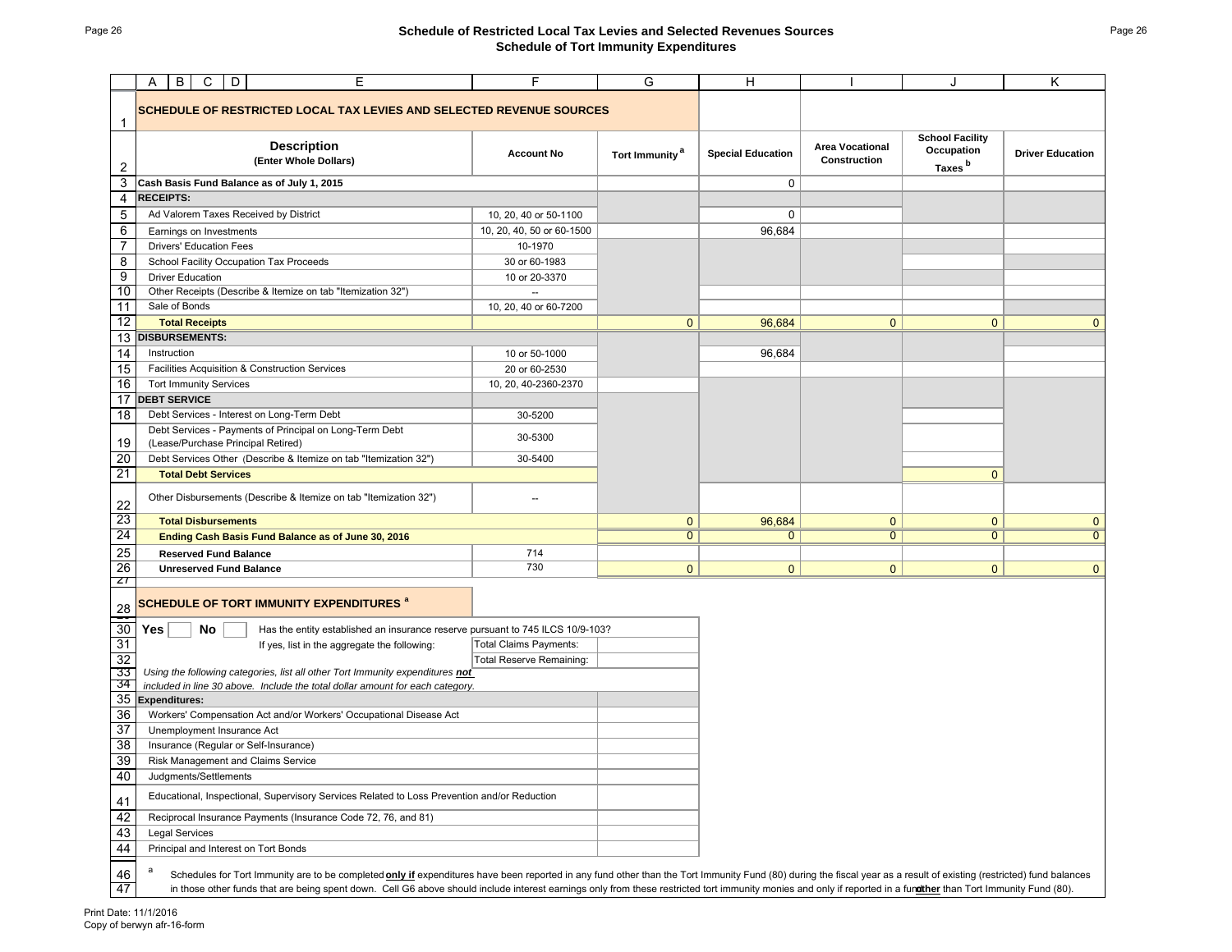## Page 26 **Schedule of Restricted Local Tax Levies and Selected Revenues Sources Schedule of Tort Immunity Expenditures**

|                 | D<br>В<br>C<br>Ε<br>A                                                                                                                                                                                                       | F                               | G                          | н                        |                                        | J                                                          | κ                       |  |  |
|-----------------|-----------------------------------------------------------------------------------------------------------------------------------------------------------------------------------------------------------------------------|---------------------------------|----------------------------|--------------------------|----------------------------------------|------------------------------------------------------------|-------------------------|--|--|
| $\mathbf{1}$    | <b>SCHEDULE OF RESTRICTED LOCAL TAX LEVIES AND SELECTED REVENUE SOURCES</b>                                                                                                                                                 |                                 |                            |                          |                                        |                                                            |                         |  |  |
| $\overline{c}$  | <b>Description</b><br>(Enter Whole Dollars)                                                                                                                                                                                 | <b>Account No</b>               | Tort Immunity <sup>a</sup> | <b>Special Education</b> | <b>Area Vocational</b><br>Construction | <b>School Facility</b><br>Occupation<br>Taxes <sup>b</sup> | <b>Driver Education</b> |  |  |
| 3               | Cash Basis Fund Balance as of July 1, 2015                                                                                                                                                                                  |                                 |                            | 0                        |                                        |                                                            |                         |  |  |
| 4               | <b>RECEIPTS:</b>                                                                                                                                                                                                            |                                 |                            |                          |                                        |                                                            |                         |  |  |
| $\mathbf 5$     | Ad Valorem Taxes Received by District                                                                                                                                                                                       | 10, 20, 40 or 50-1100           |                            | 0                        |                                        |                                                            |                         |  |  |
| $\overline{6}$  | Earnings on Investments                                                                                                                                                                                                     | 10, 20, 40, 50 or 60-1500       |                            | 96,684                   |                                        |                                                            |                         |  |  |
| $\overline{7}$  | <b>Drivers' Education Fees</b>                                                                                                                                                                                              | 10-1970                         |                            |                          |                                        |                                                            |                         |  |  |
| $\overline{8}$  | School Facility Occupation Tax Proceeds                                                                                                                                                                                     | 30 or 60-1983                   |                            |                          |                                        |                                                            |                         |  |  |
| $\overline{9}$  | <b>Driver Education</b>                                                                                                                                                                                                     | 10 or 20-3370                   |                            |                          |                                        |                                                            |                         |  |  |
| 10              | Other Receipts (Describe & Itemize on tab "Itemization 32")                                                                                                                                                                 |                                 |                            |                          |                                        |                                                            |                         |  |  |
| 11              | Sale of Bonds                                                                                                                                                                                                               | 10, 20, 40 or 60-7200           |                            |                          |                                        |                                                            |                         |  |  |
| 12              | <b>Total Receipts</b>                                                                                                                                                                                                       |                                 | $\mathbf{0}$               | 96,684                   | $\mathbf{0}$                           | $\mathbf{0}$                                               | $\mathbf{0}$            |  |  |
|                 | 13 DISBURSEMENTS:                                                                                                                                                                                                           |                                 |                            |                          |                                        |                                                            |                         |  |  |
| $\overline{14}$ | Instruction                                                                                                                                                                                                                 | 10 or 50-1000                   |                            | 96,684                   |                                        |                                                            |                         |  |  |
| 15              | Facilities Acquisition & Construction Services                                                                                                                                                                              | 20 or 60-2530                   |                            |                          |                                        |                                                            |                         |  |  |
| 16              | <b>Tort Immunity Services</b>                                                                                                                                                                                               | 10, 20, 40-2360-2370            |                            |                          |                                        |                                                            |                         |  |  |
| 17              | <b>DEBT SERVICE</b>                                                                                                                                                                                                         |                                 |                            |                          |                                        |                                                            |                         |  |  |
| 18              | Debt Services - Interest on Long-Term Debt<br>Debt Services - Payments of Principal on Long-Term Debt                                                                                                                       | 30-5200                         |                            |                          |                                        |                                                            |                         |  |  |
| 19              | (Lease/Purchase Principal Retired)                                                                                                                                                                                          | 30-5300                         |                            |                          |                                        |                                                            |                         |  |  |
| 20              | Debt Services Other (Describe & Itemize on tab "Itemization 32")                                                                                                                                                            | 30-5400                         |                            |                          |                                        |                                                            |                         |  |  |
| 21              | <b>Total Debt Services</b>                                                                                                                                                                                                  |                                 |                            |                          |                                        | $\mathbf{0}$                                               |                         |  |  |
| 22              | Other Disbursements (Describe & Itemize on tab "Itemization 32")                                                                                                                                                            |                                 |                            |                          |                                        |                                                            |                         |  |  |
| 23              | <b>Total Disbursements</b>                                                                                                                                                                                                  |                                 | $\mathbf{0}$               | 96,684                   | $\mathbf{0}$                           | $\mathbf{0}$                                               | $\mathbf{0}$            |  |  |
| 24              | Ending Cash Basis Fund Balance as of June 30, 2016                                                                                                                                                                          |                                 | $\mathbf{0}$               | $\mathbf{0}$             | $\mathbf{0}$                           | $\overline{0}$                                             | $\overline{0}$          |  |  |
| $\frac{25}{26}$ | <b>Reserved Fund Balance</b>                                                                                                                                                                                                | 714                             |                            |                          |                                        |                                                            |                         |  |  |
| $\mathbf{z}$    | <b>Unreserved Fund Balance</b>                                                                                                                                                                                              | 730                             | $\mathbf{0}$               | $\mathbf{0}$             | $\mathbf{0}$                           | $\mathbf{0}$                                               | $\overline{0}$          |  |  |
| $\frac{28}{2}$  | <b>SCHEDULE OF TORT IMMUNITY EXPENDITURES<sup>a</sup></b>                                                                                                                                                                   |                                 |                            |                          |                                        |                                                            |                         |  |  |
| 30              | Yes<br>No<br>Has the entity established an insurance reserve pursuant to 745 ILCS 10/9-103?                                                                                                                                 |                                 |                            |                          |                                        |                                                            |                         |  |  |
| 31              | If yes, list in the aggregate the following:                                                                                                                                                                                | <b>Total Claims Payments:</b>   |                            |                          |                                        |                                                            |                         |  |  |
| 32              |                                                                                                                                                                                                                             | <b>Total Reserve Remaining:</b> |                            |                          |                                        |                                                            |                         |  |  |
| 33<br>34        | Using the following categories, list all other Tort Immunity expenditures not<br>included in line 30 above. Include the total dollar amount for each category.                                                              |                                 |                            |                          |                                        |                                                            |                         |  |  |
| 35              | <b>Expenditures:</b>                                                                                                                                                                                                        |                                 |                            |                          |                                        |                                                            |                         |  |  |
| 36              | Workers' Compensation Act and/or Workers' Occupational Disease Act                                                                                                                                                          |                                 |                            |                          |                                        |                                                            |                         |  |  |
| 37              | Unemployment Insurance Act                                                                                                                                                                                                  |                                 |                            |                          |                                        |                                                            |                         |  |  |
| 38              | Insurance (Regular or Self-Insurance)                                                                                                                                                                                       |                                 |                            |                          |                                        |                                                            |                         |  |  |
| 39              | Risk Management and Claims Service                                                                                                                                                                                          |                                 |                            |                          |                                        |                                                            |                         |  |  |
| 40              | Judgments/Settlements                                                                                                                                                                                                       |                                 |                            |                          |                                        |                                                            |                         |  |  |
| 41              | Educational, Inspectional, Supervisory Services Related to Loss Prevention and/or Reduction                                                                                                                                 |                                 |                            |                          |                                        |                                                            |                         |  |  |
| 42              | Reciprocal Insurance Payments (Insurance Code 72, 76, and 81)                                                                                                                                                               |                                 |                            |                          |                                        |                                                            |                         |  |  |
| 43              | <b>Legal Services</b>                                                                                                                                                                                                       |                                 |                            |                          |                                        |                                                            |                         |  |  |
| 44              | Principal and Interest on Tort Bonds                                                                                                                                                                                        |                                 |                            |                          |                                        |                                                            |                         |  |  |
| 46              | Schedules for Tort Immunity are to be completed <b>only if</b> expenditures have been reported in any fund other than the Tort Immunity Fund (80) during the fiscal year as a result of existing (restricted) fund balances |                                 |                            |                          |                                        |                                                            |                         |  |  |
| 47              | in those other funds that are being spent down. Cell G6 above should include interest earnings only from these restricted tort immunity monies and only if reported in a functher than Tort Immunity Fund (80).             |                                 |                            |                          |                                        |                                                            |                         |  |  |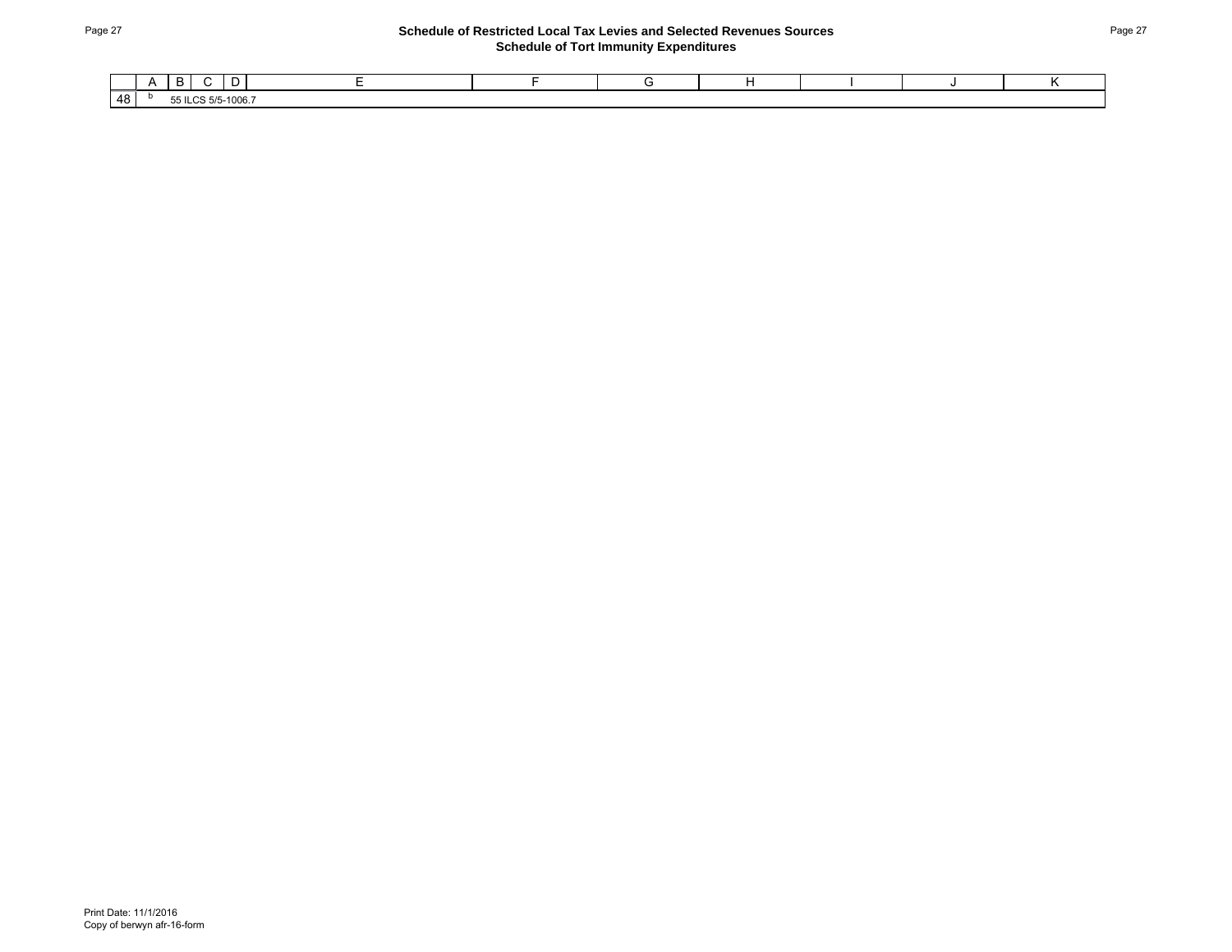## Page 27 **Schedule of Restricted Local Tax Levies and Selected Revenues Sources Schedule of Tort Immunity Expenditures**

|          | . .<br>. .                          |  |  |  |  |
|----------|-------------------------------------|--|--|--|--|
| AB<br>τ∪ | 55<br>$5 - 1006$ .<br>$\sim$<br>حدب |  |  |  |  |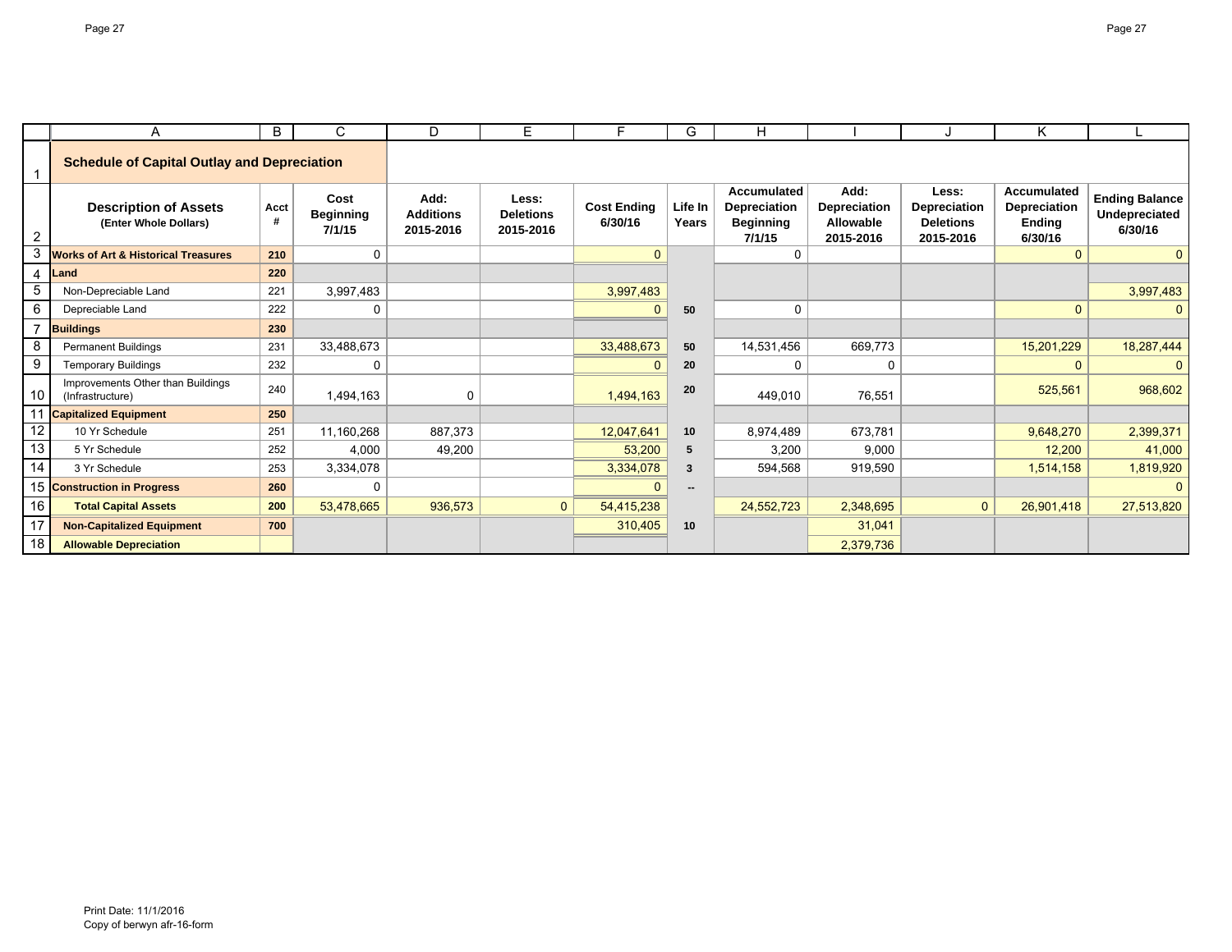|                | A                                                     | B         | C                                  | D                                     | E.                                     | F.                            | G                | H                                                                |                                                |                                                        | Κ                                                       |                                                   |
|----------------|-------------------------------------------------------|-----------|------------------------------------|---------------------------------------|----------------------------------------|-------------------------------|------------------|------------------------------------------------------------------|------------------------------------------------|--------------------------------------------------------|---------------------------------------------------------|---------------------------------------------------|
|                | <b>Schedule of Capital Outlay and Depreciation</b>    |           |                                    |                                       |                                        |                               |                  |                                                                  |                                                |                                                        |                                                         |                                                   |
| $\overline{2}$ | <b>Description of Assets</b><br>(Enter Whole Dollars) | Acct<br># | Cost<br><b>Beginning</b><br>7/1/15 | Add:<br><b>Additions</b><br>2015-2016 | Less:<br><b>Deletions</b><br>2015-2016 | <b>Cost Ending</b><br>6/30/16 | Life In<br>Years | <b>Accumulated</b><br>Depreciation<br><b>Beginning</b><br>7/1/15 | Add:<br>Depreciation<br>Allowable<br>2015-2016 | Less:<br>Depreciation<br><b>Deletions</b><br>2015-2016 | <b>Accumulated</b><br>Depreciation<br>Ending<br>6/30/16 | <b>Ending Balance</b><br>Undepreciated<br>6/30/16 |
| 3              | <b>Works of Art &amp; Historical Treasures</b>        | 210       | 0                                  |                                       |                                        | $\mathbf{0}$                  |                  | $\Omega$                                                         |                                                |                                                        | $\mathbf{0}$                                            | $\mathbf{0}$                                      |
| $\overline{4}$ | Land                                                  | 220       |                                    |                                       |                                        |                               |                  |                                                                  |                                                |                                                        |                                                         |                                                   |
| -5             | Non-Depreciable Land                                  | 221       | 3,997,483                          |                                       |                                        | 3,997,483                     |                  |                                                                  |                                                |                                                        |                                                         | 3,997,483                                         |
| 6              | Depreciable Land                                      | 222       | 0                                  |                                       |                                        | $\mathbf{0}$                  | 50               | 0                                                                |                                                |                                                        | $\overline{0}$                                          | $\mathbf{0}$                                      |
| $\overline{ }$ | <b>Buildings</b>                                      | 230       |                                    |                                       |                                        |                               |                  |                                                                  |                                                |                                                        |                                                         |                                                   |
| 8              | <b>Permanent Buildings</b>                            | 231       | 33,488,673                         |                                       |                                        | 33,488,673                    | 50               | 14,531,456                                                       | 669,773                                        |                                                        | 15,201,229                                              | 18,287,444                                        |
| -9             | <b>Temporary Buildings</b>                            | 232       | 0                                  |                                       |                                        | $\Omega$                      | 20               | 0                                                                | 0                                              |                                                        | $\Omega$                                                |                                                   |
| 10             | Improvements Other than Buildings<br>(Infrastructure) | 240       | 1,494,163                          | 0                                     |                                        | 1.494.163                     | 20               | 449.010                                                          | 76,551                                         |                                                        | 525,561                                                 | 968,602                                           |
| 11             | <b>Capitalized Equipment</b>                          | 250       |                                    |                                       |                                        |                               |                  |                                                                  |                                                |                                                        |                                                         |                                                   |
| 12             | 10 Yr Schedule                                        | 251       | 11,160,268                         | 887,373                               |                                        | 12,047,641                    | 10               | 8,974,489                                                        | 673.781                                        |                                                        | 9,648,270                                               | 2,399,371                                         |
| 13             | 5 Yr Schedule                                         | 252       | 4,000                              | 49.200                                |                                        | 53,200                        | 5                | 3.200                                                            | 9.000                                          |                                                        | 12,200                                                  | 41,000                                            |
| 14             | 3 Yr Schedule                                         | 253       | 3,334,078                          |                                       |                                        | 3,334,078                     | 3                | 594.568                                                          | 919,590                                        |                                                        | 1,514,158                                               | 1,819,920                                         |
| 15             | <b>Construction in Progress</b>                       | 260       | $\Omega$                           |                                       |                                        | $\Omega$                      |                  |                                                                  |                                                |                                                        |                                                         |                                                   |
| 16             | <b>Total Capital Assets</b>                           | 200       | 53,478,665                         | 936,573                               | $\mathbf{0}$                           | 54,415,238                    |                  | 24,552,723                                                       | 2,348,695                                      | $\mathbf{0}$                                           | 26,901,418                                              | 27,513,820                                        |
| 17             | <b>Non-Capitalized Equipment</b>                      | 700       |                                    |                                       |                                        | 310,405                       | 10               |                                                                  | 31,041                                         |                                                        |                                                         |                                                   |
| 18             | <b>Allowable Depreciation</b>                         |           |                                    |                                       |                                        |                               |                  |                                                                  | 2,379,736                                      |                                                        |                                                         |                                                   |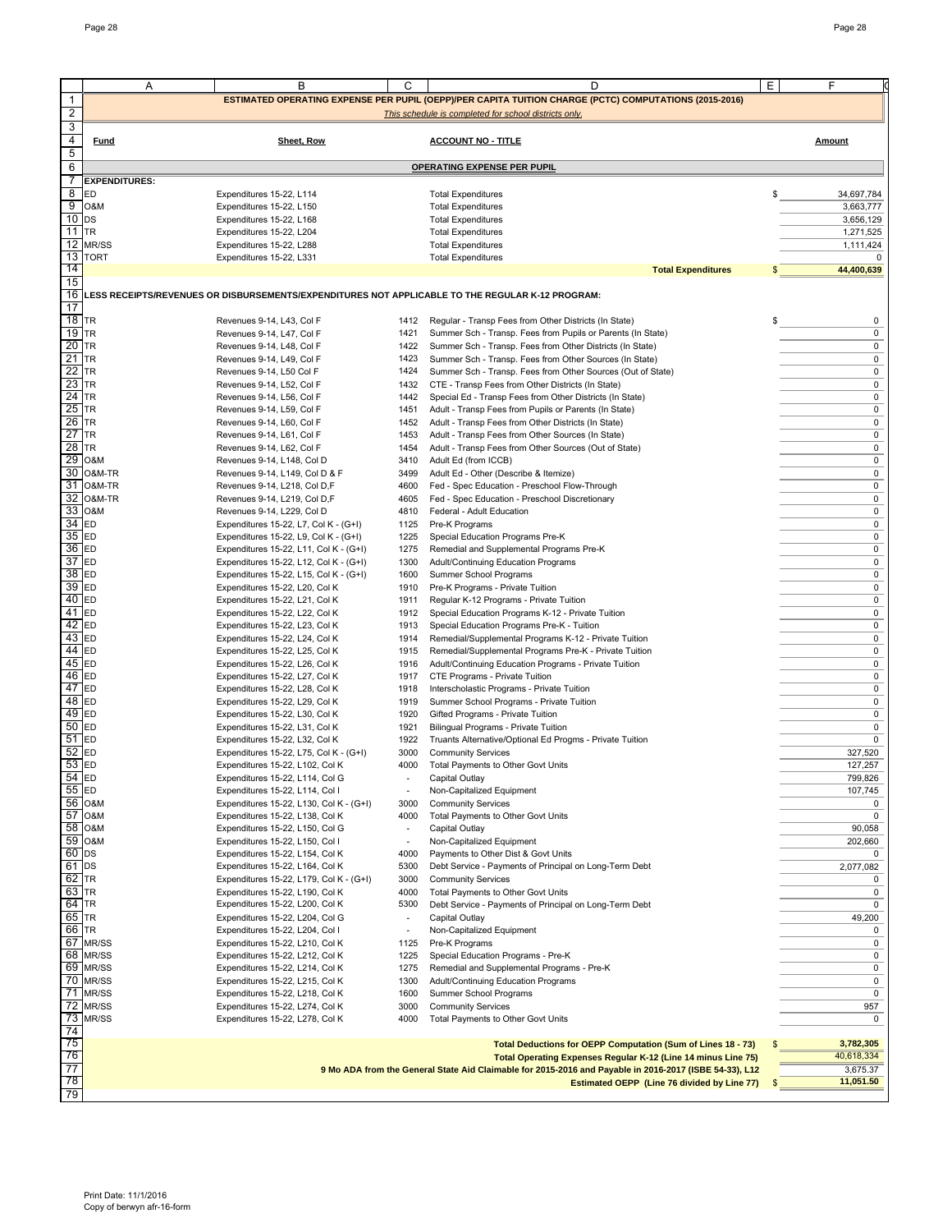|                | Α                    | В                                                                                                | C                        | D                                                                                                      | Ε<br>F           |
|----------------|----------------------|--------------------------------------------------------------------------------------------------|--------------------------|--------------------------------------------------------------------------------------------------------|------------------|
|                |                      |                                                                                                  |                          | ESTIMATED OPERATING EXPENSE PER PUPIL (OEPP)/PER CAPITA TUITION CHARGE (PCTC) COMPUTATIONS (2015-2016) |                  |
| 1              |                      |                                                                                                  |                          |                                                                                                        |                  |
| $\overline{a}$ |                      |                                                                                                  |                          | This schedule is completed for school districts only.                                                  |                  |
| 3              |                      |                                                                                                  |                          |                                                                                                        |                  |
| 4              | Fund                 | Sheet, Row                                                                                       |                          | <b>ACCOUNT NO - TITLE</b>                                                                              | Amount           |
| 5              |                      |                                                                                                  |                          |                                                                                                        |                  |
| 6              |                      |                                                                                                  |                          | <b>OPERATING EXPENSE PER PUPIL</b>                                                                     |                  |
| 7              | <b>EXPENDITURES:</b> |                                                                                                  |                          |                                                                                                        |                  |
| 8              | ED                   | Expenditures 15-22, L114                                                                         |                          | <b>Total Expenditures</b>                                                                              | \$<br>34,697,784 |
| 9              | O&M                  | Expenditures 15-22, L150                                                                         |                          | <b>Total Expenditures</b>                                                                              | 3,663,777        |
| 10             | DS                   | Expenditures 15-22, L168                                                                         |                          | <b>Total Expenditures</b>                                                                              | 3,656,129        |
| $11$ TR        |                      | Expenditures 15-22, L204                                                                         |                          | <b>Total Expenditures</b>                                                                              | 1,271,525        |
|                | 12 MR/SS             |                                                                                                  |                          | <b>Total Expenditures</b>                                                                              | 1,111,424        |
|                |                      | Expenditures 15-22, L288                                                                         |                          |                                                                                                        |                  |
|                | 13 TORT              | Expenditures 15-22, L331                                                                         |                          | <b>Total Expenditures</b>                                                                              | 0                |
| 14             |                      |                                                                                                  |                          | <b>Total Expenditures</b>                                                                              | 44,400,639       |
| 15             |                      |                                                                                                  |                          |                                                                                                        |                  |
| 16             |                      | LESS RECEIPTS/REVENUES OR DISBURSEMENTS/EXPENDITURES NOT APPLICABLE TO THE REGULAR K-12 PROGRAM: |                          |                                                                                                        |                  |
| 17             |                      |                                                                                                  |                          |                                                                                                        |                  |
| 18             | TR                   | Revenues 9-14, L43, Col F                                                                        | 1412                     | Regular - Transp Fees from Other Districts (In State)                                                  | 0<br>S           |
| 19             | <b>TR</b>            | Revenues 9-14, L47, Col F                                                                        | 1421                     | Summer Sch - Transp. Fees from Pupils or Parents (In State)                                            | 0                |
| 20             | <b>TR</b>            | Revenues 9-14, L48, Col F                                                                        | 1422                     | Summer Sch - Transp. Fees from Other Districts (In State)                                              | 0                |
| 21             | <b>TR</b>            | Revenues 9-14, L49, Col F                                                                        | 1423                     | Summer Sch - Transp. Fees from Other Sources (In State)                                                | 0                |
| 22             | <b>TR</b>            | Revenues 9-14, L50 Col F                                                                         | 1424                     | Summer Sch - Transp. Fees from Other Sources (Out of State)                                            | 0                |
| 23             | <b>TR</b>            | Revenues 9-14, L52, Col F                                                                        |                          | 1432 CTE - Transp Fees from Other Districts (In State)                                                 | 0                |
| 24             | <b>TR</b>            | Revenues 9-14, L56, Col F                                                                        | 1442                     | Special Ed - Transp Fees from Other Districts (In State)                                               | 0                |
| 25             | TR                   | Revenues 9-14, L59, Col F                                                                        | 1451                     | Adult - Transp Fees from Pupils or Parents (In State)                                                  | 0                |
| 26             | <b>TR</b>            | Revenues 9-14, L60, Col F                                                                        |                          | 1452 Adult - Transp Fees from Other Districts (In State)                                               | 0                |
| 27             | <b>TR</b>            | Revenues 9-14, L61, Col F                                                                        | 1453                     | Adult - Transp Fees from Other Sources (In State)                                                      | 0                |
| 28             | <b>TR</b>            |                                                                                                  |                          |                                                                                                        | 0                |
|                |                      | Revenues 9-14, L62, Col F                                                                        | 1454                     | Adult - Transp Fees from Other Sources (Out of State)                                                  |                  |
| 29             | O&M                  | Revenues 9-14, L148, Col D                                                                       | 3410                     | Adult Ed (from ICCB)                                                                                   | 0                |
|                | 30 O&M-TR            | Revenues 9-14, L149, Col D & F                                                                   | 3499                     | Adult Ed - Other (Describe & Itemize)                                                                  | $\pmb{0}$        |
| 31             | O&M-TR               | Revenues 9-14, L218, Col D,F                                                                     | 4600                     | Fed - Spec Education - Preschool Flow-Through                                                          | 0                |
| 32             | O&M-TR               | Revenues 9-14, L219, Col D,F                                                                     | 4605                     | Fed - Spec Education - Preschool Discretionary                                                         | 0                |
| 33             | O&M                  | Revenues 9-14, L229, Col D                                                                       | 4810                     | Federal - Adult Education                                                                              | 0                |
| 34             | ED                   | Expenditures 15-22, L7, Col K - (G+I)                                                            | 1125                     | Pre-K Programs                                                                                         | 0                |
| 35             | ED                   | Expenditures 15-22, L9, Col K - (G+I)                                                            | 1225                     | Special Education Programs Pre-K                                                                       | 0                |
| 36 ED          |                      | Expenditures 15-22, L11, Col K - (G+I)                                                           | 1275                     | Remedial and Supplemental Programs Pre-K                                                               | 0                |
| 37             | ED                   | Expenditures 15-22, L12, Col K - (G+I)                                                           | 1300                     | Adult/Continuing Education Programs                                                                    | 0                |
| 38             | ED                   | Expenditures 15-22, L15, Col K - (G+I)                                                           | 1600                     | Summer School Programs                                                                                 | 0                |
| 39             | ED                   | Expenditures 15-22, L20, Col K                                                                   | 1910                     | Pre-K Programs - Private Tuition                                                                       | 0                |
| 40             | ED                   | Expenditures 15-22, L21, Col K                                                                   | 1911                     | Regular K-12 Programs - Private Tuition                                                                | 0                |
| 41             | ED                   | Expenditures 15-22, L22, Col K                                                                   | 1912                     | Special Education Programs K-12 - Private Tuition                                                      | 0                |
| 42             | ED                   | Expenditures 15-22, L23, Col K                                                                   | 1913                     | Special Education Programs Pre-K - Tuition                                                             | 0                |
| 43             | ED                   | Expenditures 15-22, L24, Col K                                                                   | 1914                     | Remedial/Supplemental Programs K-12 - Private Tuition                                                  | 0                |
| 44             | ED                   | Expenditures 15-22, L25, Col K                                                                   | 1915                     | Remedial/Supplemental Programs Pre-K - Private Tuition                                                 | 0                |
| 45             | ED                   |                                                                                                  |                          |                                                                                                        | 0                |
|                |                      | Expenditures 15-22, L26, Col K                                                                   | 1916                     | Adult/Continuing Education Programs - Private Tuition                                                  |                  |
| 46             | ED                   | Expenditures 15-22, L27, Col K                                                                   | 1917                     | CTE Programs - Private Tuition                                                                         | 0                |
| 47             | ED                   | Expenditures 15-22, L28, Col K                                                                   | 1918                     | Interscholastic Programs - Private Tuition                                                             | 0                |
| 48             | ED                   | Expenditures 15-22, L29, Col K                                                                   | 1919                     | Summer School Programs - Private Tuition                                                               | 0                |
| 49             | <b>ED</b>            | Expenditures 15-22, L30, Col K                                                                   | 1920                     | Gifted Programs - Private Tuition                                                                      | 0                |
| $50$ ED        |                      | Expenditures 15-22, L31, Col K                                                                   | 1921                     | Bilingual Programs - Private Tuition                                                                   | 0                |
| 51             | ED                   | Expenditures 15-22, L32, Col K                                                                   | 1922                     | Truants Alternative/Optional Ed Progms - Private Tuition                                               | $\mathbf 0$      |
| 52             | ED                   | Expenditures 15-22, L75, Col K - (G+I)                                                           | 3000                     | <b>Community Services</b>                                                                              | 327,520          |
| $53$ ED        |                      | Expenditures 15-22, L102, Col K                                                                  |                          | 4000 Total Payments to Other Govt Units                                                                | 127,257          |
| 54 ED          |                      | Expenditures 15-22, L114, Col G                                                                  | $\frac{1}{2}$            | Capital Outlay                                                                                         | 799,826          |
| 55             | <b>ED</b>            | Expenditures 15-22, L114, Col I                                                                  | $\overline{\phantom{a}}$ | Non-Capitalized Equipment                                                                              | 107,745          |
|                | 56 O&M               | Expenditures 15-22, L130, Col K - (G+I)                                                          | 3000                     | <b>Community Services</b>                                                                              | 0                |
| 57             | O&M                  | Expenditures 15-22, L138, Col K                                                                  | 4000                     | Total Payments to Other Govt Units                                                                     | 0                |
| 58             | O&M                  | Expenditures 15-22, L150, Col G                                                                  | $\overline{\phantom{a}}$ | Capital Outlay                                                                                         | 90,058           |
|                | 59 O&M               | Expenditures 15-22, L150, Col I                                                                  | $\overline{\phantom{a}}$ | Non-Capitalized Equipment                                                                              | 202,660          |
| 60             | DS                   | Expenditures 15-22, L154, Col K                                                                  | 4000                     | Payments to Other Dist & Govt Units                                                                    | 0                |
| 61             | DS                   | Expenditures 15-22, L164, Col K                                                                  | 5300                     | Debt Service - Payments of Principal on Long-Term Debt                                                 | 2,077,082        |
| 62 TR          |                      | Expenditures 15-22, L179, Col K - (G+I)                                                          | 3000                     | <b>Community Services</b>                                                                              | 0                |
| 63             | TR                   | Expenditures 15-22, L190, Col K                                                                  | 4000                     | Total Payments to Other Govt Units                                                                     | 0                |
| 64             | <b>TR</b>            |                                                                                                  | 5300                     |                                                                                                        |                  |
|                |                      | Expenditures 15-22, L200, Col K                                                                  |                          | Debt Service - Payments of Principal on Long-Term Debt                                                 | 0                |
| 65 TR          |                      | Expenditures 15-22, L204, Col G                                                                  | $\overline{\phantom{a}}$ | Capital Outlay                                                                                         | 49,200           |
| 66 TR          |                      | Expenditures 15-22, L204, Col I                                                                  |                          | Non-Capitalized Equipment                                                                              | 0                |
| 67             | MR/SS                | Expenditures 15-22, L210, Col K                                                                  | 1125                     | Pre-K Programs                                                                                         | 0                |
| 68             | MR/SS                | Expenditures 15-22, L212, Col K                                                                  | 1225                     | Special Education Programs - Pre-K                                                                     | 0                |
| 69             | MR/SS                | Expenditures 15-22, L214, Col K                                                                  | 1275                     | Remedial and Supplemental Programs - Pre-K                                                             | 0                |
|                | 70 MR/SS             | Expenditures 15-22, L215, Col K                                                                  | 1300                     | Adult/Continuing Education Programs                                                                    | 0                |
|                | 71 MR/SS             | Expenditures 15-22, L218, Col K                                                                  | 1600                     | Summer School Programs                                                                                 | 0                |
| 72             | MR/SS                | Expenditures 15-22, L274, Col K                                                                  | 3000                     | <b>Community Services</b>                                                                              | 957              |
|                | 73 MR/SS             | Expenditures 15-22, L278, Col K                                                                  | 4000                     | Total Payments to Other Govt Units                                                                     | 0                |
| 74             |                      |                                                                                                  |                          |                                                                                                        |                  |
| 75             |                      |                                                                                                  |                          | Total Deductions for OEPP Computation (Sum of Lines 18 - 73)                                           | 3,782,305        |
| 76             |                      |                                                                                                  |                          | Total Operating Expenses Regular K-12 (Line 14 minus Line 75)                                          | 40,618,334       |
| 77             |                      |                                                                                                  |                          | 9 Mo ADA from the General State Aid Claimable for 2015-2016 and Payable in 2016-2017 (ISBE 54-33), L12 | 3,675.37         |
| 78             |                      |                                                                                                  |                          | Estimated OEPP (Line 76 divided by Line 77)                                                            | 11,051.50<br>\$  |
| 79             |                      |                                                                                                  |                          |                                                                                                        |                  |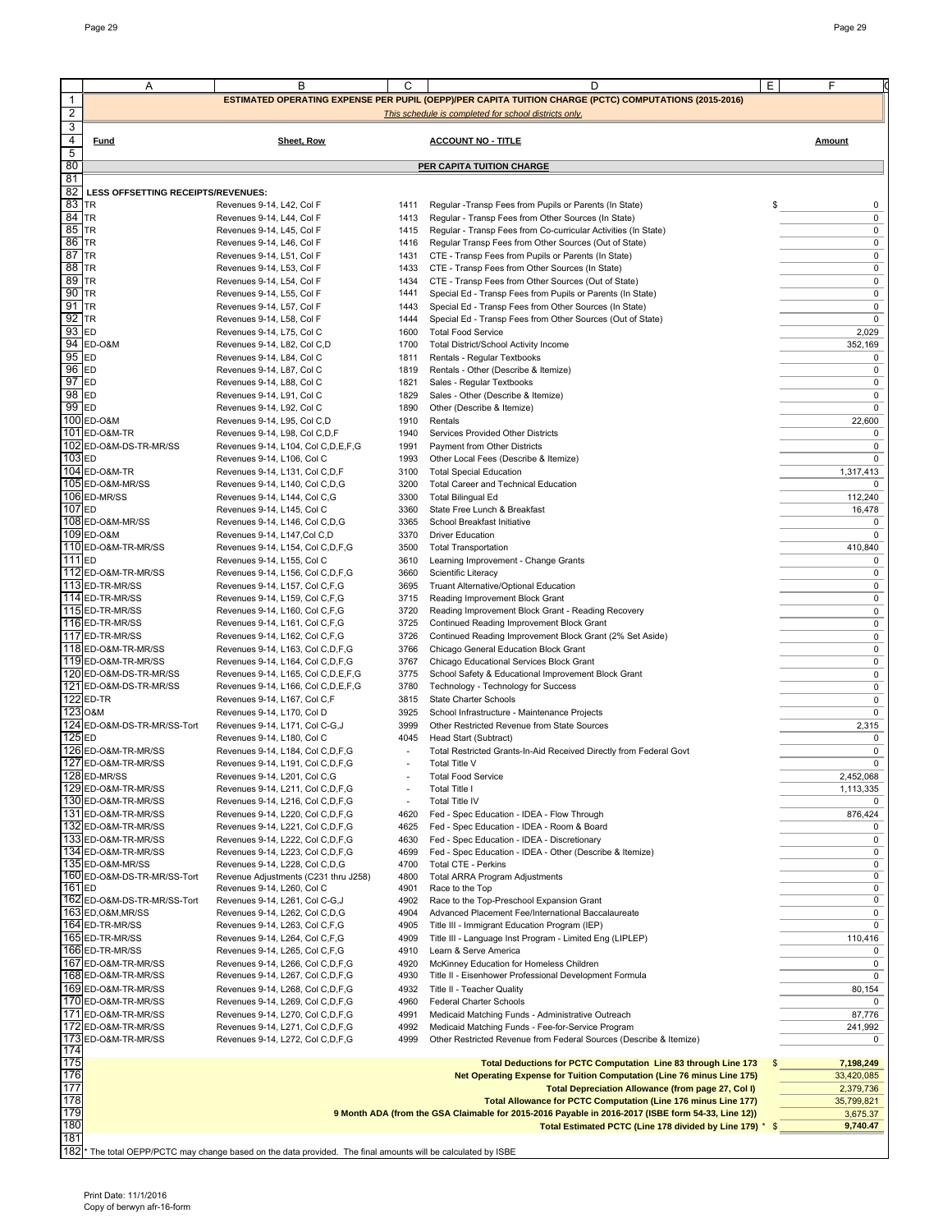|                   | Α                                               | B                                                                                                                        | С                        | D                                                                                                                                                           | Ε<br>F                     |
|-------------------|-------------------------------------------------|--------------------------------------------------------------------------------------------------------------------------|--------------------------|-------------------------------------------------------------------------------------------------------------------------------------------------------------|----------------------------|
| $\mathbf{1}$      |                                                 |                                                                                                                          |                          | ESTIMATED OPERATING EXPENSE PER PUPIL (OEPP)/PER CAPITA TUITION CHARGE (PCTC) COMPUTATIONS (2015-2016)                                                      |                            |
| $\overline{2}$    |                                                 |                                                                                                                          |                          | This schedule is completed for school districts only.                                                                                                       |                            |
| 3                 |                                                 |                                                                                                                          |                          |                                                                                                                                                             |                            |
| 4<br>5            | Fund                                            | Sheet, Row                                                                                                               |                          | <b>ACCOUNT NO - TITLE</b>                                                                                                                                   | Amount                     |
| 80                |                                                 |                                                                                                                          |                          | <b>PER CAPITA TUITION CHARGE</b>                                                                                                                            |                            |
| 81                |                                                 |                                                                                                                          |                          |                                                                                                                                                             |                            |
| 82<br>83          | LESS OFFSETTING RECEIPTS/REVENUES:<br><b>TR</b> |                                                                                                                          | 1411                     |                                                                                                                                                             | 0                          |
| 84 TR             |                                                 | Revenues 9-14, L42, Col F<br>Revenues 9-14, L44, Col F                                                                   | 1413                     | Regular -Transp Fees from Pupils or Parents (In State)<br>Regular - Transp Fees from Other Sources (In State)                                               | $\frac{1}{2}$<br>0         |
| 85                | <b>ITR</b>                                      | Revenues 9-14, L45, Col F                                                                                                | 1415                     | Regular - Transp Fees from Co-curricular Activities (In State)                                                                                              | 0                          |
| 86                | TR                                              | Revenues 9-14, L46, Col F                                                                                                | 1416                     | Regular Transp Fees from Other Sources (Out of State)                                                                                                       | 0                          |
| 87<br>88          | <b>TR</b><br><b>TR</b>                          | Revenues 9-14, L51, Col F<br>Revenues 9-14, L53, Col F                                                                   | 1431<br>1433             | CTE - Transp Fees from Pupils or Parents (In State)<br>CTE - Transp Fees from Other Sources (In State)                                                      | 0<br>0                     |
| 89 TR             |                                                 | Revenues 9-14, L54, Col F                                                                                                | 1434                     | CTE - Transp Fees from Other Sources (Out of State)                                                                                                         | 0                          |
| 90 TR             |                                                 | Revenues 9-14, L55, Col F                                                                                                | 1441                     | Special Ed - Transp Fees from Pupils or Parents (In State)                                                                                                  | 0                          |
| 91<br>92          | <b>TR</b><br><b>TR</b>                          | Revenues 9-14, L57, Col F<br>Revenues 9-14, L58, Col F                                                                   | 1443                     | Special Ed - Transp Fees from Other Sources (In State)                                                                                                      | 0<br>0                     |
| 93                | ED                                              | Revenues 9-14, L75, Col C                                                                                                | 1444<br>1600             | Special Ed - Transp Fees from Other Sources (Out of State)<br><b>Total Food Service</b>                                                                     | 2,029                      |
|                   | 94 ED-0&M                                       | Revenues 9-14, L82, Col C,D                                                                                              | 1700                     | Total District/School Activity Income                                                                                                                       | 352,169                    |
| 95 ED             |                                                 | Revenues 9-14, L84, Col C                                                                                                | 1811                     | Rentals - Regular Textbooks                                                                                                                                 | 0                          |
| $96$ ED<br>97     | ED                                              | Revenues 9-14, L87, Col C<br>Revenues 9-14, L88, Col C                                                                   | 1819<br>1821             | Rentals - Other (Describe & Itemize)<br>Sales - Regular Textbooks                                                                                           | 0<br>0                     |
| 98 ED             |                                                 | Revenues 9-14, L91, Col C                                                                                                | 1829                     | Sales - Other (Describe & Itemize)                                                                                                                          | 0                          |
| $99$ ED           |                                                 | Revenues 9-14, L92, Col C                                                                                                | 1890                     | Other (Describe & Itemize)                                                                                                                                  | 0                          |
|                   | 100 ED-0&M                                      | Revenues 9-14, L95, Col C,D                                                                                              | 1910                     | Rentals                                                                                                                                                     | 22,600                     |
|                   | 101 ED-0&M-TR<br>102 ED-O&M-DS-TR-MR/SS         | Revenues 9-14, L98, Col C, D, F<br>Revenues 9-14, L104, Col C, D, E, F, G                                                | 1940<br>1991             | Services Provided Other Districts<br>Payment from Other Districts                                                                                           | 0<br>0                     |
| 103 ED            |                                                 | Revenues 9-14, L106, Col C                                                                                               | 1993                     | Other Local Fees (Describe & Itemize)                                                                                                                       | $\mathbf 0$                |
|                   | 104 ED-0&M-TR                                   | Revenues 9-14, L131, Col C,D,F                                                                                           | 3100                     | <b>Total Special Education</b>                                                                                                                              | 1,317,413                  |
|                   | 105 ED-O&M-MR/SS<br>106 ED-MR/SS                | Revenues 9-14, L140, Col C,D,G                                                                                           | 3200<br>3300             | <b>Total Career and Technical Education</b>                                                                                                                 | 0<br>112,240               |
| 107 <sub>ED</sub> |                                                 | Revenues 9-14, L144, Col C,G<br>Revenues 9-14, L145, Col C                                                               | 3360                     | <b>Total Bilingual Ed</b><br>State Free Lunch & Breakfast                                                                                                   | 16,478                     |
|                   | 108 ED-O&M-MR/SS                                | Revenues 9-14, L146, Col C,D,G                                                                                           | 3365                     | School Breakfast Initiative                                                                                                                                 | 0                          |
|                   | 109 ED-0&M                                      | Revenues 9-14, L147, Col C, D                                                                                            | 3370                     | <b>Driver Education</b>                                                                                                                                     | $\Omega$                   |
| 111 <sub>ED</sub> | 110 ED-O&M-TR-MR/SS                             | Revenues 9-14, L154, Col C, D, F, G<br>Revenues 9-14, L155, Col C                                                        | 3500<br>3610             | <b>Total Transportation</b><br>Learning Improvement - Change Grants                                                                                         | 410,840<br>0               |
|                   | 112 ED-O&M-TR-MR/SS                             | Revenues 9-14, L156, Col C, D, F, G                                                                                      | 3660                     | Scientific Literacy                                                                                                                                         | 0                          |
|                   | 113 ED-TR-MR/SS                                 | Revenues 9-14, L157, Col C,F,G                                                                                           | 3695                     | Truant Alternative/Optional Education                                                                                                                       | 0                          |
|                   | 114 ED-TR-MR/SS<br>115 ED-TR-MR/SS              | Revenues 9-14, L159, Col C,F,G                                                                                           | 3715<br>3720             | Reading Improvement Block Grant                                                                                                                             | 0<br>0                     |
|                   | 116 ED-TR-MR/SS                                 | Revenues 9-14, L160, Col C,F,G<br>Revenues 9-14, L161, Col C,F,G                                                         | 3725                     | Reading Improvement Block Grant - Reading Recovery<br>Continued Reading Improvement Block Grant                                                             | 0                          |
|                   | 117 ED-TR-MR/SS                                 | Revenues 9-14, L162, Col C,F,G                                                                                           | 3726                     | Continued Reading Improvement Block Grant (2% Set Aside)                                                                                                    | 0                          |
|                   | 118 ED-O&M-TR-MR/SS                             | Revenues 9-14, L163, Col C, D, F, G                                                                                      | 3766                     | Chicago General Education Block Grant                                                                                                                       | 0                          |
|                   | 119 ED-O&M-TR-MR/SS<br>120 ED-O&M-DS-TR-MR/SS   | Revenues 9-14, L164, Col C, D, F, G<br>Revenues 9-14, L165, Col C, D, E, F, G                                            | 3767<br>3775             | Chicago Educational Services Block Grant<br>School Safety & Educational Improvement Block Grant                                                             | 0<br>0                     |
|                   | 121 ED-O&M-DS-TR-MR/SS                          | Revenues 9-14, L166, Col C, D, E, F, G                                                                                   | 3780                     | Technology - Technology for Success                                                                                                                         | 0                          |
|                   | 122 ED-TR                                       | Revenues 9-14, L167, Col C,F                                                                                             | 3815                     | State Charter Schools                                                                                                                                       | 0                          |
|                   | 123 O&M                                         | Revenues 9-14, L170, Col D                                                                                               | 3925                     | School Infrastructure - Maintenance Projects                                                                                                                | 0                          |
| 125 ED            | 124 ED-O&M-DS-TR-MR/SS-Tort                     | Revenues 9-14, L171, Col C-G, J<br>Revenues 9-14, L180, Col C                                                            | 3999<br>4045             | Other Restricted Revenue from State Sources<br>Head Start (Subtract)                                                                                        | 2,315<br>0                 |
|                   | 126 ED-O&M-TR-MR/SS                             | Revenues 9-14, L184, Col C, D, F, G                                                                                      | $\overline{\phantom{a}}$ | Total Restricted Grants-In-Aid Received Directly from Federal Govt                                                                                          | 0                          |
|                   | 127 ED-O&M-TR-MR/SS                             | Revenues 9-14, L191, Col C, D, F, G                                                                                      |                          | <b>Total Title V</b>                                                                                                                                        | $\mathbf 0$                |
|                   | 128 ED-MR/SS<br>129 ED-O&M-TR-MR/SS             | Revenues 9-14, L201, Col C,G<br>Revenues 9-14, L211, Col C,D,F,G                                                         |                          | <b>Total Food Service</b><br>Total Title I                                                                                                                  | 2,452,068<br>1,113,335     |
|                   | 130 ED-O&M-TR-MR/SS                             | Revenues 9-14, L216, Col C, D, F, G                                                                                      | $\overline{\phantom{a}}$ | <b>Total Title IV</b>                                                                                                                                       | 0                          |
|                   | 131 ED-O&M-TR-MR/SS                             | Revenues 9-14, L220, Col C, D, F, G                                                                                      | 4620                     | Fed - Spec Education - IDEA - Flow Through                                                                                                                  | 876,424                    |
|                   | 132 ED-O&M-TR-MR/SS                             | Revenues 9-14, L221, Col C, D, F, G                                                                                      | 4625                     | Fed - Spec Education - IDEA - Room & Board                                                                                                                  | 0                          |
|                   | 133 ED-O&M-TR-MR/SS<br>134 ED-O&M-TR-MR/SS      | Revenues 9-14, L222, Col C, D, F, G<br>Revenues 9-14, L223, Col C, D, F, G                                               | 4630<br>4699             | Fed - Spec Education - IDEA - Discretionary<br>Fed - Spec Education - IDEA - Other (Describe & Itemize)                                                     | 0<br>0                     |
|                   | 135 ED-O&M-MR/SS                                | Revenues 9-14, L228, Col C,D,G                                                                                           | 4700                     | Total CTE - Perkins                                                                                                                                         | 0                          |
|                   | 160 ED-O&M-DS-TR-MR/SS-Tort                     | Revenue Adjustments (C231 thru J258)                                                                                     | 4800                     | Total ARRA Program Adjustments                                                                                                                              | 0                          |
| 161 <sub>ED</sub> | 162 ED-O&M-DS-TR-MR/SS-Tort                     | Revenues 9-14, L260, Col C<br>Revenues 9-14, L261, Col C-G,J                                                             | 4901<br>4902             | Race to the Top<br>Race to the Top-Preschool Expansion Grant                                                                                                | 0<br>0                     |
|                   | 163 ED.O&M.MR/SS                                | Revenues 9-14, L262, Col C,D,G                                                                                           | 4904                     | Advanced Placement Fee/International Baccalaureate                                                                                                          | 0                          |
|                   | 164 ED-TR-MR/SS                                 | Revenues 9-14, L263, Col C,F,G                                                                                           | 4905                     | Title III - Immigrant Education Program (IEP)                                                                                                               | 0                          |
|                   | 165 ED-TR-MR/SS<br>166 ED-TR-MR/SS              | Revenues 9-14, L264, Col C,F,G<br>Revenues 9-14, L265, Col C, F, G                                                       | 4909<br>4910             | Title III - Language Inst Program - Limited Eng (LIPLEP)<br>Learn & Serve America                                                                           | 110,416<br>0               |
|                   | 167 ED-O&M-TR-MR/SS                             | Revenues 9-14, L266, Col C, D, F, G                                                                                      | 4920                     | McKinney Education for Homeless Children                                                                                                                    | 0                          |
|                   | 168 ED-O&M-TR-MR/SS                             | Revenues 9-14, L267, Col C, D, F, G                                                                                      | 4930                     | Title II - Eisenhower Professional Development Formula                                                                                                      | 0                          |
|                   | 169 ED-O&M-TR-MR/SS                             | Revenues 9-14, L268, Col C, D, F, G                                                                                      | 4932                     | Title II - Teacher Quality                                                                                                                                  | 80,154                     |
|                   | 170 ED-O&M-TR-MR/SS<br>171 ED-O&M-TR-MR/SS      | Revenues 9-14, L269, Col C, D, F, G<br>Revenues 9-14, L270, Col C,D,F,G                                                  | 4960<br>4991             | Federal Charter Schools<br>Medicaid Matching Funds - Administrative Outreach                                                                                | 87,776                     |
|                   | 172 ED-O&M-TR-MR/SS                             | Revenues 9-14, L271, Col C, D, F, G                                                                                      | 4992                     | Medicaid Matching Funds - Fee-for-Service Program                                                                                                           | 241,992                    |
|                   | 173 ED-O&M-TR-MR/SS                             | Revenues 9-14, L272, Col C, D, F, G                                                                                      | 4999                     | Other Restricted Revenue from Federal Sources (Describe & Itemize)                                                                                          | 0                          |
| 174<br>175        |                                                 |                                                                                                                          |                          | Total Deductions for PCTC Computation Line 83 through Line 173                                                                                              | 7,198,249                  |
| 176               |                                                 |                                                                                                                          |                          | Net Operating Expense for Tuition Computation (Line 76 minus Line 175)                                                                                      | 33,420,085                 |
| 177               |                                                 |                                                                                                                          |                          | Total Depreciation Allowance (from page 27, Col I)                                                                                                          | 2,379,736                  |
| 178<br>179        |                                                 |                                                                                                                          |                          | Total Allowance for PCTC Computation (Line 176 minus Line 177)                                                                                              | 35,799,821                 |
| 180               |                                                 |                                                                                                                          |                          | 9 Month ADA (from the GSA Claimable for 2015-2016 Payable in 2016-2017 (ISBE form 54-33, Line 12))<br>Total Estimated PCTC (Line 178 divided by Line 179) * | 3,675.37<br>9,740.47<br>\$ |
| 181               |                                                 |                                                                                                                          |                          |                                                                                                                                                             |                            |
|                   |                                                 | 182 <sup>*</sup> The total OEPP/PCTC may change based on the data provided. The final amounts will be calculated by ISBE |                          |                                                                                                                                                             |                            |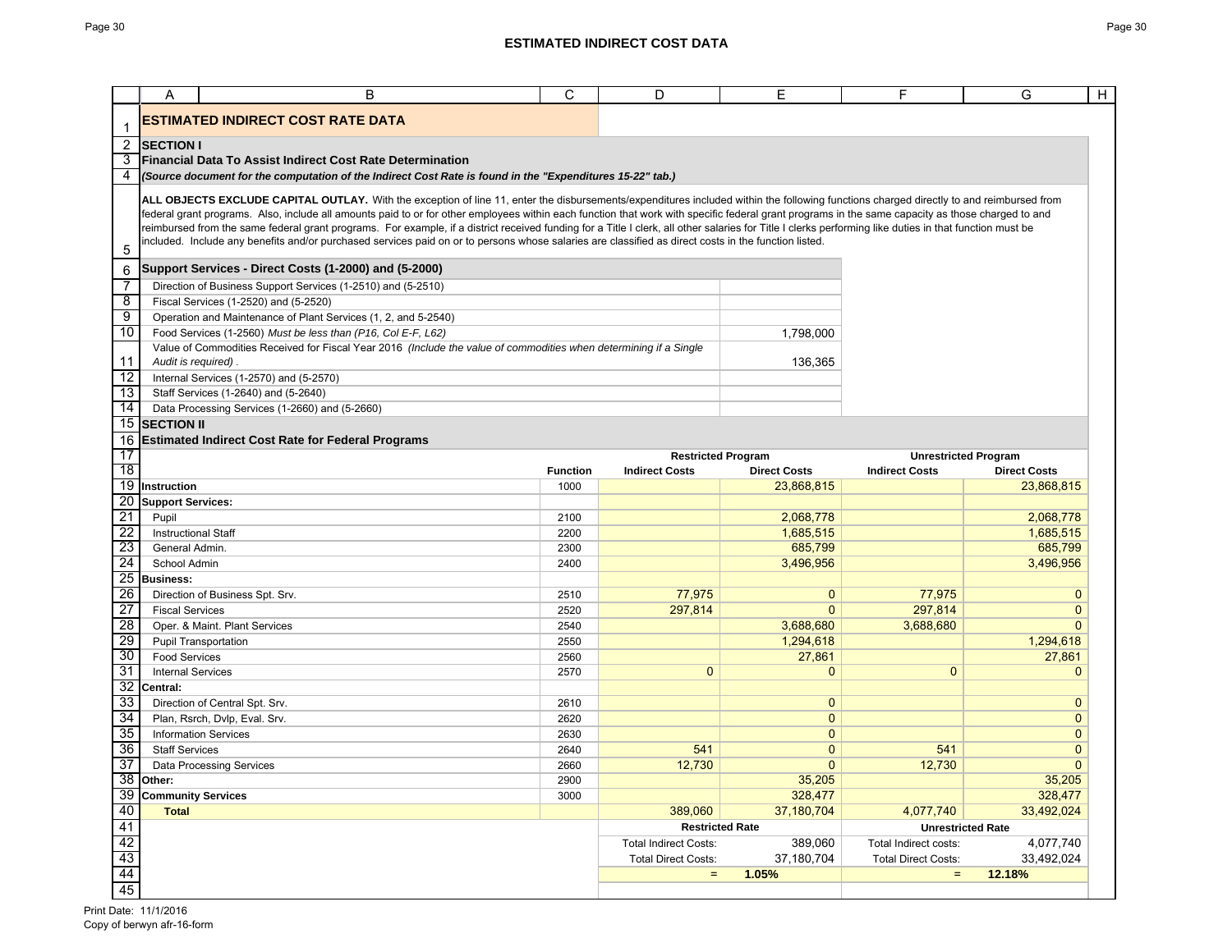|                                                                                       | Α                                                                                                                                                    | B                                                                                                                                                                                                                                                                                                                                                                                            | C               | D                                                  | Ε                   | F                          | $\overline{H}$<br>G                                |  |
|---------------------------------------------------------------------------------------|------------------------------------------------------------------------------------------------------------------------------------------------------|----------------------------------------------------------------------------------------------------------------------------------------------------------------------------------------------------------------------------------------------------------------------------------------------------------------------------------------------------------------------------------------------|-----------------|----------------------------------------------------|---------------------|----------------------------|----------------------------------------------------|--|
|                                                                                       |                                                                                                                                                      | ESTIMATED INDIRECT COST RATE DATA                                                                                                                                                                                                                                                                                                                                                            |                 |                                                    |                     |                            |                                                    |  |
| 2                                                                                     | <b>SECTION I</b>                                                                                                                                     |                                                                                                                                                                                                                                                                                                                                                                                              |                 |                                                    |                     |                            |                                                    |  |
| 3                                                                                     |                                                                                                                                                      | <b>Financial Data To Assist Indirect Cost Rate Determination</b>                                                                                                                                                                                                                                                                                                                             |                 |                                                    |                     |                            |                                                    |  |
| 4                                                                                     |                                                                                                                                                      | (Source document for the computation of the Indirect Cost Rate is found in the "Expenditures 15-22" tab.)                                                                                                                                                                                                                                                                                    |                 |                                                    |                     |                            |                                                    |  |
|                                                                                       |                                                                                                                                                      | ALL OBJECTS EXCLUDE CAPITAL OUTLAY. With the exception of line 11, enter the disbursements/expenditures included within the following functions charged directly to and reimbursed from<br>federal grant programs. Also, include all amounts paid to or for other employees within each function that work with specific federal grant programs in the same capacity as those charged to and |                 |                                                    |                     |                            |                                                    |  |
|                                                                                       |                                                                                                                                                      | reimbursed from the same federal grant programs. For example, if a district received funding for a Title I clerk, all other salaries for Title I clerks performing like duties in that function must be                                                                                                                                                                                      |                 |                                                    |                     |                            |                                                    |  |
| 5                                                                                     | included. Include any benefits and/or purchased services paid on or to persons whose salaries are classified as direct costs in the function listed. |                                                                                                                                                                                                                                                                                                                                                                                              |                 |                                                    |                     |                            |                                                    |  |
| 6                                                                                     |                                                                                                                                                      | Support Services - Direct Costs (1-2000) and (5-2000)                                                                                                                                                                                                                                                                                                                                        |                 |                                                    |                     |                            |                                                    |  |
| 7                                                                                     |                                                                                                                                                      | Direction of Business Support Services (1-2510) and (5-2510)                                                                                                                                                                                                                                                                                                                                 |                 |                                                    |                     |                            |                                                    |  |
| $\overline{\mathbf{8}}$                                                               |                                                                                                                                                      | Fiscal Services (1-2520) and (5-2520)                                                                                                                                                                                                                                                                                                                                                        |                 |                                                    |                     |                            |                                                    |  |
| 9                                                                                     |                                                                                                                                                      | Operation and Maintenance of Plant Services (1, 2, and 5-2540)                                                                                                                                                                                                                                                                                                                               |                 |                                                    |                     |                            |                                                    |  |
| 10                                                                                    |                                                                                                                                                      | Food Services (1-2560) Must be less than (P16, Col E-F, L62)                                                                                                                                                                                                                                                                                                                                 |                 |                                                    | 1,798,000           |                            |                                                    |  |
|                                                                                       |                                                                                                                                                      | Value of Commodities Received for Fiscal Year 2016 (Include the value of commodities when determining if a Single                                                                                                                                                                                                                                                                            |                 |                                                    |                     |                            |                                                    |  |
| 11                                                                                    | Audit is required).                                                                                                                                  |                                                                                                                                                                                                                                                                                                                                                                                              |                 |                                                    | 136,365             |                            |                                                    |  |
| $\overline{12}$                                                                       |                                                                                                                                                      | Internal Services (1-2570) and (5-2570)                                                                                                                                                                                                                                                                                                                                                      |                 |                                                    |                     |                            |                                                    |  |
| 13                                                                                    |                                                                                                                                                      | Staff Services (1-2640) and (5-2640)                                                                                                                                                                                                                                                                                                                                                         |                 |                                                    |                     |                            |                                                    |  |
| $\overline{14}$<br>$\overline{15}$                                                    |                                                                                                                                                      | Data Processing Services (1-2660) and (5-2660)                                                                                                                                                                                                                                                                                                                                               |                 |                                                    |                     |                            |                                                    |  |
|                                                                                       | <b>SECTION II</b>                                                                                                                                    |                                                                                                                                                                                                                                                                                                                                                                                              |                 |                                                    |                     |                            |                                                    |  |
| 16                                                                                    | <b>Estimated Indirect Cost Rate for Federal Programs</b>                                                                                             |                                                                                                                                                                                                                                                                                                                                                                                              |                 |                                                    |                     |                            |                                                    |  |
| 17<br>18                                                                              |                                                                                                                                                      |                                                                                                                                                                                                                                                                                                                                                                                              | <b>Function</b> | <b>Restricted Program</b><br><b>Indirect Costs</b> | <b>Direct Costs</b> | <b>Indirect Costs</b>      | <b>Unrestricted Program</b><br><b>Direct Costs</b> |  |
|                                                                                       | 19 Instruction                                                                                                                                       |                                                                                                                                                                                                                                                                                                                                                                                              | 1000            |                                                    | 23,868,815          |                            | 23,868,815                                         |  |
| 20                                                                                    | <b>Support Services:</b>                                                                                                                             |                                                                                                                                                                                                                                                                                                                                                                                              |                 |                                                    |                     |                            |                                                    |  |
| 21                                                                                    | Pupil                                                                                                                                                |                                                                                                                                                                                                                                                                                                                                                                                              | 2100            |                                                    | 2,068,778           |                            | 2,068,778                                          |  |
| $\overline{22}$                                                                       | <b>Instructional Staff</b>                                                                                                                           |                                                                                                                                                                                                                                                                                                                                                                                              | 2200            |                                                    | 1,685,515           |                            | 1,685,515                                          |  |
| 23                                                                                    | General Admin.                                                                                                                                       |                                                                                                                                                                                                                                                                                                                                                                                              | 2300            |                                                    | 685,799             |                            | 685,799                                            |  |
| 24                                                                                    | School Admin                                                                                                                                         |                                                                                                                                                                                                                                                                                                                                                                                              | 2400            |                                                    | 3,496,956           |                            | 3,496,956                                          |  |
|                                                                                       | 25 Business:                                                                                                                                         |                                                                                                                                                                                                                                                                                                                                                                                              |                 |                                                    |                     |                            |                                                    |  |
| 26                                                                                    |                                                                                                                                                      | Direction of Business Spt. Srv.                                                                                                                                                                                                                                                                                                                                                              | 2510            | 77,975                                             | $\mathbf 0$         | 77,975                     | $\mathbf 0$                                        |  |
| $\overline{27}$                                                                       | <b>Fiscal Services</b>                                                                                                                               |                                                                                                                                                                                                                                                                                                                                                                                              | 2520            | 297,814                                            | 0                   | 297,814                    | $\mathbf{0}$                                       |  |
| 28                                                                                    |                                                                                                                                                      | Oper. & Maint. Plant Services                                                                                                                                                                                                                                                                                                                                                                | 2540            |                                                    | 3,688,680           | 3,688,680                  | $\mathbf{0}$                                       |  |
| 29                                                                                    |                                                                                                                                                      | <b>Pupil Transportation</b>                                                                                                                                                                                                                                                                                                                                                                  | 2550            |                                                    | 1,294,618           |                            | 1,294,618                                          |  |
| 30                                                                                    | <b>Food Services</b>                                                                                                                                 |                                                                                                                                                                                                                                                                                                                                                                                              | 2560            |                                                    | 27,861              |                            | 27,861                                             |  |
| 31                                                                                    | <b>Internal Services</b>                                                                                                                             |                                                                                                                                                                                                                                                                                                                                                                                              | 2570            | $\mathbf{0}$                                       | $\mathbf{0}$        | $\mathbf{0}$               | $\mathbf{0}$                                       |  |
| 32                                                                                    | Central:                                                                                                                                             |                                                                                                                                                                                                                                                                                                                                                                                              |                 |                                                    |                     |                            |                                                    |  |
| 33                                                                                    |                                                                                                                                                      | Direction of Central Spt. Srv.                                                                                                                                                                                                                                                                                                                                                               | 2610            |                                                    | 0                   |                            | $\mathbf{0}$                                       |  |
| 34                                                                                    |                                                                                                                                                      | Plan, Rsrch, Dvlp, Eval. Srv.                                                                                                                                                                                                                                                                                                                                                                | 2620            |                                                    | $\mathbf 0$         |                            | $\mathbf{0}$                                       |  |
| 35                                                                                    |                                                                                                                                                      | <b>Information Services</b>                                                                                                                                                                                                                                                                                                                                                                  | 2630            |                                                    | $\mathbf 0$         |                            | $\mathbf{0}$                                       |  |
| 36                                                                                    | <b>Staff Services</b>                                                                                                                                |                                                                                                                                                                                                                                                                                                                                                                                              | 2640            | 541                                                | 0                   | 541                        | $\mathbf{0}$                                       |  |
| 37                                                                                    |                                                                                                                                                      | <b>Data Processing Services</b>                                                                                                                                                                                                                                                                                                                                                              | 2660            | 12,730                                             | $\mathbf{0}$        | 12,730                     | $\mathbf{0}$                                       |  |
|                                                                                       | 38 Other:                                                                                                                                            |                                                                                                                                                                                                                                                                                                                                                                                              | 2900            |                                                    | 35,205              |                            | 35,205                                             |  |
|                                                                                       | 39 Community Services                                                                                                                                |                                                                                                                                                                                                                                                                                                                                                                                              | 3000            |                                                    | 328,477             |                            | 328,477                                            |  |
| 40                                                                                    | <b>Total</b>                                                                                                                                         |                                                                                                                                                                                                                                                                                                                                                                                              |                 | 389,060                                            | 37,180,704          | 4,077,740                  | 33,492,024                                         |  |
| $\begin{array}{r} 41 \\ \hline 42 \\ \hline 43 \\ \hline 44 \\ \hline 45 \end{array}$ |                                                                                                                                                      |                                                                                                                                                                                                                                                                                                                                                                                              |                 | <b>Restricted Rate</b>                             |                     |                            | <b>Unrestricted Rate</b>                           |  |
|                                                                                       |                                                                                                                                                      |                                                                                                                                                                                                                                                                                                                                                                                              |                 | <b>Total Indirect Costs:</b>                       | 389,060             | Total Indirect costs:      | 4,077,740                                          |  |
|                                                                                       |                                                                                                                                                      |                                                                                                                                                                                                                                                                                                                                                                                              |                 | <b>Total Direct Costs:</b>                         | 37,180,704          | <b>Total Direct Costs:</b> | 33,492,024                                         |  |
|                                                                                       |                                                                                                                                                      |                                                                                                                                                                                                                                                                                                                                                                                              |                 | $\equiv$                                           | 1.05%               | $\equiv$                   | 12.18%                                             |  |
|                                                                                       |                                                                                                                                                      |                                                                                                                                                                                                                                                                                                                                                                                              |                 |                                                    |                     |                            |                                                    |  |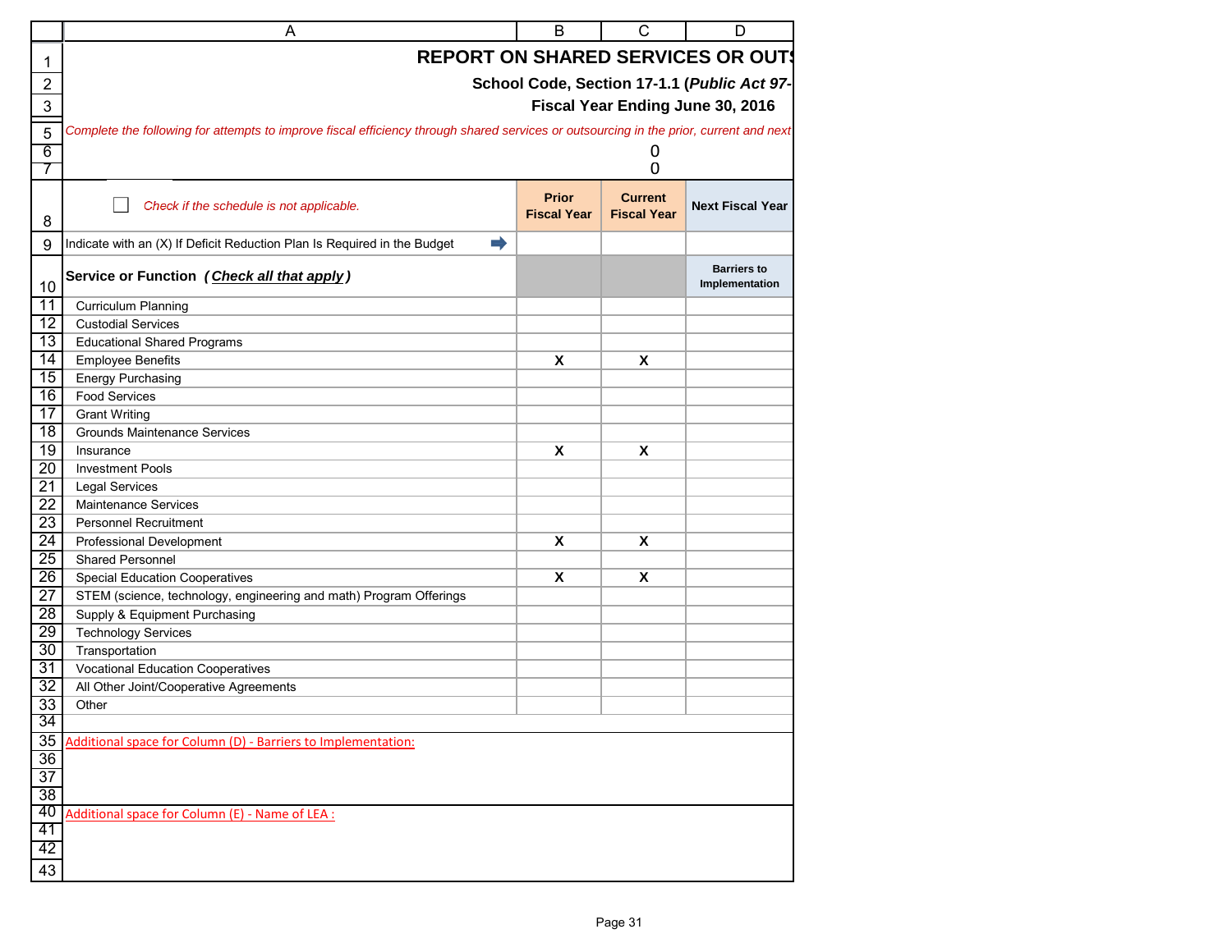| <b>REPORT ON SHARED SERVICES OR OUT!</b><br>1<br>$\overline{2}$<br>School Code, Section 17-1.1 (Public Act 97-<br>Fiscal Year Ending June 30, 2016<br>3<br>Complete the following for attempts to improve fiscal efficiency through shared services or outsourcing in the prior, current and next<br>5<br>0<br>$6\overline{6}$<br>$\mathbf 0$<br>7<br><b>Prior</b><br><b>Current</b><br><b>Next Fiscal Year</b><br>Check if the schedule is not applicable.<br><b>Fiscal Year</b><br><b>Fiscal Year</b><br>8<br>Indicate with an (X) If Deficit Reduction Plan Is Required in the Budget<br>$\Rightarrow$<br>9<br><b>Barriers to</b><br>Service or Function (Check all that apply)<br>Implementation<br>10<br>$\overline{11}$<br>Curriculum Planning<br>$\overline{12}$<br><b>Custodial Services</b><br>$\overline{13}$<br><b>Educational Shared Programs</b><br>14<br><b>Employee Benefits</b><br>X<br>X<br>$\overline{15}$<br><b>Energy Purchasing</b><br>$\overline{16}$<br><b>Food Services</b><br>$\overline{17}$<br><b>Grant Writing</b><br>18<br><b>Grounds Maintenance Services</b><br>19<br>X<br>X<br>Insurance<br>$\overline{20}$<br><b>Investment Pools</b><br>$\overline{21}$<br><b>Legal Services</b><br>22<br>Maintenance Services<br>$\overline{23}$<br><b>Personnel Recruitment</b><br>24<br>Professional Development<br>X<br>X<br>$\overline{25}$<br><b>Shared Personnel</b><br>$\overline{26}$<br><b>Special Education Cooperatives</b><br>X<br>X<br>27<br>STEM (science, technology, engineering and math) Program Offerings<br>$\overline{28}$<br>Supply & Equipment Purchasing<br>$\overline{29}$<br><b>Technology Services</b><br>30<br>Transportation<br>$\overline{31}$<br><b>Vocational Education Cooperatives</b><br>$\overline{32}$<br>All Other Joint/Cooperative Agreements<br>33<br>Other<br>34<br>35<br>Additional space for Column (D) - Barriers to Implementation:<br>36<br>$\overline{37}$<br>38<br>40<br>Additional space for Column (E) - Name of LEA :<br>41<br>42<br>43 | A | B | C | D |
|----------------------------------------------------------------------------------------------------------------------------------------------------------------------------------------------------------------------------------------------------------------------------------------------------------------------------------------------------------------------------------------------------------------------------------------------------------------------------------------------------------------------------------------------------------------------------------------------------------------------------------------------------------------------------------------------------------------------------------------------------------------------------------------------------------------------------------------------------------------------------------------------------------------------------------------------------------------------------------------------------------------------------------------------------------------------------------------------------------------------------------------------------------------------------------------------------------------------------------------------------------------------------------------------------------------------------------------------------------------------------------------------------------------------------------------------------------------------------------------------------------------------------------------------------------------------------------------------------------------------------------------------------------------------------------------------------------------------------------------------------------------------------------------------------------------------------------------------------------------------------------------------------------------------------------------------------------------------------------------------------------------|---|---|---|---|
|                                                                                                                                                                                                                                                                                                                                                                                                                                                                                                                                                                                                                                                                                                                                                                                                                                                                                                                                                                                                                                                                                                                                                                                                                                                                                                                                                                                                                                                                                                                                                                                                                                                                                                                                                                                                                                                                                                                                                                                                                |   |   |   |   |
|                                                                                                                                                                                                                                                                                                                                                                                                                                                                                                                                                                                                                                                                                                                                                                                                                                                                                                                                                                                                                                                                                                                                                                                                                                                                                                                                                                                                                                                                                                                                                                                                                                                                                                                                                                                                                                                                                                                                                                                                                |   |   |   |   |
|                                                                                                                                                                                                                                                                                                                                                                                                                                                                                                                                                                                                                                                                                                                                                                                                                                                                                                                                                                                                                                                                                                                                                                                                                                                                                                                                                                                                                                                                                                                                                                                                                                                                                                                                                                                                                                                                                                                                                                                                                |   |   |   |   |
|                                                                                                                                                                                                                                                                                                                                                                                                                                                                                                                                                                                                                                                                                                                                                                                                                                                                                                                                                                                                                                                                                                                                                                                                                                                                                                                                                                                                                                                                                                                                                                                                                                                                                                                                                                                                                                                                                                                                                                                                                |   |   |   |   |
|                                                                                                                                                                                                                                                                                                                                                                                                                                                                                                                                                                                                                                                                                                                                                                                                                                                                                                                                                                                                                                                                                                                                                                                                                                                                                                                                                                                                                                                                                                                                                                                                                                                                                                                                                                                                                                                                                                                                                                                                                |   |   |   |   |
|                                                                                                                                                                                                                                                                                                                                                                                                                                                                                                                                                                                                                                                                                                                                                                                                                                                                                                                                                                                                                                                                                                                                                                                                                                                                                                                                                                                                                                                                                                                                                                                                                                                                                                                                                                                                                                                                                                                                                                                                                |   |   |   |   |
|                                                                                                                                                                                                                                                                                                                                                                                                                                                                                                                                                                                                                                                                                                                                                                                                                                                                                                                                                                                                                                                                                                                                                                                                                                                                                                                                                                                                                                                                                                                                                                                                                                                                                                                                                                                                                                                                                                                                                                                                                |   |   |   |   |
|                                                                                                                                                                                                                                                                                                                                                                                                                                                                                                                                                                                                                                                                                                                                                                                                                                                                                                                                                                                                                                                                                                                                                                                                                                                                                                                                                                                                                                                                                                                                                                                                                                                                                                                                                                                                                                                                                                                                                                                                                |   |   |   |   |
|                                                                                                                                                                                                                                                                                                                                                                                                                                                                                                                                                                                                                                                                                                                                                                                                                                                                                                                                                                                                                                                                                                                                                                                                                                                                                                                                                                                                                                                                                                                                                                                                                                                                                                                                                                                                                                                                                                                                                                                                                |   |   |   |   |
|                                                                                                                                                                                                                                                                                                                                                                                                                                                                                                                                                                                                                                                                                                                                                                                                                                                                                                                                                                                                                                                                                                                                                                                                                                                                                                                                                                                                                                                                                                                                                                                                                                                                                                                                                                                                                                                                                                                                                                                                                |   |   |   |   |
|                                                                                                                                                                                                                                                                                                                                                                                                                                                                                                                                                                                                                                                                                                                                                                                                                                                                                                                                                                                                                                                                                                                                                                                                                                                                                                                                                                                                                                                                                                                                                                                                                                                                                                                                                                                                                                                                                                                                                                                                                |   |   |   |   |
|                                                                                                                                                                                                                                                                                                                                                                                                                                                                                                                                                                                                                                                                                                                                                                                                                                                                                                                                                                                                                                                                                                                                                                                                                                                                                                                                                                                                                                                                                                                                                                                                                                                                                                                                                                                                                                                                                                                                                                                                                |   |   |   |   |
|                                                                                                                                                                                                                                                                                                                                                                                                                                                                                                                                                                                                                                                                                                                                                                                                                                                                                                                                                                                                                                                                                                                                                                                                                                                                                                                                                                                                                                                                                                                                                                                                                                                                                                                                                                                                                                                                                                                                                                                                                |   |   |   |   |
|                                                                                                                                                                                                                                                                                                                                                                                                                                                                                                                                                                                                                                                                                                                                                                                                                                                                                                                                                                                                                                                                                                                                                                                                                                                                                                                                                                                                                                                                                                                                                                                                                                                                                                                                                                                                                                                                                                                                                                                                                |   |   |   |   |
|                                                                                                                                                                                                                                                                                                                                                                                                                                                                                                                                                                                                                                                                                                                                                                                                                                                                                                                                                                                                                                                                                                                                                                                                                                                                                                                                                                                                                                                                                                                                                                                                                                                                                                                                                                                                                                                                                                                                                                                                                |   |   |   |   |
|                                                                                                                                                                                                                                                                                                                                                                                                                                                                                                                                                                                                                                                                                                                                                                                                                                                                                                                                                                                                                                                                                                                                                                                                                                                                                                                                                                                                                                                                                                                                                                                                                                                                                                                                                                                                                                                                                                                                                                                                                |   |   |   |   |
|                                                                                                                                                                                                                                                                                                                                                                                                                                                                                                                                                                                                                                                                                                                                                                                                                                                                                                                                                                                                                                                                                                                                                                                                                                                                                                                                                                                                                                                                                                                                                                                                                                                                                                                                                                                                                                                                                                                                                                                                                |   |   |   |   |
|                                                                                                                                                                                                                                                                                                                                                                                                                                                                                                                                                                                                                                                                                                                                                                                                                                                                                                                                                                                                                                                                                                                                                                                                                                                                                                                                                                                                                                                                                                                                                                                                                                                                                                                                                                                                                                                                                                                                                                                                                |   |   |   |   |
|                                                                                                                                                                                                                                                                                                                                                                                                                                                                                                                                                                                                                                                                                                                                                                                                                                                                                                                                                                                                                                                                                                                                                                                                                                                                                                                                                                                                                                                                                                                                                                                                                                                                                                                                                                                                                                                                                                                                                                                                                |   |   |   |   |
|                                                                                                                                                                                                                                                                                                                                                                                                                                                                                                                                                                                                                                                                                                                                                                                                                                                                                                                                                                                                                                                                                                                                                                                                                                                                                                                                                                                                                                                                                                                                                                                                                                                                                                                                                                                                                                                                                                                                                                                                                |   |   |   |   |
|                                                                                                                                                                                                                                                                                                                                                                                                                                                                                                                                                                                                                                                                                                                                                                                                                                                                                                                                                                                                                                                                                                                                                                                                                                                                                                                                                                                                                                                                                                                                                                                                                                                                                                                                                                                                                                                                                                                                                                                                                |   |   |   |   |
|                                                                                                                                                                                                                                                                                                                                                                                                                                                                                                                                                                                                                                                                                                                                                                                                                                                                                                                                                                                                                                                                                                                                                                                                                                                                                                                                                                                                                                                                                                                                                                                                                                                                                                                                                                                                                                                                                                                                                                                                                |   |   |   |   |
|                                                                                                                                                                                                                                                                                                                                                                                                                                                                                                                                                                                                                                                                                                                                                                                                                                                                                                                                                                                                                                                                                                                                                                                                                                                                                                                                                                                                                                                                                                                                                                                                                                                                                                                                                                                                                                                                                                                                                                                                                |   |   |   |   |
|                                                                                                                                                                                                                                                                                                                                                                                                                                                                                                                                                                                                                                                                                                                                                                                                                                                                                                                                                                                                                                                                                                                                                                                                                                                                                                                                                                                                                                                                                                                                                                                                                                                                                                                                                                                                                                                                                                                                                                                                                |   |   |   |   |
|                                                                                                                                                                                                                                                                                                                                                                                                                                                                                                                                                                                                                                                                                                                                                                                                                                                                                                                                                                                                                                                                                                                                                                                                                                                                                                                                                                                                                                                                                                                                                                                                                                                                                                                                                                                                                                                                                                                                                                                                                |   |   |   |   |
|                                                                                                                                                                                                                                                                                                                                                                                                                                                                                                                                                                                                                                                                                                                                                                                                                                                                                                                                                                                                                                                                                                                                                                                                                                                                                                                                                                                                                                                                                                                                                                                                                                                                                                                                                                                                                                                                                                                                                                                                                |   |   |   |   |
|                                                                                                                                                                                                                                                                                                                                                                                                                                                                                                                                                                                                                                                                                                                                                                                                                                                                                                                                                                                                                                                                                                                                                                                                                                                                                                                                                                                                                                                                                                                                                                                                                                                                                                                                                                                                                                                                                                                                                                                                                |   |   |   |   |
|                                                                                                                                                                                                                                                                                                                                                                                                                                                                                                                                                                                                                                                                                                                                                                                                                                                                                                                                                                                                                                                                                                                                                                                                                                                                                                                                                                                                                                                                                                                                                                                                                                                                                                                                                                                                                                                                                                                                                                                                                |   |   |   |   |
|                                                                                                                                                                                                                                                                                                                                                                                                                                                                                                                                                                                                                                                                                                                                                                                                                                                                                                                                                                                                                                                                                                                                                                                                                                                                                                                                                                                                                                                                                                                                                                                                                                                                                                                                                                                                                                                                                                                                                                                                                |   |   |   |   |
|                                                                                                                                                                                                                                                                                                                                                                                                                                                                                                                                                                                                                                                                                                                                                                                                                                                                                                                                                                                                                                                                                                                                                                                                                                                                                                                                                                                                                                                                                                                                                                                                                                                                                                                                                                                                                                                                                                                                                                                                                |   |   |   |   |
|                                                                                                                                                                                                                                                                                                                                                                                                                                                                                                                                                                                                                                                                                                                                                                                                                                                                                                                                                                                                                                                                                                                                                                                                                                                                                                                                                                                                                                                                                                                                                                                                                                                                                                                                                                                                                                                                                                                                                                                                                |   |   |   |   |
|                                                                                                                                                                                                                                                                                                                                                                                                                                                                                                                                                                                                                                                                                                                                                                                                                                                                                                                                                                                                                                                                                                                                                                                                                                                                                                                                                                                                                                                                                                                                                                                                                                                                                                                                                                                                                                                                                                                                                                                                                |   |   |   |   |
|                                                                                                                                                                                                                                                                                                                                                                                                                                                                                                                                                                                                                                                                                                                                                                                                                                                                                                                                                                                                                                                                                                                                                                                                                                                                                                                                                                                                                                                                                                                                                                                                                                                                                                                                                                                                                                                                                                                                                                                                                |   |   |   |   |
|                                                                                                                                                                                                                                                                                                                                                                                                                                                                                                                                                                                                                                                                                                                                                                                                                                                                                                                                                                                                                                                                                                                                                                                                                                                                                                                                                                                                                                                                                                                                                                                                                                                                                                                                                                                                                                                                                                                                                                                                                |   |   |   |   |
|                                                                                                                                                                                                                                                                                                                                                                                                                                                                                                                                                                                                                                                                                                                                                                                                                                                                                                                                                                                                                                                                                                                                                                                                                                                                                                                                                                                                                                                                                                                                                                                                                                                                                                                                                                                                                                                                                                                                                                                                                |   |   |   |   |
|                                                                                                                                                                                                                                                                                                                                                                                                                                                                                                                                                                                                                                                                                                                                                                                                                                                                                                                                                                                                                                                                                                                                                                                                                                                                                                                                                                                                                                                                                                                                                                                                                                                                                                                                                                                                                                                                                                                                                                                                                |   |   |   |   |
|                                                                                                                                                                                                                                                                                                                                                                                                                                                                                                                                                                                                                                                                                                                                                                                                                                                                                                                                                                                                                                                                                                                                                                                                                                                                                                                                                                                                                                                                                                                                                                                                                                                                                                                                                                                                                                                                                                                                                                                                                |   |   |   |   |
|                                                                                                                                                                                                                                                                                                                                                                                                                                                                                                                                                                                                                                                                                                                                                                                                                                                                                                                                                                                                                                                                                                                                                                                                                                                                                                                                                                                                                                                                                                                                                                                                                                                                                                                                                                                                                                                                                                                                                                                                                |   |   |   |   |
|                                                                                                                                                                                                                                                                                                                                                                                                                                                                                                                                                                                                                                                                                                                                                                                                                                                                                                                                                                                                                                                                                                                                                                                                                                                                                                                                                                                                                                                                                                                                                                                                                                                                                                                                                                                                                                                                                                                                                                                                                |   |   |   |   |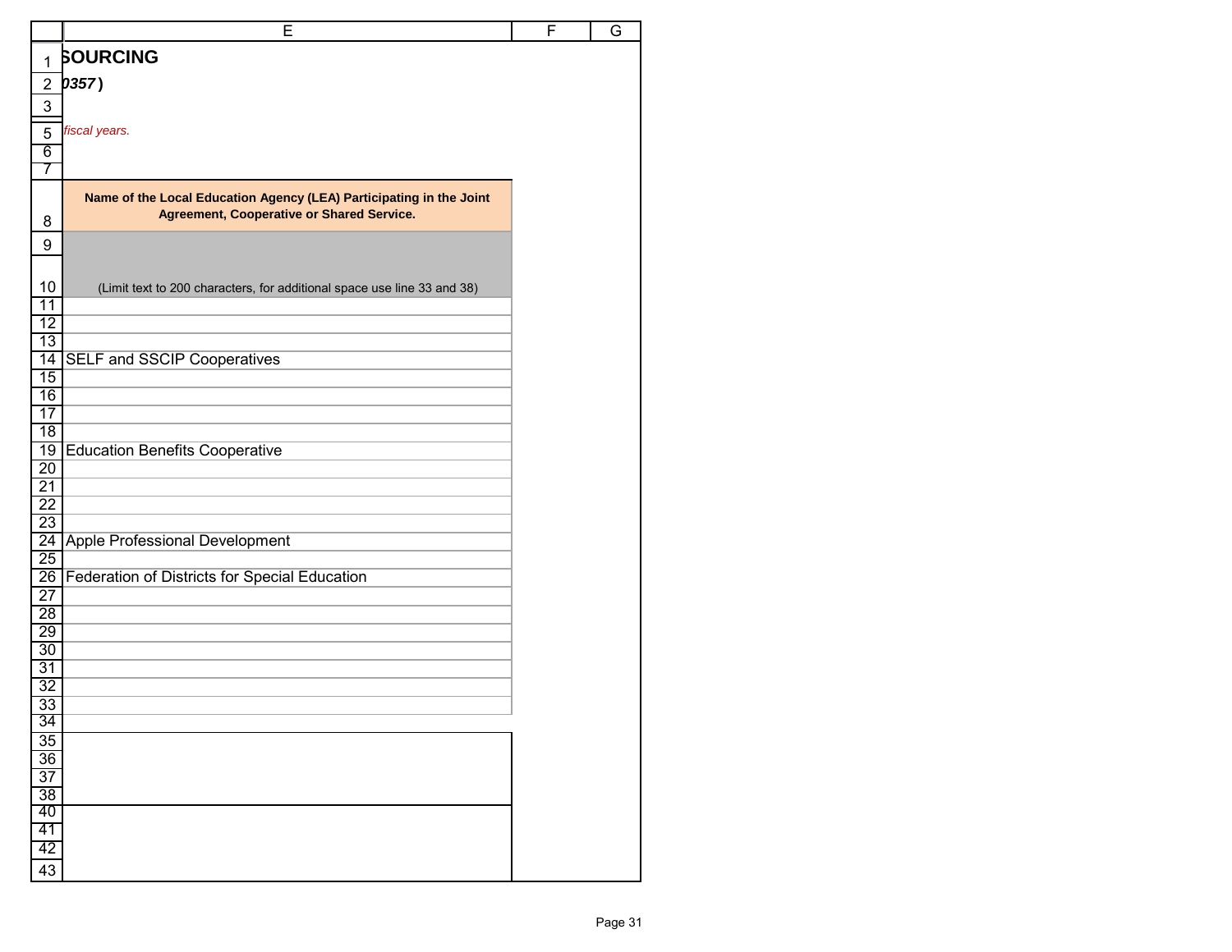|                       | E                                                                       | F | G |
|-----------------------|-------------------------------------------------------------------------|---|---|
| $\mathbf{1}$          | <b>SOURCING</b>                                                         |   |   |
| $\overline{2}$        | 0357)                                                                   |   |   |
| 3                     |                                                                         |   |   |
|                       |                                                                         |   |   |
| 5                     | fiscal years.                                                           |   |   |
| 6                     |                                                                         |   |   |
| 7                     |                                                                         |   |   |
|                       | Name of the Local Education Agency (LEA) Participating in the Joint     |   |   |
| 8                     | Agreement, Cooperative or Shared Service.                               |   |   |
| 9                     |                                                                         |   |   |
|                       |                                                                         |   |   |
| 10                    | (Limit text to 200 characters, for additional space use line 33 and 38) |   |   |
| $\overline{11}$       |                                                                         |   |   |
| $\overline{12}$       |                                                                         |   |   |
| 13                    |                                                                         |   |   |
| 14<br>15              | <b>SELF and SSCIP Cooperatives</b>                                      |   |   |
| 16                    |                                                                         |   |   |
| $\overline{17}$       |                                                                         |   |   |
| $\overline{18}$       |                                                                         |   |   |
| 19                    | <b>Education Benefits Cooperative</b>                                   |   |   |
| 20                    |                                                                         |   |   |
| $\overline{21}$       |                                                                         |   |   |
| $\overline{22}$<br>23 |                                                                         |   |   |
| $\overline{24}$       | Apple Professional Development                                          |   |   |
| 25                    |                                                                         |   |   |
| $\overline{26}$       | Federation of Districts for Special Education                           |   |   |
| 27                    |                                                                         |   |   |
| 28                    |                                                                         |   |   |
| 29<br>30              |                                                                         |   |   |
| 31                    |                                                                         |   |   |
| $\overline{32}$       |                                                                         |   |   |
| 33                    |                                                                         |   |   |
| 34                    |                                                                         |   |   |
| 35                    |                                                                         |   |   |
| 36                    |                                                                         |   |   |
| $\overline{37}$<br>38 |                                                                         |   |   |
| 40                    |                                                                         |   |   |
| 41                    |                                                                         |   |   |
| 42                    |                                                                         |   |   |
| 43                    |                                                                         |   |   |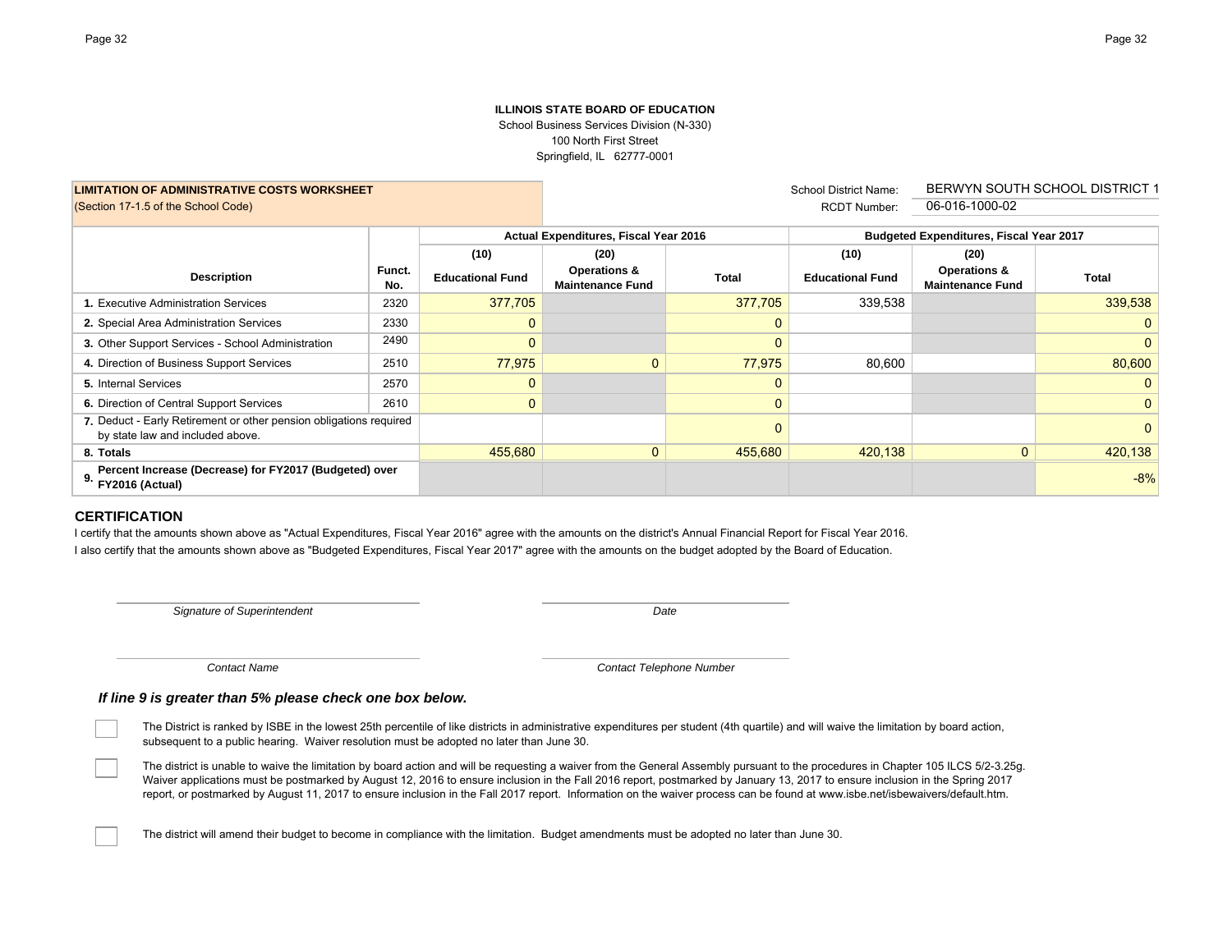#### **ILLINOIS STATE BOARD OF EDUCATION**School Business Services Division (N-330) 100 North First Street Springfield, IL 62777-0001

School District Name:

|                                                                                                        |               |                         |                                                    |              | 0011001 District Harric. |                                                |                |  |  |
|--------------------------------------------------------------------------------------------------------|---------------|-------------------------|----------------------------------------------------|--------------|--------------------------|------------------------------------------------|----------------|--|--|
| (Section 17-1.5 of the School Code)                                                                    |               |                         |                                                    |              | <b>RCDT Number:</b>      | 06-016-1000-02                                 |                |  |  |
|                                                                                                        |               |                         |                                                    |              |                          |                                                |                |  |  |
|                                                                                                        |               |                         | Actual Expenditures, Fiscal Year 2016              |              |                          | <b>Budgeted Expenditures, Fiscal Year 2017</b> |                |  |  |
|                                                                                                        |               | (10)                    | (20)                                               |              | (10)                     | (20)                                           |                |  |  |
| <b>Description</b>                                                                                     | Funct.<br>No. | <b>Educational Fund</b> | <b>Operations &amp;</b><br><b>Maintenance Fund</b> | Total        | <b>Educational Fund</b>  | Operations &<br><b>Maintenance Fund</b>        | <b>Total</b>   |  |  |
| . Executive Administration Services                                                                    | 2320          | 377,705                 |                                                    | 377,705      | 339,538                  |                                                | 339,538        |  |  |
| 2. Special Area Administration Services                                                                | 2330          |                         |                                                    | $\mathbf{0}$ |                          |                                                | 0              |  |  |
| 3. Other Support Services - School Administration                                                      | 2490          |                         |                                                    | $\mathbf{0}$ |                          |                                                | 0              |  |  |
| 4. Direction of Business Support Services                                                              | 2510          | 77,975                  | $\Omega$                                           | 77,975       | 80,600                   |                                                | 80,600         |  |  |
| 5. Internal Services                                                                                   | 2570          |                         |                                                    | $\mathbf{0}$ |                          |                                                | 0 <sup>1</sup> |  |  |
| 6. Direction of Central Support Services                                                               | 2610          |                         |                                                    | $\mathbf 0$  |                          |                                                | 0 <sup>1</sup> |  |  |
| 7. Deduct - Early Retirement or other pension obligations required<br>by state law and included above. |               |                         |                                                    | 0            |                          |                                                | 0              |  |  |
| 8. Totals                                                                                              |               | 455,680                 | $\mathbf{0}$                                       | 455,680      | 420,138                  | $\mathbf{0}$                                   | 420,138        |  |  |
| Percent Increase (Decrease) for FY2017 (Budgeted) over<br>9.<br>FY2016 (Actual)                        |               |                         |                                                    |              |                          |                                                | $-8%$          |  |  |

## **CERTIFICATION**

I certify that the amounts shown above as "Actual Expenditures, Fiscal Year 2016" agree with the amounts on the district's Annual Financial Report for Fiscal Year 2016. I also certify that the amounts shown above as "Budgeted Expenditures, Fiscal Year 2017" agree with the amounts on the budget adopted by the Board of Education.

*Signature of Superintendent*

**LIMITATION OF ADMINISTRATIVE COSTS WORKSHEET**

*Date*

*Contact Name*

*Contact Telephone Number*

*If line 9 is greater than 5% please check one box below.*

The District is ranked by ISBE in the lowest 25th percentile of like districts in administrative expenditures per student (4th quartile) and will waive the limitation by board action, subsequent to a public hearing. Waiver resolution must be adopted no later than June 30.

The district is unable to waive the limitation by board action and will be requesting a waiver from the General Assembly pursuant to the procedures in Chapter 105 ILCS 5/2-3.25g. Waiver applications must be postmarked by August 12, 2016 to ensure inclusion in the Fall 2016 report, postmarked by January 13, 2017 to ensure inclusion in the Spring 2017 report, or postmarked by August 11, 2017 to ensure inclusion in the Fall 2017 report. Information on the waiver process can be found at www.isbe.net/isbewaivers/default.htm.

The district will amend their budget to become in compliance with the limitation. Budget amendments must be adopted no later than June 30.

BERWYN SOUTH SCHOOL DISTRICT 1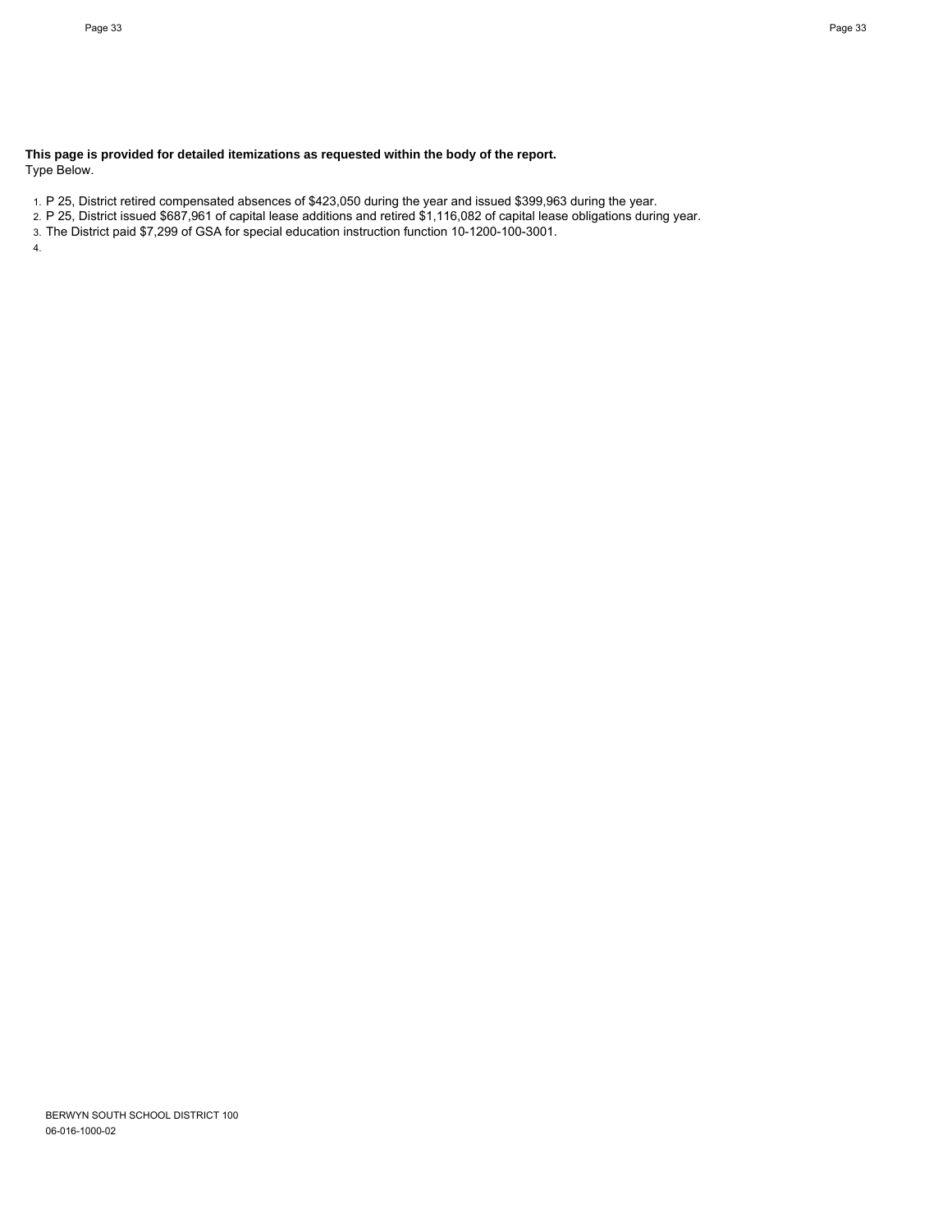**This page is provided for detailed itemizations as requested within the body of the report.** Type Below.

1. P 25, District retired compensated absences of \$423,050 during the year and issued \$399,963 during the year.

2. P 25, District issued \$687,961 of capital lease additions and retired \$1,116,082 of capital lease obligations during year.

3. The District paid \$7,299 of GSA for special education instruction function 10-1200-100-3001.

4.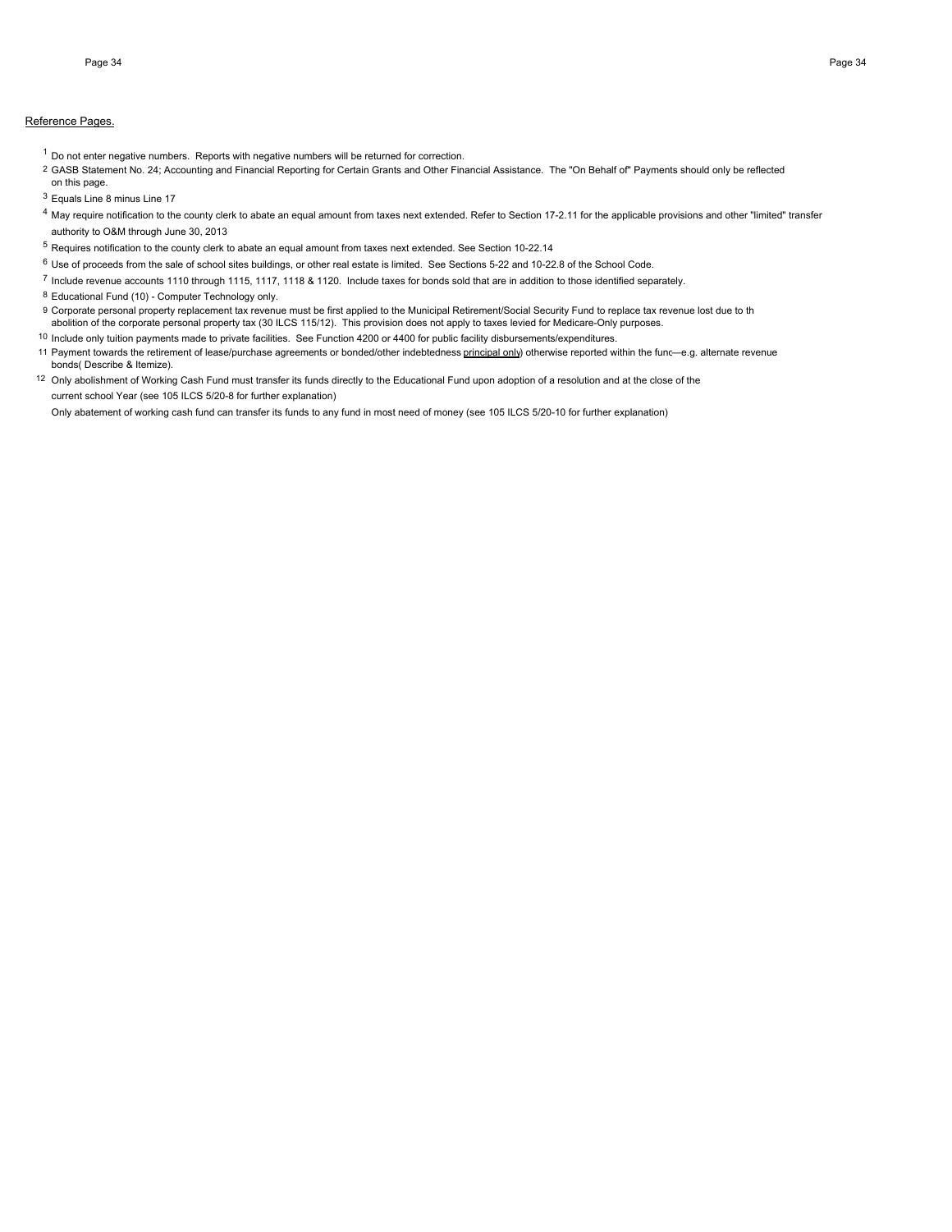#### Reference Pages.

- $1$  Do not enter negative numbers. Reports with negative numbers will be returned for correction.
- 2 GASB Statement No. 24; Accounting and Financial Reporting for Certain Grants and Other Financial Assistance. The "On Behalf of" Payments should only be reflected
- on this page.
- <sup>3</sup> Equals Line 8 minus Line 17
- <sup>4</sup> May require notification to the county clerk to abate an equal amount from taxes next extended. Refer to Section 17-2.11 for the applicable provisions and other "limited" transfer authority to O&M through June 30, 2013
- <sup>5</sup> Requires notification to the county clerk to abate an equal amount from taxes next extended. See Section 10-22.14
- $6$  Use of proceeds from the sale of school sites buildings, or other real estate is limited. See Sections 5-22 and 10-22.8 of the School Code.
- <sup>7</sup> Include revenue accounts 1110 through 1115, 1117, 1118 & 1120. Include taxes for bonds sold that are in addition to those identified separately.
- 8 Educational Fund (10) Computer Technology only.
- 9 Corporate personal property replacement tax revenue must be first applied to the Municipal Retirement/Social Security Fund to replace tax revenue lost due to th abolition of the corporate personal property tax (30 ILCS 115/12). This provision does not apply to taxes levied for Medicare-Only purposes.
- 10 Include only tuition payments made to private facilities. See Function 4200 or 4400 for public facility disbursements/expenditures.
- 11 Payment towards the retirement of lease/purchase agreements or bonded/other indebtedness principal only) otherwise reported within the func-e.g. alternate revenue bonds( Describe & Itemize).
- 12 Only abolishment of Working Cash Fund must transfer its funds directly to the Educational Fund upon adoption of a resolution and at the close of the current school Year (see 105 ILCS 5/20-8 for further explanation)

Only abatement of working cash fund can transfer its funds to any fund in most need of money (see 105 ILCS 5/20-10 for further explanation)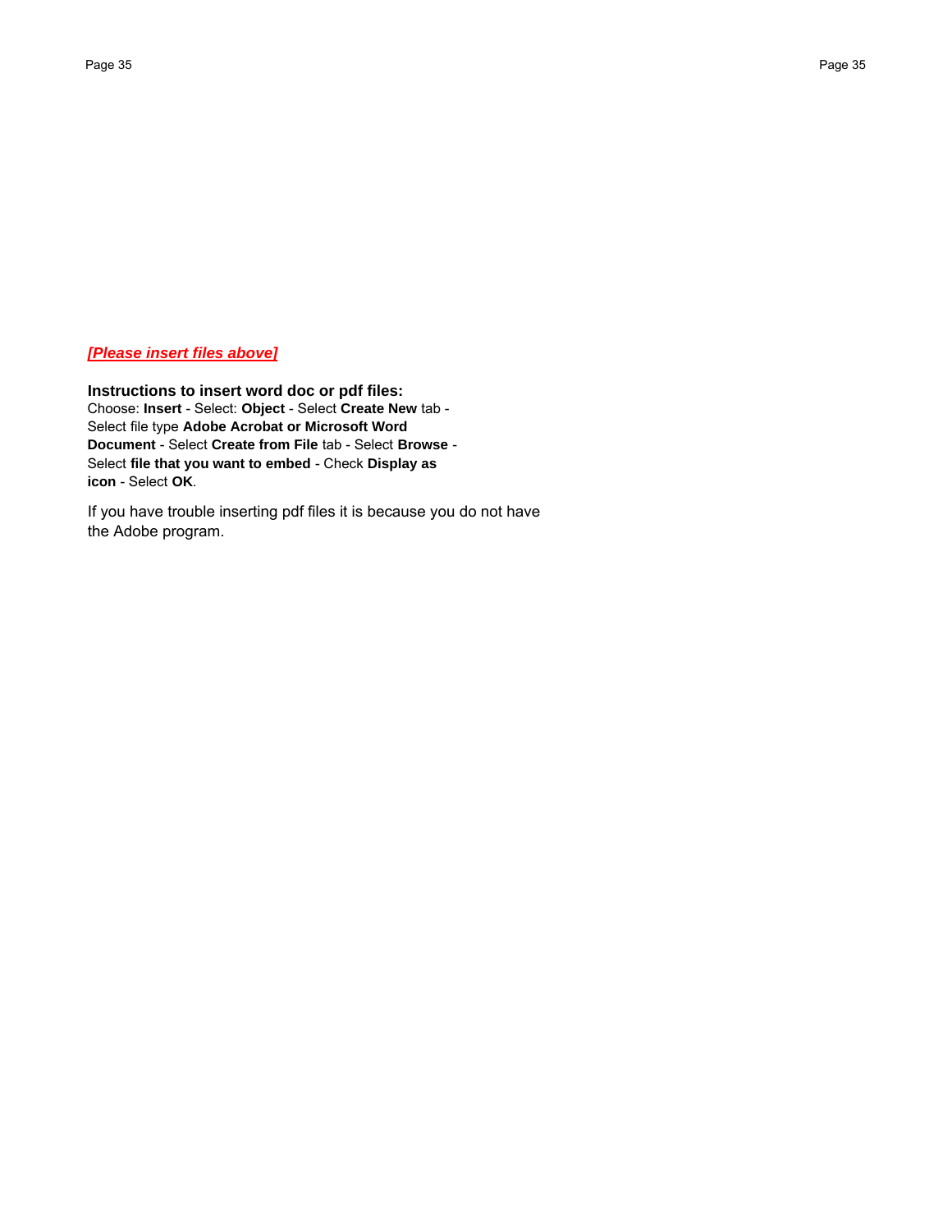## *[Please insert files above]*

**Instructions to insert word doc or pdf files:** Choose: **Insert** - Select: **Object** - Select **Create New** tab - Select file type **Adobe Acrobat or Microsoft Word Document** - Select **Create from File** tab - Select **Browse** - Select **file that you want to embed** - Check **Display as icon** - Select **OK**.

If you have trouble inserting pdf files it is because you do not have the Adobe program.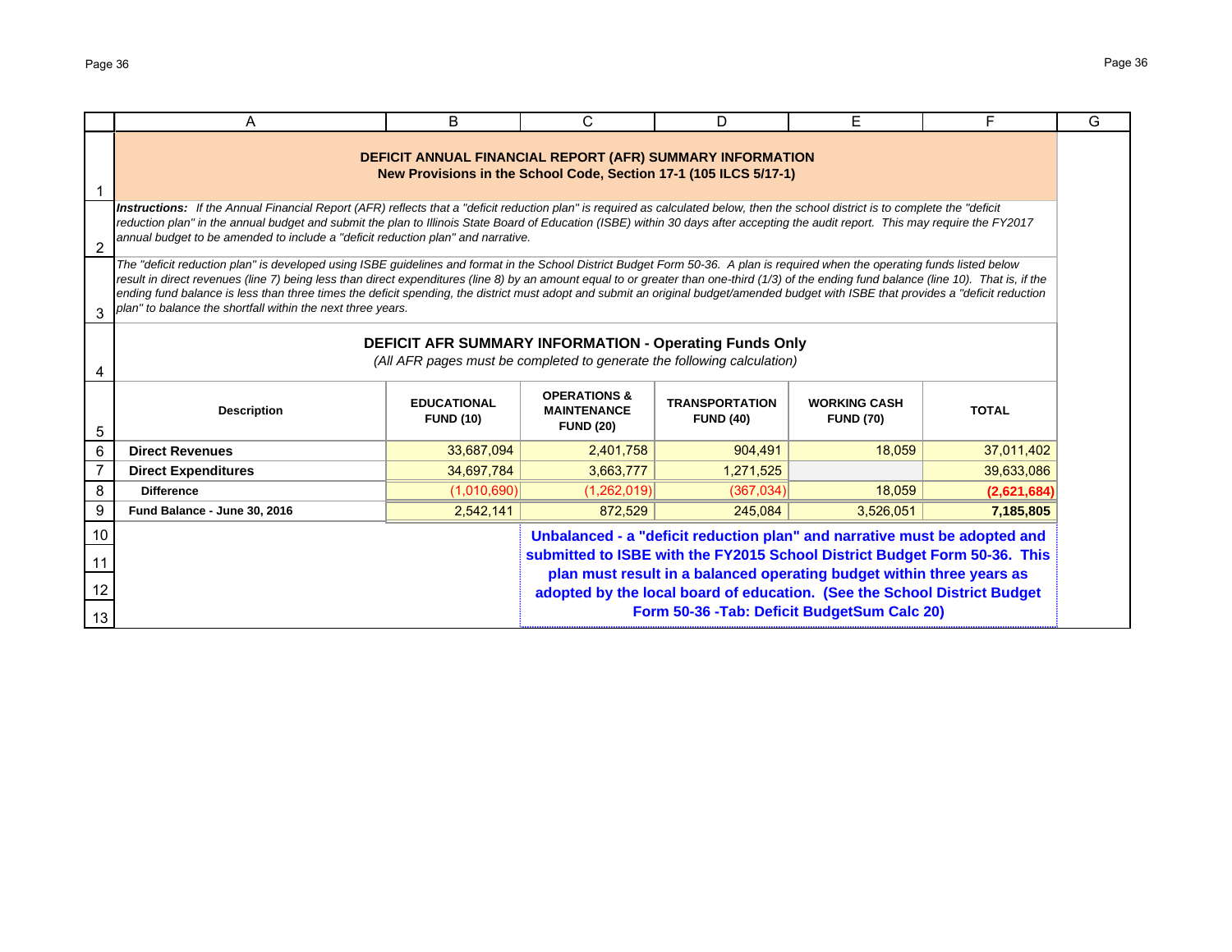|                | A                                                                                                                                                                                                                                                                                                                                                                                                                                                                                                                                                                                                                                   | B                                                                 | C                                         | D                                                                         | F            | F.          | G |  |  |
|----------------|-------------------------------------------------------------------------------------------------------------------------------------------------------------------------------------------------------------------------------------------------------------------------------------------------------------------------------------------------------------------------------------------------------------------------------------------------------------------------------------------------------------------------------------------------------------------------------------------------------------------------------------|-------------------------------------------------------------------|-------------------------------------------|---------------------------------------------------------------------------|--------------|-------------|---|--|--|
|                | DEFICIT ANNUAL FINANCIAL REPORT (AFR) SUMMARY INFORMATION<br>New Provisions in the School Code, Section 17-1 (105 ILCS 5/17-1)                                                                                                                                                                                                                                                                                                                                                                                                                                                                                                      |                                                                   |                                           |                                                                           |              |             |   |  |  |
| $\overline{2}$ | Instructions: If the Annual Financial Report (AFR) reflects that a "deficit reduction plan" is required as calculated below, then the school district is to complete the "deficit<br>reduction plan" in the annual budget and submit the plan to Illinois State Board of Education (ISBE) within 30 days after accepting the audit report. This may require the FY2017<br>annual budget to be amended to include a "deficit reduction plan" and narrative.                                                                                                                                                                          |                                                                   |                                           |                                                                           |              |             |   |  |  |
| 3              | The "deficit reduction plan" is developed using ISBE guidelines and format in the School District Budget Form 50-36. A plan is required when the operating funds listed below<br>result in direct revenues (line 7) being less than direct expenditures (line 8) by an amount equal to or greater than one-third (1/3) of the ending fund balance (line 10). That is, if the<br>ending fund balance is less than three times the deficit spending, the district must adopt and submit an original budget/amended budget with ISBE that provides a "deficit reduction<br>plan" to balance the shortfall within the next three years. |                                                                   |                                           |                                                                           |              |             |   |  |  |
|                | DEFICIT AFR SUMMARY INFORMATION - Operating Funds Only<br>(All AFR pages must be completed to generate the following calculation)                                                                                                                                                                                                                                                                                                                                                                                                                                                                                                   |                                                                   |                                           |                                                                           |              |             |   |  |  |
| 5              | <b>Description</b>                                                                                                                                                                                                                                                                                                                                                                                                                                                                                                                                                                                                                  | <b>OPERATIONS &amp;</b><br><b>MAINTENANCE</b><br><b>FUND (20)</b> | <b>TRANSPORTATION</b><br><b>FUND (40)</b> | <b>WORKING CASH</b><br><b>FUND (70)</b>                                   | <b>TOTAL</b> |             |   |  |  |
| $6\,$          | <b>Direct Revenues</b>                                                                                                                                                                                                                                                                                                                                                                                                                                                                                                                                                                                                              | 33,687,094                                                        | 2,401,758                                 | 904,491                                                                   | 18,059       | 37,011,402  |   |  |  |
| $\overline{7}$ | <b>Direct Expenditures</b>                                                                                                                                                                                                                                                                                                                                                                                                                                                                                                                                                                                                          | 34,697,784                                                        | 3.663.777                                 | 1,271,525                                                                 |              | 39,633,086  |   |  |  |
| 8              | <b>Difference</b>                                                                                                                                                                                                                                                                                                                                                                                                                                                                                                                                                                                                                   | (1,010,690)                                                       | (1,262,019)                               | (367,034)                                                                 | 18.059       | (2,621,684) |   |  |  |
| 9              | Fund Balance - June 30, 2016                                                                                                                                                                                                                                                                                                                                                                                                                                                                                                                                                                                                        | 2.542.141                                                         | 872.529                                   | 245.084                                                                   | 3.526.051    | 7,185,805   |   |  |  |
| 10             |                                                                                                                                                                                                                                                                                                                                                                                                                                                                                                                                                                                                                                     |                                                                   |                                           | Unbalanced - a "deficit reduction plan" and narrative must be adopted and |              |             |   |  |  |
| 11             | submitted to ISBE with the FY2015 School District Budget Form 50-36. This<br>plan must result in a balanced operating budget within three years as                                                                                                                                                                                                                                                                                                                                                                                                                                                                                  |                                                                   |                                           |                                                                           |              |             |   |  |  |
| 12             |                                                                                                                                                                                                                                                                                                                                                                                                                                                                                                                                                                                                                                     |                                                                   |                                           | adopted by the local board of education. (See the School District Budget  |              |             |   |  |  |
| 13             |                                                                                                                                                                                                                                                                                                                                                                                                                                                                                                                                                                                                                                     |                                                                   |                                           | Form 50-36 - Tab: Deficit BudgetSum Calc 20)                              |              |             |   |  |  |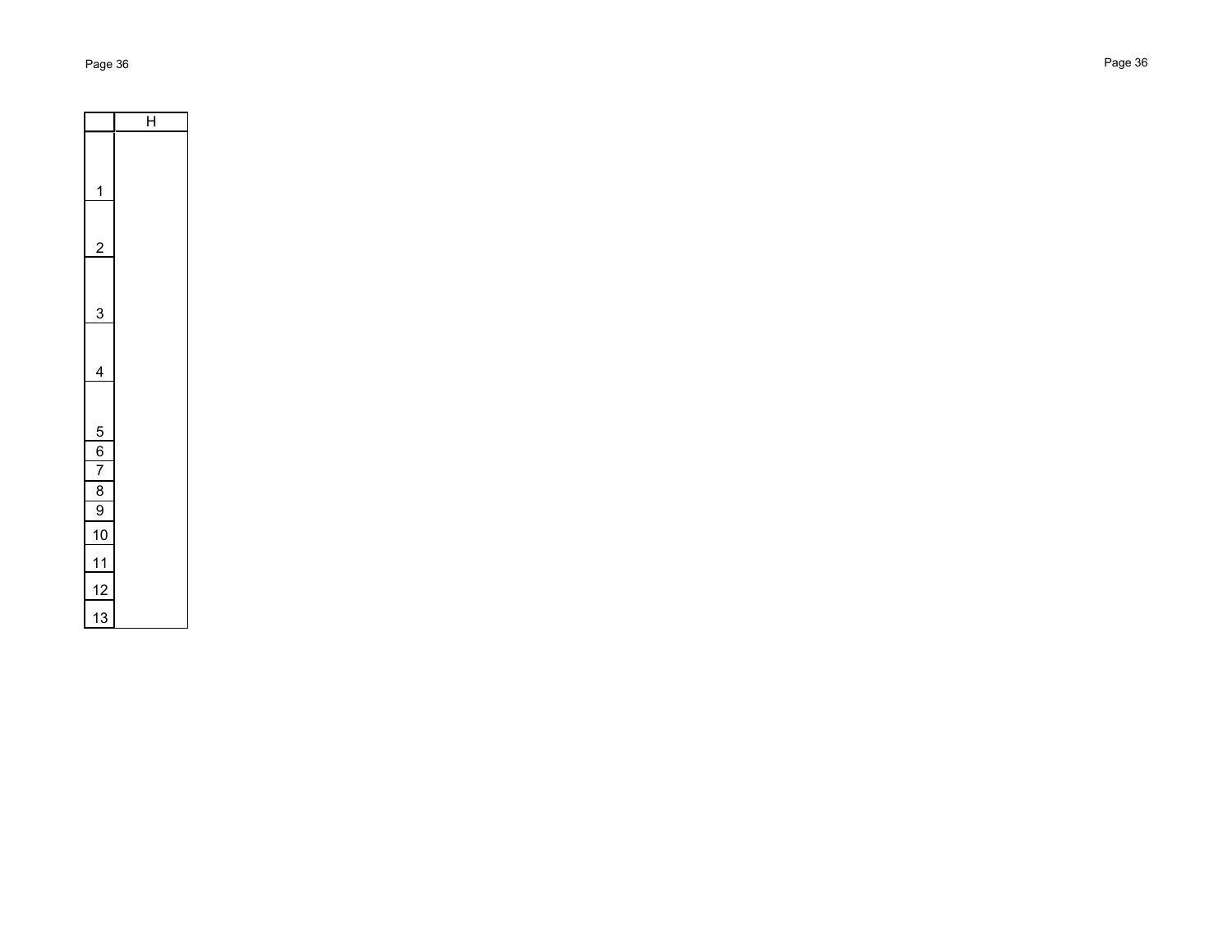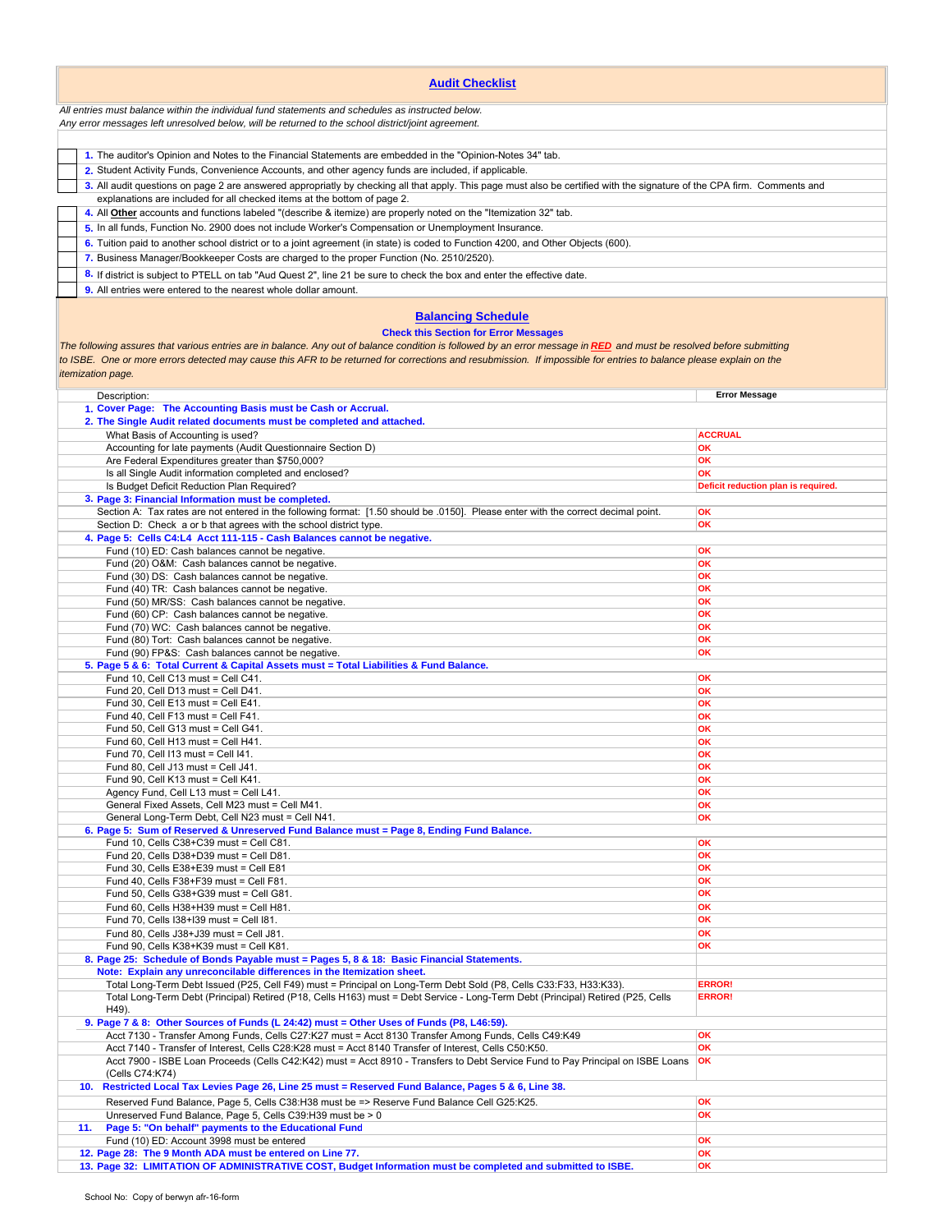| <b>Audit Checklist</b>                                                                                                                                                                                                                                                                                                                                                                                                                                |                                     |  |  |  |  |  |
|-------------------------------------------------------------------------------------------------------------------------------------------------------------------------------------------------------------------------------------------------------------------------------------------------------------------------------------------------------------------------------------------------------------------------------------------------------|-------------------------------------|--|--|--|--|--|
| All entries must balance within the individual fund statements and schedules as instructed below.<br>Any error messages left unresolved below, will be returned to the school district/joint agreement.                                                                                                                                                                                                                                               |                                     |  |  |  |  |  |
|                                                                                                                                                                                                                                                                                                                                                                                                                                                       |                                     |  |  |  |  |  |
| 1. The auditor's Opinion and Notes to the Financial Statements are embedded in the "Opinion-Notes 34" tab.                                                                                                                                                                                                                                                                                                                                            |                                     |  |  |  |  |  |
| 2. Student Activity Funds, Convenience Accounts, and other agency funds are included, if applicable.                                                                                                                                                                                                                                                                                                                                                  |                                     |  |  |  |  |  |
| 3. All audit questions on page 2 are answered appropriatly by checking all that apply. This page must also be certified with the signature of the CPA firm. Comments and<br>explanations are included for all checked items at the bottom of page 2.                                                                                                                                                                                                  |                                     |  |  |  |  |  |
| 4. All <b>Other</b> accounts and functions labeled "(describe & itemize) are properly noted on the "Itemization 32" tab.                                                                                                                                                                                                                                                                                                                              |                                     |  |  |  |  |  |
| 5. In all funds, Function No. 2900 does not include Worker's Compensation or Unemployment Insurance.                                                                                                                                                                                                                                                                                                                                                  |                                     |  |  |  |  |  |
| 6. Tuition paid to another school district or to a joint agreement (in state) is coded to Function 4200, and Other Objects (600).                                                                                                                                                                                                                                                                                                                     |                                     |  |  |  |  |  |
| 7. Business Manager/Bookkeeper Costs are charged to the proper Function (No. 2510/2520).                                                                                                                                                                                                                                                                                                                                                              |                                     |  |  |  |  |  |
| 8. If district is subject to PTELL on tab "Aud Quest 2", line 21 be sure to check the box and enter the effective date.<br>9. All entries were entered to the nearest whole dollar amount.                                                                                                                                                                                                                                                            |                                     |  |  |  |  |  |
| <b>Balancing Schedule</b><br><b>Check this Section for Error Messages</b><br>The following assures that various entries are in balance. Any out of balance condition is followed by an error message in RED and must be resolved before submitting<br>to ISBE. One or more errors detected may cause this AFR to be returned for corrections and resubmission. If impossible for entries to balance please explain on the<br><i>itemization page.</i> |                                     |  |  |  |  |  |
| Description:<br>1. Cover Page: The Accounting Basis must be Cash or Accrual.                                                                                                                                                                                                                                                                                                                                                                          | <b>Error Message</b>                |  |  |  |  |  |
| 2. The Single Audit related documents must be completed and attached.                                                                                                                                                                                                                                                                                                                                                                                 |                                     |  |  |  |  |  |
| What Basis of Accounting is used?                                                                                                                                                                                                                                                                                                                                                                                                                     | <b>ACCRUAL</b>                      |  |  |  |  |  |
| Accounting for late payments (Audit Questionnaire Section D)<br>Are Federal Expenditures greater than \$750,000?                                                                                                                                                                                                                                                                                                                                      | OK<br>OK                            |  |  |  |  |  |
| Is all Single Audit information completed and enclosed?                                                                                                                                                                                                                                                                                                                                                                                               | ОΚ                                  |  |  |  |  |  |
| Is Budget Deficit Reduction Plan Required?                                                                                                                                                                                                                                                                                                                                                                                                            | Deficit reduction plan is required. |  |  |  |  |  |
| 3. Page 3: Financial Information must be completed.<br>Section A: Tax rates are not entered in the following format: [1.50 should be .0150]. Please enter with the correct decimal point.                                                                                                                                                                                                                                                             | OK                                  |  |  |  |  |  |
| Section D: Check a or b that agrees with the school district type.                                                                                                                                                                                                                                                                                                                                                                                    | OK                                  |  |  |  |  |  |
| 4. Page 5: Cells C4:L4 Acct 111-115 - Cash Balances cannot be negative.                                                                                                                                                                                                                                                                                                                                                                               |                                     |  |  |  |  |  |
| Fund (10) ED: Cash balances cannot be negative.                                                                                                                                                                                                                                                                                                                                                                                                       | OK<br>OK                            |  |  |  |  |  |
| Fund (20) O&M: Cash balances cannot be negative.<br>Fund (30) DS: Cash balances cannot be negative.                                                                                                                                                                                                                                                                                                                                                   | OK                                  |  |  |  |  |  |
| Fund (40) TR: Cash balances cannot be negative.                                                                                                                                                                                                                                                                                                                                                                                                       | OK                                  |  |  |  |  |  |
| Fund (50) MR/SS: Cash balances cannot be negative.                                                                                                                                                                                                                                                                                                                                                                                                    | OK                                  |  |  |  |  |  |
| Fund (60) CP: Cash balances cannot be negative.<br>Fund (70) WC: Cash balances cannot be negative.                                                                                                                                                                                                                                                                                                                                                    | OK<br>OK                            |  |  |  |  |  |
| Fund (80) Tort: Cash balances cannot be negative.                                                                                                                                                                                                                                                                                                                                                                                                     | OK                                  |  |  |  |  |  |
| Fund (90) FP&S: Cash balances cannot be negative.                                                                                                                                                                                                                                                                                                                                                                                                     | OK                                  |  |  |  |  |  |
| 5. Page 5 & 6: Total Current & Capital Assets must = Total Liabilities & Fund Balance.<br>Fund 10, Cell C13 must = Cell C41.                                                                                                                                                                                                                                                                                                                          | OK                                  |  |  |  |  |  |
| Fund 20, Cell D13 must = Cell D41.                                                                                                                                                                                                                                                                                                                                                                                                                    | OK                                  |  |  |  |  |  |
| Fund 30, Cell E13 must = Cell E41.                                                                                                                                                                                                                                                                                                                                                                                                                    | OK<br>OK                            |  |  |  |  |  |
| Fund 40, Cell F13 must = Cell F41.<br>Fund 50. Cell G13 must = Cell G41.                                                                                                                                                                                                                                                                                                                                                                              | OK                                  |  |  |  |  |  |
| Fund 60, Cell H13 must = Cell H41.                                                                                                                                                                                                                                                                                                                                                                                                                    | OK                                  |  |  |  |  |  |
| Fund 70, Cell I13 must = Cell I41.                                                                                                                                                                                                                                                                                                                                                                                                                    | OK                                  |  |  |  |  |  |
| Fund 80, Cell J13 must = Cell J41.<br>Fund 90, Cell K13 must = Cell K41.                                                                                                                                                                                                                                                                                                                                                                              | OK<br>OK                            |  |  |  |  |  |
| Agency Fund, Cell L13 must = Cell L41.                                                                                                                                                                                                                                                                                                                                                                                                                | OK                                  |  |  |  |  |  |
| General Fixed Assets, Cell M23 must = Cell M41.<br>General Long-Term Debt, Cell N23 must = Cell N41.                                                                                                                                                                                                                                                                                                                                                  | OK                                  |  |  |  |  |  |
| 6. Page 5: Sum of Reserved & Unreserved Fund Balance must = Page 8, Ending Fund Balance.                                                                                                                                                                                                                                                                                                                                                              | OK                                  |  |  |  |  |  |
| Fund 10, Cells C38+C39 must = Cell C81.                                                                                                                                                                                                                                                                                                                                                                                                               | OK                                  |  |  |  |  |  |
| Fund 20, Cells D38+D39 must = Cell D81.<br>Fund 30, Cells E38+E39 must = Cell E81                                                                                                                                                                                                                                                                                                                                                                     | OK<br>OK                            |  |  |  |  |  |
| Fund 40, Cells F38+F39 must = Cell F81.                                                                                                                                                                                                                                                                                                                                                                                                               | OK                                  |  |  |  |  |  |
| Fund 50, Cells G38+G39 must = Cell G81.                                                                                                                                                                                                                                                                                                                                                                                                               | ОΚ                                  |  |  |  |  |  |
| Fund 60, Cells H38+H39 must = Cell H81.                                                                                                                                                                                                                                                                                                                                                                                                               | OK<br>ОΚ                            |  |  |  |  |  |
| Fund 70, Cells I38+I39 must = Cell I81.<br>Fund 80, Cells J38+J39 must = Cell J81.                                                                                                                                                                                                                                                                                                                                                                    | OK                                  |  |  |  |  |  |
| Fund 90, Cells K38+K39 must = Cell K81.                                                                                                                                                                                                                                                                                                                                                                                                               | OK                                  |  |  |  |  |  |
| 8. Page 25: Schedule of Bonds Payable must = Pages 5, 8 & 18: Basic Financial Statements.                                                                                                                                                                                                                                                                                                                                                             |                                     |  |  |  |  |  |
| Note: Explain any unreconcilable differences in the Itemization sheet.<br>Total Long-Term Debt Issued (P25, Cell F49) must = Principal on Long-Term Debt Sold (P8, Cells C33:F33, H33:K33).                                                                                                                                                                                                                                                           | <b>ERROR!</b>                       |  |  |  |  |  |
| Total Long-Term Debt (Principal) Retired (P18, Cells H163) must = Debt Service - Long-Term Debt (Principal) Retired (P25, Cells<br>H49).                                                                                                                                                                                                                                                                                                              | <b>ERROR!</b>                       |  |  |  |  |  |
| 9. Page 7 & 8: Other Sources of Funds (L 24:42) must = Other Uses of Funds (P8, L46:59).<br>Acct 7130 - Transfer Among Funds, Cells C27:K27 must = Acct 8130 Transfer Among Funds, Cells C49:K49                                                                                                                                                                                                                                                      | OK                                  |  |  |  |  |  |
| Acct 7140 - Transfer of Interest, Cells C28:K28 must = Acct 8140 Transfer of Interest, Cells C50:K50.                                                                                                                                                                                                                                                                                                                                                 | OK                                  |  |  |  |  |  |
| Acct 7900 - ISBE Loan Proceeds (Cells C42:K42) must = Acct 8910 - Transfers to Debt Service Fund to Pay Principal on ISBE Loans<br>(Cells C74:K74)                                                                                                                                                                                                                                                                                                    | <b>OK</b>                           |  |  |  |  |  |
| 10. Restricted Local Tax Levies Page 26, Line 25 must = Reserved Fund Balance, Pages 5 & 6, Line 38.                                                                                                                                                                                                                                                                                                                                                  |                                     |  |  |  |  |  |
| Reserved Fund Balance, Page 5, Cells C38:H38 must be => Reserve Fund Balance Cell G25:K25.<br>Unreserved Fund Balance, Page 5, Cells C39:H39 must be > 0                                                                                                                                                                                                                                                                                              | OK<br>OK                            |  |  |  |  |  |
| Page 5: "On behalf" payments to the Educational Fund<br>11.                                                                                                                                                                                                                                                                                                                                                                                           |                                     |  |  |  |  |  |
| Fund (10) ED: Account 3998 must be entered                                                                                                                                                                                                                                                                                                                                                                                                            | ОΚ                                  |  |  |  |  |  |
| 12. Page 28: The 9 Month ADA must be entered on Line 77.<br>13. Page 32: LIMITATION OF ADMINISTRATIVE COST, Budget Information must be completed and submitted to ISBE.                                                                                                                                                                                                                                                                               | OK<br>OK                            |  |  |  |  |  |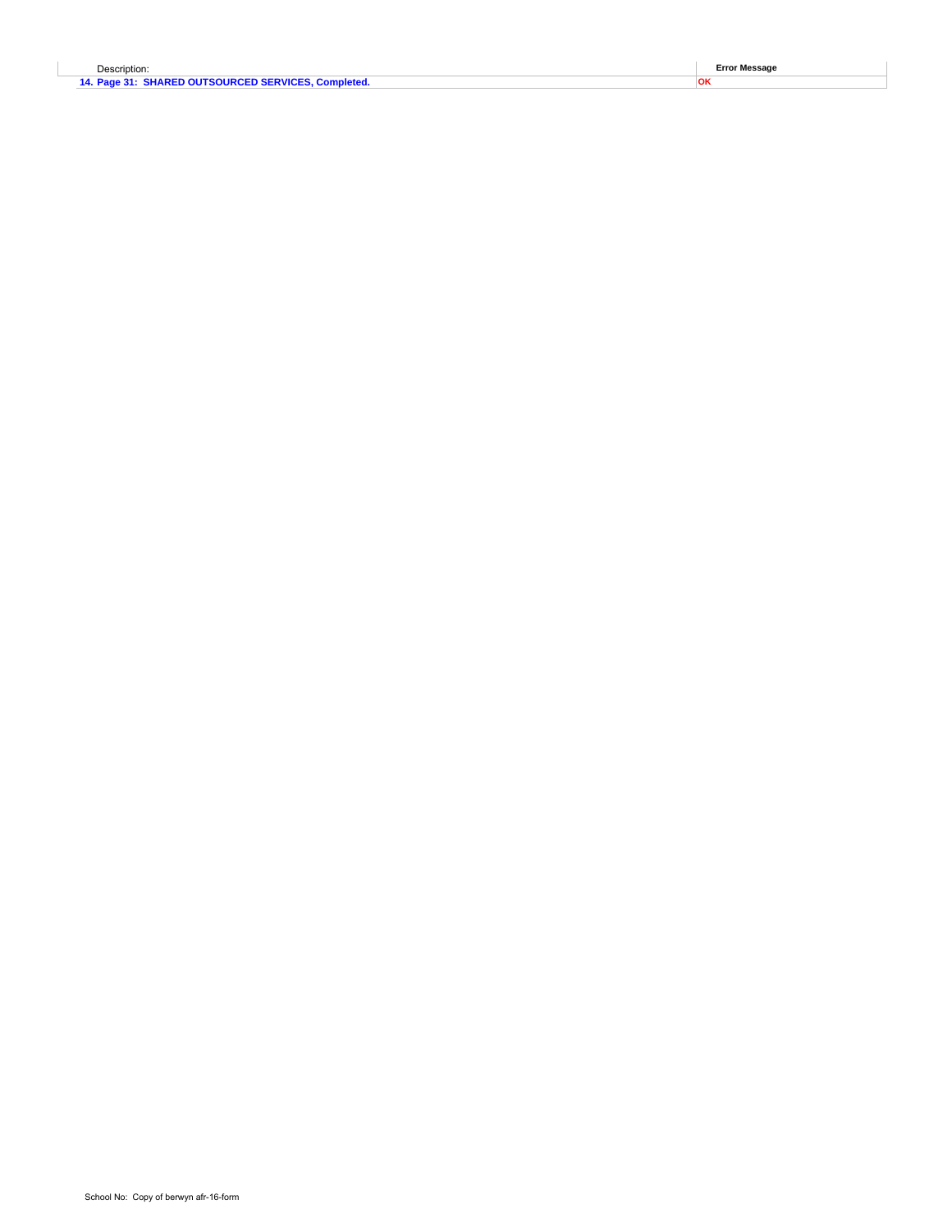| Description:                                        | <b>Error Message</b> |
|-----------------------------------------------------|----------------------|
| 14. Page 31: SHARED OUTSOURCED SERVICES, Completed. |                      |
|                                                     |                      |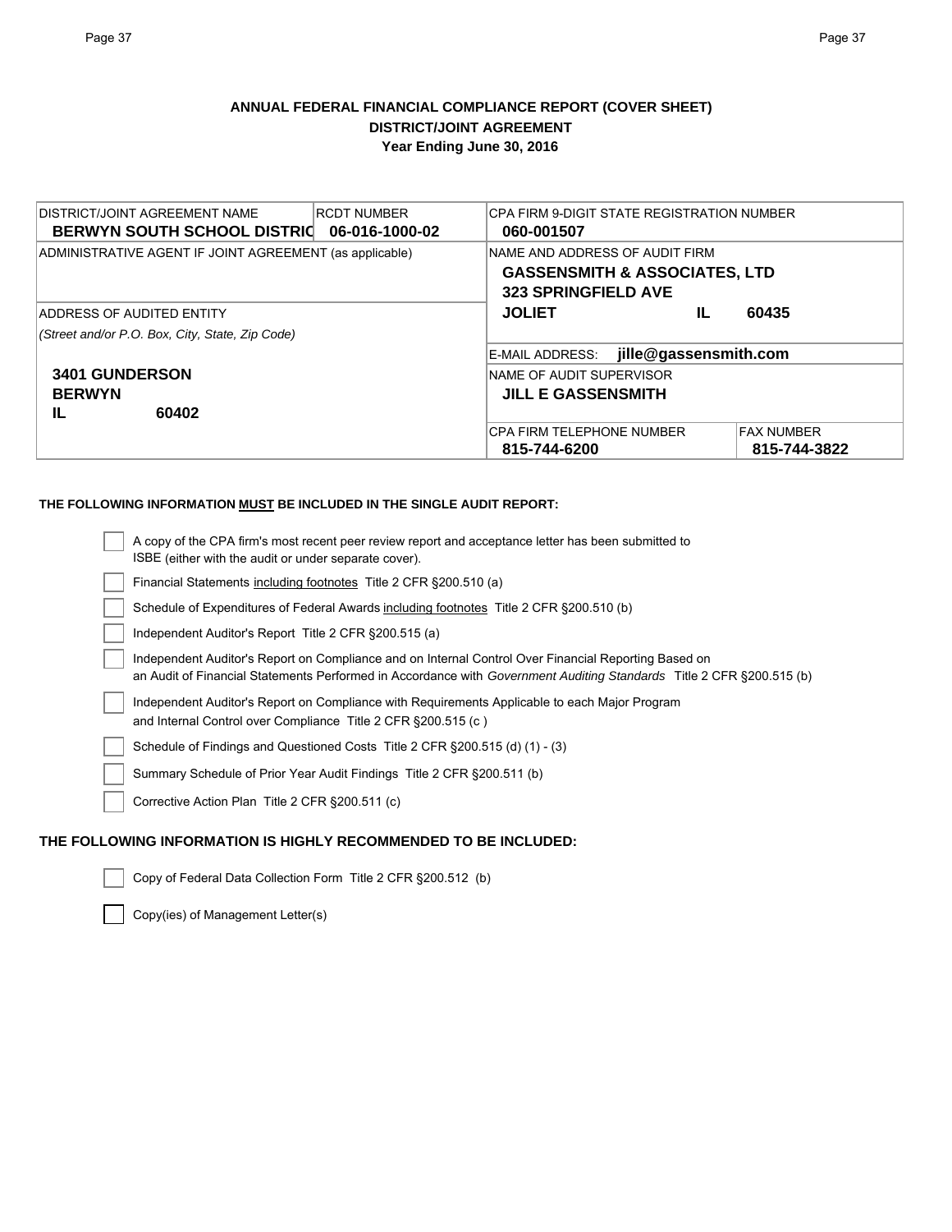## **ANNUAL FEDERAL FINANCIAL COMPLIANCE REPORT (COVER SHEET) DISTRICT/JOINT AGREEMENT Year Ending June 30, 2016**

| IDISTRICT/JOINT AGREEMENT NAME<br><b>RCDT NUMBER</b><br><b>BERWYN SOUTH SCHOOL DISTRIC</b><br>06-016-1000-02 | CPA FIRM 9-DIGIT STATE REGISTRATION NUMBER<br>060-001507                                                 |
|--------------------------------------------------------------------------------------------------------------|----------------------------------------------------------------------------------------------------------|
| ADMINISTRATIVE AGENT IF JOINT AGREEMENT (as applicable)                                                      | NAME AND ADDRESS OF AUDIT FIRM<br><b>GASSENSMITH &amp; ASSOCIATES, LTD</b><br><b>323 SPRINGFIELD AVE</b> |
| ADDRESS OF AUDITED ENTITY                                                                                    | <b>JOLIET</b><br>IL<br>60435                                                                             |
| (Street and/or P.O. Box, City, State, Zip Code)                                                              |                                                                                                          |
|                                                                                                              | jille@gassensmith.com<br>E-MAIL ADDRESS:                                                                 |
| <b>3401 GUNDERSON</b>                                                                                        | NAME OF AUDIT SUPERVISOR                                                                                 |
| <b>BERWYN</b>                                                                                                | <b>JILL E GASSENSMITH</b>                                                                                |
| 60402<br>IL                                                                                                  |                                                                                                          |
|                                                                                                              | <b>CPA FIRM TELEPHONE NUMBER</b><br><b>FAX NUMBER</b>                                                    |
|                                                                                                              | 815-744-6200<br>815-744-3822                                                                             |

## **THE FOLLOWING INFORMATION MUST BE INCLUDED IN THE SINGLE AUDIT REPORT:**

| A copy of the CPA firm's most recent peer review report and acceptance letter has been submitted to                  |
|----------------------------------------------------------------------------------------------------------------------|
| ISBE (either with the audit or under separate cover).                                                                |
| Financial Statements including footnotes Title 2 CFR §200.510 (a)                                                    |
| Schedule of Expenditures of Federal Awards including footnotes Title 2 CFR §200.510 (b)                              |
| Independent Auditor's Report Title 2 CFR §200.515 (a)                                                                |
| Independent Auditor's Report on Compliance and on Internal Control Over Financial Reporting Based on                 |
| an Audit of Financial Statements Performed in Accordance with Government Auditing Standards Title 2 CFR §200.515 (b) |
| Independent Auditor's Report on Compliance with Requirements Applicable to each Major Program                        |
| and Internal Control over Compliance Title 2 CFR § 200.515 (c)                                                       |
| Schedule of Findings and Questioned Costs Title 2 CFR § 200.515 (d) (1) - (3)                                        |
| Summary Schedule of Prior Year Audit Findings Title 2 CFR § 200.511 (b)                                              |
| Corrective Action Plan Title 2 CFR §200.511 (c)                                                                      |
| LOWING INFORMATION IS HIGHLY RECOMMENDED TO BE INCLUDED:                                                             |

# **THE FOLL**

Copy of Federal Data Collection Form Title 2 CFR §200.512 (b)

Copy(ies) of Management Letter(s)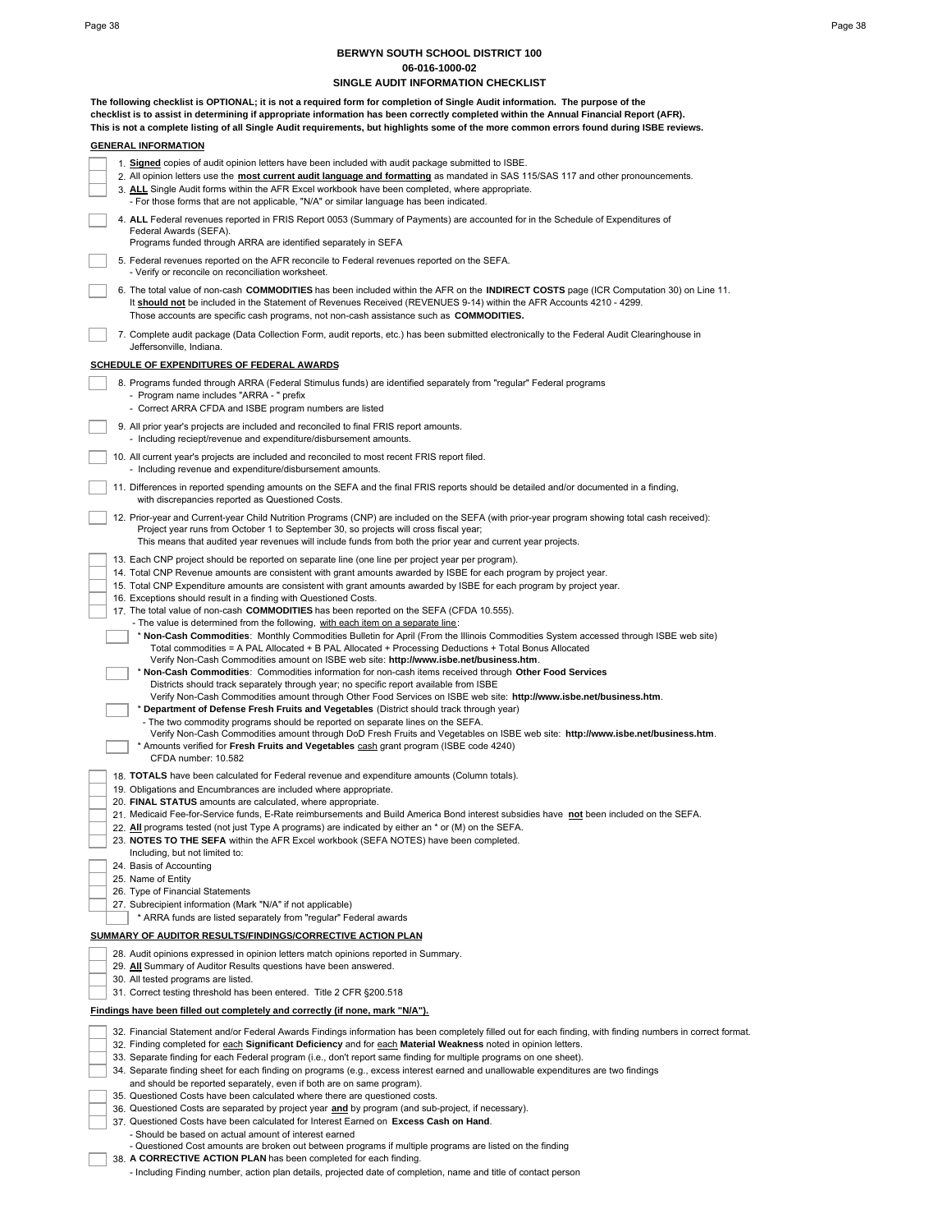## **BERWYN SOUTH SCHOOL DISTRICT 100 06-016-1000-02**

|  | 06-016-1000-02                                                                                                                                                                                                                                                                                                                                                                                                                                                                                                                                                                                                                                                                                                                                                                                                                                              |
|--|-------------------------------------------------------------------------------------------------------------------------------------------------------------------------------------------------------------------------------------------------------------------------------------------------------------------------------------------------------------------------------------------------------------------------------------------------------------------------------------------------------------------------------------------------------------------------------------------------------------------------------------------------------------------------------------------------------------------------------------------------------------------------------------------------------------------------------------------------------------|
|  | SINGLE AUDIT INFORMATION CHECKLIST                                                                                                                                                                                                                                                                                                                                                                                                                                                                                                                                                                                                                                                                                                                                                                                                                          |
|  | The following checklist is OPTIONAL; it is not a required form for completion of Single Audit information. The purpose of the<br>checklist is to assist in determining if appropriate information has been correctly completed within the Annual Financial Report (AFR).<br>This is not a complete listing of all Single Audit requirements, but highlights some of the more common errors found during ISBE reviews.                                                                                                                                                                                                                                                                                                                                                                                                                                       |
|  | <b>GENERAL INFORMATION</b>                                                                                                                                                                                                                                                                                                                                                                                                                                                                                                                                                                                                                                                                                                                                                                                                                                  |
|  | 1. Signed copies of audit opinion letters have been included with audit package submitted to ISBE.<br>2. All opinion letters use the most current audit language and formatting as mandated in SAS 115/SAS 117 and other pronouncements.<br>3. ALL Single Audit forms within the AFR Excel workbook have been completed, where appropriate.<br>- For those forms that are not applicable, "N/A" or similar language has been indicated.                                                                                                                                                                                                                                                                                                                                                                                                                     |
|  | 4. ALL Federal revenues reported in FRIS Report 0053 (Summary of Payments) are accounted for in the Schedule of Expenditures of<br>Federal Awards (SEFA).<br>Programs funded through ARRA are identified separately in SEFA                                                                                                                                                                                                                                                                                                                                                                                                                                                                                                                                                                                                                                 |
|  | 5. Federal revenues reported on the AFR reconcile to Federal revenues reported on the SEFA.<br>- Verify or reconcile on reconciliation worksheet.                                                                                                                                                                                                                                                                                                                                                                                                                                                                                                                                                                                                                                                                                                           |
|  | 6. The total value of non-cash COMMODITIES has been included within the AFR on the INDIRECT COSTS page (ICR Computation 30) on Line 11.<br>It should not be included in the Statement of Revenues Received (REVENUES 9-14) within the AFR Accounts 4210 - 4299.<br>Those accounts are specific cash programs, not non-cash assistance such as <b>COMMODITIES.</b>                                                                                                                                                                                                                                                                                                                                                                                                                                                                                           |
|  | 7. Complete audit package (Data Collection Form, audit reports, etc.) has been submitted electronically to the Federal Audit Clearinghouse in<br>Jeffersonville, Indiana.                                                                                                                                                                                                                                                                                                                                                                                                                                                                                                                                                                                                                                                                                   |
|  | <b>SCHEDULE OF EXPENDITURES OF FEDERAL AWARDS</b>                                                                                                                                                                                                                                                                                                                                                                                                                                                                                                                                                                                                                                                                                                                                                                                                           |
|  | 8. Programs funded through ARRA (Federal Stimulus funds) are identified separately from "regular" Federal programs<br>- Program name includes "ARRA - " prefix                                                                                                                                                                                                                                                                                                                                                                                                                                                                                                                                                                                                                                                                                              |
|  | - Correct ARRA CFDA and ISBE program numbers are listed                                                                                                                                                                                                                                                                                                                                                                                                                                                                                                                                                                                                                                                                                                                                                                                                     |
|  | 9. All prior year's projects are included and reconciled to final FRIS report amounts.<br>- Including reciept/revenue and expenditure/disbursement amounts.                                                                                                                                                                                                                                                                                                                                                                                                                                                                                                                                                                                                                                                                                                 |
|  | 10. All current year's projects are included and reconciled to most recent FRIS report filed.<br>- Including revenue and expenditure/disbursement amounts.                                                                                                                                                                                                                                                                                                                                                                                                                                                                                                                                                                                                                                                                                                  |
|  | 11. Differences in reported spending amounts on the SEFA and the final FRIS reports should be detailed and/or documented in a finding,<br>with discrepancies reported as Questioned Costs.                                                                                                                                                                                                                                                                                                                                                                                                                                                                                                                                                                                                                                                                  |
|  | 12. Prior-year and Current-year Child Nutrition Programs (CNP) are included on the SEFA (with prior-year program showing total cash received):<br>Project year runs from October 1 to September 30, so projects will cross fiscal year;<br>This means that audited year revenues will include funds from both the prior year and current year projects.                                                                                                                                                                                                                                                                                                                                                                                                                                                                                                     |
|  | 13. Each CNP project should be reported on separate line (one line per project year per program).<br>14. Total CNP Revenue amounts are consistent with grant amounts awarded by ISBE for each program by project year.<br>15. Total CNP Expenditure amounts are consistent with grant amounts awarded by ISBE for each program by project year.<br>16. Exceptions should result in a finding with Questioned Costs.<br>17. The total value of non-cash <b>COMMODITIES</b> has been reported on the SEFA (CFDA 10.555).<br>- The value is determined from the following, with each item on a separate line:<br>* Non-Cash Commodities: Monthly Commodities Bulletin for April (From the Illinois Commodities System accessed through ISBE web site)<br>Total commodities = A PAL Allocated + B PAL Allocated + Processing Deductions + Total Bonus Allocated |
|  | Verify Non-Cash Commodities amount on ISBE web site: http://www.isbe.net/business.htm.<br>* Non-Cash Commodities: Commodities information for non-cash items received through Other Food Services<br>Districts should track separately through year; no specific report available from ISBE<br>Verify Non-Cash Commodities amount through Other Food Services on ISBE web site: http://www.isbe.net/business.htm.<br>Department of Defense Fresh Fruits and Vegetables (District should track through year)<br>- The two commodity programs should be reported on separate lines on the SEFA.<br>Verify Non-Cash Commodities amount through DoD Fresh Fruits and Vegetables on ISBE web site: http://www.isbe.net/business.htm.                                                                                                                             |
|  | * Amounts verified for Fresh Fruits and Vegetables cash grant program (ISBE code 4240)<br>CFDA number: 10.582                                                                                                                                                                                                                                                                                                                                                                                                                                                                                                                                                                                                                                                                                                                                               |
|  | 18. <b>TOTALS</b> have been calculated for Federal revenue and expenditure amounts (Column totals).                                                                                                                                                                                                                                                                                                                                                                                                                                                                                                                                                                                                                                                                                                                                                         |
|  | 19. Obligations and Encumbrances are included where appropriate.<br>20. FINAL STATUS amounts are calculated, where appropriate.                                                                                                                                                                                                                                                                                                                                                                                                                                                                                                                                                                                                                                                                                                                             |
|  | 21. Medicaid Fee-for-Service funds, E-Rate reimbursements and Build America Bond interest subsidies have not been included on the SEFA.                                                                                                                                                                                                                                                                                                                                                                                                                                                                                                                                                                                                                                                                                                                     |
|  | 22. All programs tested (not just Type A programs) are indicated by either an * or (M) on the SEFA.<br>23. NOTES TO THE SEFA within the AFR Excel workbook (SEFA NOTES) have been completed.                                                                                                                                                                                                                                                                                                                                                                                                                                                                                                                                                                                                                                                                |
|  | Including, but not limited to:<br>24. Basis of Accounting                                                                                                                                                                                                                                                                                                                                                                                                                                                                                                                                                                                                                                                                                                                                                                                                   |
|  | 25. Name of Entity                                                                                                                                                                                                                                                                                                                                                                                                                                                                                                                                                                                                                                                                                                                                                                                                                                          |
|  | 26. Type of Financial Statements                                                                                                                                                                                                                                                                                                                                                                                                                                                                                                                                                                                                                                                                                                                                                                                                                            |
|  | 27. Subrecipient information (Mark "N/A" if not applicable)                                                                                                                                                                                                                                                                                                                                                                                                                                                                                                                                                                                                                                                                                                                                                                                                 |
|  | * ARRA funds are listed separately from "regular" Federal awards                                                                                                                                                                                                                                                                                                                                                                                                                                                                                                                                                                                                                                                                                                                                                                                            |
|  | SUMMARY OF AUDITOR RESULTS/FINDINGS/CORRECTIVE ACTION PLAN                                                                                                                                                                                                                                                                                                                                                                                                                                                                                                                                                                                                                                                                                                                                                                                                  |
|  | 28. Audit opinions expressed in opinion letters match opinions reported in Summary.                                                                                                                                                                                                                                                                                                                                                                                                                                                                                                                                                                                                                                                                                                                                                                         |
|  | 29. All Summary of Auditor Results questions have been answered.<br>30. All tested programs are listed.                                                                                                                                                                                                                                                                                                                                                                                                                                                                                                                                                                                                                                                                                                                                                     |
|  | 31. Correct testing threshold has been entered. Title 2 CFR §200.518                                                                                                                                                                                                                                                                                                                                                                                                                                                                                                                                                                                                                                                                                                                                                                                        |
|  | Findings have been filled out completely and correctly (if none, mark "N/A").                                                                                                                                                                                                                                                                                                                                                                                                                                                                                                                                                                                                                                                                                                                                                                               |
|  | 32. Financial Statement and/or Federal Awards Findings information has been completely filled out for each finding, with finding numbers in correct format.                                                                                                                                                                                                                                                                                                                                                                                                                                                                                                                                                                                                                                                                                                 |
|  | 32. Finding completed for each Significant Deficiency and for each Material Weakness noted in opinion letters.                                                                                                                                                                                                                                                                                                                                                                                                                                                                                                                                                                                                                                                                                                                                              |
|  | 33. Separate finding for each Federal program (i.e., don't report same finding for multiple programs on one sheet).                                                                                                                                                                                                                                                                                                                                                                                                                                                                                                                                                                                                                                                                                                                                         |
|  | 34. Separate finding sheet for each finding on programs (e.g., excess interest earned and unallowable expenditures are two findings<br>and should be reported separately, even if both are on same program).                                                                                                                                                                                                                                                                                                                                                                                                                                                                                                                                                                                                                                                |
|  | 35. Questioned Costs have been calculated where there are questioned costs.                                                                                                                                                                                                                                                                                                                                                                                                                                                                                                                                                                                                                                                                                                                                                                                 |
|  | 36. Questioned Costs are separated by project year and by program (and sub-project, if necessary).<br>37 Questioned Costs have been calculated for Interest Farned on Excess Cash on Hand                                                                                                                                                                                                                                                                                                                                                                                                                                                                                                                                                                                                                                                                   |

- 37. Questioned Costs have been calculated for Interest Earned on **Excess Cash on Hand**. Should be based on actual amount of interest earned
	- Questioned Cost amounts are broken out between programs if multiple programs are listed on the finding
- 38. A CORRECTIVE ACTION PLAN has been completed for each finding.
	- Including Finding number, action plan details, projected date of completion, name and title of contact person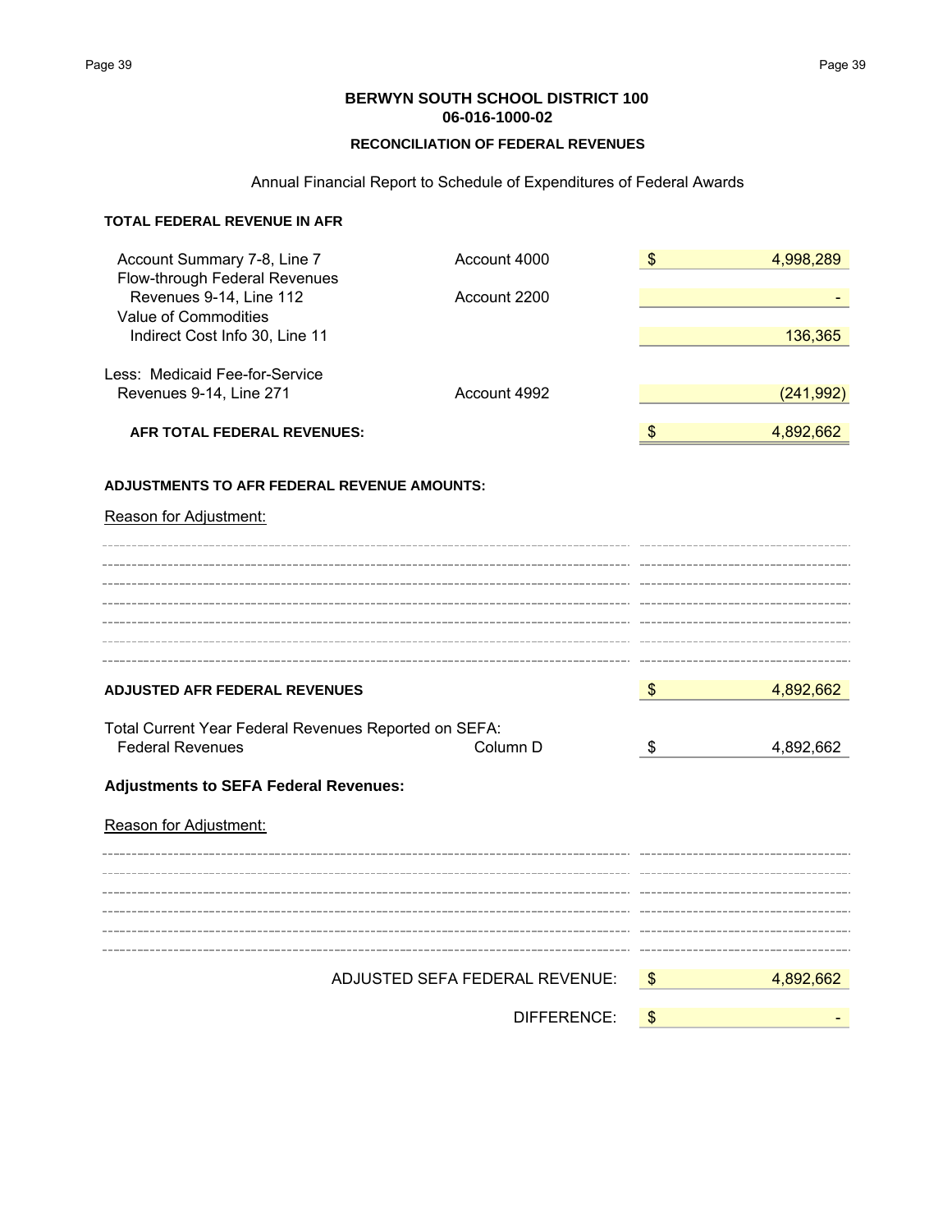**BERWYN SOUTH SCHOOL DISTRICT 100 06-016-1000-02**

## **RECONCILIATION OF FEDERAL REVENUES**

## Annual Financial Report to Schedule of Expenditures of Federal Awards

## **TOTAL FEDERAL REVENUE IN AFR**

| Account Summary 7-8, Line 7<br>Flow-through Federal Revenues | Account 4000                   | $\frac{1}{2}$ | 4,998,289  |
|--------------------------------------------------------------|--------------------------------|---------------|------------|
| Revenues 9-14, Line 112<br>Value of Commodities              | Account 2200                   |               |            |
| Indirect Cost Info 30, Line 11                               |                                |               | 136,365    |
| Less: Medicaid Fee-for-Service                               |                                |               |            |
| Revenues 9-14, Line 271                                      | Account 4992                   |               | (241, 992) |
| AFR TOTAL FEDERAL REVENUES:                                  |                                | - \$          | 4,892,662  |
| <b>ADJUSTMENTS TO AFR FEDERAL REVENUE AMOUNTS:</b>           |                                |               |            |
| Reason for Adjustment:                                       |                                |               |            |
|                                                              |                                |               |            |
|                                                              |                                |               |            |
|                                                              |                                |               |            |
|                                                              |                                |               |            |
| <b>ADJUSTED AFR FEDERAL REVENUES</b>                         |                                | $\sqrt{3}$    | 4,892,662  |
| Total Current Year Federal Revenues Reported on SEFA:        |                                |               |            |
| <b>Federal Revenues</b>                                      | Column D                       | \$            | 4,892,662  |
| <b>Adjustments to SEFA Federal Revenues:</b>                 |                                |               |            |
| Reason for Adjustment:                                       |                                |               |            |
|                                                              |                                |               |            |
|                                                              |                                |               |            |
|                                                              |                                |               |            |
|                                                              |                                |               |            |
|                                                              | ADJUSTED SEFA FEDERAL REVENUE: | $\sqrt{3}$    | 4,892,662  |
|                                                              | DIFFERENCE:                    | \$            |            |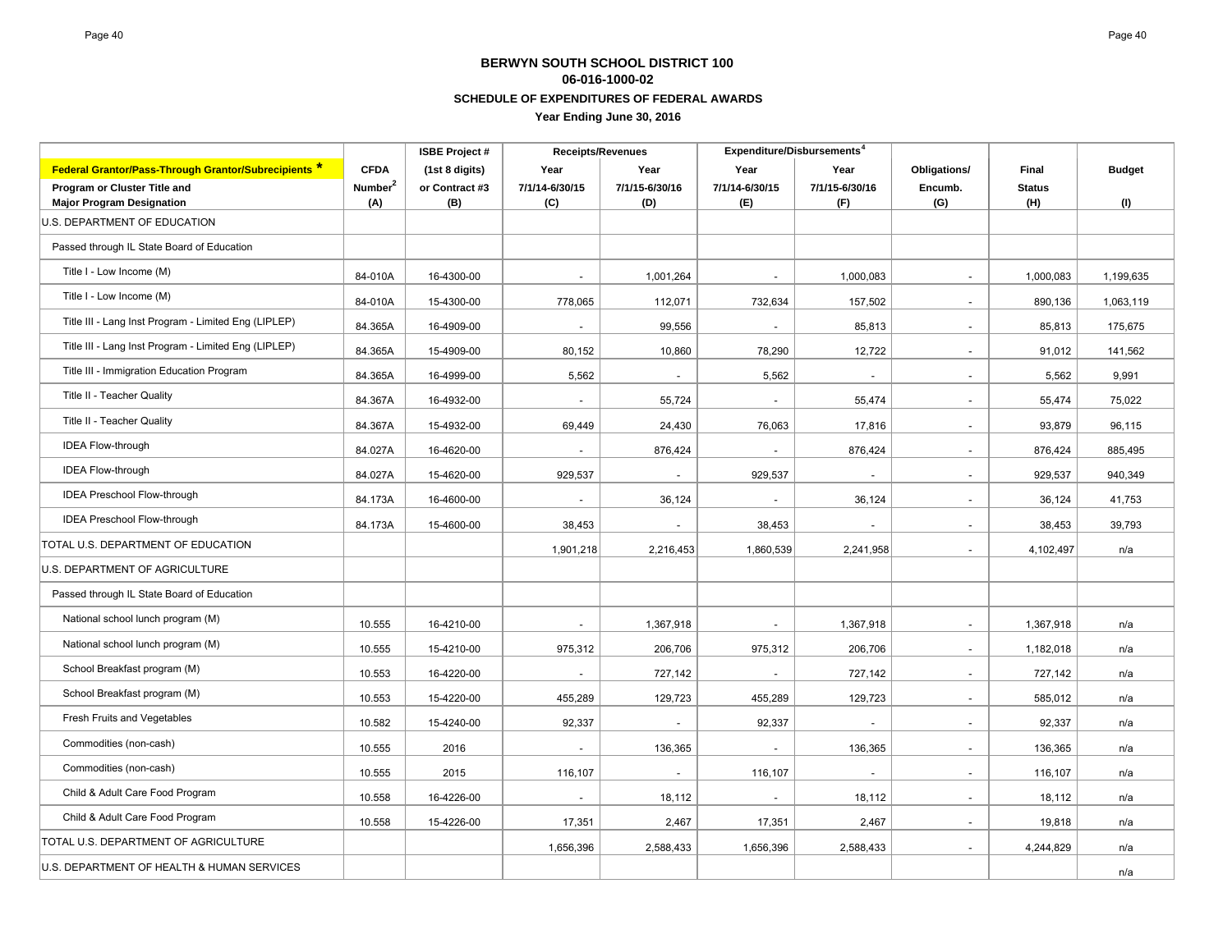| <b>ISBE Project#</b>                                             |                     |                | <b>Receipts/Revenues</b> |                          | Expenditure/Disbursements <sup>4</sup> |                |                          |               |               |
|------------------------------------------------------------------|---------------------|----------------|--------------------------|--------------------------|----------------------------------------|----------------|--------------------------|---------------|---------------|
| <b>Federal Grantor/Pass-Through Grantor/Subrecipients *</b>      | <b>CFDA</b>         | (1st 8 digits) | Year                     | Year                     | Year                                   | Year           | Obligations/             | Final         | <b>Budget</b> |
| Program or Cluster Title and                                     | Number <sup>2</sup> | or Contract #3 | 7/1/14-6/30/15           | 7/1/15-6/30/16           | 7/1/14-6/30/15                         | 7/1/15-6/30/16 | Encumb.                  | <b>Status</b> |               |
| <b>Major Program Designation</b><br>U.S. DEPARTMENT OF EDUCATION | (A)                 | (B)            | (C)                      | (D)                      | (E)                                    | (F)            | (G)                      | (H)           | (1)           |
|                                                                  |                     |                |                          |                          |                                        |                |                          |               |               |
| Passed through IL State Board of Education                       |                     |                |                          |                          |                                        |                |                          |               |               |
| Title I - Low Income (M)                                         | 84-010A             | 16-4300-00     | $\overline{\phantom{a}}$ | 1,001,264                | $\overline{\phantom{a}}$               | 1,000,083      | $\overline{\phantom{a}}$ | 1,000,083     | 1,199,635     |
| Title I - Low Income (M)                                         | 84-010A             | 15-4300-00     | 778,065                  | 112,071                  | 732,634                                | 157,502        | $\sim$                   | 890.136       | 1,063,119     |
| Title III - Lang Inst Program - Limited Eng (LIPLEP)             | 84.365A             | 16-4909-00     | $\sim$                   | 99,556                   | $\blacksquare$                         | 85,813         | $\sim$                   | 85,813        | 175,675       |
| Title III - Lang Inst Program - Limited Eng (LIPLEP)             | 84.365A             | 15-4909-00     | 80,152                   | 10,860                   | 78,290                                 | 12,722         | $\sim$                   | 91.012        | 141,562       |
| Title III - Immigration Education Program                        | 84.365A             | 16-4999-00     | 5,562                    | $\overline{a}$           | 5,562                                  | $\sim$         | $\sim$                   | 5,562         | 9,991         |
| Title II - Teacher Quality                                       | 84.367A             | 16-4932-00     | $\sim$                   | 55,724                   | $\overline{\phantom{a}}$               | 55,474         | $\sim$                   | 55,474        | 75,022        |
| Title II - Teacher Quality                                       | 84.367A             | 15-4932-00     | 69,449                   | 24,430                   | 76,063                                 | 17,816         | $\overline{\phantom{a}}$ | 93,879        | 96,115        |
| <b>IDEA Flow-through</b>                                         | 84.027A             | 16-4620-00     | $\sim$                   | 876,424                  | $\sim$                                 | 876,424        | $\sim$                   | 876,424       | 885,495       |
| <b>IDEA Flow-through</b>                                         | 84.027A             | 15-4620-00     | 929,537                  | $\sim$                   | 929,537                                | $\sim$         | $\blacksquare$           | 929,537       | 940,349       |
| IDEA Preschool Flow-through                                      | 84.173A             | 16-4600-00     | $\sim$                   | 36,124                   | $\overline{\phantom{a}}$               | 36,124         | $\sim$                   | 36,124        | 41,753        |
| <b>IDEA Preschool Flow-through</b>                               | 84.173A             | 15-4600-00     | 38,453                   | $\overline{a}$           | 38,453                                 |                | $\mathcal{L}$            | 38,453        | 39,793        |
| TOTAL U.S. DEPARTMENT OF EDUCATION                               |                     |                | 1,901,218                | 2,216,453                | 1,860,539                              | 2,241,958      | $\sim$                   | 4,102,497     | n/a           |
| U.S. DEPARTMENT OF AGRICULTURE                                   |                     |                |                          |                          |                                        |                |                          |               |               |
| Passed through IL State Board of Education                       |                     |                |                          |                          |                                        |                |                          |               |               |
| National school lunch program (M)                                | 10.555              | 16-4210-00     | $\sim$                   | 1,367,918                | $\overline{\phantom{a}}$               | 1,367,918      | $\overline{\phantom{a}}$ | 1,367,918     | n/a           |
| National school lunch program (M)                                | 10.555              | 15-4210-00     | 975,312                  | 206,706                  | 975,312                                | 206,706        | $\sim$                   | 1,182,018     | n/a           |
| School Breakfast program (M)                                     | 10.553              | 16-4220-00     | $\overline{a}$           | 727,142                  | $\sim$                                 | 727,142        | $\sim$                   | 727,142       | n/a           |
| School Breakfast program (M)                                     | 10.553              | 15-4220-00     | 455,289                  | 129,723                  | 455,289                                | 129,723        | $\mathcal{L}$            | 585,012       | n/a           |
| Fresh Fruits and Vegetables                                      | 10.582              | 15-4240-00     | 92,337                   | $\sim$                   | 92,337                                 |                | $\sim$                   | 92,337        | n/a           |
| Commodities (non-cash)                                           | 10.555              | 2016           | $\sim$                   | 136,365                  | $\sim$                                 | 136,365        | $\sim$                   | 136,365       | n/a           |
| Commodities (non-cash)                                           | 10.555              | 2015           | 116,107                  | $\overline{\phantom{a}}$ | 116,107                                | $\sim$         | $\sim$                   | 116,107       | n/a           |
| Child & Adult Care Food Program                                  | 10.558              | 16-4226-00     | $\sim$                   | 18,112                   | $\overline{\phantom{a}}$               | 18,112         | $\overline{\phantom{a}}$ | 18,112        | n/a           |
| Child & Adult Care Food Program                                  | 10.558              | 15-4226-00     | 17,351                   | 2,467                    | 17,351                                 | 2,467          | $\sim$                   | 19,818        | n/a           |
| TOTAL U.S. DEPARTMENT OF AGRICULTURE                             |                     |                | 1,656,396                | 2,588,433                | 1,656,396                              | 2,588,433      | $\sim$                   | 4,244,829     | n/a           |
| U.S. DEPARTMENT OF HEALTH & HUMAN SERVICES                       |                     |                |                          |                          |                                        |                |                          |               | n/a           |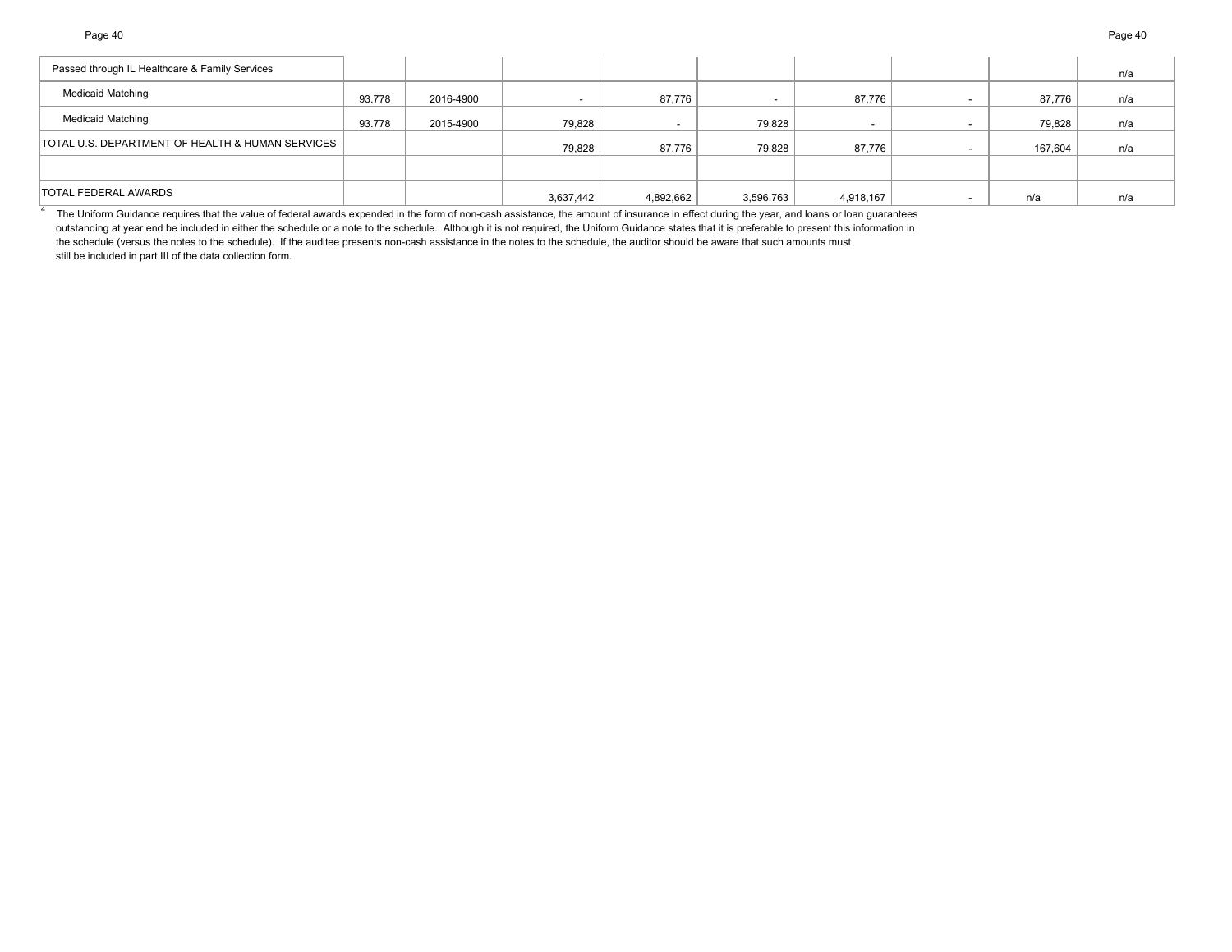4

| Passed through IL Healthcare & Family Services   |        |           |           |           |           |           |         | n/a |
|--------------------------------------------------|--------|-----------|-----------|-----------|-----------|-----------|---------|-----|
| <b>Medicaid Matching</b>                         | 93.778 | 2016-4900 |           | 87,776    |           | 87,776    | 87,776  | n/a |
| <b>Medicaid Matching</b>                         | 93.778 | 2015-4900 | 79,828    |           | 79,828    |           | 79,828  | n/a |
| TOTAL U.S. DEPARTMENT OF HEALTH & HUMAN SERVICES |        |           | 79,828    | 87,776    | 79,828    | 87,776    | 167,604 | n/a |
|                                                  |        |           |           |           |           |           |         |     |
| TOTAL FEDERAL AWARDS                             |        |           | 3,637,442 | 4,892,662 | 3,596,763 | 4,918,167 | n/a     | n/a |

The Uniform Guidance requires that the value of federal awards expended in the form of non-cash assistance, the amount of insurance in effect during the year, and loans or loan guarantees outstanding at year end be included in either the schedule or a note to the schedule. Although it is not required, the Uniform Guidance states that it is preferable to present this information in the schedule (versus the notes to the schedule). If the auditee presents non-cash assistance in the notes to the schedule, the auditor should be aware that such amounts must still be included in part III of the data collection form.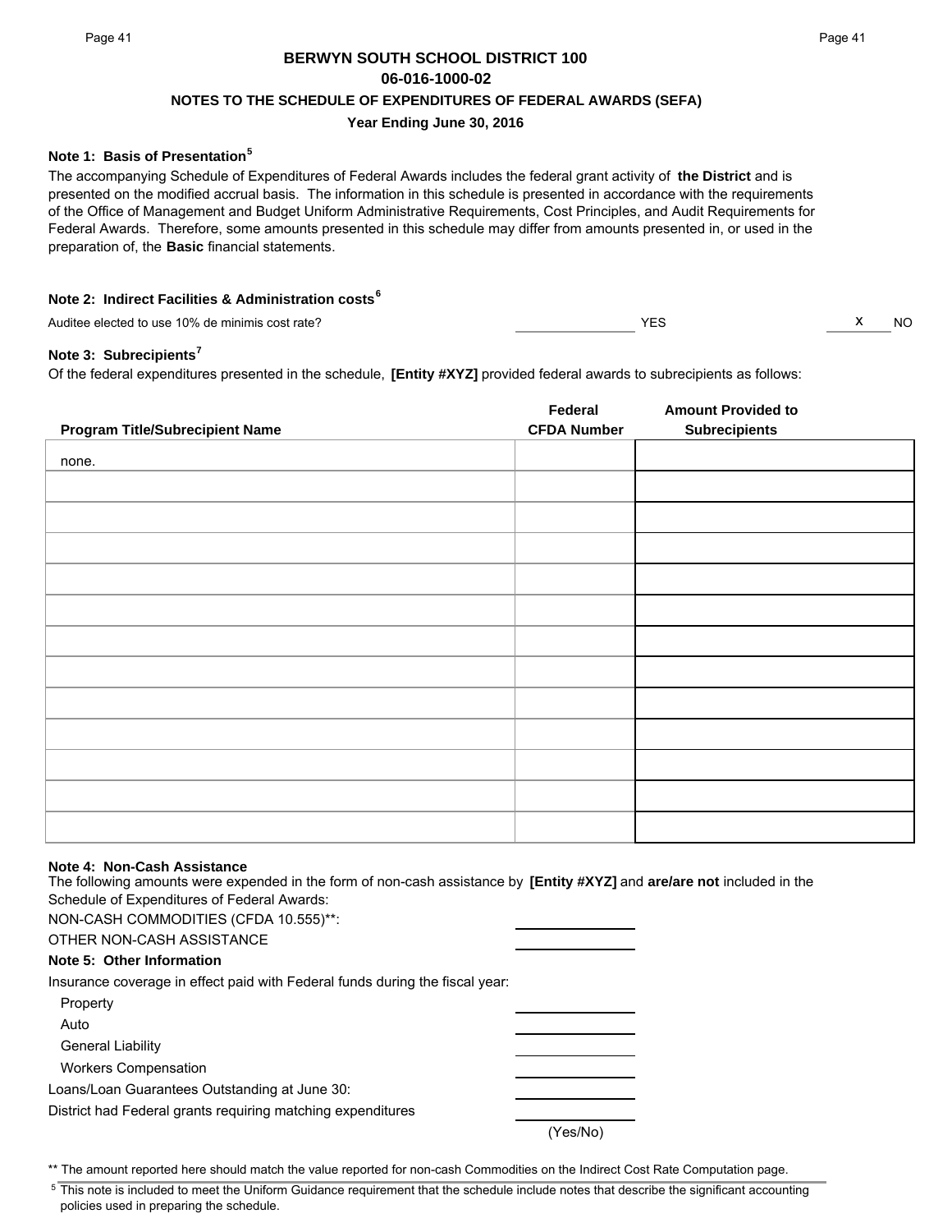## **BERWYN SOUTH SCHOOL DISTRICT 100 06-016-1000-02 NOTES TO THE SCHEDULE OF EXPENDITURES OF FEDERAL AWARDS (SEFA)**

## **Year Ending June 30, 2016**

## **Note 1: Basis of Presentation<sup>5</sup>**

The accompanying Schedule of Expenditures of Federal Awards includes the federal grant activity of **the District** and is presented on the modified accrual basis. The information in this schedule is presented in accordance with the requirements of the Office of Management and Budget Uniform Administrative Requirements, Cost Principles, and Audit Requirements for Federal Awards. Therefore, some amounts presented in this schedule may differ from amounts presented in, or used in the preparation of, the **Basic** financial statements.

## **Note 2: Indirect Facilities & Administration costs<sup>6</sup>**

Auditee elected to use 10% de minimis cost rate? Audition of the material cost rate? Auditee elected to use 10% de minimis cost rate?

### **Note 3: Subrecipients<sup>7</sup>**

Of the federal expenditures presented in the schedule, **[Entity #XYZ]** provided federal awards to subrecipients as follows:

| <b>Program Title/Subrecipient Name</b> | Federal<br><b>CFDA Number</b> | <b>Amount Provided to</b><br><b>Subrecipients</b> |
|----------------------------------------|-------------------------------|---------------------------------------------------|
|                                        |                               |                                                   |
| none.                                  |                               |                                                   |
|                                        |                               |                                                   |
|                                        |                               |                                                   |
|                                        |                               |                                                   |
|                                        |                               |                                                   |
|                                        |                               |                                                   |
|                                        |                               |                                                   |
|                                        |                               |                                                   |
|                                        |                               |                                                   |
|                                        |                               |                                                   |
|                                        |                               |                                                   |
|                                        |                               |                                                   |
|                                        |                               |                                                   |

#### **Note 4: Non-Cash Assistance**

The following amounts were expended in the form of non-cash assistance by **[Entity #XYZ]** and **are/are not** included in the Schedule of Expenditures of Federal Awards:

NON-CASH COMMODITIES (CFDA 10.555)\*\*: OTHER NON-CASH ASSISTANCE **Note 5: Other Information** Insurance coverage in effect paid with Federal funds during the fiscal year: Property Auto General Liability Workers Compensation Loans/Loan Guarantees Outstanding at June 30: District had Federal grants requiring matching expenditures (Yes/No)

\*\* The amount reported here should match the value reported for non-cash Commodities on the Indirect Cost Rate Computation page.

<sup>5</sup> This note is included to meet the Uniform Guidance requirement that the schedule include notes that describe the significant accounting policies used in preparing the schedule.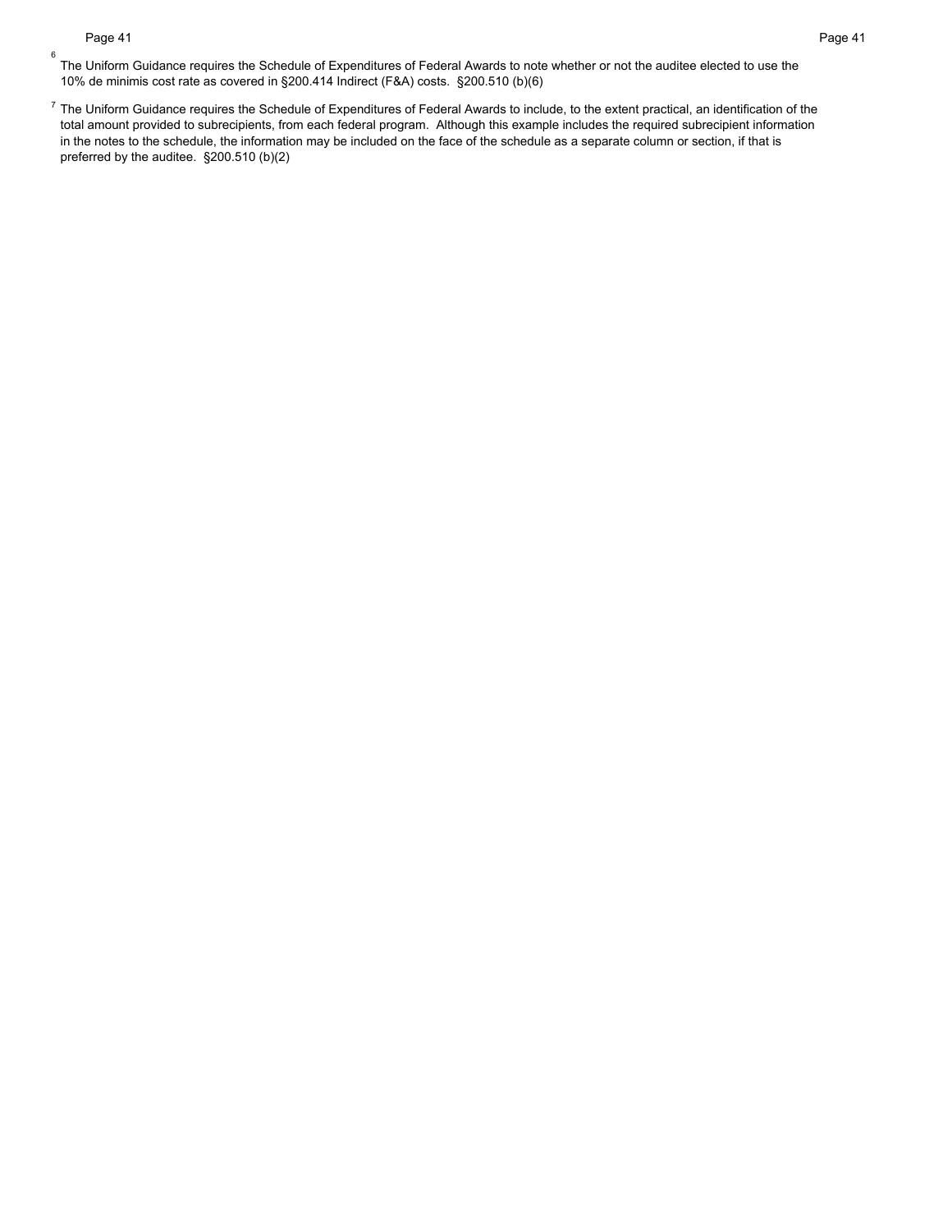6

 $^7$  The Uniform Guidance requires the Schedule of Expenditures of Federal Awards to include, to the extent practical, an identification of the total amount provided to subrecipients, from each federal program. Although this example includes the required subrecipient information in the notes to the schedule, the information may be included on the face of the schedule as a separate column or section, if that is preferred by the auditee. §200.510 (b)(2)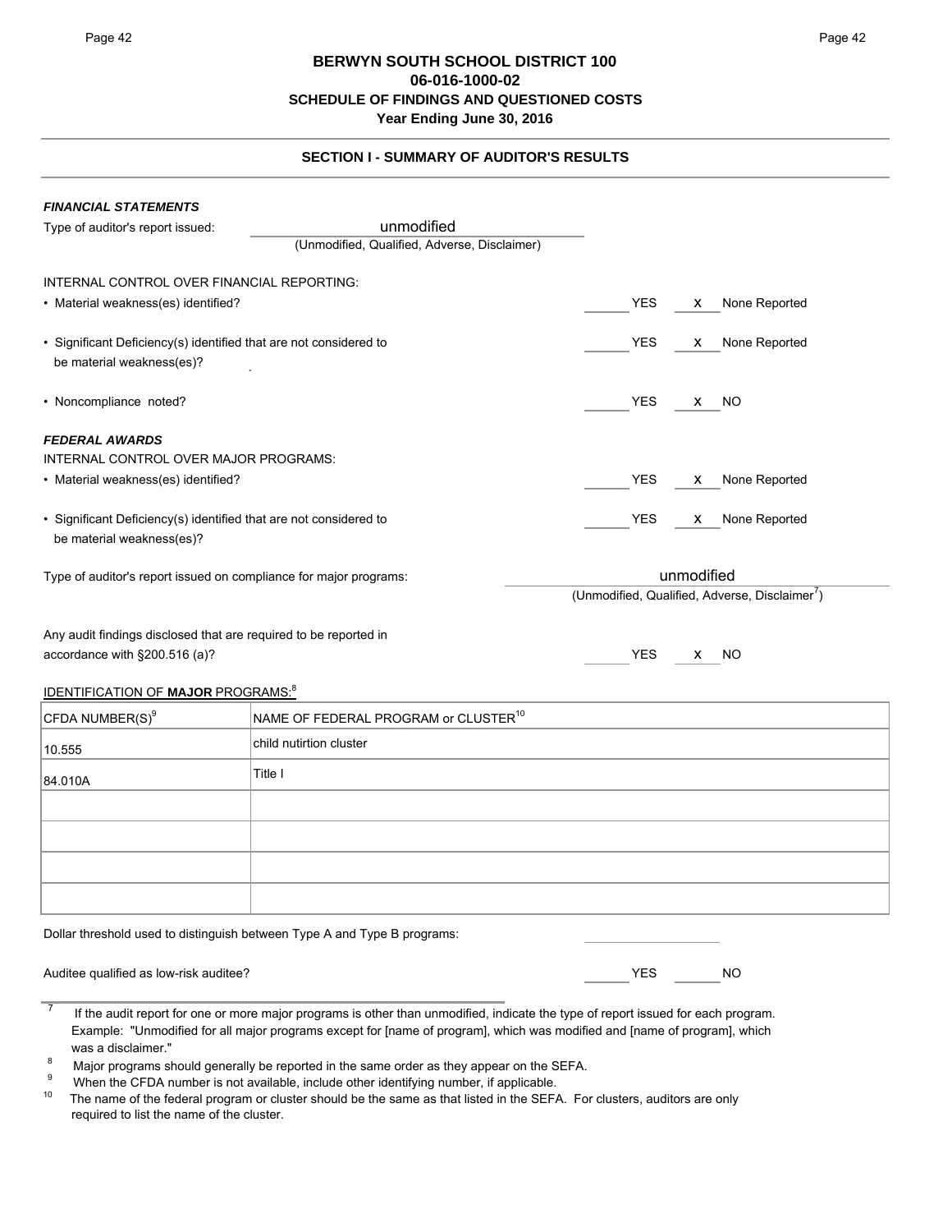## **SECTION I - SUMMARY OF AUDITOR'S RESULTS**

| <b>FINANCIAL STATEMENTS</b>                                                                    |                                              |                                                            |  |
|------------------------------------------------------------------------------------------------|----------------------------------------------|------------------------------------------------------------|--|
| Type of auditor's report issued:                                                               | unmodified                                   |                                                            |  |
|                                                                                                | (Unmodified, Qualified, Adverse, Disclaimer) |                                                            |  |
| INTERNAL CONTROL OVER FINANCIAL REPORTING:                                                     |                                              |                                                            |  |
| • Material weakness(es) identified?                                                            |                                              | <b>YES</b><br>None Reported<br>X.                          |  |
| • Significant Deficiency(s) identified that are not considered to<br>be material weakness(es)? |                                              | None Reported<br><b>YES</b><br>X.                          |  |
| • Noncompliance noted?                                                                         |                                              | <b>YES</b><br>X NO                                         |  |
| <b>FEDERAL AWARDS</b>                                                                          |                                              |                                                            |  |
| INTERNAL CONTROL OVER MAJOR PROGRAMS:                                                          |                                              |                                                            |  |
| • Material weakness(es) identified?                                                            |                                              | <b>YES</b><br>None Reported<br>X.                          |  |
| • Significant Deficiency(s) identified that are not considered to<br>be material weakness(es)? |                                              | <b>YES</b><br>None Reported<br>X.                          |  |
| Type of auditor's report issued on compliance for major programs:                              |                                              | unmodified                                                 |  |
|                                                                                                |                                              | (Unmodified, Qualified, Adverse, Disclaimer <sup>7</sup> ) |  |
| Any audit findings disclosed that are required to be reported in                               |                                              |                                                            |  |
| accordance with §200.516 (a)?                                                                  |                                              | <b>YES</b><br><b>NO</b><br>X.                              |  |
|                                                                                                |                                              |                                                            |  |

## IDENTIFICATION OF **MAJOR** PROGRAMS:8

| CFDA NUMBER(S) <sup>9</sup> | NAME OF FEDERAL PROGRAM or CLUSTER <sup>10</sup> |
|-----------------------------|--------------------------------------------------|
| 10.555                      | child nutirtion cluster                          |
| 84.010A                     | Title I                                          |
|                             |                                                  |
|                             |                                                  |
|                             |                                                  |
|                             |                                                  |

Dollar threshold used to distinguish between Type A and Type B programs:

| Auditee qualified as low-risk auditee? | NΟ |
|----------------------------------------|----|
|                                        |    |

 $\frac{7}{1}$  If the audit report for one or more major programs is other than unmodified, indicate the type of report issued for each program. Example: "Unmodified for all major programs except for [name of program], which was modified and [name of program], which was a disclaimer."

<sup>8</sup> Major programs should generally be reported in the same order as they appear on the SEFA.<br><sup>9</sup> When the CFDA number is not available, include other identifying number, if applicable.<br><sup>10</sup> The name of the federal progra

The name of the federal program or cluster should be the same as that listed in the SEFA. For clusters, auditors are only required to list the name of the cluster.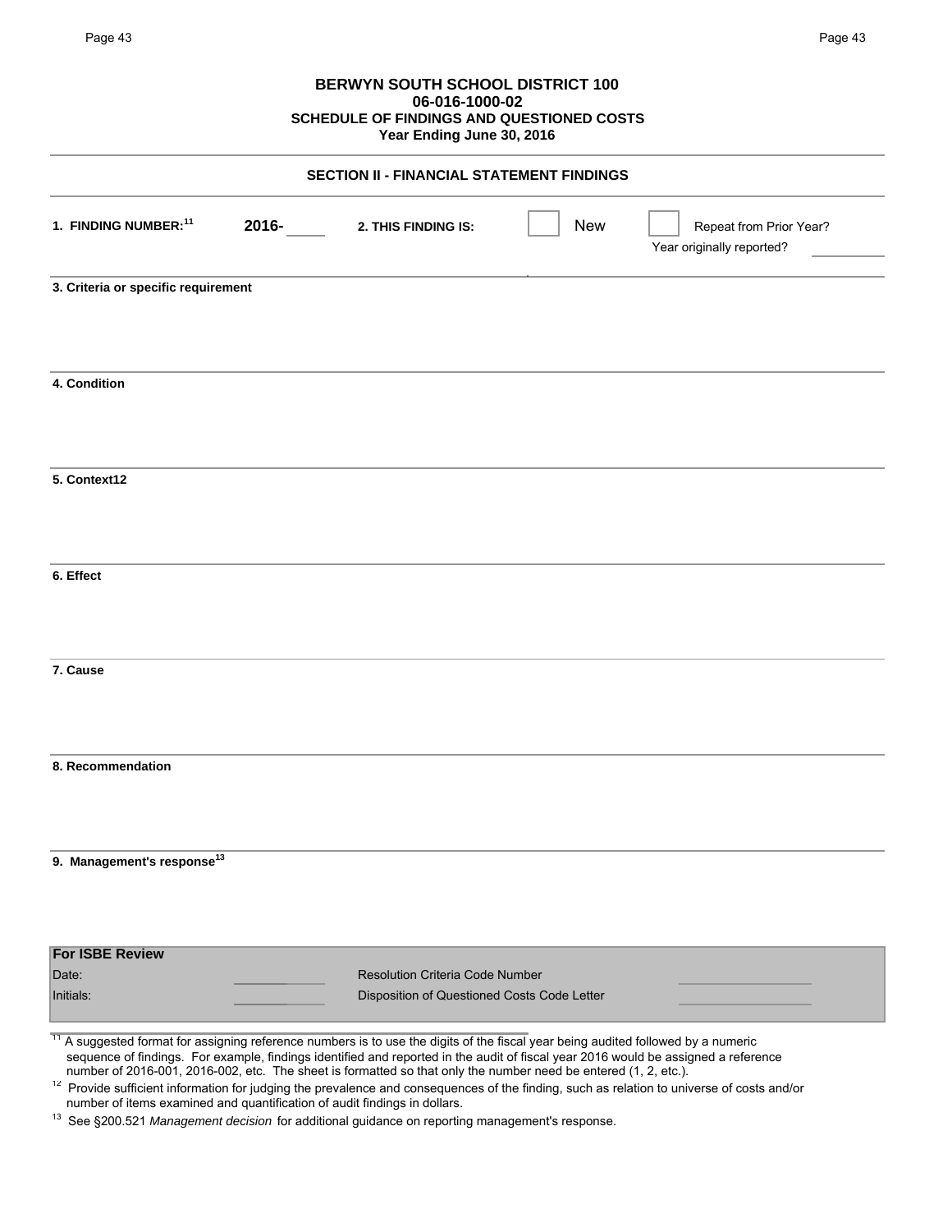## **BERWYN SOUTH SCHOOL DISTRICT 100 06-016-1000-02 SCHEDULE OF FINDINGS AND QUESTIONED COSTS Year Ending June 30, 2016**

|                                           | <b>SECTION II - FINANCIAL STATEMENT FINDINGS</b> |            |                                                      |
|-------------------------------------------|--------------------------------------------------|------------|------------------------------------------------------|
| 1. FINDING NUMBER: <sup>11</sup><br>2016- | 2. THIS FINDING IS:                              | <b>New</b> | Repeat from Prior Year?<br>Year originally reported? |
| 3. Criteria or specific requirement       |                                                  |            |                                                      |
| 4. Condition                              |                                                  |            |                                                      |
| 5. Context12                              |                                                  |            |                                                      |
| 6. Effect                                 |                                                  |            |                                                      |
| 7. Cause                                  |                                                  |            |                                                      |
| 8. Recommendation                         |                                                  |            |                                                      |
| 9. Management's response <sup>13</sup>    |                                                  |            |                                                      |
| <b>For ISBE Review</b><br>Date:           | <b>Resolution Criteria Code Number</b>           |            |                                                      |
| Initials:                                 | Disposition of Questioned Costs Code Letter      |            |                                                      |

13 See §200.521 *Management decision* for additional guidance on reporting management's response.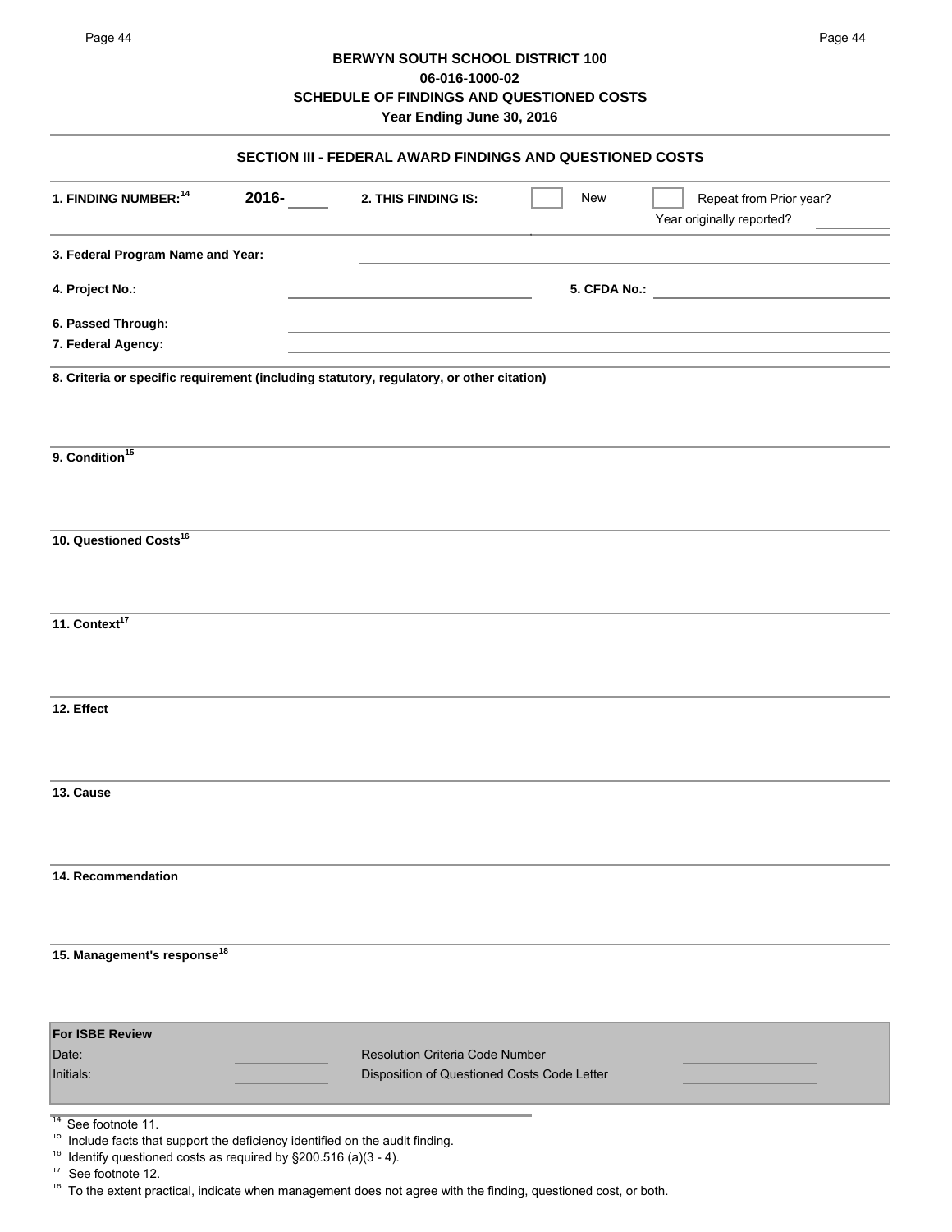## **BERWYN SOUTH SCHOOL DISTRICT 100 06-016-1000-02 SCHEDULE OF FINDINGS AND QUESTIONED COSTS Year Ending June 30, 2016**

| SECTION III - FEDERAL AWARD FINDINGS AND QUESTIONED COSTS                                                                                                                                                                           |       |                                                                                |              |                                                      |  |
|-------------------------------------------------------------------------------------------------------------------------------------------------------------------------------------------------------------------------------------|-------|--------------------------------------------------------------------------------|--------------|------------------------------------------------------|--|
| 1. FINDING NUMBER: <sup>14</sup>                                                                                                                                                                                                    | 2016- | 2. THIS FINDING IS:                                                            | New          | Repeat from Prior year?<br>Year originally reported? |  |
| 3. Federal Program Name and Year:                                                                                                                                                                                                   |       |                                                                                |              |                                                      |  |
| 4. Project No.:                                                                                                                                                                                                                     |       |                                                                                | 5. CFDA No.: |                                                      |  |
| 6. Passed Through:                                                                                                                                                                                                                  |       |                                                                                |              |                                                      |  |
| 7. Federal Agency:                                                                                                                                                                                                                  |       |                                                                                |              |                                                      |  |
| 8. Criteria or specific requirement (including statutory, regulatory, or other citation)                                                                                                                                            |       |                                                                                |              |                                                      |  |
| 9. Condition <sup>15</sup>                                                                                                                                                                                                          |       |                                                                                |              |                                                      |  |
| 10. Questioned Costs <sup>16</sup>                                                                                                                                                                                                  |       |                                                                                |              |                                                      |  |
| 11. Context <sup>17</sup>                                                                                                                                                                                                           |       |                                                                                |              |                                                      |  |
| 12. Effect                                                                                                                                                                                                                          |       |                                                                                |              |                                                      |  |
| 13. Cause                                                                                                                                                                                                                           |       |                                                                                |              |                                                      |  |
| 14. Recommendation                                                                                                                                                                                                                  |       |                                                                                |              |                                                      |  |
| 15. Management's response <sup>18</sup>                                                                                                                                                                                             |       |                                                                                |              |                                                      |  |
| <b>For ISBE Review</b><br>Date:<br>Initials:                                                                                                                                                                                        |       | Resolution Criteria Code Number<br>Disposition of Questioned Costs Code Letter |              |                                                      |  |
| $\overline{14}$<br>See footnote 11.<br>15<br>Include facts that support the deficiency identified on the audit finding.<br>16<br>Identify questioned costs as required by §200.516 (a)(3 - 4).<br>$\frac{1}{2}$<br>See footnote 12. |       |                                                                                |              |                                                      |  |

<sup>18</sup> To the extent practical, indicate when management does not agree with the finding, questioned cost, or both.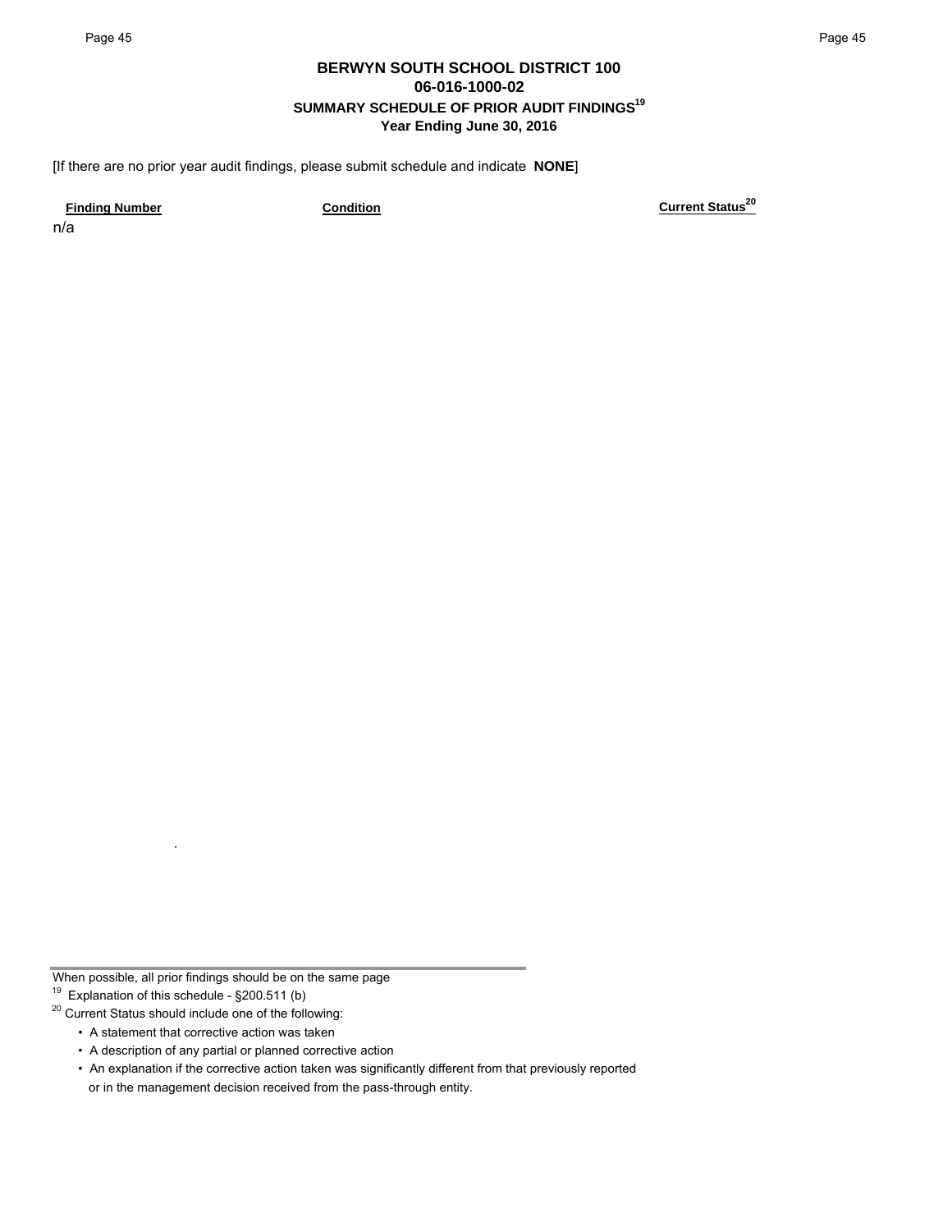## **BERWYN SOUTH SCHOOL DISTRICT 100 06-016-1000-02 SUMMARY SCHEDULE OF PRIOR AUDIT FINDINGS19 Year Ending June 30, 2016**

[If there are no prior year audit findings, please submit schedule and indicate **NONE**]

n/a

**Finding Number Condition Current Status20**

When possible, all prior findings should be on the same page

<sup>19</sup> Explanation of this schedule -  $\S$ 200.511 (b)

20 Current Status should include one of the following:

• A statement that corrective action was taken

• A description of any partial or planned corrective action

• An explanation if the corrective action taken was significantly different from that previously reported or in the management decision received from the pass-through entity.